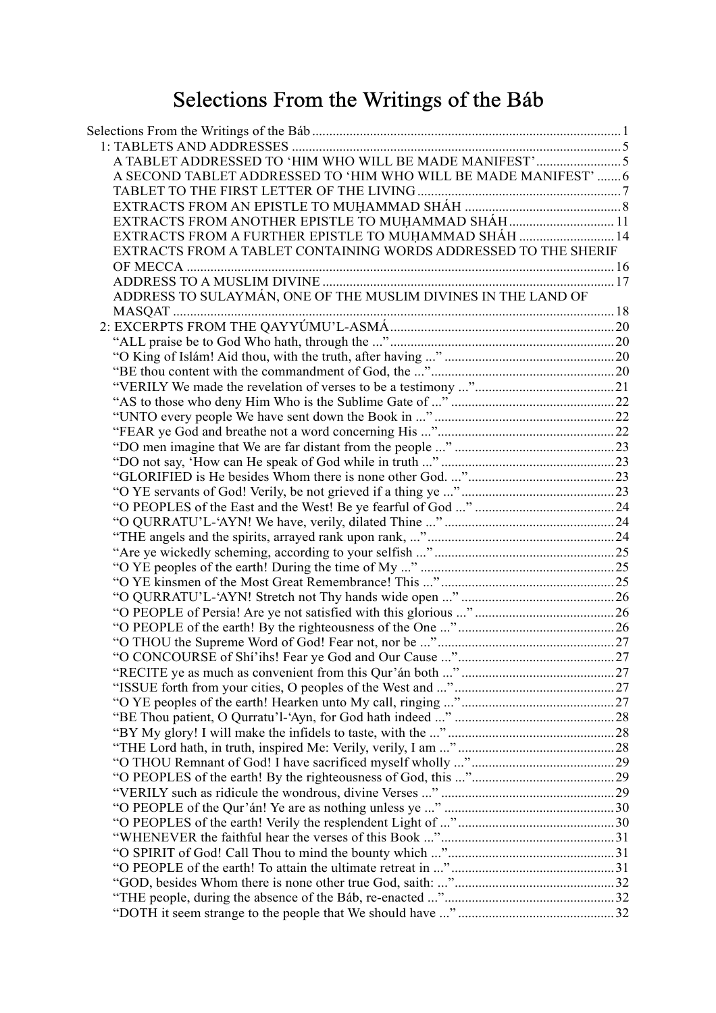# Selections From the Writings of the Báb

| A SECOND TABLET ADDRESSED TO 'HIM WHO WILL BE MADE MANIFEST'  6 |  |
|-----------------------------------------------------------------|--|
|                                                                 |  |
|                                                                 |  |
| EXTRACTS FROM ANOTHER EPISTLE TO MUHAMMAD SHÁH 11               |  |
| EXTRACTS FROM A FURTHER EPISTLE TO MUHAMMAD SHÁH  14            |  |
| EXTRACTS FROM A TABLET CONTAINING WORDS ADDRESSED TO THE SHERIF |  |
|                                                                 |  |
|                                                                 |  |
| ADDRESS TO SULAYMÁN, ONE OF THE MUSLIM DIVINES IN THE LAND OF   |  |
|                                                                 |  |
|                                                                 |  |
|                                                                 |  |
|                                                                 |  |
|                                                                 |  |
|                                                                 |  |
|                                                                 |  |
|                                                                 |  |
|                                                                 |  |
|                                                                 |  |
|                                                                 |  |
|                                                                 |  |
|                                                                 |  |
|                                                                 |  |
|                                                                 |  |
|                                                                 |  |
|                                                                 |  |
|                                                                 |  |
|                                                                 |  |
|                                                                 |  |
|                                                                 |  |
|                                                                 |  |
|                                                                 |  |
|                                                                 |  |
|                                                                 |  |
|                                                                 |  |
|                                                                 |  |
|                                                                 |  |
|                                                                 |  |
|                                                                 |  |
|                                                                 |  |
|                                                                 |  |
|                                                                 |  |
|                                                                 |  |
|                                                                 |  |
|                                                                 |  |
|                                                                 |  |
|                                                                 |  |
|                                                                 |  |
|                                                                 |  |
|                                                                 |  |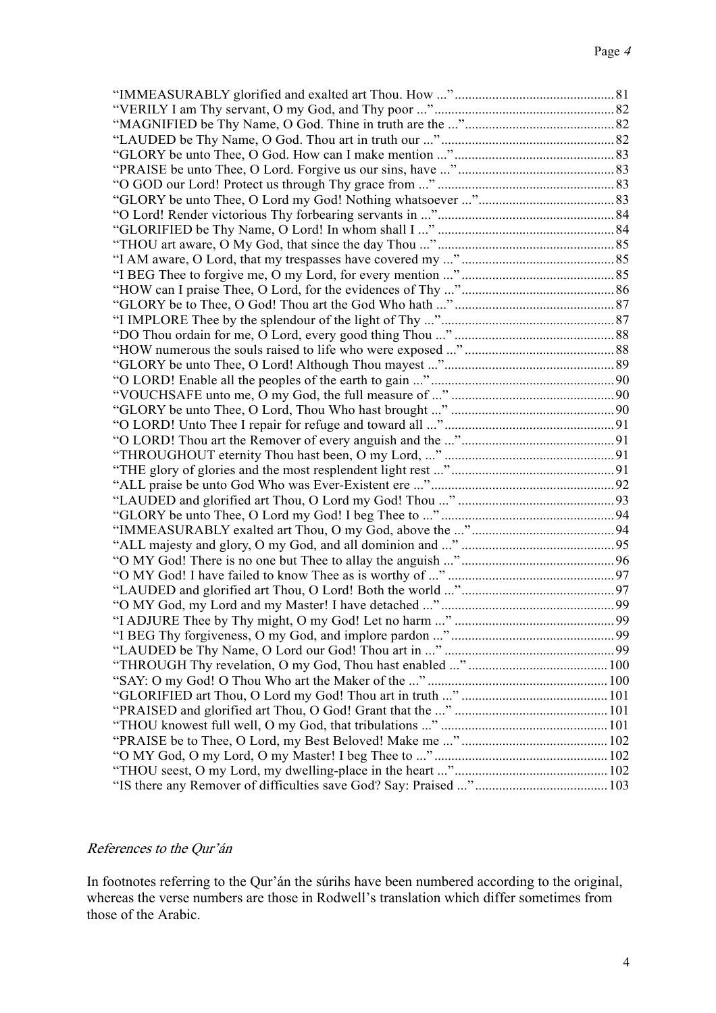#### References to the Qur'án

In footnotes referring to the Qur'án the súrihs have been numbered according to the original, whereas the verse numbers are those in Rodwell's translation which differ sometimes from those of the Arabic.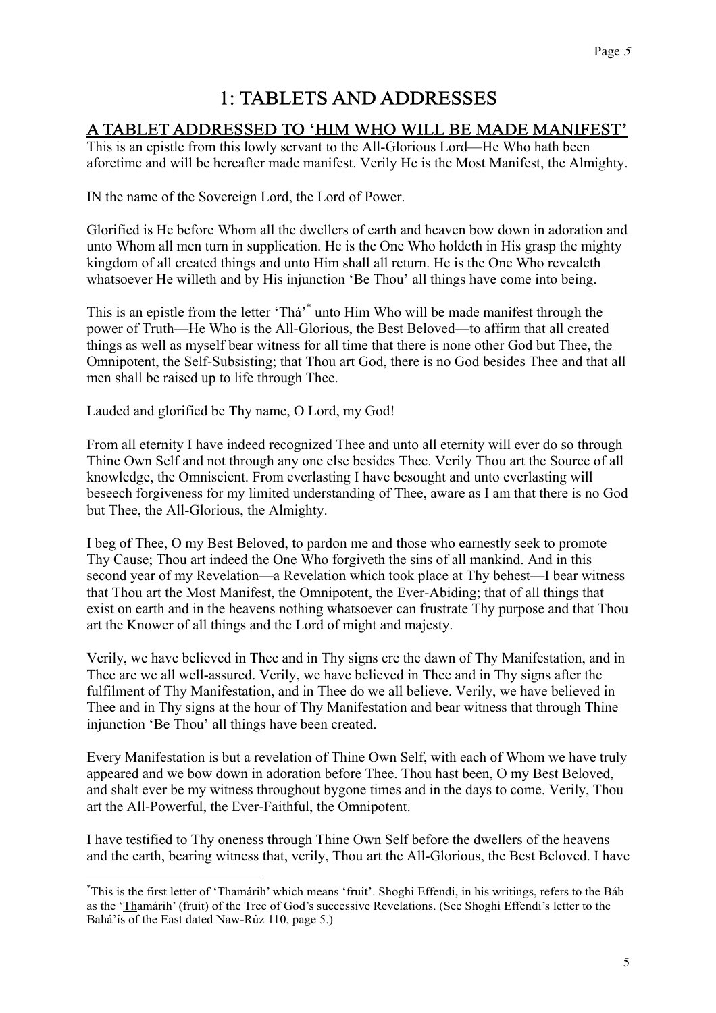### 1: TABLETS AND ADDRESSES

### A TABLET ADDRESSED TO 'HIM WHO WILL BE MADE MANIFEST'

This is an epistle from this lowly servant to the All-Glorious Lord—He Who hath been aforetime and will be hereafter made manifest. Verily He is the Most Manifest, the Almighty.

IN the name of the Sovereign Lord, the Lord of Power.

Glorified is He before Whom all the dwellers of earth and heaven bow down in adoration and unto Whom all men turn in supplication. He is the One Who holdeth in His grasp the mighty kingdom of all created things and unto Him shall all return. He is the One Who revealeth whatsoever He willeth and by His injunction 'Be Thou' all things have come into being.

This is an epistle from the letter  ${T_h \hat{a}'}^*$  unto Him Who will be made manifest through the power of Truth—He Who is the All-Glorious, the Best Beloved—to affirm that all created things as well as myself bear witness for all time that there is none other God but Thee, the Omnipotent, the Self-Subsisting; that Thou art God, there is no God besides Thee and that all men shall be raised up to life through Thee.

Lauded and glorified be Thy name, O Lord, my God!

From all eternity I have indeed recognized Thee and unto all eternity will ever do so through Thine Own Self and not through any one else besides Thee. Verily Thou art the Source of all knowledge, the Omniscient. From everlasting I have besought and unto everlasting will beseech forgiveness for my limited understanding of Thee, aware as I am that there is no God but Thee, the All-Glorious, the Almighty.

I beg of Thee, O my Best Beloved, to pardon me and those who earnestly seek to promote Thy Cause; Thou art indeed the One Who forgiveth the sins of all mankind. And in this second year of my Revelation—a Revelation which took place at Thy behest—I bear witness that Thou art the Most Manifest, the Omnipotent, the Ever-Abiding; that of all things that exist on earth and in the heavens nothing whatsoever can frustrate Thy purpose and that Thou art the Knower of all things and the Lord of might and majesty.

Verily, we have believed in Thee and in Thy signs ere the dawn of Thy Manifestation, and in Thee are we all well-assured. Verily, we have believed in Thee and in Thy signs after the fulfilment of Thy Manifestation, and in Thee do we all believe. Verily, we have believed in Thee and in Thy signs at the hour of Thy Manifestation and bear witness that through Thine injunction 'Be Thou' all things have been created.

Every Manifestation is but a revelation of Thine Own Self, with each of Whom we have truly appeared and we bow down in adoration before Thee. Thou hast been, O my Best Beloved, and shalt ever be my witness throughout bygone times and in the days to come. Verily, Thou art the All-Powerful, the Ever-Faithful, the Omnipotent.

I have testified to Thy oneness through Thine Own Self before the dwellers of the heavens and the earth, bearing witness that, verily, Thou art the All-Glorious, the Best Beloved. I have

 <sup>\*</sup> This is the first letter of 'Thamárih' which means 'fruit'. Shoghi Effendi, in his writings, refers to the Báb as the 'Thamárih' (fruit) of the Tree of God's successive Revelations. (See Shoghi Effendi's letter to the Bahá'ís of the East dated Naw-Rúz 110, page 5.)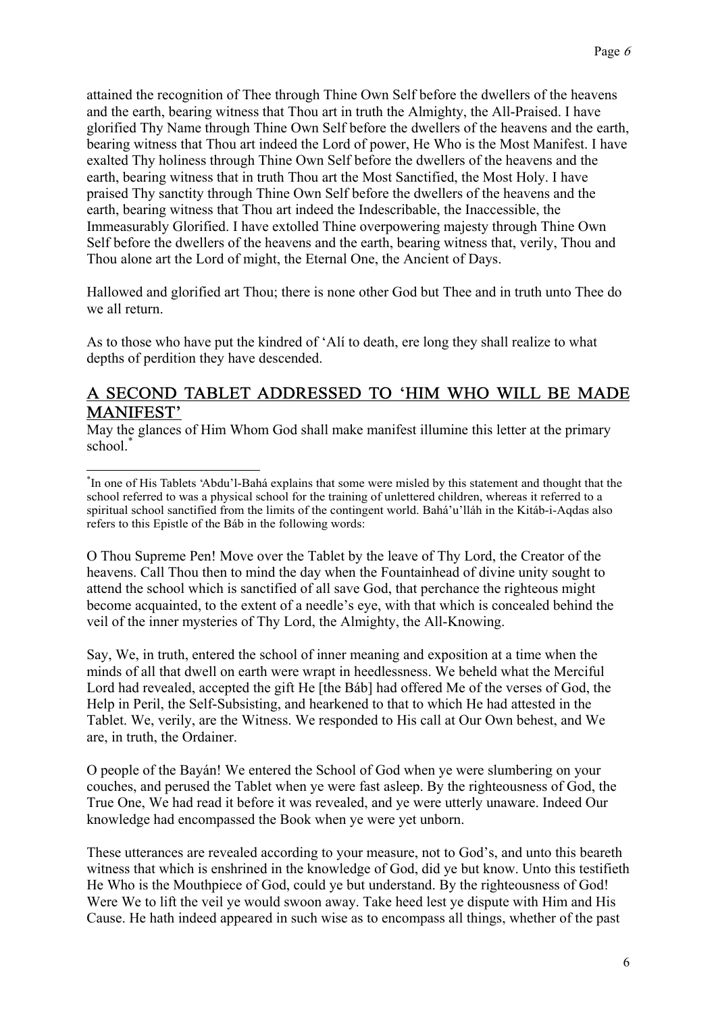attained the recognition of Thee through Thine Own Self before the dwellers of the heavens and the earth, bearing witness that Thou art in truth the Almighty, the All-Praised. I have glorified Thy Name through Thine Own Self before the dwellers of the heavens and the earth, bearing witness that Thou art indeed the Lord of power, He Who is the Most Manifest. I have exalted Thy holiness through Thine Own Self before the dwellers of the heavens and the earth, bearing witness that in truth Thou art the Most Sanctified, the Most Holy. I have praised Thy sanctity through Thine Own Self before the dwellers of the heavens and the earth, bearing witness that Thou art indeed the Indescribable, the Inaccessible, the Immeasurably Glorified. I have extolled Thine overpowering majesty through Thine Own Self before the dwellers of the heavens and the earth, bearing witness that, verily, Thou and Thou alone art the Lord of might, the Eternal One, the Ancient of Days.

Hallowed and glorified art Thou; there is none other God but Thee and in truth unto Thee do we all return

As to those who have put the kindred of 'Alí to death, ere long they shall realize to what depths of perdition they have descended.

### A SECOND TABLET ADDRESSED TO 'HIM WHO WILL BE MADE MANIFEST'

May the glances of Him Whom God shall make manifest illumine this letter at the primary school<sup>\*</sup>

O Thou Supreme Pen! Move over the Tablet by the leave of Thy Lord, the Creator of the heavens. Call Thou then to mind the day when the Fountainhead of divine unity sought to attend the school which is sanctified of all save God, that perchance the righteous might become acquainted, to the extent of a needle's eye, with that which is concealed behind the veil of the inner mysteries of Thy Lord, the Almighty, the All-Knowing.

Say, We, in truth, entered the school of inner meaning and exposition at a time when the minds of all that dwell on earth were wrapt in heedlessness. We beheld what the Merciful Lord had revealed, accepted the gift He [the Báb] had offered Me of the verses of God, the Help in Peril, the Self-Subsisting, and hearkened to that to which He had attested in the Tablet. We, verily, are the Witness. We responded to His call at Our Own behest, and We are, in truth, the Ordainer.

O people of the Bayán! We entered the School of God when ye were slumbering on your couches, and perused the Tablet when ye were fast asleep. By the righteousness of God, the True One, We had read it before it was revealed, and ye were utterly unaware. Indeed Our knowledge had encompassed the Book when ye were yet unborn.

These utterances are revealed according to your measure, not to God's, and unto this beareth witness that which is enshrined in the knowledge of God, did ye but know. Unto this testifieth He Who is the Mouthpiece of God, could ye but understand. By the righteousness of God! Were We to lift the veil ye would swoon away. Take heed lest ye dispute with Him and His Cause. He hath indeed appeared in such wise as to encompass all things, whether of the past

 <sup>\*</sup> <sup>\*</sup>In one of His Tablets 'Abdu'l-Bahá explains that some were misled by this statement and thought that the school referred to was a physical school for the training of unlettered children, whereas it referred to a spiritual school sanctified from the limits of the contingent world. Bahá'u'lláh in the Kitáb-i-Aqdas also refers to this Epistle of the Báb in the following words: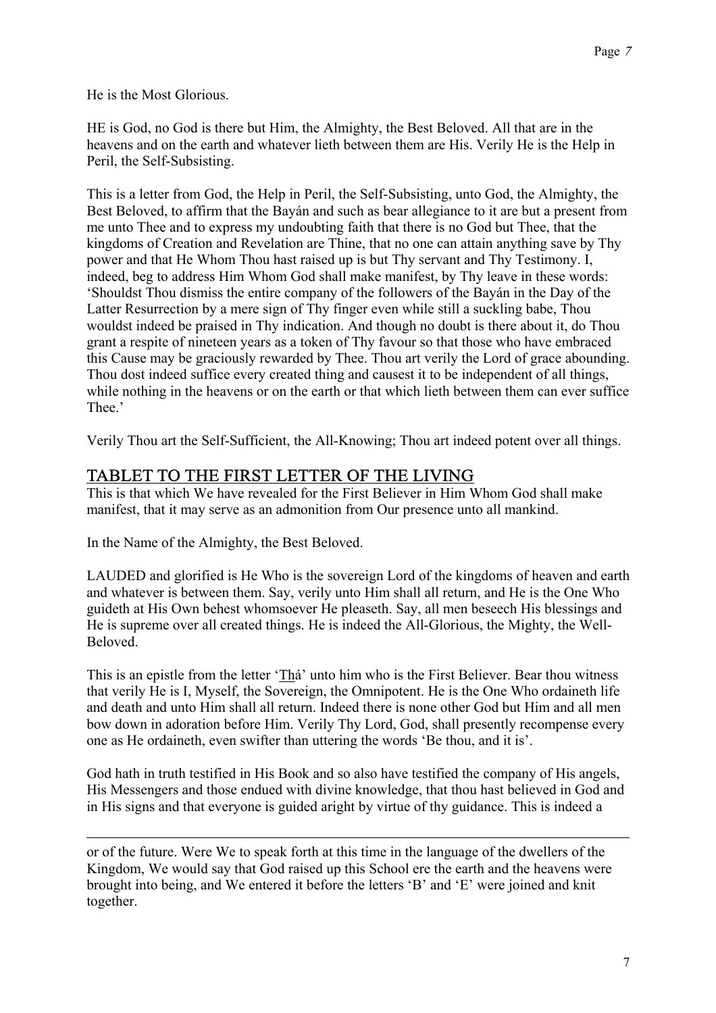He is the Most Glorious.

HE is God, no God is there but Him, the Almighty, the Best Beloved. All that are in the heavens and on the earth and whatever lieth between them are His. Verily He is the Help in Peril, the Self-Subsisting.

This is a letter from God, the Help in Peril, the Self-Subsisting, unto God, the Almighty, the Best Beloved, to affirm that the Bayán and such as bear allegiance to it are but a present from me unto Thee and to express my undoubting faith that there is no God but Thee, that the kingdoms of Creation and Revelation are Thine, that no one can attain anything save by Thy power and that He Whom Thou hast raised up is but Thy servant and Thy Testimony. I, indeed, beg to address Him Whom God shall make manifest, by Thy leave in these words: 'Shouldst Thou dismiss the entire company of the followers of the Bayán in the Day of the Latter Resurrection by a mere sign of Thy finger even while still a suckling babe, Thou wouldst indeed be praised in Thy indication. And though no doubt is there about it, do Thou grant a respite of nineteen years as a token of Thy favour so that those who have embraced this Cause may be graciously rewarded by Thee. Thou art verily the Lord of grace abounding. Thou dost indeed suffice every created thing and causest it to be independent of all things, while nothing in the heavens or on the earth or that which lieth between them can ever suffice Thee.'

Verily Thou art the Self-Sufficient, the All-Knowing; Thou art indeed potent over all things.

### TABLET TO THE FIRST LETTER OF THE LIVING

This is that which We have revealed for the First Believer in Him Whom God shall make manifest, that it may serve as an admonition from Our presence unto all mankind.

In the Name of the Almighty, the Best Beloved.

l

LAUDED and glorified is He Who is the sovereign Lord of the kingdoms of heaven and earth and whatever is between them. Say, verily unto Him shall all return, and He is the One Who guideth at His Own behest whomsoever He pleaseth. Say, all men beseech His blessings and He is supreme over all created things. He is indeed the All-Glorious, the Mighty, the Well-Beloved.

This is an epistle from the letter 'Thá' unto him who is the First Believer. Bear thou witness that verily He is I, Myself, the Sovereign, the Omnipotent. He is the One Who ordaineth life and death and unto Him shall all return. Indeed there is none other God but Him and all men bow down in adoration before Him. Verily Thy Lord, God, shall presently recompense every one as He ordaineth, even swifter than uttering the words 'Be thou, and it is'.

God hath in truth testified in His Book and so also have testified the company of His angels, His Messengers and those endued with divine knowledge, that thou hast believed in God and in His signs and that everyone is guided aright by virtue of thy guidance. This is indeed a

or of the future. Were We to speak forth at this time in the language of the dwellers of the Kingdom, We would say that God raised up this School ere the earth and the heavens were brought into being, and We entered it before the letters 'B' and 'E' were joined and knit together.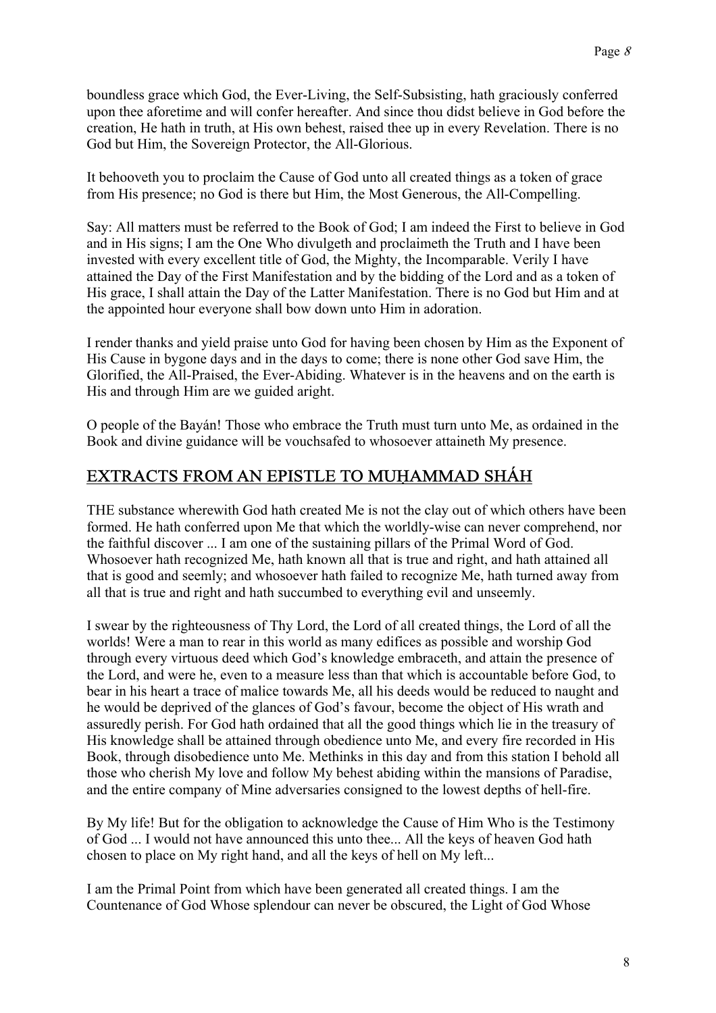boundless grace which God, the Ever-Living, the Self-Subsisting, hath graciously conferred upon thee aforetime and will confer hereafter. And since thou didst believe in God before the creation, He hath in truth, at His own behest, raised thee up in every Revelation. There is no God but Him, the Sovereign Protector, the All-Glorious.

It behooveth you to proclaim the Cause of God unto all created things as a token of grace from His presence; no God is there but Him, the Most Generous, the All-Compelling.

Say: All matters must be referred to the Book of God; I am indeed the First to believe in God and in His signs; I am the One Who divulgeth and proclaimeth the Truth and I have been invested with every excellent title of God, the Mighty, the Incomparable. Verily I have attained the Day of the First Manifestation and by the bidding of the Lord and as a token of His grace, I shall attain the Day of the Latter Manifestation. There is no God but Him and at the appointed hour everyone shall bow down unto Him in adoration.

I render thanks and yield praise unto God for having been chosen by Him as the Exponent of His Cause in bygone days and in the days to come; there is none other God save Him, the Glorified, the All-Praised, the Ever-Abiding. Whatever is in the heavens and on the earth is His and through Him are we guided aright.

O people of the Bayán! Those who embrace the Truth must turn unto Me, as ordained in the Book and divine guidance will be vouchsafed to whosoever attaineth My presence.

### EXTRACTS FROM AN EPISTLE TO MUḤAMMAD SHÁH

THE substance wherewith God hath created Me is not the clay out of which others have been formed. He hath conferred upon Me that which the worldly-wise can never comprehend, nor the faithful discover ... I am one of the sustaining pillars of the Primal Word of God. Whosoever hath recognized Me, hath known all that is true and right, and hath attained all that is good and seemly; and whosoever hath failed to recognize Me, hath turned away from all that is true and right and hath succumbed to everything evil and unseemly.

I swear by the righteousness of Thy Lord, the Lord of all created things, the Lord of all the worlds! Were a man to rear in this world as many edifices as possible and worship God through every virtuous deed which God's knowledge embraceth, and attain the presence of the Lord, and were he, even to a measure less than that which is accountable before God, to bear in his heart a trace of malice towards Me, all his deeds would be reduced to naught and he would be deprived of the glances of God's favour, become the object of His wrath and assuredly perish. For God hath ordained that all the good things which lie in the treasury of His knowledge shall be attained through obedience unto Me, and every fire recorded in His Book, through disobedience unto Me. Methinks in this day and from this station I behold all those who cherish My love and follow My behest abiding within the mansions of Paradise, and the entire company of Mine adversaries consigned to the lowest depths of hell-fire.

By My life! But for the obligation to acknowledge the Cause of Him Who is the Testimony of God ... I would not have announced this unto thee... All the keys of heaven God hath chosen to place on My right hand, and all the keys of hell on My left...

I am the Primal Point from which have been generated all created things. I am the Countenance of God Whose splendour can never be obscured, the Light of God Whose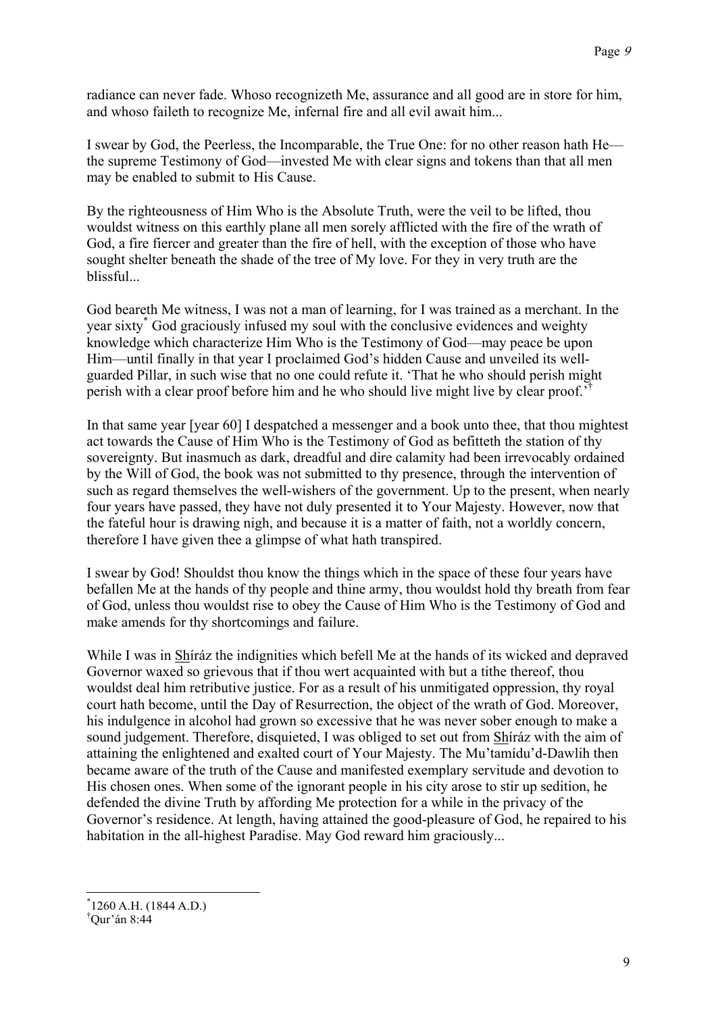radiance can never fade. Whoso recognizeth Me, assurance and all good are in store for him, and whoso faileth to recognize Me, infernal fire and all evil await him...

I swear by God, the Peerless, the Incomparable, the True One: for no other reason hath He the supreme Testimony of God—invested Me with clear signs and tokens than that all men may be enabled to submit to His Cause.

By the righteousness of Him Who is the Absolute Truth, were the veil to be lifted, thou wouldst witness on this earthly plane all men sorely afflicted with the fire of the wrath of God, a fire fiercer and greater than the fire of hell, with the exception of those who have sought shelter beneath the shade of the tree of My love. For they in very truth are the blissful...

God beareth Me witness, I was not a man of learning, for I was trained as a merchant. In the year sixty\* God graciously infused my soul with the conclusive evidences and weighty knowledge which characterize Him Who is the Testimony of God—may peace be upon Him—until finally in that year I proclaimed God's hidden Cause and unveiled its wellguarded Pillar, in such wise that no one could refute it. 'That he who should perish might perish with a clear proof before him and he who should live might live by clear proof.'†

In that same year [year 60] I despatched a messenger and a book unto thee, that thou mightest act towards the Cause of Him Who is the Testimony of God as befitteth the station of thy sovereignty. But inasmuch as dark, dreadful and dire calamity had been irrevocably ordained by the Will of God, the book was not submitted to thy presence, through the intervention of such as regard themselves the well-wishers of the government. Up to the present, when nearly four years have passed, they have not duly presented it to Your Majesty. However, now that the fateful hour is drawing nigh, and because it is a matter of faith, not a worldly concern, therefore I have given thee a glimpse of what hath transpired.

I swear by God! Shouldst thou know the things which in the space of these four years have befallen Me at the hands of thy people and thine army, thou wouldst hold thy breath from fear of God, unless thou wouldst rise to obey the Cause of Him Who is the Testimony of God and make amends for thy shortcomings and failure.

While I was in Shíráz the indignities which befell Me at the hands of its wicked and depraved Governor waxed so grievous that if thou wert acquainted with but a tithe thereof, thou wouldst deal him retributive justice. For as a result of his unmitigated oppression, thy royal court hath become, until the Day of Resurrection, the object of the wrath of God. Moreover, his indulgence in alcohol had grown so excessive that he was never sober enough to make a sound judgement. Therefore, disquieted, I was obliged to set out from Shíráz with the aim of attaining the enlightened and exalted court of Your Majesty. The Mu'tamídu'd-Dawlih then became aware of the truth of the Cause and manifested exemplary servitude and devotion to His chosen ones. When some of the ignorant people in his city arose to stir up sedition, he defended the divine Truth by affording Me protection for a while in the privacy of the Governor's residence. At length, having attained the good-pleasure of God, he repaired to his habitation in the all-highest Paradise. May God reward him graciously...

 <sup>\*</sup>  $*1260$  A.H. (1844 A.D.)

<sup>†</sup> Qur'án 8:44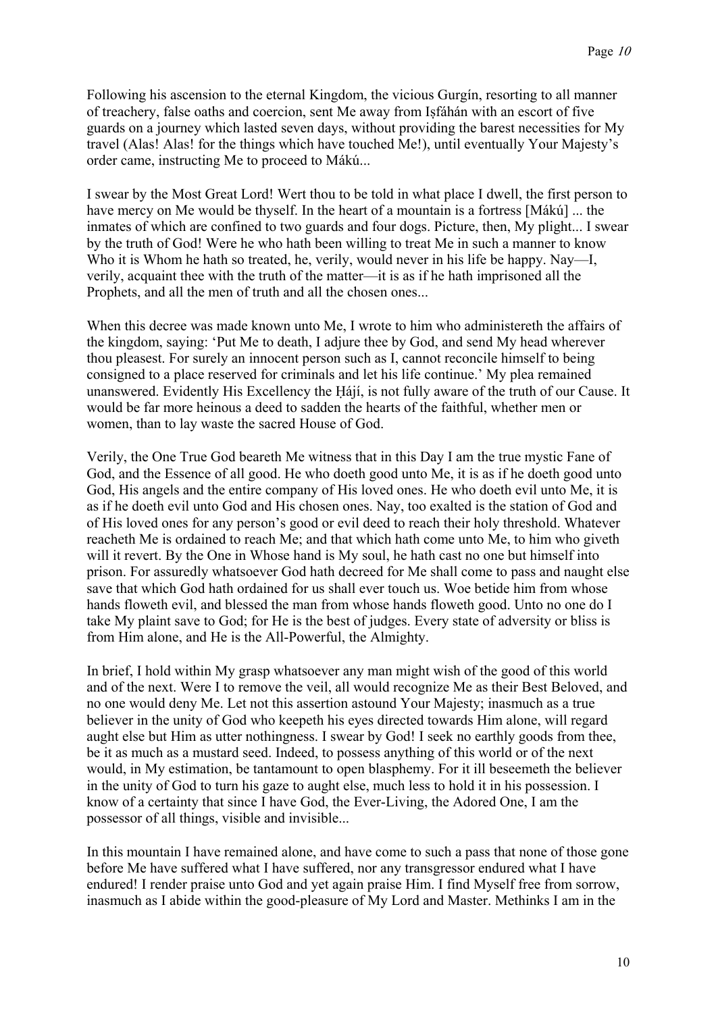Following his ascension to the eternal Kingdom, the vicious Gurgín, resorting to all manner of treachery, false oaths and coercion, sent Me away from Iṣfáhán with an escort of five guards on a journey which lasted seven days, without providing the barest necessities for My travel (Alas! Alas! for the things which have touched Me!), until eventually Your Majesty's order came, instructing Me to proceed to Mákú...

I swear by the Most Great Lord! Wert thou to be told in what place I dwell, the first person to have mercy on Me would be thyself. In the heart of a mountain is a fortress [Mákú] ... the inmates of which are confined to two guards and four dogs. Picture, then, My plight... I swear by the truth of God! Were he who hath been willing to treat Me in such a manner to know Who it is Whom he hath so treated, he, verily, would never in his life be happy. Nay—I, verily, acquaint thee with the truth of the matter—it is as if he hath imprisoned all the Prophets, and all the men of truth and all the chosen ones...

When this decree was made known unto Me, I wrote to him who administereth the affairs of the kingdom, saying: 'Put Me to death, I adjure thee by God, and send My head wherever thou pleasest. For surely an innocent person such as I, cannot reconcile himself to being consigned to a place reserved for criminals and let his life continue.' My plea remained unanswered. Evidently His Excellency the Ḥájí, is not fully aware of the truth of our Cause. It would be far more heinous a deed to sadden the hearts of the faithful, whether men or women, than to lay waste the sacred House of God.

Verily, the One True God beareth Me witness that in this Day I am the true mystic Fane of God, and the Essence of all good. He who doeth good unto Me, it is as if he doeth good unto God, His angels and the entire company of His loved ones. He who doeth evil unto Me, it is as if he doeth evil unto God and His chosen ones. Nay, too exalted is the station of God and of His loved ones for any person's good or evil deed to reach their holy threshold. Whatever reacheth Me is ordained to reach Me; and that which hath come unto Me, to him who giveth will it revert. By the One in Whose hand is My soul, he hath cast no one but himself into prison. For assuredly whatsoever God hath decreed for Me shall come to pass and naught else save that which God hath ordained for us shall ever touch us. Woe betide him from whose hands floweth evil, and blessed the man from whose hands floweth good. Unto no one do I take My plaint save to God; for He is the best of judges. Every state of adversity or bliss is from Him alone, and He is the All-Powerful, the Almighty.

In brief, I hold within My grasp whatsoever any man might wish of the good of this world and of the next. Were I to remove the veil, all would recognize Me as their Best Beloved, and no one would deny Me. Let not this assertion astound Your Majesty; inasmuch as a true believer in the unity of God who keepeth his eyes directed towards Him alone, will regard aught else but Him as utter nothingness. I swear by God! I seek no earthly goods from thee, be it as much as a mustard seed. Indeed, to possess anything of this world or of the next would, in My estimation, be tantamount to open blasphemy. For it ill beseemeth the believer in the unity of God to turn his gaze to aught else, much less to hold it in his possession. I know of a certainty that since I have God, the Ever-Living, the Adored One, I am the possessor of all things, visible and invisible...

In this mountain I have remained alone, and have come to such a pass that none of those gone before Me have suffered what I have suffered, nor any transgressor endured what I have endured! I render praise unto God and yet again praise Him. I find Myself free from sorrow, inasmuch as I abide within the good-pleasure of My Lord and Master. Methinks I am in the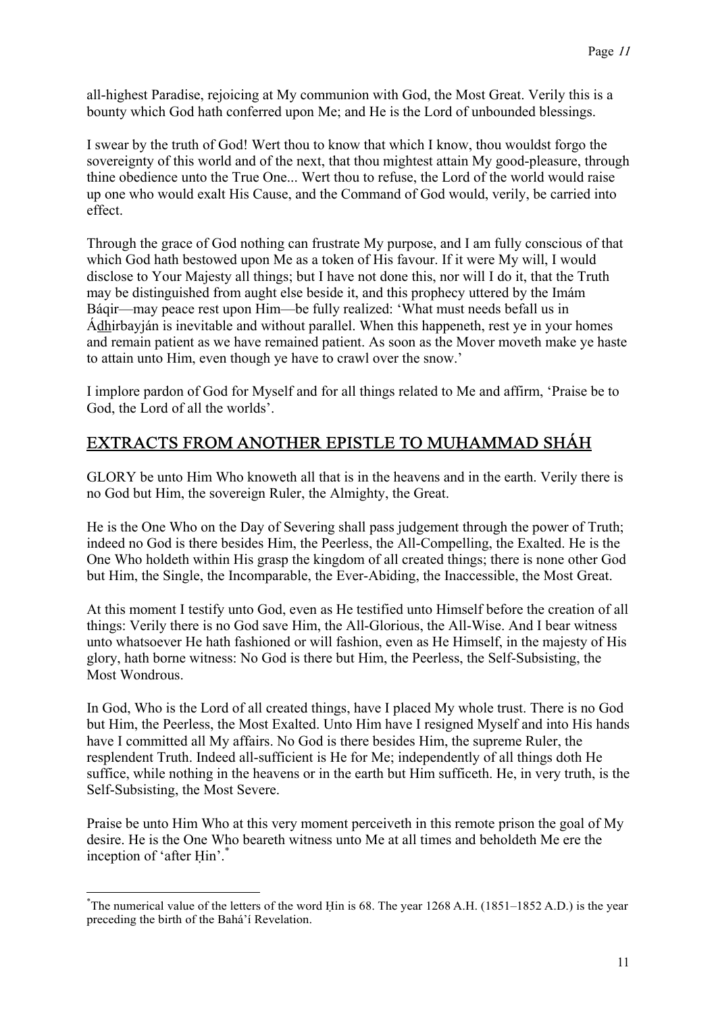all-highest Paradise, rejoicing at My communion with God, the Most Great. Verily this is a bounty which God hath conferred upon Me; and He is the Lord of unbounded blessings.

I swear by the truth of God! Wert thou to know that which I know, thou wouldst forgo the sovereignty of this world and of the next, that thou mightest attain My good-pleasure, through thine obedience unto the True One... Wert thou to refuse, the Lord of the world would raise up one who would exalt His Cause, and the Command of God would, verily, be carried into effect.

Through the grace of God nothing can frustrate My purpose, and I am fully conscious of that which God hath bestowed upon Me as a token of His favour. If it were My will, I would disclose to Your Majesty all things; but I have not done this, nor will I do it, that the Truth may be distinguished from aught else beside it, and this prophecy uttered by the Imám Báqir—may peace rest upon Him—be fully realized: 'What must needs befall us in Ádhirbayján is inevitable and without parallel. When this happeneth, rest ye in your homes and remain patient as we have remained patient. As soon as the Mover moveth make ye haste to attain unto Him, even though ye have to crawl over the snow.'

I implore pardon of God for Myself and for all things related to Me and affirm, 'Praise be to God, the Lord of all the worlds'.

### EXTRACTS FROM ANOTHER EPISTLE TO MUḤAMMAD SHÁH

GLORY be unto Him Who knoweth all that is in the heavens and in the earth. Verily there is no God but Him, the sovereign Ruler, the Almighty, the Great.

He is the One Who on the Day of Severing shall pass judgement through the power of Truth; indeed no God is there besides Him, the Peerless, the All-Compelling, the Exalted. He is the One Who holdeth within His grasp the kingdom of all created things; there is none other God but Him, the Single, the Incomparable, the Ever-Abiding, the Inaccessible, the Most Great.

At this moment I testify unto God, even as He testified unto Himself before the creation of all things: Verily there is no God save Him, the All-Glorious, the All-Wise. And I bear witness unto whatsoever He hath fashioned or will fashion, even as He Himself, in the majesty of His glory, hath borne witness: No God is there but Him, the Peerless, the Self-Subsisting, the Most Wondrous.

In God, Who is the Lord of all created things, have I placed My whole trust. There is no God but Him, the Peerless, the Most Exalted. Unto Him have I resigned Myself and into His hands have I committed all My affairs. No God is there besides Him, the supreme Ruler, the resplendent Truth. Indeed all-sufficient is He for Me; independently of all things doth He suffice, while nothing in the heavens or in the earth but Him sufficeth. He, in very truth, is the Self-Subsisting, the Most Severe.

Praise be unto Him Who at this very moment perceiveth in this remote prison the goal of My desire. He is the One Who beareth witness unto Me at all times and beholdeth Me ere the inception of 'after Hin'.<sup>\*</sup>

 <sup>\*</sup>  $*$ The numerical value of the letters of the word Hin is 68. The year 1268 A.H. (1851–1852 A.D.) is the year preceding the birth of the Bahá'í Revelation.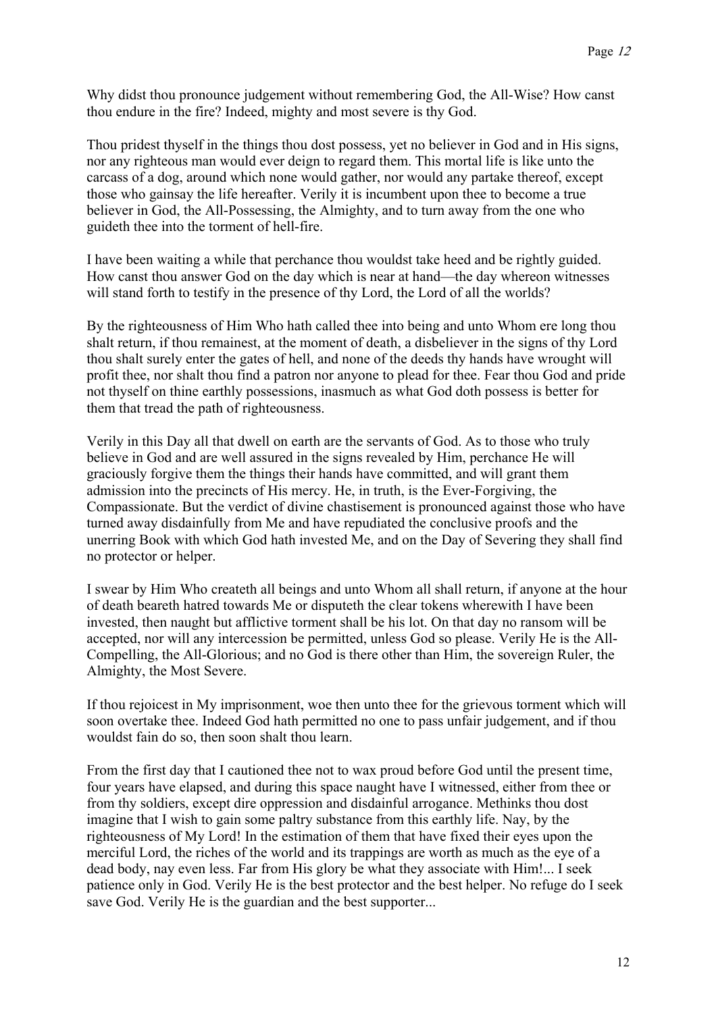Why didst thou pronounce judgement without remembering God, the All-Wise? How canst thou endure in the fire? Indeed, mighty and most severe is thy God.

Thou pridest thyself in the things thou dost possess, yet no believer in God and in His signs, nor any righteous man would ever deign to regard them. This mortal life is like unto the carcass of a dog, around which none would gather, nor would any partake thereof, except those who gainsay the life hereafter. Verily it is incumbent upon thee to become a true believer in God, the All-Possessing, the Almighty, and to turn away from the one who guideth thee into the torment of hell-fire.

I have been waiting a while that perchance thou wouldst take heed and be rightly guided. How canst thou answer God on the day which is near at hand—the day whereon witnesses will stand forth to testify in the presence of thy Lord, the Lord of all the worlds?

By the righteousness of Him Who hath called thee into being and unto Whom ere long thou shalt return, if thou remainest, at the moment of death, a disbeliever in the signs of thy Lord thou shalt surely enter the gates of hell, and none of the deeds thy hands have wrought will profit thee, nor shalt thou find a patron nor anyone to plead for thee. Fear thou God and pride not thyself on thine earthly possessions, inasmuch as what God doth possess is better for them that tread the path of righteousness.

Verily in this Day all that dwell on earth are the servants of God. As to those who truly believe in God and are well assured in the signs revealed by Him, perchance He will graciously forgive them the things their hands have committed, and will grant them admission into the precincts of His mercy. He, in truth, is the Ever-Forgiving, the Compassionate. But the verdict of divine chastisement is pronounced against those who have turned away disdainfully from Me and have repudiated the conclusive proofs and the unerring Book with which God hath invested Me, and on the Day of Severing they shall find no protector or helper.

I swear by Him Who createth all beings and unto Whom all shall return, if anyone at the hour of death beareth hatred towards Me or disputeth the clear tokens wherewith I have been invested, then naught but afflictive torment shall be his lot. On that day no ransom will be accepted, nor will any intercession be permitted, unless God so please. Verily He is the All-Compelling, the All-Glorious; and no God is there other than Him, the sovereign Ruler, the Almighty, the Most Severe.

If thou rejoicest in My imprisonment, woe then unto thee for the grievous torment which will soon overtake thee. Indeed God hath permitted no one to pass unfair judgement, and if thou wouldst fain do so, then soon shalt thou learn.

From the first day that I cautioned thee not to wax proud before God until the present time, four years have elapsed, and during this space naught have I witnessed, either from thee or from thy soldiers, except dire oppression and disdainful arrogance. Methinks thou dost imagine that I wish to gain some paltry substance from this earthly life. Nay, by the righteousness of My Lord! In the estimation of them that have fixed their eyes upon the merciful Lord, the riches of the world and its trappings are worth as much as the eye of a dead body, nay even less. Far from His glory be what they associate with Him!... I seek patience only in God. Verily He is the best protector and the best helper. No refuge do I seek save God. Verily He is the guardian and the best supporter...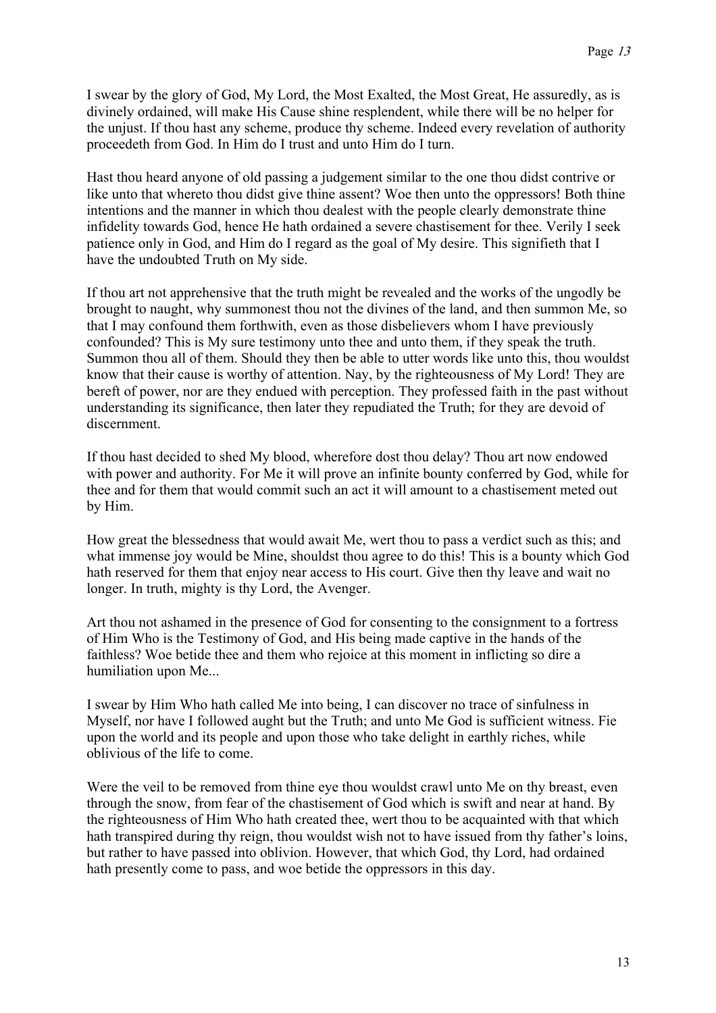I swear by the glory of God, My Lord, the Most Exalted, the Most Great, He assuredly, as is divinely ordained, will make His Cause shine resplendent, while there will be no helper for the unjust. If thou hast any scheme, produce thy scheme. Indeed every revelation of authority proceedeth from God. In Him do I trust and unto Him do I turn.

Hast thou heard anyone of old passing a judgement similar to the one thou didst contrive or like unto that whereto thou didst give thine assent? Woe then unto the oppressors! Both thine intentions and the manner in which thou dealest with the people clearly demonstrate thine infidelity towards God, hence He hath ordained a severe chastisement for thee. Verily I seek patience only in God, and Him do I regard as the goal of My desire. This signifieth that I have the undoubted Truth on My side.

If thou art not apprehensive that the truth might be revealed and the works of the ungodly be brought to naught, why summonest thou not the divines of the land, and then summon Me, so that I may confound them forthwith, even as those disbelievers whom I have previously confounded? This is My sure testimony unto thee and unto them, if they speak the truth. Summon thou all of them. Should they then be able to utter words like unto this, thou wouldst know that their cause is worthy of attention. Nay, by the righteousness of My Lord! They are bereft of power, nor are they endued with perception. They professed faith in the past without understanding its significance, then later they repudiated the Truth; for they are devoid of discernment.

If thou hast decided to shed My blood, wherefore dost thou delay? Thou art now endowed with power and authority. For Me it will prove an infinite bounty conferred by God, while for thee and for them that would commit such an act it will amount to a chastisement meted out by Him.

How great the blessedness that would await Me, wert thou to pass a verdict such as this; and what immense joy would be Mine, shouldst thou agree to do this! This is a bounty which God hath reserved for them that enjoy near access to His court. Give then thy leave and wait no longer. In truth, mighty is thy Lord, the Avenger.

Art thou not ashamed in the presence of God for consenting to the consignment to a fortress of Him Who is the Testimony of God, and His being made captive in the hands of the faithless? Woe betide thee and them who rejoice at this moment in inflicting so dire a humiliation upon Me...

I swear by Him Who hath called Me into being, I can discover no trace of sinfulness in Myself, nor have I followed aught but the Truth; and unto Me God is sufficient witness. Fie upon the world and its people and upon those who take delight in earthly riches, while oblivious of the life to come.

Were the veil to be removed from thine eye thou wouldst crawl unto Me on thy breast, even through the snow, from fear of the chastisement of God which is swift and near at hand. By the righteousness of Him Who hath created thee, wert thou to be acquainted with that which hath transpired during thy reign, thou wouldst wish not to have issued from thy father's loins, but rather to have passed into oblivion. However, that which God, thy Lord, had ordained hath presently come to pass, and woe betide the oppressors in this day.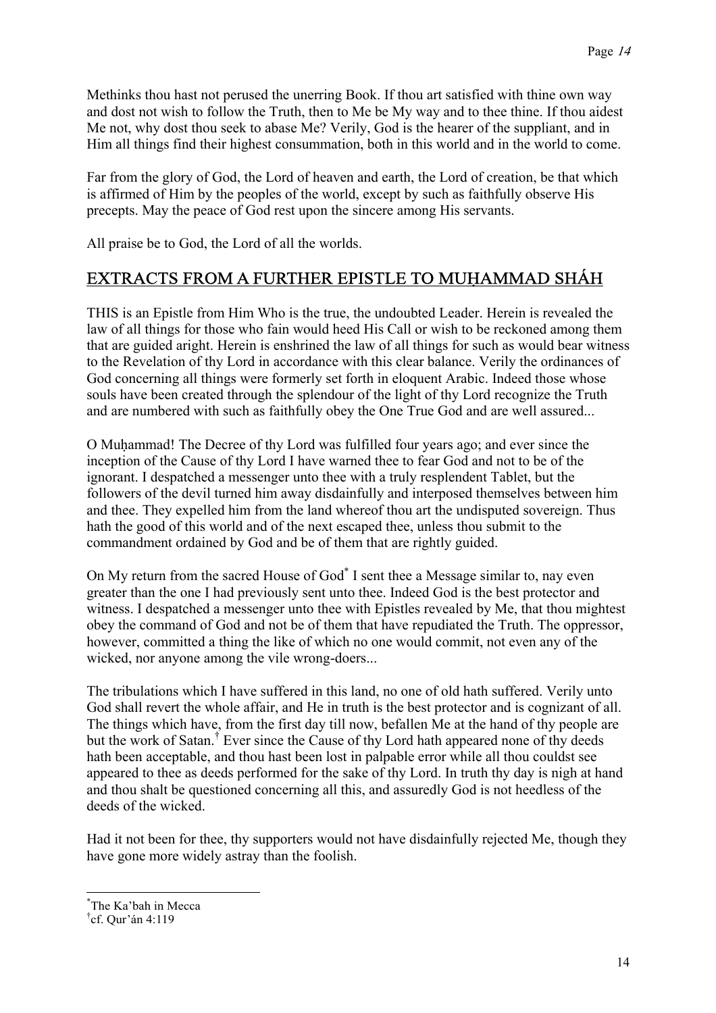Methinks thou hast not perused the unerring Book. If thou art satisfied with thine own way and dost not wish to follow the Truth, then to Me be My way and to thee thine. If thou aidest Me not, why dost thou seek to abase Me? Verily, God is the hearer of the suppliant, and in Him all things find their highest consummation, both in this world and in the world to come.

Far from the glory of God, the Lord of heaven and earth, the Lord of creation, be that which is affirmed of Him by the peoples of the world, except by such as faithfully observe His precepts. May the peace of God rest upon the sincere among His servants.

All praise be to God, the Lord of all the worlds.

### EXTRACTS FROM A FURTHER EPISTLE TO MUḤAMMAD SHÁH

THIS is an Epistle from Him Who is the true, the undoubted Leader. Herein is revealed the law of all things for those who fain would heed His Call or wish to be reckoned among them that are guided aright. Herein is enshrined the law of all things for such as would bear witness to the Revelation of thy Lord in accordance with this clear balance. Verily the ordinances of God concerning all things were formerly set forth in eloquent Arabic. Indeed those whose souls have been created through the splendour of the light of thy Lord recognize the Truth and are numbered with such as faithfully obey the One True God and are well assured...

O Muḥammad! The Decree of thy Lord was fulfilled four years ago; and ever since the inception of the Cause of thy Lord I have warned thee to fear God and not to be of the ignorant. I despatched a messenger unto thee with a truly resplendent Tablet, but the followers of the devil turned him away disdainfully and interposed themselves between him and thee. They expelled him from the land whereof thou art the undisputed sovereign. Thus hath the good of this world and of the next escaped thee, unless thou submit to the commandment ordained by God and be of them that are rightly guided.

On My return from the sacred House of God<sup>\*</sup> I sent thee a Message similar to, nay even greater than the one I had previously sent unto thee. Indeed God is the best protector and witness. I despatched a messenger unto thee with Epistles revealed by Me, that thou mightest obey the command of God and not be of them that have repudiated the Truth. The oppressor, however, committed a thing the like of which no one would commit, not even any of the wicked, nor anyone among the vile wrong-doers...

The tribulations which I have suffered in this land, no one of old hath suffered. Verily unto God shall revert the whole affair, and He in truth is the best protector and is cognizant of all. The things which have, from the first day till now, befallen Me at the hand of thy people are but the work of Satan.<sup>†</sup> Ever since the Cause of thy Lord hath appeared none of thy deeds hath been acceptable, and thou hast been lost in palpable error while all thou couldst see appeared to thee as deeds performed for the sake of thy Lord. In truth thy day is nigh at hand and thou shalt be questioned concerning all this, and assuredly God is not heedless of the deeds of the wicked.

Had it not been for thee, thy supporters would not have disdainfully rejected Me, though they have gone more widely astray than the foolish.

 <sup>\*</sup> The Ka'bah in Mecca

<sup>†</sup> cf. Qur'án 4:119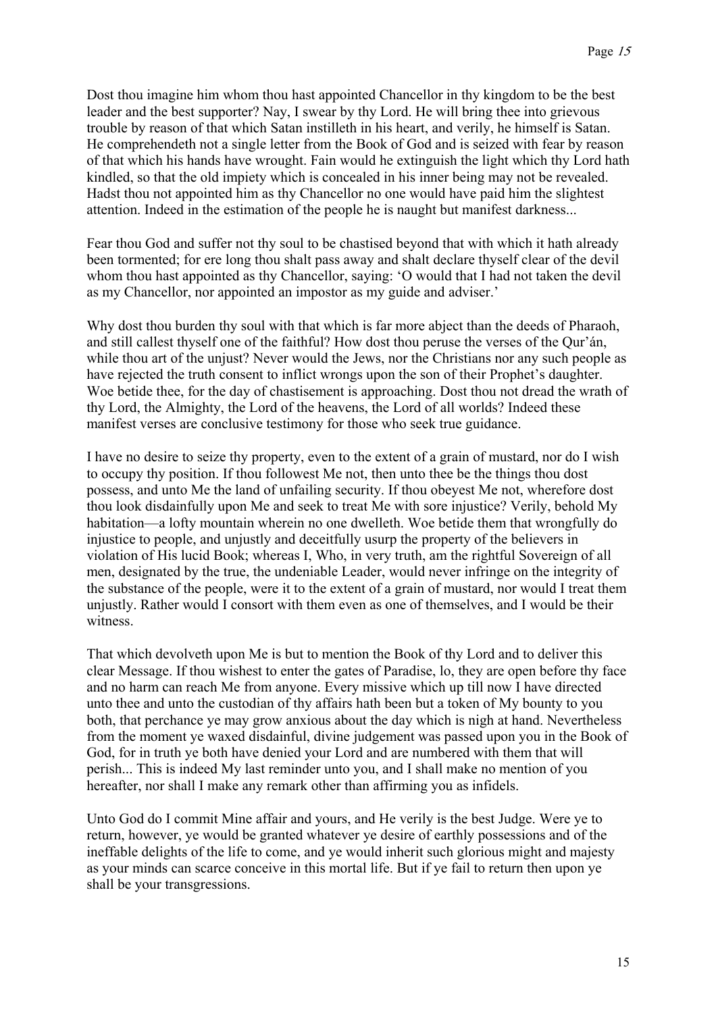Dost thou imagine him whom thou hast appointed Chancellor in thy kingdom to be the best leader and the best supporter? Nay, I swear by thy Lord. He will bring thee into grievous trouble by reason of that which Satan instilleth in his heart, and verily, he himself is Satan. He comprehendeth not a single letter from the Book of God and is seized with fear by reason of that which his hands have wrought. Fain would he extinguish the light which thy Lord hath kindled, so that the old impiety which is concealed in his inner being may not be revealed. Hadst thou not appointed him as thy Chancellor no one would have paid him the slightest attention. Indeed in the estimation of the people he is naught but manifest darkness...

Fear thou God and suffer not thy soul to be chastised beyond that with which it hath already been tormented; for ere long thou shalt pass away and shalt declare thyself clear of the devil whom thou hast appointed as thy Chancellor, saying: 'O would that I had not taken the devil as my Chancellor, nor appointed an impostor as my guide and adviser.'

Why dost thou burden thy soul with that which is far more abject than the deeds of Pharaoh, and still callest thyself one of the faithful? How dost thou peruse the verses of the Qur'án, while thou art of the unjust? Never would the Jews, nor the Christians nor any such people as have rejected the truth consent to inflict wrongs upon the son of their Prophet's daughter. Woe betide thee, for the day of chastisement is approaching. Dost thou not dread the wrath of thy Lord, the Almighty, the Lord of the heavens, the Lord of all worlds? Indeed these manifest verses are conclusive testimony for those who seek true guidance.

I have no desire to seize thy property, even to the extent of a grain of mustard, nor do I wish to occupy thy position. If thou followest Me not, then unto thee be the things thou dost possess, and unto Me the land of unfailing security. If thou obeyest Me not, wherefore dost thou look disdainfully upon Me and seek to treat Me with sore injustice? Verily, behold My habitation—a lofty mountain wherein no one dwelleth. Woe betide them that wrongfully do injustice to people, and unjustly and deceitfully usurp the property of the believers in violation of His lucid Book; whereas I, Who, in very truth, am the rightful Sovereign of all men, designated by the true, the undeniable Leader, would never infringe on the integrity of the substance of the people, were it to the extent of a grain of mustard, nor would I treat them unjustly. Rather would I consort with them even as one of themselves, and I would be their witness.

That which devolveth upon Me is but to mention the Book of thy Lord and to deliver this clear Message. If thou wishest to enter the gates of Paradise, lo, they are open before thy face and no harm can reach Me from anyone. Every missive which up till now I have directed unto thee and unto the custodian of thy affairs hath been but a token of My bounty to you both, that perchance ye may grow anxious about the day which is nigh at hand. Nevertheless from the moment ye waxed disdainful, divine judgement was passed upon you in the Book of God, for in truth ye both have denied your Lord and are numbered with them that will perish... This is indeed My last reminder unto you, and I shall make no mention of you hereafter, nor shall I make any remark other than affirming you as infidels.

Unto God do I commit Mine affair and yours, and He verily is the best Judge. Were ye to return, however, ye would be granted whatever ye desire of earthly possessions and of the ineffable delights of the life to come, and ye would inherit such glorious might and majesty as your minds can scarce conceive in this mortal life. But if ye fail to return then upon ye shall be your transgressions.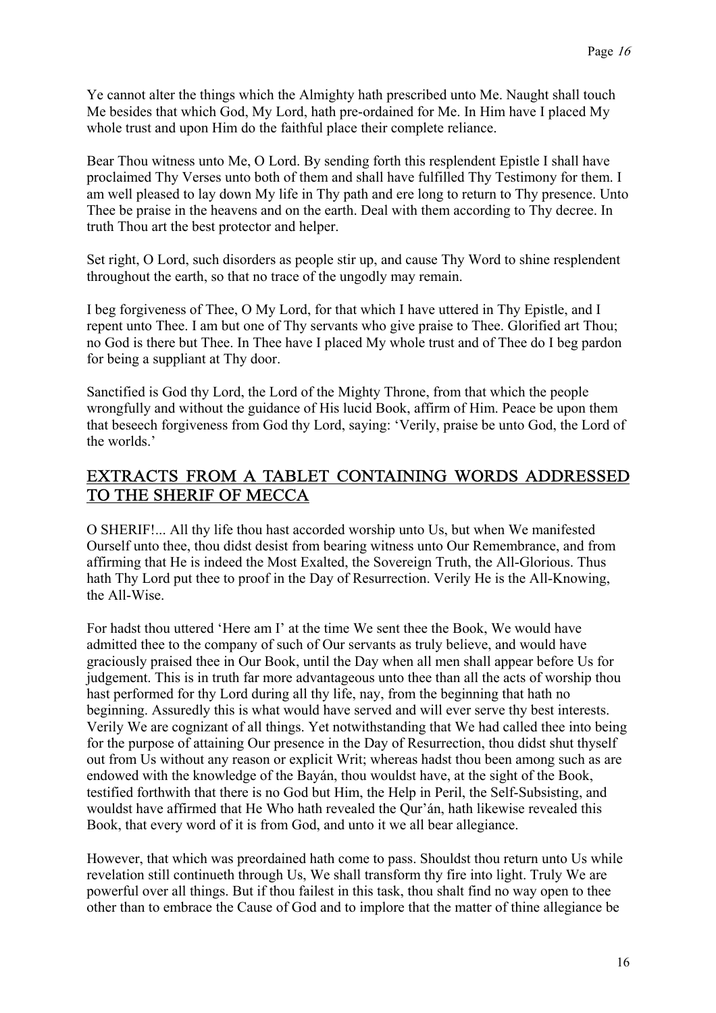Ye cannot alter the things which the Almighty hath prescribed unto Me. Naught shall touch Me besides that which God, My Lord, hath pre-ordained for Me. In Him have I placed My whole trust and upon Him do the faithful place their complete reliance.

Bear Thou witness unto Me, O Lord. By sending forth this resplendent Epistle I shall have proclaimed Thy Verses unto both of them and shall have fulfilled Thy Testimony for them. I am well pleased to lay down My life in Thy path and ere long to return to Thy presence. Unto Thee be praise in the heavens and on the earth. Deal with them according to Thy decree. In truth Thou art the best protector and helper.

Set right, O Lord, such disorders as people stir up, and cause Thy Word to shine resplendent throughout the earth, so that no trace of the ungodly may remain.

I beg forgiveness of Thee, O My Lord, for that which I have uttered in Thy Epistle, and I repent unto Thee. I am but one of Thy servants who give praise to Thee. Glorified art Thou; no God is there but Thee. In Thee have I placed My whole trust and of Thee do I beg pardon for being a suppliant at Thy door.

Sanctified is God thy Lord, the Lord of the Mighty Throne, from that which the people wrongfully and without the guidance of His lucid Book, affirm of Him. Peace be upon them that beseech forgiveness from God thy Lord, saying: 'Verily, praise be unto God, the Lord of the worlds.'

### EXTRACTS FROM A TABLET CONTAINING WORDS ADDRESSED TO THE SHERIF OF MECCA

O SHERIF!... All thy life thou hast accorded worship unto Us, but when We manifested Ourself unto thee, thou didst desist from bearing witness unto Our Remembrance, and from affirming that He is indeed the Most Exalted, the Sovereign Truth, the All-Glorious. Thus hath Thy Lord put thee to proof in the Day of Resurrection. Verily He is the All-Knowing, the All-Wise.

For hadst thou uttered 'Here am I' at the time We sent thee the Book, We would have admitted thee to the company of such of Our servants as truly believe, and would have graciously praised thee in Our Book, until the Day when all men shall appear before Us for judgement. This is in truth far more advantageous unto thee than all the acts of worship thou hast performed for thy Lord during all thy life, nay, from the beginning that hath no beginning. Assuredly this is what would have served and will ever serve thy best interests. Verily We are cognizant of all things. Yet notwithstanding that We had called thee into being for the purpose of attaining Our presence in the Day of Resurrection, thou didst shut thyself out from Us without any reason or explicit Writ; whereas hadst thou been among such as are endowed with the knowledge of the Bayán, thou wouldst have, at the sight of the Book, testified forthwith that there is no God but Him, the Help in Peril, the Self-Subsisting, and wouldst have affirmed that He Who hath revealed the Qur'án, hath likewise revealed this Book, that every word of it is from God, and unto it we all bear allegiance.

However, that which was preordained hath come to pass. Shouldst thou return unto Us while revelation still continueth through Us, We shall transform thy fire into light. Truly We are powerful over all things. But if thou failest in this task, thou shalt find no way open to thee other than to embrace the Cause of God and to implore that the matter of thine allegiance be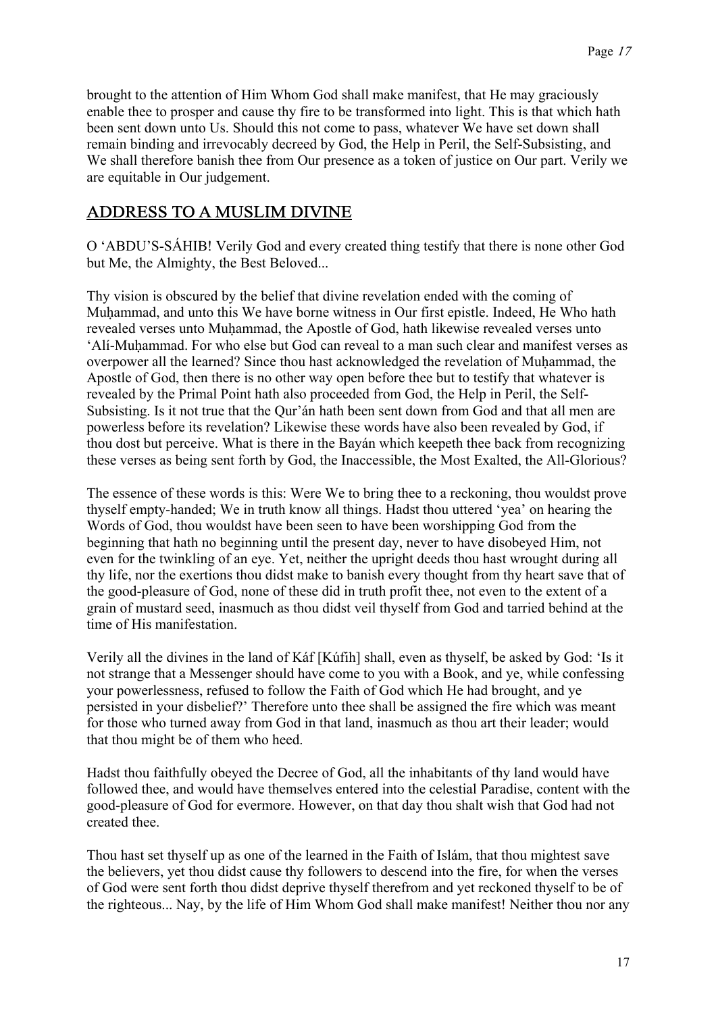brought to the attention of Him Whom God shall make manifest, that He may graciously enable thee to prosper and cause thy fire to be transformed into light. This is that which hath been sent down unto Us. Should this not come to pass, whatever We have set down shall remain binding and irrevocably decreed by God, the Help in Peril, the Self-Subsisting, and We shall therefore banish thee from Our presence as a token of justice on Our part. Verily we are equitable in Our judgement.

### ADDRESS TO A MUSLIM DIVINE

O 'ABDU'S-SÁHIB! Verily God and every created thing testify that there is none other God but Me, the Almighty, the Best Beloved...

Thy vision is obscured by the belief that divine revelation ended with the coming of Muhammad, and unto this We have borne witness in Our first epistle. Indeed, He Who hath revealed verses unto Muḥammad, the Apostle of God, hath likewise revealed verses unto 'Alí-Muḥammad. For who else but God can reveal to a man such clear and manifest verses as overpower all the learned? Since thou hast acknowledged the revelation of Muḥammad, the Apostle of God, then there is no other way open before thee but to testify that whatever is revealed by the Primal Point hath also proceeded from God, the Help in Peril, the Self-Subsisting. Is it not true that the Qur'án hath been sent down from God and that all men are powerless before its revelation? Likewise these words have also been revealed by God, if thou dost but perceive. What is there in the Bayán which keepeth thee back from recognizing these verses as being sent forth by God, the Inaccessible, the Most Exalted, the All-Glorious?

The essence of these words is this: Were We to bring thee to a reckoning, thou wouldst prove thyself empty-handed; We in truth know all things. Hadst thou uttered 'yea' on hearing the Words of God, thou wouldst have been seen to have been worshipping God from the beginning that hath no beginning until the present day, never to have disobeyed Him, not even for the twinkling of an eye. Yet, neither the upright deeds thou hast wrought during all thy life, nor the exertions thou didst make to banish every thought from thy heart save that of the good-pleasure of God, none of these did in truth profit thee, not even to the extent of a grain of mustard seed, inasmuch as thou didst veil thyself from God and tarried behind at the time of His manifestation.

Verily all the divines in the land of Káf [Kúfih] shall, even as thyself, be asked by God: 'Is it not strange that a Messenger should have come to you with a Book, and ye, while confessing your powerlessness, refused to follow the Faith of God which He had brought, and ye persisted in your disbelief?' Therefore unto thee shall be assigned the fire which was meant for those who turned away from God in that land, inasmuch as thou art their leader; would that thou might be of them who heed.

Hadst thou faithfully obeyed the Decree of God, all the inhabitants of thy land would have followed thee, and would have themselves entered into the celestial Paradise, content with the good-pleasure of God for evermore. However, on that day thou shalt wish that God had not created thee.

Thou hast set thyself up as one of the learned in the Faith of Islám, that thou mightest save the believers, yet thou didst cause thy followers to descend into the fire, for when the verses of God were sent forth thou didst deprive thyself therefrom and yet reckoned thyself to be of the righteous... Nay, by the life of Him Whom God shall make manifest! Neither thou nor any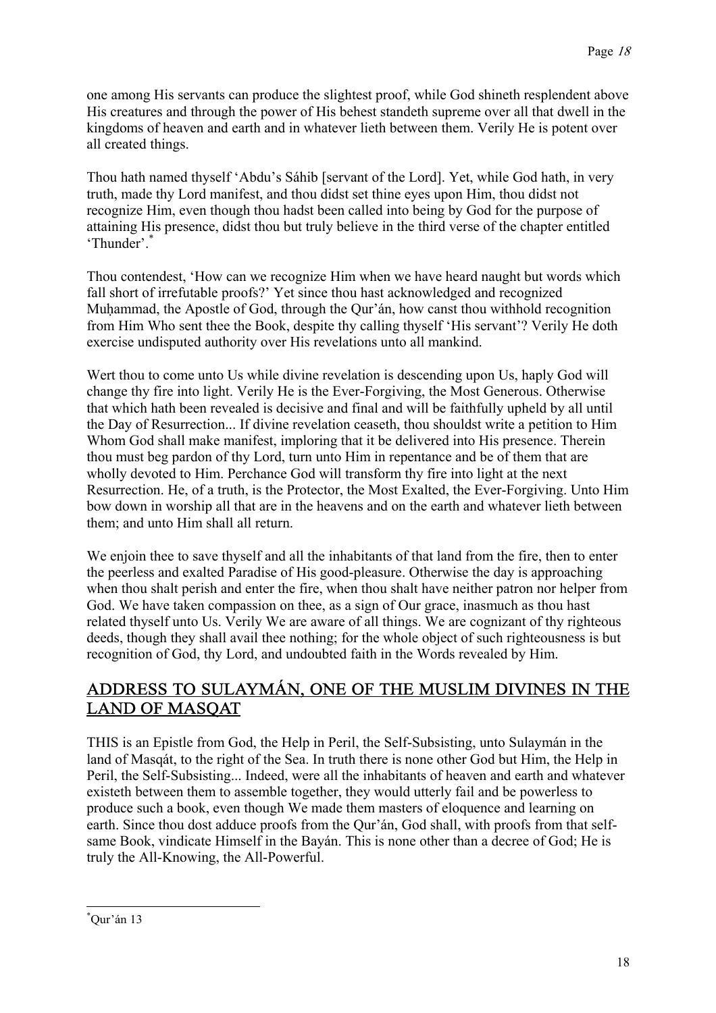one among His servants can produce the slightest proof, while God shineth resplendent above His creatures and through the power of His behest standeth supreme over all that dwell in the kingdoms of heaven and earth and in whatever lieth between them. Verily He is potent over all created things.

Thou hath named thyself 'Abdu's Sáhib [servant of the Lord]. Yet, while God hath, in very truth, made thy Lord manifest, and thou didst set thine eyes upon Him, thou didst not recognize Him, even though thou hadst been called into being by God for the purpose of attaining His presence, didst thou but truly believe in the third verse of the chapter entitled 'Thunder'.\*

Thou contendest, 'How can we recognize Him when we have heard naught but words which fall short of irrefutable proofs?' Yet since thou hast acknowledged and recognized Muhammad, the Apostle of God, through the Qur'án, how canst thou withhold recognition from Him Who sent thee the Book, despite thy calling thyself 'His servant'? Verily He doth exercise undisputed authority over His revelations unto all mankind.

Wert thou to come unto Us while divine revelation is descending upon Us, haply God will change thy fire into light. Verily He is the Ever-Forgiving, the Most Generous. Otherwise that which hath been revealed is decisive and final and will be faithfully upheld by all until the Day of Resurrection... If divine revelation ceaseth, thou shouldst write a petition to Him Whom God shall make manifest, imploring that it be delivered into His presence. Therein thou must beg pardon of thy Lord, turn unto Him in repentance and be of them that are wholly devoted to Him. Perchance God will transform thy fire into light at the next Resurrection. He, of a truth, is the Protector, the Most Exalted, the Ever-Forgiving. Unto Him bow down in worship all that are in the heavens and on the earth and whatever lieth between them; and unto Him shall all return.

We enjoin thee to save thyself and all the inhabitants of that land from the fire, then to enter the peerless and exalted Paradise of His good-pleasure. Otherwise the day is approaching when thou shalt perish and enter the fire, when thou shalt have neither patron nor helper from God. We have taken compassion on thee, as a sign of Our grace, inasmuch as thou hast related thyself unto Us. Verily We are aware of all things. We are cognizant of thy righteous deeds, though they shall avail thee nothing; for the whole object of such righteousness is but recognition of God, thy Lord, and undoubted faith in the Words revealed by Him.

### ADDRESS TO SULAYMÁN, ONE OF THE MUSLIM DIVINES IN THE LAND OF MASQAT

THIS is an Epistle from God, the Help in Peril, the Self-Subsisting, unto Sulaymán in the land of Masqát, to the right of the Sea. In truth there is none other God but Him, the Help in Peril, the Self-Subsisting... Indeed, were all the inhabitants of heaven and earth and whatever existeth between them to assemble together, they would utterly fail and be powerless to produce such a book, even though We made them masters of eloquence and learning on earth. Since thou dost adduce proofs from the Qur'án, God shall, with proofs from that selfsame Book, vindicate Himself in the Bayán. This is none other than a decree of God; He is truly the All-Knowing, the All-Powerful.

 <sup>\*</sup>  $"Our'$ án 13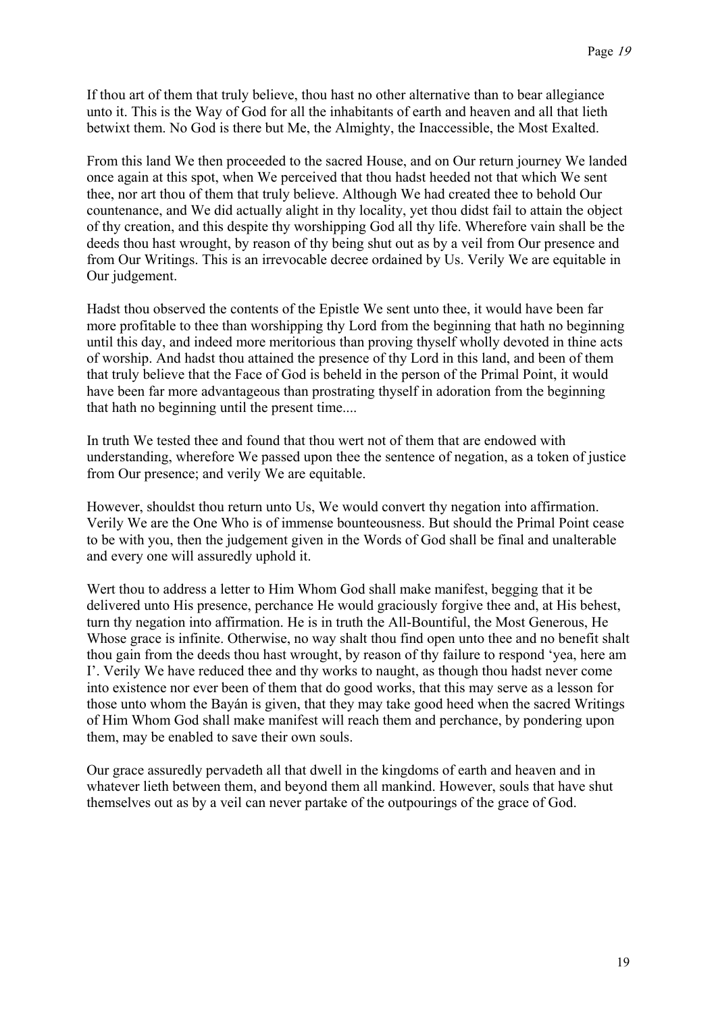If thou art of them that truly believe, thou hast no other alternative than to bear allegiance unto it. This is the Way of God for all the inhabitants of earth and heaven and all that lieth betwixt them. No God is there but Me, the Almighty, the Inaccessible, the Most Exalted.

From this land We then proceeded to the sacred House, and on Our return journey We landed once again at this spot, when We perceived that thou hadst heeded not that which We sent thee, nor art thou of them that truly believe. Although We had created thee to behold Our countenance, and We did actually alight in thy locality, yet thou didst fail to attain the object of thy creation, and this despite thy worshipping God all thy life. Wherefore vain shall be the deeds thou hast wrought, by reason of thy being shut out as by a veil from Our presence and from Our Writings. This is an irrevocable decree ordained by Us. Verily We are equitable in Our judgement.

Hadst thou observed the contents of the Epistle We sent unto thee, it would have been far more profitable to thee than worshipping thy Lord from the beginning that hath no beginning until this day, and indeed more meritorious than proving thyself wholly devoted in thine acts of worship. And hadst thou attained the presence of thy Lord in this land, and been of them that truly believe that the Face of God is beheld in the person of the Primal Point, it would have been far more advantageous than prostrating thyself in adoration from the beginning that hath no beginning until the present time....

In truth We tested thee and found that thou wert not of them that are endowed with understanding, wherefore We passed upon thee the sentence of negation, as a token of justice from Our presence; and verily We are equitable.

However, shouldst thou return unto Us, We would convert thy negation into affirmation. Verily We are the One Who is of immense bounteousness. But should the Primal Point cease to be with you, then the judgement given in the Words of God shall be final and unalterable and every one will assuredly uphold it.

Wert thou to address a letter to Him Whom God shall make manifest, begging that it be delivered unto His presence, perchance He would graciously forgive thee and, at His behest, turn thy negation into affirmation. He is in truth the All-Bountiful, the Most Generous, He Whose grace is infinite. Otherwise, no way shalt thou find open unto thee and no benefit shalt thou gain from the deeds thou hast wrought, by reason of thy failure to respond 'yea, here am I'. Verily We have reduced thee and thy works to naught, as though thou hadst never come into existence nor ever been of them that do good works, that this may serve as a lesson for those unto whom the Bayán is given, that they may take good heed when the sacred Writings of Him Whom God shall make manifest will reach them and perchance, by pondering upon them, may be enabled to save their own souls.

Our grace assuredly pervadeth all that dwell in the kingdoms of earth and heaven and in whatever lieth between them, and beyond them all mankind. However, souls that have shut themselves out as by a veil can never partake of the outpourings of the grace of God.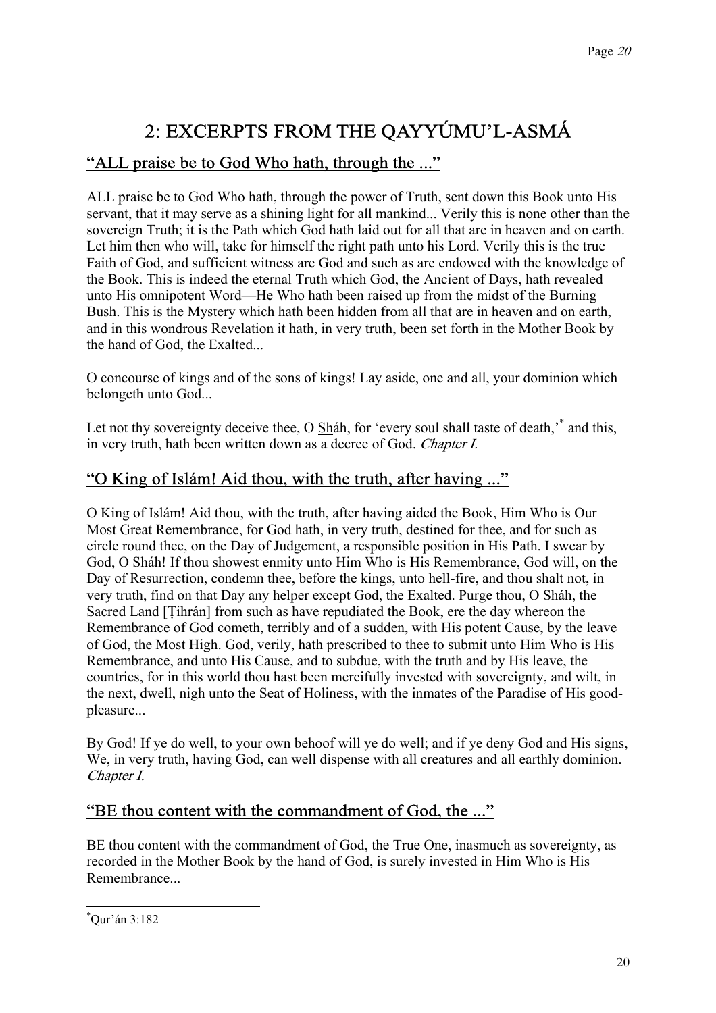## 2: EXCERPTS FROM THE QAYYÚMU'L-ASMÁ

### "ALL praise be to God Who hath, through the ..."

ALL praise be to God Who hath, through the power of Truth, sent down this Book unto His servant, that it may serve as a shining light for all mankind... Verily this is none other than the sovereign Truth; it is the Path which God hath laid out for all that are in heaven and on earth. Let him then who will, take for himself the right path unto his Lord. Verily this is the true Faith of God, and sufficient witness are God and such as are endowed with the knowledge of the Book. This is indeed the eternal Truth which God, the Ancient of Days, hath revealed unto His omnipotent Word—He Who hath been raised up from the midst of the Burning Bush. This is the Mystery which hath been hidden from all that are in heaven and on earth, and in this wondrous Revelation it hath, in very truth, been set forth in the Mother Book by the hand of God, the Exalted...

O concourse of kings and of the sons of kings! Lay aside, one and all, your dominion which belongeth unto God...

Let not thy sovereignty deceive thee, O  $\frac{\text{Sh}_4}{\text{Sh}_4}$  for 'every soul shall taste of death,'\* and this, in very truth, hath been written down as a decree of God. Chapter I.

### "O King of Islám! Aid thou, with the truth, after having ..."

O King of Islám! Aid thou, with the truth, after having aided the Book, Him Who is Our Most Great Remembrance, for God hath, in very truth, destined for thee, and for such as circle round thee, on the Day of Judgement, a responsible position in His Path. I swear by God, O Sháh! If thou showest enmity unto Him Who is His Remembrance, God will, on the Day of Resurrection, condemn thee, before the kings, unto hell-fire, and thou shalt not, in very truth, find on that Day any helper except God, the Exalted. Purge thou, O Sháh, the Sacred Land [Ṭihrán] from such as have repudiated the Book, ere the day whereon the Remembrance of God cometh, terribly and of a sudden, with His potent Cause, by the leave of God, the Most High. God, verily, hath prescribed to thee to submit unto Him Who is His Remembrance, and unto His Cause, and to subdue, with the truth and by His leave, the countries, for in this world thou hast been mercifully invested with sovereignty, and wilt, in the next, dwell, nigh unto the Seat of Holiness, with the inmates of the Paradise of His goodpleasure...

By God! If ye do well, to your own behoof will ye do well; and if ye deny God and His signs, We, in very truth, having God, can well dispense with all creatures and all earthly dominion. Chapter I.

### "BE thou content with the commandment of God, the ..."

BE thou content with the commandment of God, the True One, inasmuch as sovereignty, as recorded in the Mother Book by the hand of God, is surely invested in Him Who is His Remembrance...

 <sup>\*</sup>  $"Our'$ án 3:182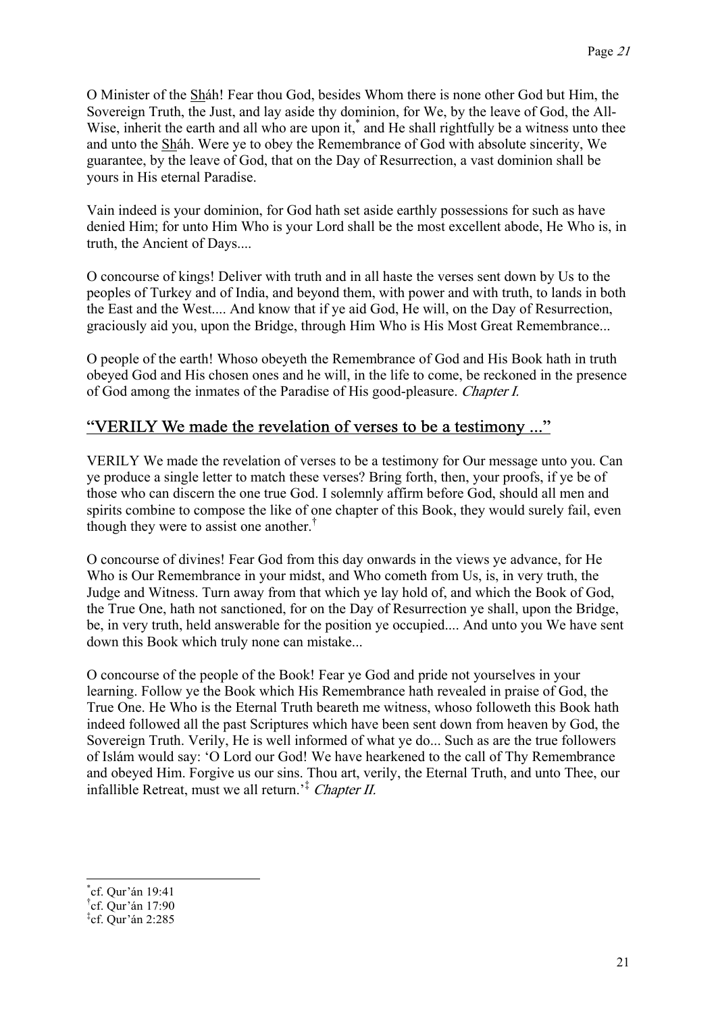O Minister of the Sháh! Fear thou God, besides Whom there is none other God but Him, the Sovereign Truth, the Just, and lay aside thy dominion, for We, by the leave of God, the All-Wise, inherit the earth and all who are upon it,<sup>\*</sup> and He shall rightfully be a witness unto thee and unto the Sháh. Were ye to obey the Remembrance of God with absolute sincerity, We guarantee, by the leave of God, that on the Day of Resurrection, a vast dominion shall be yours in His eternal Paradise.

Vain indeed is your dominion, for God hath set aside earthly possessions for such as have denied Him; for unto Him Who is your Lord shall be the most excellent abode, He Who is, in truth, the Ancient of Days....

O concourse of kings! Deliver with truth and in all haste the verses sent down by Us to the peoples of Turkey and of India, and beyond them, with power and with truth, to lands in both the East and the West.... And know that if ye aid God, He will, on the Day of Resurrection, graciously aid you, upon the Bridge, through Him Who is His Most Great Remembrance...

O people of the earth! Whoso obeyeth the Remembrance of God and His Book hath in truth obeyed God and His chosen ones and he will, in the life to come, be reckoned in the presence of God among the inmates of the Paradise of His good-pleasure. Chapter I.

### "VERILY We made the revelation of verses to be a testimony ..."

VERILY We made the revelation of verses to be a testimony for Our message unto you. Can ye produce a single letter to match these verses? Bring forth, then, your proofs, if ye be of those who can discern the one true God. I solemnly affirm before God, should all men and spirits combine to compose the like of one chapter of this Book, they would surely fail, even though they were to assist one another.†

O concourse of divines! Fear God from this day onwards in the views ye advance, for He Who is Our Remembrance in your midst, and Who cometh from Us, is, in very truth, the Judge and Witness. Turn away from that which ye lay hold of, and which the Book of God, the True One, hath not sanctioned, for on the Day of Resurrection ye shall, upon the Bridge, be, in very truth, held answerable for the position ye occupied.... And unto you We have sent down this Book which truly none can mistake...

O concourse of the people of the Book! Fear ye God and pride not yourselves in your learning. Follow ye the Book which His Remembrance hath revealed in praise of God, the True One. He Who is the Eternal Truth beareth me witness, whoso followeth this Book hath indeed followed all the past Scriptures which have been sent down from heaven by God, the Sovereign Truth. Verily, He is well informed of what ye do... Such as are the true followers of Islám would say: 'O Lord our God! We have hearkened to the call of Thy Remembrance and obeyed Him. Forgive us our sins. Thou art, verily, the Eternal Truth, and unto Thee, our infallible Retreat, must we all return.'‡ Chapter II.

 <sup>\*</sup>  $\text{``cf. Our'án 19:41}$ 

<sup>†</sup> cf. Qur'án 17:90

<sup>‡</sup> cf. Qur'án 2:285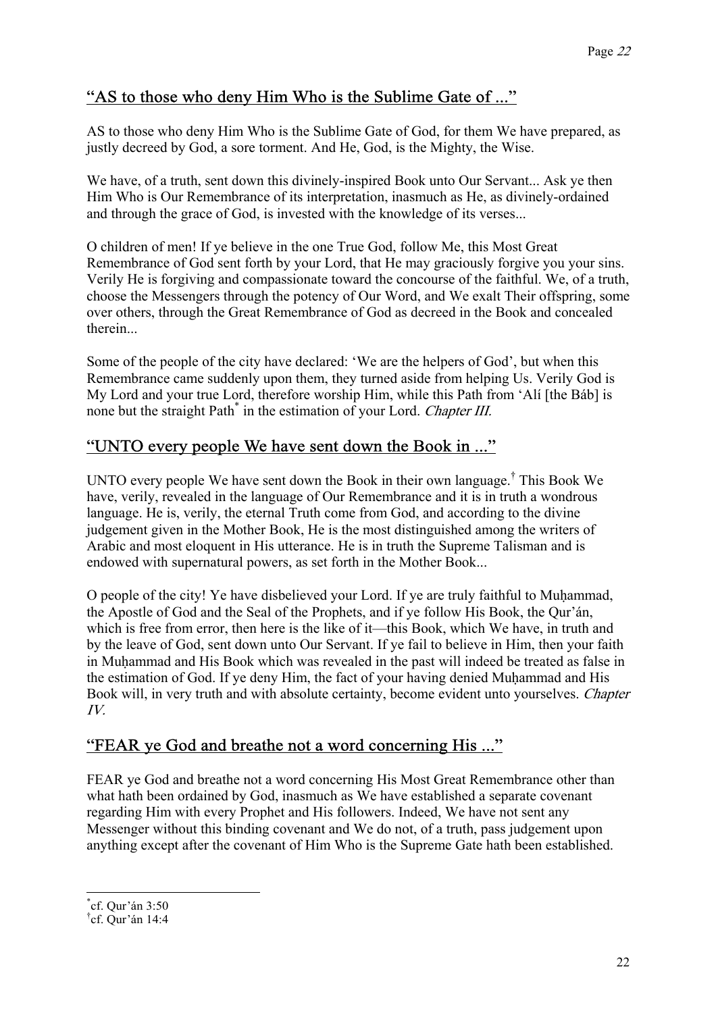### "AS to those who deny Him Who is the Sublime Gate of ..."

AS to those who deny Him Who is the Sublime Gate of God, for them We have prepared, as justly decreed by God, a sore torment. And He, God, is the Mighty, the Wise.

We have, of a truth, sent down this divinely-inspired Book unto Our Servant... Ask ye then Him Who is Our Remembrance of its interpretation, inasmuch as He, as divinely-ordained and through the grace of God, is invested with the knowledge of its verses...

O children of men! If ye believe in the one True God, follow Me, this Most Great Remembrance of God sent forth by your Lord, that He may graciously forgive you your sins. Verily He is forgiving and compassionate toward the concourse of the faithful. We, of a truth, choose the Messengers through the potency of Our Word, and We exalt Their offspring, some over others, through the Great Remembrance of God as decreed in the Book and concealed therein...

Some of the people of the city have declared: 'We are the helpers of God', but when this Remembrance came suddenly upon them, they turned aside from helping Us. Verily God is My Lord and your true Lord, therefore worship Him, while this Path from 'Alí [the Báb] is none but the straight Path<sup>\*</sup> in the estimation of your Lord. Chapter III.

### "UNTO every people We have sent down the Book in ..."

UNTO every people We have sent down the Book in their own language.† This Book We have, verily, revealed in the language of Our Remembrance and it is in truth a wondrous language. He is, verily, the eternal Truth come from God, and according to the divine judgement given in the Mother Book, He is the most distinguished among the writers of Arabic and most eloquent in His utterance. He is in truth the Supreme Talisman and is endowed with supernatural powers, as set forth in the Mother Book...

O people of the city! Ye have disbelieved your Lord. If ye are truly faithful to Muḥammad, the Apostle of God and the Seal of the Prophets, and if ye follow His Book, the Qur'án, which is free from error, then here is the like of it—this Book, which We have, in truth and by the leave of God, sent down unto Our Servant. If ye fail to believe in Him, then your faith in Muhammad and His Book which was revealed in the past will indeed be treated as false in the estimation of God. If ye deny Him, the fact of your having denied Muhammad and His Book will, in very truth and with absolute certainty, become evident unto yourselves. Chapter IV.

### "FEAR ye God and breathe not a word concerning His ..."

FEAR ye God and breathe not a word concerning His Most Great Remembrance other than what hath been ordained by God, inasmuch as We have established a separate covenant regarding Him with every Prophet and His followers. Indeed, We have not sent any Messenger without this binding covenant and We do not, of a truth, pass judgement upon anything except after the covenant of Him Who is the Supreme Gate hath been established.

 <sup>\*</sup>  $\text{er}$ . Qur'án 3:50

<sup>†</sup> cf. Qur'án 14:4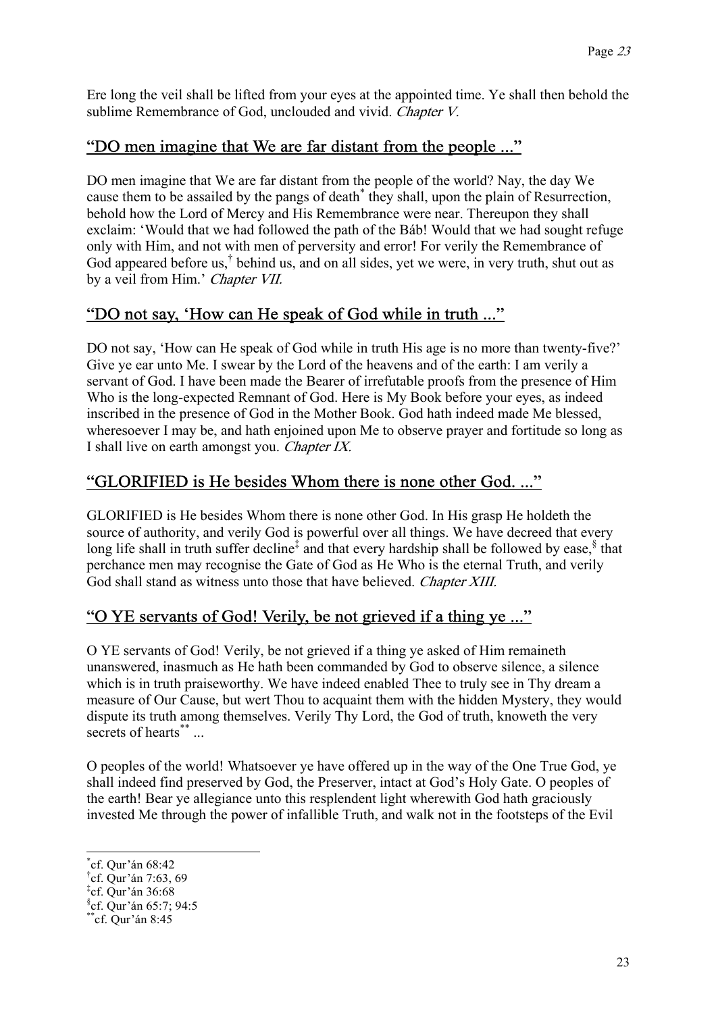Ere long the veil shall be lifted from your eyes at the appointed time. Ye shall then behold the sublime Remembrance of God, unclouded and vivid. Chapter V.

### "DO men imagine that We are far distant from the people ..."

DO men imagine that We are far distant from the people of the world? Nay, the day We cause them to be assailed by the pangs of death<sup>\*</sup> they shall, upon the plain of Resurrection, behold how the Lord of Mercy and His Remembrance were near. Thereupon they shall exclaim: 'Would that we had followed the path of the Báb! Would that we had sought refuge only with Him, and not with men of perversity and error! For verily the Remembrance of God appeared before us,<sup>†</sup> behind us, and on all sides, yet we were, in very truth, shut out as by a veil from Him.' Chapter VII.

### "DO not say, 'How can He speak of God while in truth ..."

DO not say, 'How can He speak of God while in truth His age is no more than twenty-five?' Give ye ear unto Me. I swear by the Lord of the heavens and of the earth: I am verily a servant of God. I have been made the Bearer of irrefutable proofs from the presence of Him Who is the long-expected Remnant of God. Here is My Book before your eyes, as indeed inscribed in the presence of God in the Mother Book. God hath indeed made Me blessed, wheresoever I may be, and hath enjoined upon Me to observe prayer and fortitude so long as I shall live on earth amongst you. Chapter IX.

### "GLORIFIED is He besides Whom there is none other God. ..."

GLORIFIED is He besides Whom there is none other God. In His grasp He holdeth the source of authority, and verily God is powerful over all things. We have decreed that every long life shall in truth suffer decline<sup>‡</sup> and that every hardship shall be followed by ease,<sup>§</sup> that perchance men may recognise the Gate of God as He Who is the eternal Truth, and verily God shall stand as witness unto those that have believed. Chapter XIII.

### "O YE servants of God! Verily, be not grieved if a thing ye ..."

O YE servants of God! Verily, be not grieved if a thing ye asked of Him remaineth unanswered, inasmuch as He hath been commanded by God to observe silence, a silence which is in truth praiseworthy. We have indeed enabled Thee to truly see in Thy dream a measure of Our Cause, but wert Thou to acquaint them with the hidden Mystery, they would dispute its truth among themselves. Verily Thy Lord, the God of truth, knoweth the very secrets of hearts<sup>\*\*</sup>

O peoples of the world! Whatsoever ye have offered up in the way of the One True God, ye shall indeed find preserved by God, the Preserver, intact at God's Holy Gate. O peoples of the earth! Bear ye allegiance unto this resplendent light wherewith God hath graciously invested Me through the power of infallible Truth, and walk not in the footsteps of the Evil

- † cf. Qur'án 7:63, 69
- ‡ cf. Qur'án 36:68

 <sup>\*</sup>  $\mathrm{c}^*$ cf. Our'án 68:42

<sup>§</sup> cf. Qur'án 65:7; 94:5 \*\*cf. Qur'án 8:45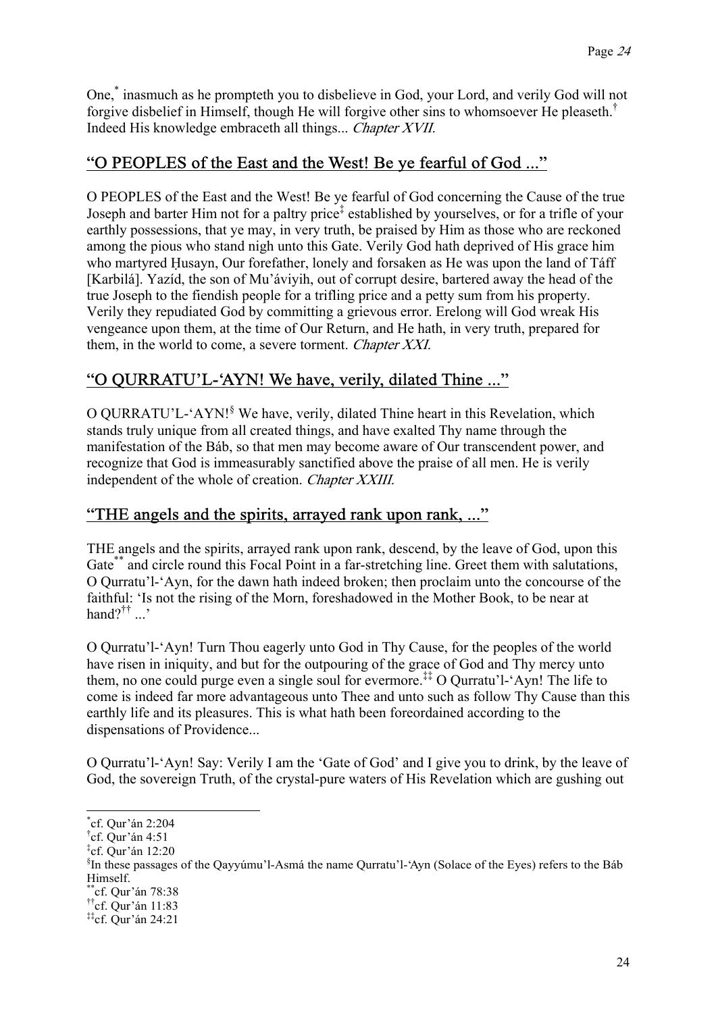One,\* inasmuch as he prompteth you to disbelieve in God, your Lord, and verily God will not forgive disbelief in Himself, though He will forgive other sins to whomsoever He pleaseth.† Indeed His knowledge embraceth all things... Chapter XVII.

### "O PEOPLES of the East and the West! Be ye fearful of God ..."

O PEOPLES of the East and the West! Be ye fearful of God concerning the Cause of the true Joseph and barter Him not for a paltry price<sup>‡</sup> established by yourselves, or for a trifle of your earthly possessions, that ye may, in very truth, be praised by Him as those who are reckoned among the pious who stand nigh unto this Gate. Verily God hath deprived of His grace him who martyred Ḥusayn, Our forefather, lonely and forsaken as He was upon the land of Táff [Karbilá]. Yazíd, the son of Mu'áviyih, out of corrupt desire, bartered away the head of the true Joseph to the fiendish people for a trifling price and a petty sum from his property. Verily they repudiated God by committing a grievous error. Erelong will God wreak His vengeance upon them, at the time of Our Return, and He hath, in very truth, prepared for them, in the world to come, a severe torment. Chapter XXI.

### "O QURRATU'L-'AYN! We have, verily, dilated Thine ..."

O QURRATU'L-'AYN!<sup>§</sup> We have, verily, dilated Thine heart in this Revelation, which stands truly unique from all created things, and have exalted Thy name through the manifestation of the Báb, so that men may become aware of Our transcendent power, and recognize that God is immeasurably sanctified above the praise of all men. He is verily independent of the whole of creation. Chapter XXIII.

### "THE angels and the spirits, arrayed rank upon rank, ..."

THE angels and the spirits, arrayed rank upon rank, descend, by the leave of God, upon this Gate<sup>\*\*</sup> and circle round this Focal Point in a far-stretching line. Greet them with salutations, O Qurratu'l-'Ayn, for the dawn hath indeed broken; then proclaim unto the concourse of the faithful: 'Is not the rising of the Morn, foreshadowed in the Mother Book, to be near at hand?<sup>††</sup>  $\cdots$ '

O Qurratu'l-'Ayn! Turn Thou eagerly unto God in Thy Cause, for the peoples of the world have risen in iniquity, and but for the outpouring of the grace of God and Thy mercy unto them, no one could purge even a single soul for evermore.‡‡ O Qurratu'l-'Ayn! The life to come is indeed far more advantageous unto Thee and unto such as follow Thy Cause than this earthly life and its pleasures. This is what hath been foreordained according to the dispensations of Providence...

O Qurratu'l-'Ayn! Say: Verily I am the 'Gate of God' and I give you to drink, by the leave of God, the sovereign Truth, of the crystal-pure waters of His Revelation which are gushing out

 <sup>\*</sup>  $\text{c}^*$ cf. Our'án 2:204

<sup>†</sup> cf. Qur'án 4:51

<sup>‡</sup> cf. Qur'án 12:20

<sup>§</sup> In these passages of the Qayyúmu'l-Asmá the name Qurratu'l-'Ayn (Solace of the Eyes) refers to the Báb Himself.

 $*$ cf. Qur'án 78:38

<sup>††</sup>cf. Qur'án 11:83

 $\ddagger$ <sub>‡t</sub>cf. Qur'án 24:21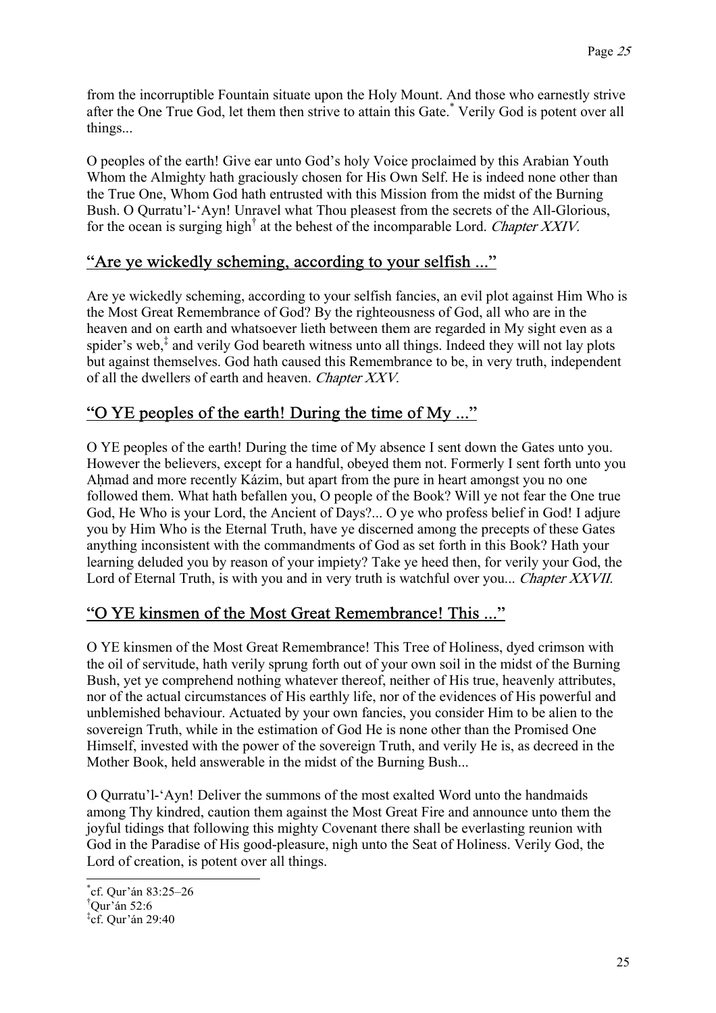from the incorruptible Fountain situate upon the Holy Mount. And those who earnestly strive after the One True God, let them then strive to attain this Gate.\* Verily God is potent over all things...

O peoples of the earth! Give ear unto God's holy Voice proclaimed by this Arabian Youth Whom the Almighty hath graciously chosen for His Own Self. He is indeed none other than the True One, Whom God hath entrusted with this Mission from the midst of the Burning Bush. O Qurratu'l-'Ayn! Unravel what Thou pleasest from the secrets of the All-Glorious, for the ocean is surging high<sup>†</sup> at the behest of the incomparable Lord. Chapter XXIV.

### "Are ye wickedly scheming, according to your selfish ..."

Are ye wickedly scheming, according to your selfish fancies, an evil plot against Him Who is the Most Great Remembrance of God? By the righteousness of God, all who are in the heaven and on earth and whatsoever lieth between them are regarded in My sight even as a spider's web, $\frac{1}{x}$  and verily God beareth witness unto all things. Indeed they will not lay plots but against themselves. God hath caused this Remembrance to be, in very truth, independent of all the dwellers of earth and heaven. Chapter XXV.

### "O YE peoples of the earth! During the time of My ..."

O YE peoples of the earth! During the time of My absence I sent down the Gates unto you. However the believers, except for a handful, obeyed them not. Formerly I sent forth unto you Ahmad and more recently Kázim, but apart from the pure in heart amongst you no one followed them. What hath befallen you, O people of the Book? Will ye not fear the One true God, He Who is your Lord, the Ancient of Days?... O ye who profess belief in God! I adjure you by Him Who is the Eternal Truth, have ye discerned among the precepts of these Gates anything inconsistent with the commandments of God as set forth in this Book? Hath your learning deluded you by reason of your impiety? Take ye heed then, for verily your God, the Lord of Eternal Truth, is with you and in very truth is watchful over you... Chapter XXVII.

### "O YE kinsmen of the Most Great Remembrance! This ..."

O YE kinsmen of the Most Great Remembrance! This Tree of Holiness, dyed crimson with the oil of servitude, hath verily sprung forth out of your own soil in the midst of the Burning Bush, yet ye comprehend nothing whatever thereof, neither of His true, heavenly attributes, nor of the actual circumstances of His earthly life, nor of the evidences of His powerful and unblemished behaviour. Actuated by your own fancies, you consider Him to be alien to the sovereign Truth, while in the estimation of God He is none other than the Promised One Himself, invested with the power of the sovereign Truth, and verily He is, as decreed in the Mother Book, held answerable in the midst of the Burning Bush...

O Qurratu'l-'Ayn! Deliver the summons of the most exalted Word unto the handmaids among Thy kindred, caution them against the Most Great Fire and announce unto them the joyful tidings that following this mighty Covenant there shall be everlasting reunion with God in the Paradise of His good-pleasure, nigh unto the Seat of Holiness. Verily God, the Lord of creation, is potent over all things.

 <sup>\*</sup>  $\text{er}$  Qur'án 83:25–26

<sup>†</sup> Qur'án 52:6

<sup>‡</sup> cf. Qur'án 29:40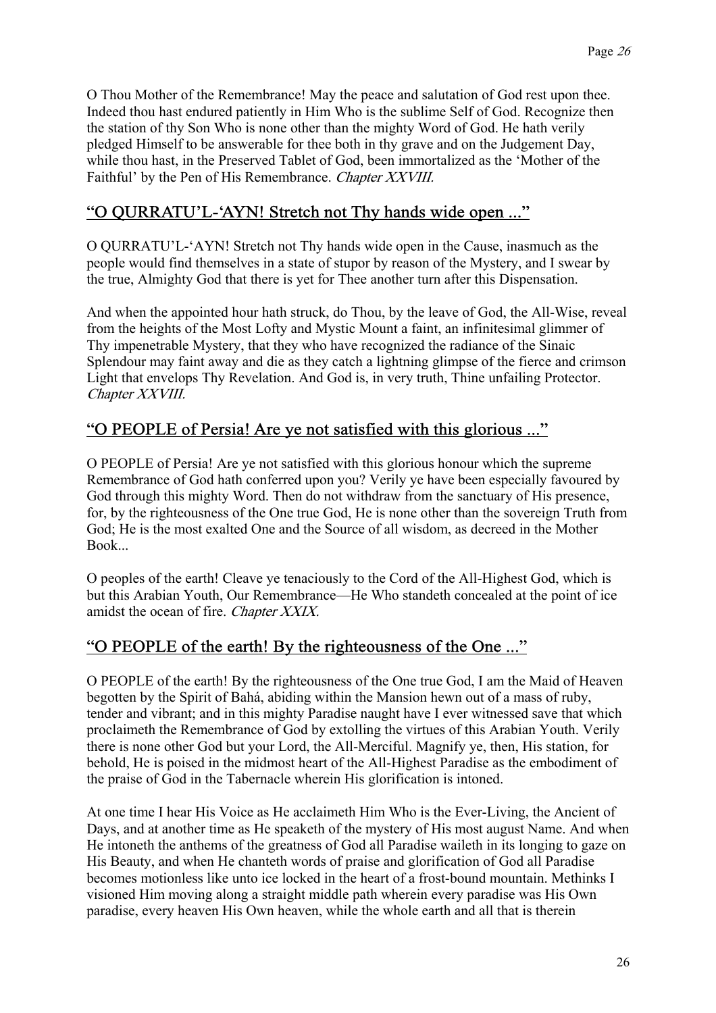O Thou Mother of the Remembrance! May the peace and salutation of God rest upon thee. Indeed thou hast endured patiently in Him Who is the sublime Self of God. Recognize then the station of thy Son Who is none other than the mighty Word of God. He hath verily pledged Himself to be answerable for thee both in thy grave and on the Judgement Day, while thou hast, in the Preserved Tablet of God, been immortalized as the 'Mother of the Faithful' by the Pen of His Remembrance. Chapter XXVIII.

### "O QURRATU'L-'AYN! Stretch not Thy hands wide open ..."

O QURRATU'L-'AYN! Stretch not Thy hands wide open in the Cause, inasmuch as the people would find themselves in a state of stupor by reason of the Mystery, and I swear by the true, Almighty God that there is yet for Thee another turn after this Dispensation.

And when the appointed hour hath struck, do Thou, by the leave of God, the All-Wise, reveal from the heights of the Most Lofty and Mystic Mount a faint, an infinitesimal glimmer of Thy impenetrable Mystery, that they who have recognized the radiance of the Sinaic Splendour may faint away and die as they catch a lightning glimpse of the fierce and crimson Light that envelops Thy Revelation. And God is, in very truth, Thine unfailing Protector. Chapter XXVIII.

### "O PEOPLE of Persia! Are ye not satisfied with this glorious ..."

O PEOPLE of Persia! Are ye not satisfied with this glorious honour which the supreme Remembrance of God hath conferred upon you? Verily ye have been especially favoured by God through this mighty Word. Then do not withdraw from the sanctuary of His presence, for, by the righteousness of the One true God, He is none other than the sovereign Truth from God; He is the most exalted One and the Source of all wisdom, as decreed in the Mother Book...

O peoples of the earth! Cleave ye tenaciously to the Cord of the All-Highest God, which is but this Arabian Youth, Our Remembrance—He Who standeth concealed at the point of ice amidst the ocean of fire. Chapter XXIX.

### "O PEOPLE of the earth! By the righteousness of the One ..."

O PEOPLE of the earth! By the righteousness of the One true God, I am the Maid of Heaven begotten by the Spirit of Bahá, abiding within the Mansion hewn out of a mass of ruby, tender and vibrant; and in this mighty Paradise naught have I ever witnessed save that which proclaimeth the Remembrance of God by extolling the virtues of this Arabian Youth. Verily there is none other God but your Lord, the All-Merciful. Magnify ye, then, His station, for behold, He is poised in the midmost heart of the All-Highest Paradise as the embodiment of the praise of God in the Tabernacle wherein His glorification is intoned.

At one time I hear His Voice as He acclaimeth Him Who is the Ever-Living, the Ancient of Days, and at another time as He speaketh of the mystery of His most august Name. And when He intoneth the anthems of the greatness of God all Paradise waileth in its longing to gaze on His Beauty, and when He chanteth words of praise and glorification of God all Paradise becomes motionless like unto ice locked in the heart of a frost-bound mountain. Methinks I visioned Him moving along a straight middle path wherein every paradise was His Own paradise, every heaven His Own heaven, while the whole earth and all that is therein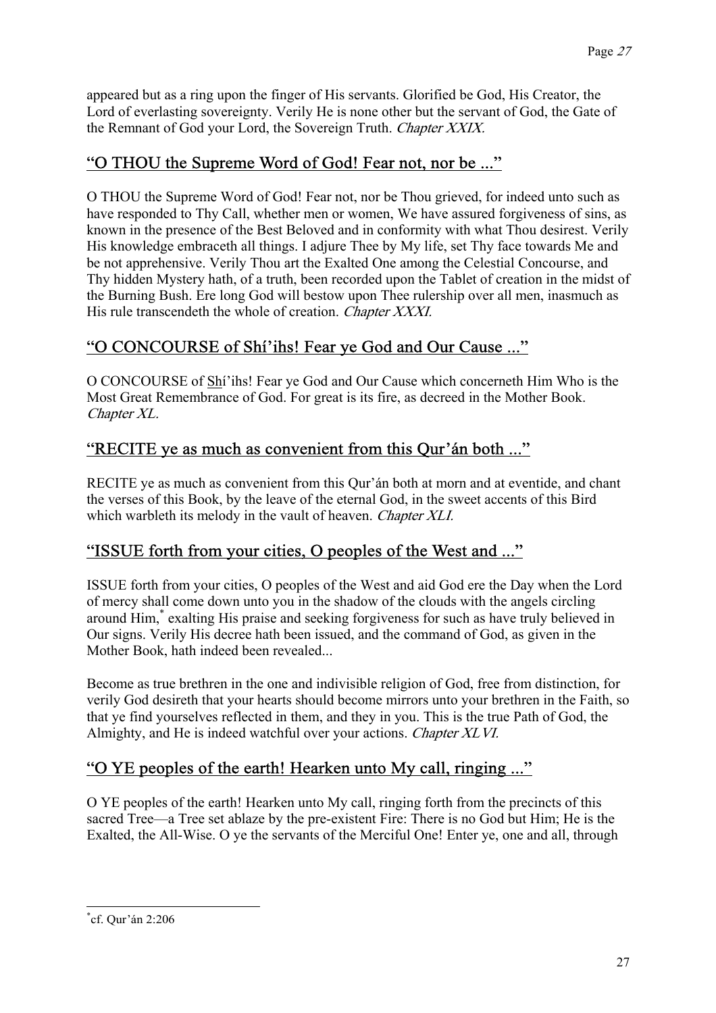appeared but as a ring upon the finger of His servants. Glorified be God, His Creator, the Lord of everlasting sovereignty. Verily He is none other but the servant of God, the Gate of the Remnant of God your Lord, the Sovereign Truth. Chapter XXIX.

### "O THOU the Supreme Word of God! Fear not, nor be ..."

O THOU the Supreme Word of God! Fear not, nor be Thou grieved, for indeed unto such as have responded to Thy Call, whether men or women, We have assured forgiveness of sins, as known in the presence of the Best Beloved and in conformity with what Thou desirest. Verily His knowledge embraceth all things. I adjure Thee by My life, set Thy face towards Me and be not apprehensive. Verily Thou art the Exalted One among the Celestial Concourse, and Thy hidden Mystery hath, of a truth, been recorded upon the Tablet of creation in the midst of the Burning Bush. Ere long God will bestow upon Thee rulership over all men, inasmuch as His rule transcendeth the whole of creation. Chapter XXXI.

### "O CONCOURSE of Shí'ihs! Fear ye God and Our Cause ..."

O CONCOURSE of Shí'ihs! Fear ye God and Our Cause which concerneth Him Who is the Most Great Remembrance of God. For great is its fire, as decreed in the Mother Book. Chapter XL.

### "RECITE ye as much as convenient from this Qur'án both ..."

RECITE ye as much as convenient from this Qur'án both at morn and at eventide, and chant the verses of this Book, by the leave of the eternal God, in the sweet accents of this Bird which warbleth its melody in the vault of heaven. Chapter XLI.

### "ISSUE forth from your cities, O peoples of the West and ..."

ISSUE forth from your cities, O peoples of the West and aid God ere the Day when the Lord of mercy shall come down unto you in the shadow of the clouds with the angels circling around Him, \* exalting His praise and seeking forgiveness for such as have truly believed in Our signs. Verily His decree hath been issued, and the command of God, as given in the Mother Book, hath indeed been revealed...

Become as true brethren in the one and indivisible religion of God, free from distinction, for verily God desireth that your hearts should become mirrors unto your brethren in the Faith, so that ye find yourselves reflected in them, and they in you. This is the true Path of God, the Almighty, and He is indeed watchful over your actions. Chapter XLVI.

### "O YE peoples of the earth! Hearken unto My call, ringing ..."

O YE peoples of the earth! Hearken unto My call, ringing forth from the precincts of this sacred Tree—a Tree set ablaze by the pre-existent Fire: There is no God but Him; He is the Exalted, the All-Wise. O ye the servants of the Merciful One! Enter ye, one and all, through

 <sup>\*</sup>  $\text{c}^*$ cf. Our'án 2:206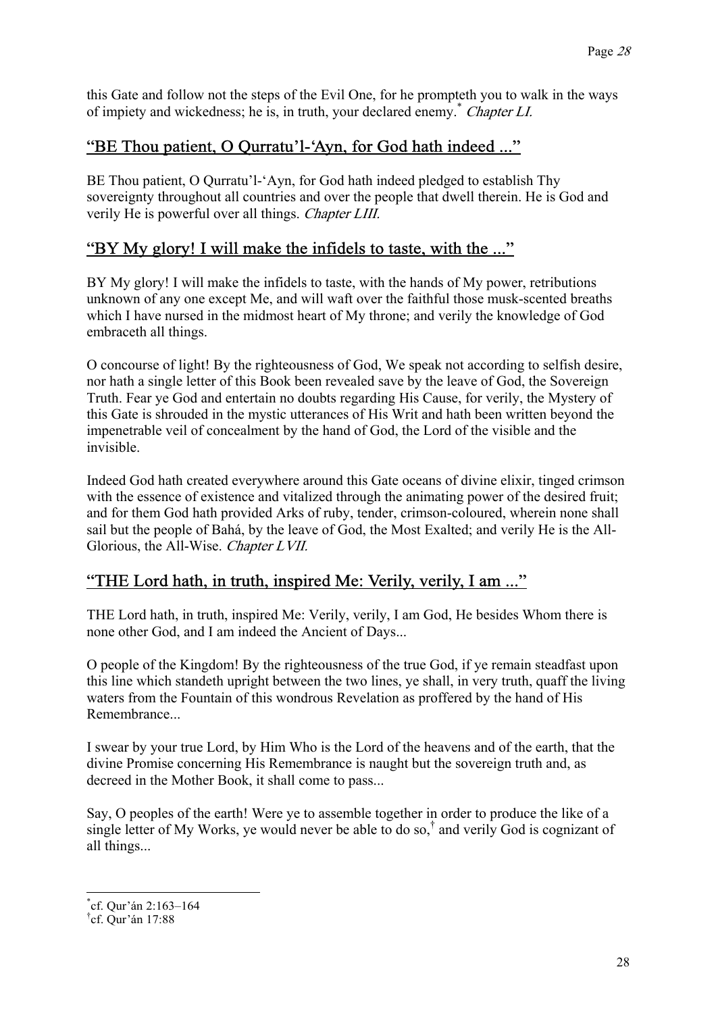this Gate and follow not the steps of the Evil One, for he prompteth you to walk in the ways of impiety and wickedness; he is, in truth, your declared enemy.\* Chapter LI.

### "BE Thou patient, O Qurratu'l-'Ayn, for God hath indeed ..."

BE Thou patient, O Qurratu'l-'Ayn, for God hath indeed pledged to establish Thy sovereignty throughout all countries and over the people that dwell therein. He is God and verily He is powerful over all things. Chapter LIII.

### "BY My glory! I will make the infidels to taste, with the ..."

BY My glory! I will make the infidels to taste, with the hands of My power, retributions unknown of any one except Me, and will waft over the faithful those musk-scented breaths which I have nursed in the midmost heart of My throne; and verily the knowledge of God embraceth all things.

O concourse of light! By the righteousness of God, We speak not according to selfish desire, nor hath a single letter of this Book been revealed save by the leave of God, the Sovereign Truth. Fear ye God and entertain no doubts regarding His Cause, for verily, the Mystery of this Gate is shrouded in the mystic utterances of His Writ and hath been written beyond the impenetrable veil of concealment by the hand of God, the Lord of the visible and the invisible.

Indeed God hath created everywhere around this Gate oceans of divine elixir, tinged crimson with the essence of existence and vitalized through the animating power of the desired fruit; and for them God hath provided Arks of ruby, tender, crimson-coloured, wherein none shall sail but the people of Bahá, by the leave of God, the Most Exalted; and verily He is the All-Glorious, the All-Wise. Chapter LVII.

### "THE Lord hath, in truth, inspired Me: Verily, verily, I am ..."

THE Lord hath, in truth, inspired Me: Verily, verily, I am God, He besides Whom there is none other God, and I am indeed the Ancient of Days...

O people of the Kingdom! By the righteousness of the true God, if ye remain steadfast upon this line which standeth upright between the two lines, ye shall, in very truth, quaff the living waters from the Fountain of this wondrous Revelation as proffered by the hand of His Remembrance...

I swear by your true Lord, by Him Who is the Lord of the heavens and of the earth, that the divine Promise concerning His Remembrance is naught but the sovereign truth and, as decreed in the Mother Book, it shall come to pass...

Say, O peoples of the earth! Were ye to assemble together in order to produce the like of a single letter of My Works, ye would never be able to do so,<sup>†</sup> and verily God is cognizant of all things...

 \*  $\text{c}^*$ cf. Qur'án 2:163–164

<sup>†</sup> cf. Qur'án 17:88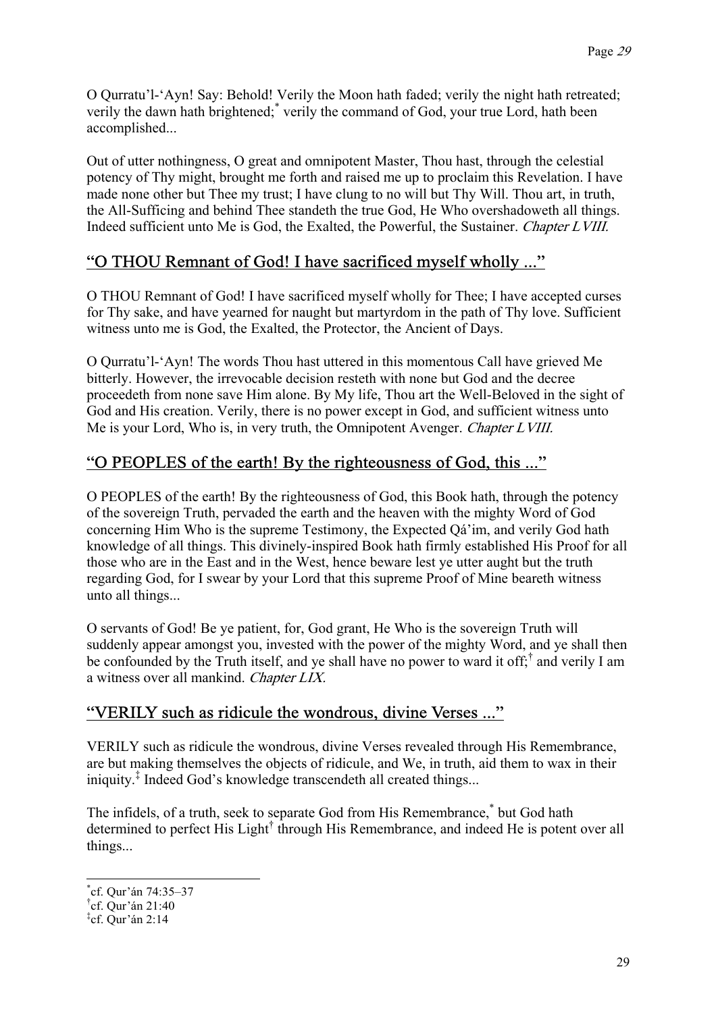O Qurratu'l-'Ayn! Say: Behold! Verily the Moon hath faded; verily the night hath retreated; verily the dawn hath brightened;<sup>\*</sup> verily the command of God, your true Lord, hath been accomplished...

Out of utter nothingness, O great and omnipotent Master, Thou hast, through the celestial potency of Thy might, brought me forth and raised me up to proclaim this Revelation. I have made none other but Thee my trust; I have clung to no will but Thy Will. Thou art, in truth, the All-Sufficing and behind Thee standeth the true God, He Who overshadoweth all things. Indeed sufficient unto Me is God, the Exalted, the Powerful, the Sustainer. Chapter LVIII.

### "O THOU Remnant of God! I have sacrificed myself wholly ..."

O THOU Remnant of God! I have sacrificed myself wholly for Thee; I have accepted curses for Thy sake, and have yearned for naught but martyrdom in the path of Thy love. Sufficient witness unto me is God, the Exalted, the Protector, the Ancient of Days.

O Qurratu'l-'Ayn! The words Thou hast uttered in this momentous Call have grieved Me bitterly. However, the irrevocable decision resteth with none but God and the decree proceedeth from none save Him alone. By My life, Thou art the Well-Beloved in the sight of God and His creation. Verily, there is no power except in God, and sufficient witness unto Me is your Lord, Who is, in very truth, the Omnipotent Avenger. Chapter LVIII.

### "O PEOPLES of the earth! By the righteousness of God, this ..."

O PEOPLES of the earth! By the righteousness of God, this Book hath, through the potency of the sovereign Truth, pervaded the earth and the heaven with the mighty Word of God concerning Him Who is the supreme Testimony, the Expected Qá'im, and verily God hath knowledge of all things. This divinely-inspired Book hath firmly established His Proof for all those who are in the East and in the West, hence beware lest ye utter aught but the truth regarding God, for I swear by your Lord that this supreme Proof of Mine beareth witness unto all things...

O servants of God! Be ye patient, for, God grant, He Who is the sovereign Truth will suddenly appear amongst you, invested with the power of the mighty Word, and ye shall then be confounded by the Truth itself, and ye shall have no power to ward it off;<sup>†</sup> and verily I am a witness over all mankind. Chapter LIX.

### "VERILY such as ridicule the wondrous, divine Verses ..."

VERILY such as ridicule the wondrous, divine Verses revealed through His Remembrance, are but making themselves the objects of ridicule, and We, in truth, aid them to wax in their iniquity.‡ Indeed God's knowledge transcendeth all created things...

The infidels, of a truth, seek to separate God from His Remembrance,<sup>\*</sup> but God hath determined to perfect His Light<sup>†</sup> through His Remembrance, and indeed He is potent over all things...

 <sup>\*</sup>  $^*$ cf. Qur'án 74:35–37

<sup>†</sup> cf. Qur'án 21:40

<sup>‡</sup> cf. Qur'án 2:14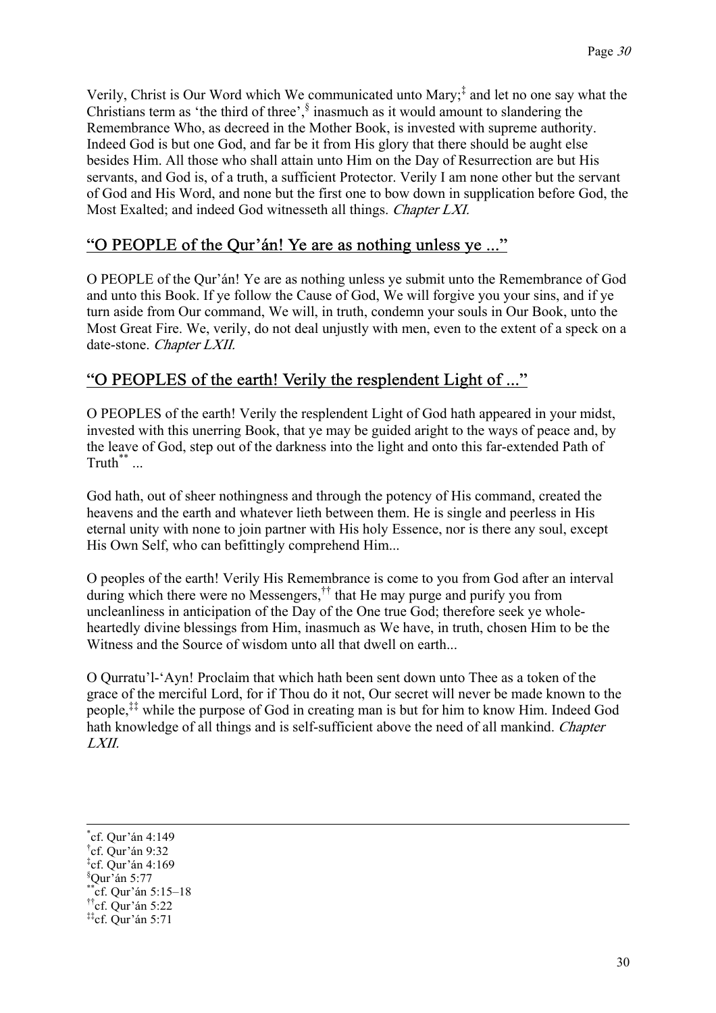Verily, Christ is Our Word which We communicated unto Mary;‡ and let no one say what the Christians term as 'the third of three',  $\frac{8}{3}$  inasmuch as it would amount to slandering the Remembrance Who, as decreed in the Mother Book, is invested with supreme authority. Indeed God is but one God, and far be it from His glory that there should be aught else besides Him. All those who shall attain unto Him on the Day of Resurrection are but His servants, and God is, of a truth, a sufficient Protector. Verily I am none other but the servant of God and His Word, and none but the first one to bow down in supplication before God, the Most Exalted; and indeed God witnesseth all things. Chapter LXI.

### "O PEOPLE of the Qur'án! Ye are as nothing unless ye ..."

O PEOPLE of the Qur'án! Ye are as nothing unless ye submit unto the Remembrance of God and unto this Book. If ye follow the Cause of God, We will forgive you your sins, and if ye turn aside from Our command, We will, in truth, condemn your souls in Our Book, unto the Most Great Fire. We, verily, do not deal unjustly with men, even to the extent of a speck on a date-stone. Chapter LXII.

### "O PEOPLES of the earth! Verily the resplendent Light of ..."

O PEOPLES of the earth! Verily the resplendent Light of God hath appeared in your midst, invested with this unerring Book, that ye may be guided aright to the ways of peace and, by the leave of God, step out of the darkness into the light and onto this far-extended Path of Truth $\ddot{ }$  ...

God hath, out of sheer nothingness and through the potency of His command, created the heavens and the earth and whatever lieth between them. He is single and peerless in His eternal unity with none to join partner with His holy Essence, nor is there any soul, except His Own Self, who can befittingly comprehend Him...

O peoples of the earth! Verily His Remembrance is come to you from God after an interval during which there were no Messengers,<sup>††</sup> that He may purge and purify you from uncleanliness in anticipation of the Day of the One true God; therefore seek ye wholeheartedly divine blessings from Him, inasmuch as We have, in truth, chosen Him to be the Witness and the Source of wisdom unto all that dwell on earth...

O Qurratu'l-'Ayn! Proclaim that which hath been sent down unto Thee as a token of the grace of the merciful Lord, for if Thou do it not, Our secret will never be made known to the people,‡‡ while the purpose of God in creating man is but for him to know Him. Indeed God hath knowledge of all things and is self-sufficient above the need of all mankind. Chapter LXII.

 <sup>\*</sup>  $\mathrm{c}$ f. Our'án 4:149 † cf. Qur'án 9:32 ‡ cf. Qur'án 4:169  $\text{\textdegree}$ Our'án 5:77  $\text{c}^*$ cf. Qur'án 5:15–18 ††cf. Qur'án 5:22  $\text{#cf.}$  Qur'án 5:71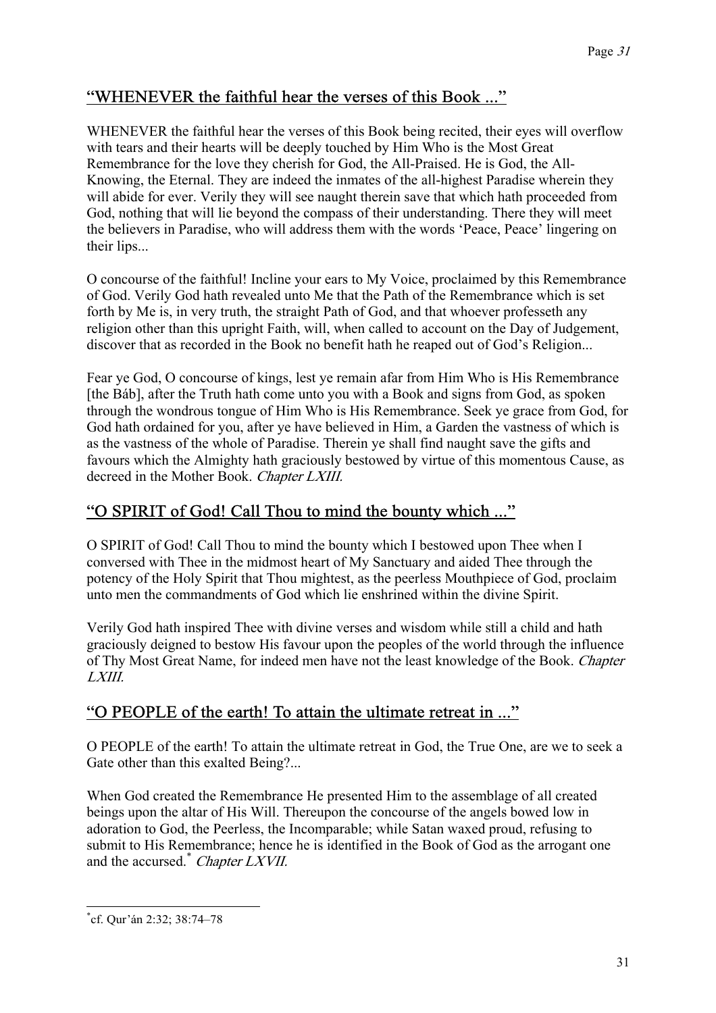### "WHENEVER the faithful hear the verses of this Book ..."

WHENEVER the faithful hear the verses of this Book being recited, their eyes will overflow with tears and their hearts will be deeply touched by Him Who is the Most Great Remembrance for the love they cherish for God, the All-Praised. He is God, the All-Knowing, the Eternal. They are indeed the inmates of the all-highest Paradise wherein they will abide for ever. Verily they will see naught therein save that which hath proceeded from God, nothing that will lie beyond the compass of their understanding. There they will meet the believers in Paradise, who will address them with the words 'Peace, Peace' lingering on their lips...

O concourse of the faithful! Incline your ears to My Voice, proclaimed by this Remembrance of God. Verily God hath revealed unto Me that the Path of the Remembrance which is set forth by Me is, in very truth, the straight Path of God, and that whoever professeth any religion other than this upright Faith, will, when called to account on the Day of Judgement, discover that as recorded in the Book no benefit hath he reaped out of God's Religion...

Fear ye God, O concourse of kings, lest ye remain afar from Him Who is His Remembrance [the Báb], after the Truth hath come unto you with a Book and signs from God, as spoken through the wondrous tongue of Him Who is His Remembrance. Seek ye grace from God, for God hath ordained for you, after ye have believed in Him, a Garden the vastness of which is as the vastness of the whole of Paradise. Therein ye shall find naught save the gifts and favours which the Almighty hath graciously bestowed by virtue of this momentous Cause, as decreed in the Mother Book. Chapter LXIII.

### "O SPIRIT of God! Call Thou to mind the bounty which ..."

O SPIRIT of God! Call Thou to mind the bounty which I bestowed upon Thee when I conversed with Thee in the midmost heart of My Sanctuary and aided Thee through the potency of the Holy Spirit that Thou mightest, as the peerless Mouthpiece of God, proclaim unto men the commandments of God which lie enshrined within the divine Spirit.

Verily God hath inspired Thee with divine verses and wisdom while still a child and hath graciously deigned to bestow His favour upon the peoples of the world through the influence of Thy Most Great Name, for indeed men have not the least knowledge of the Book. Chapter LXIII.

### "O PEOPLE of the earth! To attain the ultimate retreat in ..."

O PEOPLE of the earth! To attain the ultimate retreat in God, the True One, are we to seek a Gate other than this exalted Being?...

When God created the Remembrance He presented Him to the assemblage of all created beings upon the altar of His Will. Thereupon the concourse of the angels bowed low in adoration to God, the Peerless, the Incomparable; while Satan waxed proud, refusing to submit to His Remembrance; hence he is identified in the Book of God as the arrogant one and the accursed.<sup>\*</sup> Chapter LXVII.

 <sup>\*</sup> cf. Qur'án 2:32; 38:74–78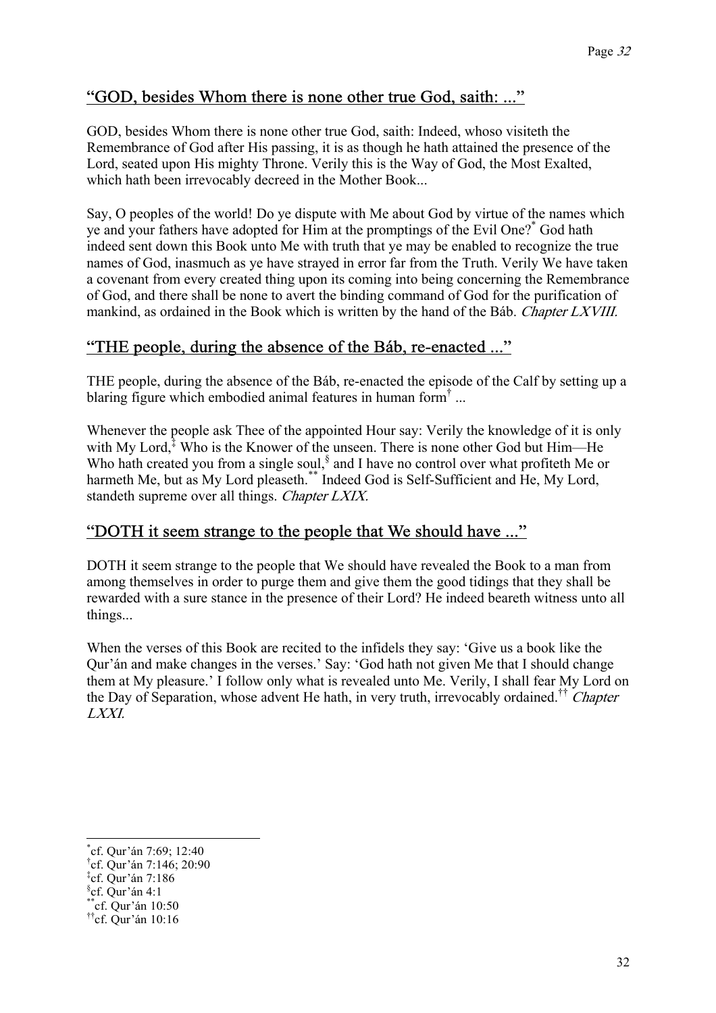### "GOD, besides Whom there is none other true God, saith: ..."

GOD, besides Whom there is none other true God, saith: Indeed, whoso visiteth the Remembrance of God after His passing, it is as though he hath attained the presence of the Lord, seated upon His mighty Throne. Verily this is the Way of God, the Most Exalted, which hath been irrevocably decreed in the Mother Book...

Say, O peoples of the world! Do ye dispute with Me about God by virtue of the names which ye and your fathers have adopted for Him at the promptings of the Evil One?\* God hath indeed sent down this Book unto Me with truth that ye may be enabled to recognize the true names of God, inasmuch as ye have strayed in error far from the Truth. Verily We have taken a covenant from every created thing upon its coming into being concerning the Remembrance of God, and there shall be none to avert the binding command of God for the purification of mankind, as ordained in the Book which is written by the hand of the Báb. Chapter LXVIII.

#### "THE people, during the absence of the Báb, re-enacted ..."

THE people, during the absence of the Báb, re-enacted the episode of the Calf by setting up a blaring figure which embodied animal features in human form† ...

Whenever the people ask Thee of the appointed Hour say: Verily the knowledge of it is only with My Lord,<sup>‡</sup> Who is the Knower of the unseen. There is none other God but Him—He Who hath created you from a single soul,  $\frac{1}{2}$  and I have no control over what profiteth Me or harmeth Me, but as My Lord pleaseth.<sup>\*\*</sup> Indeed God is Self-Sufficient and He, My Lord, standeth supreme over all things. Chapter LXIX.

### "DOTH it seem strange to the people that We should have ..."

DOTH it seem strange to the people that We should have revealed the Book to a man from among themselves in order to purge them and give them the good tidings that they shall be rewarded with a sure stance in the presence of their Lord? He indeed beareth witness unto all things...

When the verses of this Book are recited to the infidels they say: 'Give us a book like the Qur'án and make changes in the verses.' Say: 'God hath not given Me that I should change them at My pleasure.' I follow only what is revealed unto Me. Verily, I shall fear My Lord on the Day of Separation, whose advent He hath, in very truth, irrevocably ordained.<sup>††</sup> Chapter LXXI.

 <sup>\*</sup>  $\text{c}^*$ cf. Qur'án 7:69: 12:40

<sup>†</sup> cf. Qur'án 7:146; 20:90

<sup>‡</sup> cf. Qur'án 7:186

<sup>&</sup>lt;sup>§</sup>cf. Qur'án 4:1<br>\*\*cf. Qur'án 10:50

 $\text{ }$ † $\text{ }$ cf. Qur'án 10:16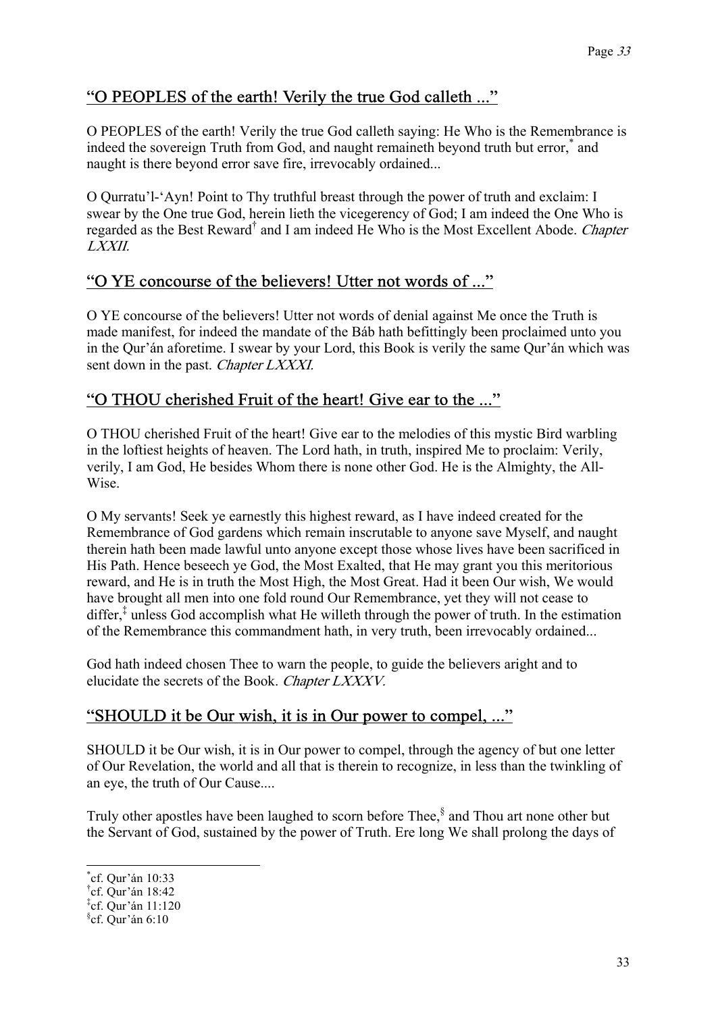### "O PEOPLES of the earth! Verily the true God calleth ..."

O PEOPLES of the earth! Verily the true God calleth saying: He Who is the Remembrance is indeed the sovereign Truth from God, and naught remaineth beyond truth but error,<sup>\*</sup> and naught is there beyond error save fire, irrevocably ordained...

O Qurratu'l-'Ayn! Point to Thy truthful breast through the power of truth and exclaim: I swear by the One true God, herein lieth the vicegerency of God; I am indeed the One Who is regarded as the Best Reward<sup>†</sup> and I am indeed He Who is the Most Excellent Abode. Chapter LXXII.

### "O YE concourse of the believers! Utter not words of ..."

O YE concourse of the believers! Utter not words of denial against Me once the Truth is made manifest, for indeed the mandate of the Báb hath befittingly been proclaimed unto you in the Qur'án aforetime. I swear by your Lord, this Book is verily the same Qur'án which was sent down in the past. Chapter LXXXI.

### "O THOU cherished Fruit of the heart! Give ear to the ..."

O THOU cherished Fruit of the heart! Give ear to the melodies of this mystic Bird warbling in the loftiest heights of heaven. The Lord hath, in truth, inspired Me to proclaim: Verily, verily, I am God, He besides Whom there is none other God. He is the Almighty, the All-Wise.

O My servants! Seek ye earnestly this highest reward, as I have indeed created for the Remembrance of God gardens which remain inscrutable to anyone save Myself, and naught therein hath been made lawful unto anyone except those whose lives have been sacrificed in His Path. Hence beseech ye God, the Most Exalted, that He may grant you this meritorious reward, and He is in truth the Most High, the Most Great. Had it been Our wish, We would have brought all men into one fold round Our Remembrance, yet they will not cease to differ,‡ unless God accomplish what He willeth through the power of truth. In the estimation of the Remembrance this commandment hath, in very truth, been irrevocably ordained...

God hath indeed chosen Thee to warn the people, to guide the believers aright and to elucidate the secrets of the Book. Chapter LXXXV.

### "SHOULD it be Our wish, it is in Our power to compel, ..."

SHOULD it be Our wish, it is in Our power to compel, through the agency of but one letter of Our Revelation, the world and all that is therein to recognize, in less than the twinkling of an eye, the truth of Our Cause....

Truly other apostles have been laughed to scorn before Thee,<sup>§</sup> and Thou art none other but the Servant of God, sustained by the power of Truth. Ere long We shall prolong the days of

- † cf. Qur'án 18:42
- ‡ cf. Qur'án 11:120

 <sup>\*</sup>  $^*$ cf. Our'án 10:33

<sup>§</sup> cf. Qur'án 6:10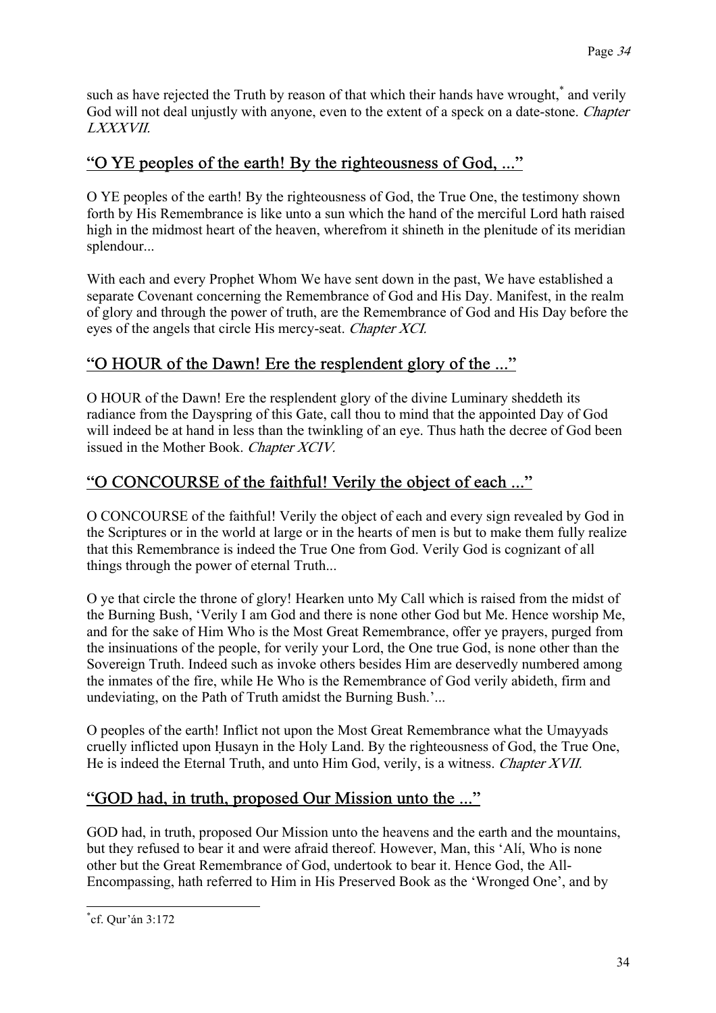such as have rejected the Truth by reason of that which their hands have wrought,<sup>\*</sup> and verily God will not deal unjustly with anyone, even to the extent of a speck on a date-stone. Chapter LXXXVII.

### "O YE peoples of the earth! By the righteousness of God, ..."

O YE peoples of the earth! By the righteousness of God, the True One, the testimony shown forth by His Remembrance is like unto a sun which the hand of the merciful Lord hath raised high in the midmost heart of the heaven, wherefrom it shineth in the plenitude of its meridian splendour...

With each and every Prophet Whom We have sent down in the past, We have established a separate Covenant concerning the Remembrance of God and His Day. Manifest, in the realm of glory and through the power of truth, are the Remembrance of God and His Day before the eyes of the angels that circle His mercy-seat. Chapter XCI.

### "O HOUR of the Dawn! Ere the resplendent glory of the ..."

O HOUR of the Dawn! Ere the resplendent glory of the divine Luminary sheddeth its radiance from the Dayspring of this Gate, call thou to mind that the appointed Day of God will indeed be at hand in less than the twinkling of an eye. Thus hath the decree of God been issued in the Mother Book. Chapter XCIV.

### "O CONCOURSE of the faithful! Verily the object of each ..."

O CONCOURSE of the faithful! Verily the object of each and every sign revealed by God in the Scriptures or in the world at large or in the hearts of men is but to make them fully realize that this Remembrance is indeed the True One from God. Verily God is cognizant of all things through the power of eternal Truth...

O ye that circle the throne of glory! Hearken unto My Call which is raised from the midst of the Burning Bush, 'Verily I am God and there is none other God but Me. Hence worship Me, and for the sake of Him Who is the Most Great Remembrance, offer ye prayers, purged from the insinuations of the people, for verily your Lord, the One true God, is none other than the Sovereign Truth. Indeed such as invoke others besides Him are deservedly numbered among the inmates of the fire, while He Who is the Remembrance of God verily abideth, firm and undeviating, on the Path of Truth amidst the Burning Bush.'...

O peoples of the earth! Inflict not upon the Most Great Remembrance what the Umayyads cruelly inflicted upon Ḥusayn in the Holy Land. By the righteousness of God, the True One, He is indeed the Eternal Truth, and unto Him God, verily, is a witness. *Chapter XVII.* 

### "GOD had, in truth, proposed Our Mission unto the ..."

GOD had, in truth, proposed Our Mission unto the heavens and the earth and the mountains, but they refused to bear it and were afraid thereof. However, Man, this 'Alí, Who is none other but the Great Remembrance of God, undertook to bear it. Hence God, the All-Encompassing, hath referred to Him in His Preserved Book as the 'Wronged One', and by

 <sup>\*</sup>  $\text{c}^*$ cf. Our'án 3:172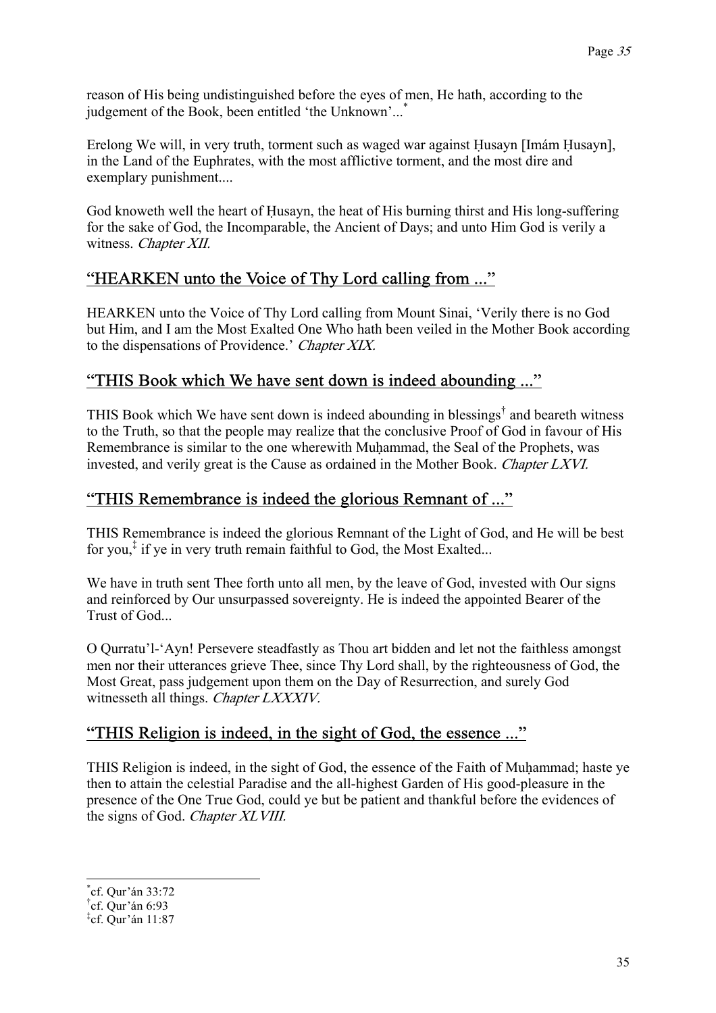reason of His being undistinguished before the eyes of men, He hath, according to the judgement of the Book, been entitled 'the Unknown'...<sup>\*</sup>

Erelong We will, in very truth, torment such as waged war against Ḥusayn [Imám Ḥusayn], in the Land of the Euphrates, with the most afflictive torment, and the most dire and exemplary punishment....

God knoweth well the heart of Ḥusayn, the heat of His burning thirst and His long-suffering for the sake of God, the Incomparable, the Ancient of Days; and unto Him God is verily a witness. Chapter XII.

### "HEARKEN unto the Voice of Thy Lord calling from ..."

HEARKEN unto the Voice of Thy Lord calling from Mount Sinai, 'Verily there is no God but Him, and I am the Most Exalted One Who hath been veiled in the Mother Book according to the dispensations of Providence.' Chapter XIX.

### "THIS Book which We have sent down is indeed abounding ..."

THIS Book which We have sent down is indeed abounding in blessings† and beareth witness to the Truth, so that the people may realize that the conclusive Proof of God in favour of His Remembrance is similar to the one wherewith Muḥammad, the Seal of the Prophets, was invested, and verily great is the Cause as ordained in the Mother Book. Chapter LXVI.

### "THIS Remembrance is indeed the glorious Remnant of ..."

THIS Remembrance is indeed the glorious Remnant of the Light of God, and He will be best for you,<sup> $\ddagger$ </sup> if ye in very truth remain faithful to God, the Most Exalted...

We have in truth sent Thee forth unto all men, by the leave of God, invested with Our signs and reinforced by Our unsurpassed sovereignty. He is indeed the appointed Bearer of the Trust of God...

O Qurratu'l-'Ayn! Persevere steadfastly as Thou art bidden and let not the faithless amongst men nor their utterances grieve Thee, since Thy Lord shall, by the righteousness of God, the Most Great, pass judgement upon them on the Day of Resurrection, and surely God witnesseth all things. Chapter LXXXIV.

### "THIS Religion is indeed, in the sight of God, the essence ..."

THIS Religion is indeed, in the sight of God, the essence of the Faith of Muḥammad; haste ye then to attain the celestial Paradise and the all-highest Garden of His good-pleasure in the presence of the One True God, could ye but be patient and thankful before the evidences of the signs of God. Chapter XLVIII.

 <sup>\*</sup>  $\text{er}$  Our'án 33:72

<sup>†</sup> cf. Qur'án 6:93

<sup>‡</sup> cf. Qur'án 11:87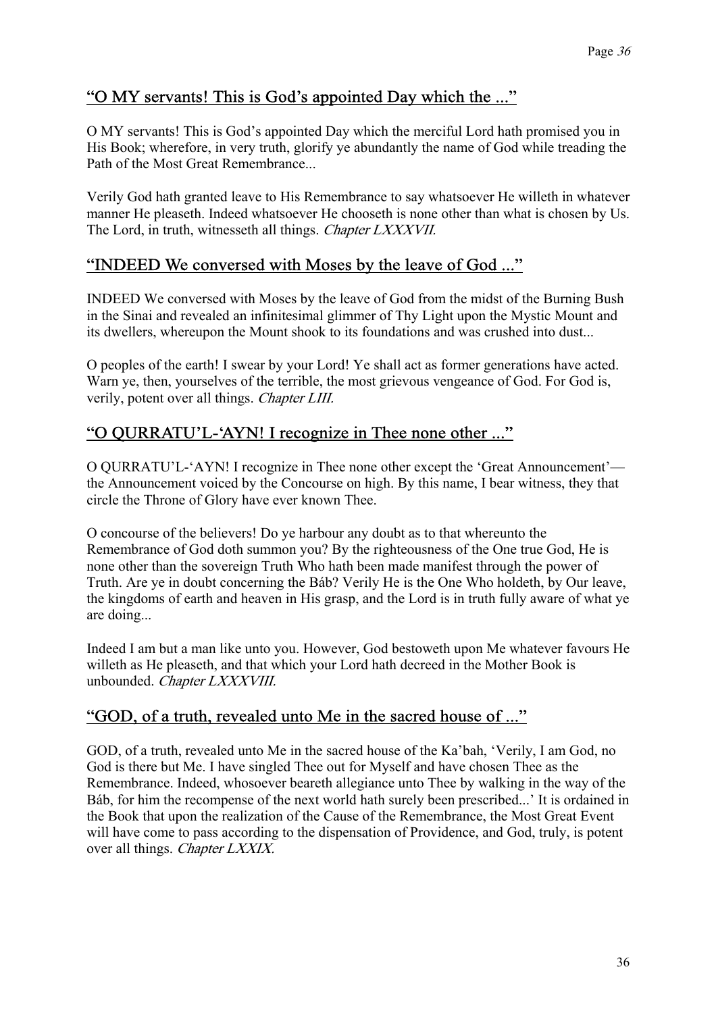### "O MY servants! This is God's appointed Day which the ..."

O MY servants! This is God's appointed Day which the merciful Lord hath promised you in His Book; wherefore, in very truth, glorify ye abundantly the name of God while treading the Path of the Most Great Remembrance...

Verily God hath granted leave to His Remembrance to say whatsoever He willeth in whatever manner He pleaseth. Indeed whatsoever He chooseth is none other than what is chosen by Us. The Lord, in truth, witnesseth all things. Chapter LXXXVII.

### "INDEED We conversed with Moses by the leave of God ..."

INDEED We conversed with Moses by the leave of God from the midst of the Burning Bush in the Sinai and revealed an infinitesimal glimmer of Thy Light upon the Mystic Mount and its dwellers, whereupon the Mount shook to its foundations and was crushed into dust...

O peoples of the earth! I swear by your Lord! Ye shall act as former generations have acted. Warn ye, then, yourselves of the terrible, the most grievous vengeance of God. For God is, verily, potent over all things. Chapter LIII.

### "O QURRATU'L-'AYN! I recognize in Thee none other ..."

O QURRATU'L-'AYN! I recognize in Thee none other except the 'Great Announcement' the Announcement voiced by the Concourse on high. By this name, I bear witness, they that circle the Throne of Glory have ever known Thee.

O concourse of the believers! Do ye harbour any doubt as to that whereunto the Remembrance of God doth summon you? By the righteousness of the One true God, He is none other than the sovereign Truth Who hath been made manifest through the power of Truth. Are ye in doubt concerning the Báb? Verily He is the One Who holdeth, by Our leave, the kingdoms of earth and heaven in His grasp, and the Lord is in truth fully aware of what ye are doing...

Indeed I am but a man like unto you. However, God bestoweth upon Me whatever favours He willeth as He pleaseth, and that which your Lord hath decreed in the Mother Book is unbounded. Chapter LXXXVIII.

### "GOD, of a truth, revealed unto Me in the sacred house of ..."

GOD, of a truth, revealed unto Me in the sacred house of the Ka'bah, 'Verily, I am God, no God is there but Me. I have singled Thee out for Myself and have chosen Thee as the Remembrance. Indeed, whosoever beareth allegiance unto Thee by walking in the way of the Báb, for him the recompense of the next world hath surely been prescribed...' It is ordained in the Book that upon the realization of the Cause of the Remembrance, the Most Great Event will have come to pass according to the dispensation of Providence, and God, truly, is potent over all things. Chapter LXXIX.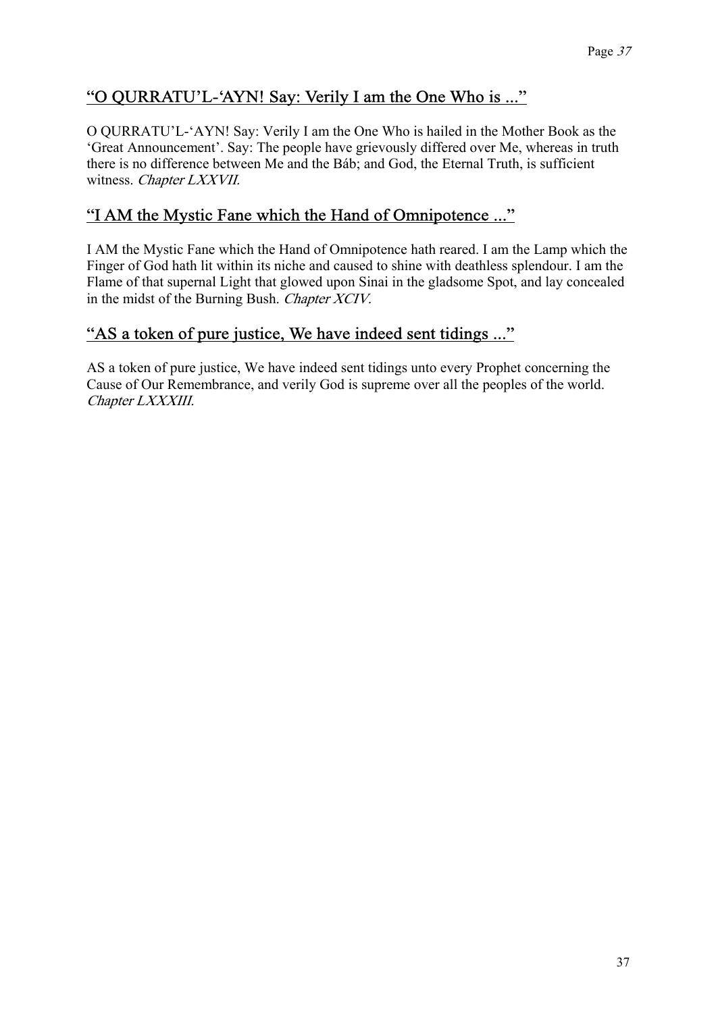## "O QURRATU'L-'AYN! Say: Verily I am the One Who is ..."

O QURRATU'L-'AYN! Say: Verily I am the One Who is hailed in the Mother Book as the 'Great Announcement'. Say: The people have grievously differed over Me, whereas in truth there is no difference between Me and the Báb; and God, the Eternal Truth, is sufficient witness. Chapter LXXVII.

## "I AM the Mystic Fane which the Hand of Omnipotence ..."

I AM the Mystic Fane which the Hand of Omnipotence hath reared. I am the Lamp which the Finger of God hath lit within its niche and caused to shine with deathless splendour. I am the Flame of that supernal Light that glowed upon Sinai in the gladsome Spot, and lay concealed in the midst of the Burning Bush. Chapter XCIV.

#### "AS a token of pure justice, We have indeed sent tidings ..."

AS a token of pure justice, We have indeed sent tidings unto every Prophet concerning the Cause of Our Remembrance, and verily God is supreme over all the peoples of the world. Chapter LXXXIII.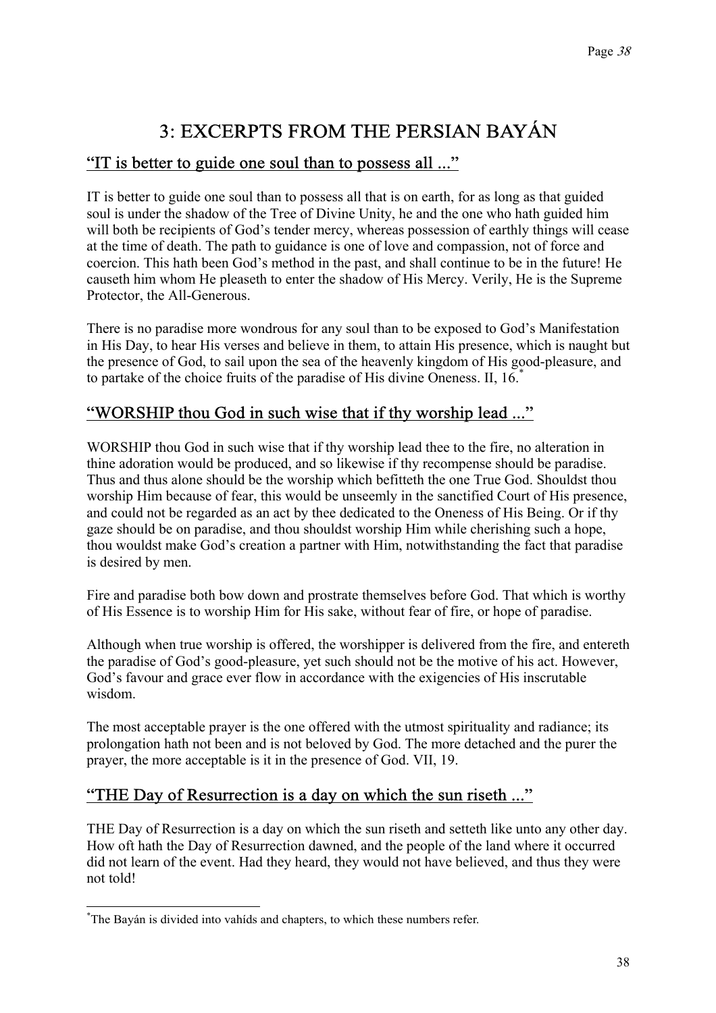# 3: EXCERPTS FROM THE PERSIAN BAYÁN

#### "IT is better to guide one soul than to possess all ..."

IT is better to guide one soul than to possess all that is on earth, for as long as that guided soul is under the shadow of the Tree of Divine Unity, he and the one who hath guided him will both be recipients of God's tender mercy, whereas possession of earthly things will cease at the time of death. The path to guidance is one of love and compassion, not of force and coercion. This hath been God's method in the past, and shall continue to be in the future! He causeth him whom He pleaseth to enter the shadow of His Mercy. Verily, He is the Supreme Protector, the All-Generous.

There is no paradise more wondrous for any soul than to be exposed to God's Manifestation in His Day, to hear His verses and believe in them, to attain His presence, which is naught but the presence of God, to sail upon the sea of the heavenly kingdom of His good-pleasure, and to partake of the choice fruits of the paradise of His divine Oneness. II, 16.\*

#### "WORSHIP thou God in such wise that if thy worship lead ..."

WORSHIP thou God in such wise that if thy worship lead thee to the fire, no alteration in thine adoration would be produced, and so likewise if thy recompense should be paradise. Thus and thus alone should be the worship which befitteth the one True God. Shouldst thou worship Him because of fear, this would be unseemly in the sanctified Court of His presence, and could not be regarded as an act by thee dedicated to the Oneness of His Being. Or if thy gaze should be on paradise, and thou shouldst worship Him while cherishing such a hope, thou wouldst make God's creation a partner with Him, notwithstanding the fact that paradise is desired by men.

Fire and paradise both bow down and prostrate themselves before God. That which is worthy of His Essence is to worship Him for His sake, without fear of fire, or hope of paradise.

Although when true worship is offered, the worshipper is delivered from the fire, and entereth the paradise of God's good-pleasure, yet such should not be the motive of his act. However, God's favour and grace ever flow in accordance with the exigencies of His inscrutable wisdom.

The most acceptable prayer is the one offered with the utmost spirituality and radiance; its prolongation hath not been and is not beloved by God. The more detached and the purer the prayer, the more acceptable is it in the presence of God. VII, 19.

## "THE Day of Resurrection is a day on which the sun riseth ..."

THE Day of Resurrection is a day on which the sun riseth and setteth like unto any other day. How oft hath the Day of Resurrection dawned, and the people of the land where it occurred did not learn of the event. Had they heard, they would not have believed, and thus they were not told!

 <sup>\*</sup> The Bayán is divided into vahíds and chapters, to which these numbers refer.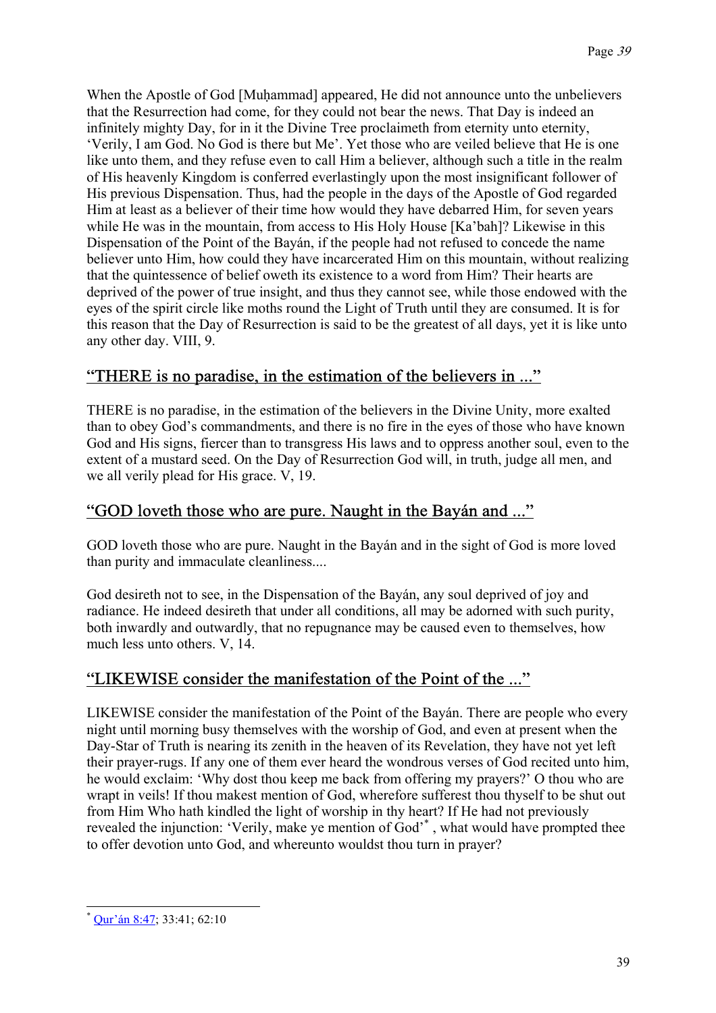When the Apostle of God [Muḥammad] appeared, He did not announce unto the unbelievers that the Resurrection had come, for they could not bear the news. That Day is indeed an infinitely mighty Day, for in it the Divine Tree proclaimeth from eternity unto eternity, 'Verily, I am God. No God is there but Me'. Yet those who are veiled believe that He is one like unto them, and they refuse even to call Him a believer, although such a title in the realm of His heavenly Kingdom is conferred everlastingly upon the most insignificant follower of His previous Dispensation. Thus, had the people in the days of the Apostle of God regarded Him at least as a believer of their time how would they have debarred Him, for seven years while He was in the mountain, from access to His Holy House [Ka'bah]? Likewise in this Dispensation of the Point of the Bayán, if the people had not refused to concede the name believer unto Him, how could they have incarcerated Him on this mountain, without realizing that the quintessence of belief oweth its existence to a word from Him? Their hearts are deprived of the power of true insight, and thus they cannot see, while those endowed with the eyes of the spirit circle like moths round the Light of Truth until they are consumed. It is for this reason that the Day of Resurrection is said to be the greatest of all days, yet it is like unto any other day. VIII, 9.

#### "THERE is no paradise, in the estimation of the believers in ..."

THERE is no paradise, in the estimation of the believers in the Divine Unity, more exalted than to obey God's commandments, and there is no fire in the eyes of those who have known God and His signs, fiercer than to transgress His laws and to oppress another soul, even to the extent of a mustard seed. On the Day of Resurrection God will, in truth, judge all men, and we all verily plead for His grace. V, 19.

## "GOD loveth those who are pure. Naught in the Bayán and ..."

GOD loveth those who are pure. Naught in the Bayán and in the sight of God is more loved than purity and immaculate cleanliness....

God desireth not to see, in the Dispensation of the Bayán, any soul deprived of joy and radiance. He indeed desireth that under all conditions, all may be adorned with such purity, both inwardly and outwardly, that no repugnance may be caused even to themselves, how much less unto others. V, 14.

#### "LIKEWISE consider the manifestation of the Point of the ..."

LIKEWISE consider the manifestation of the Point of the Bayán. There are people who every night until morning busy themselves with the worship of God, and even at present when the Day-Star of Truth is nearing its zenith in the heaven of its Revelation, they have not yet left their prayer-rugs. If any one of them ever heard the wondrous verses of God recited unto him, he would exclaim: 'Why dost thou keep me back from offering my prayers?' O thou who are wrapt in veils! If thou makest mention of God, wherefore sufferest thou thyself to be shut out from Him Who hath kindled the light of worship in thy heart? If He had not previously revealed the injunction: 'Verily, make ye mention of God'<sup>\*</sup>, what would have prompted thee to offer devotion unto God, and whereunto wouldst thou turn in prayer?

Qur'án 8:47; 33:41; 62:10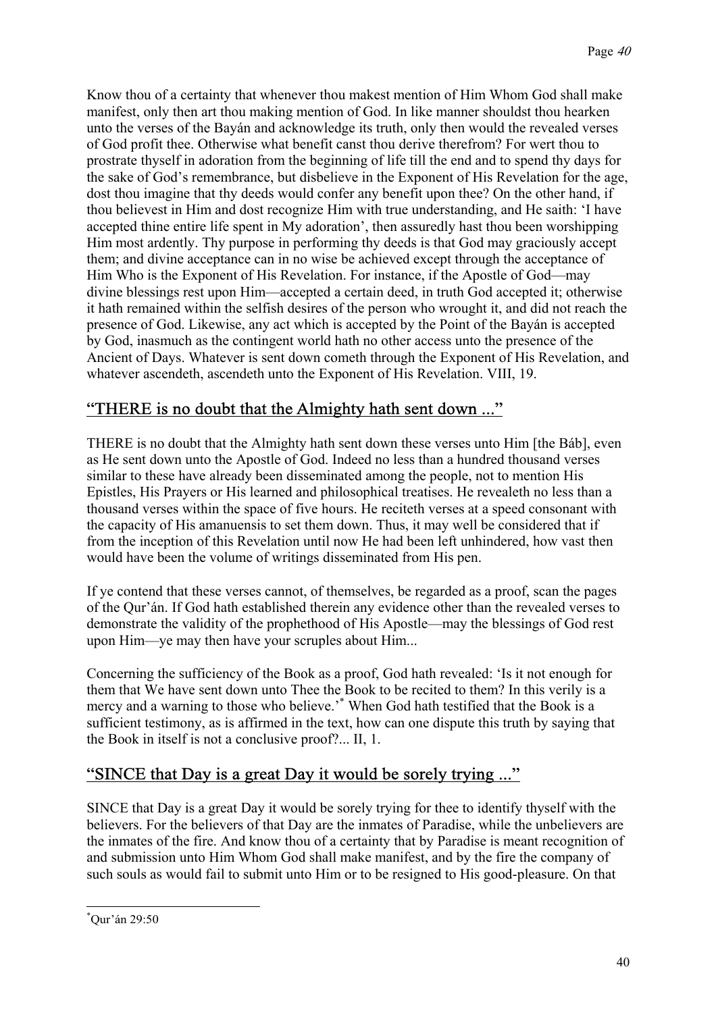Know thou of a certainty that whenever thou makest mention of Him Whom God shall make manifest, only then art thou making mention of God. In like manner shouldst thou hearken unto the verses of the Bayán and acknowledge its truth, only then would the revealed verses of God profit thee. Otherwise what benefit canst thou derive therefrom? For wert thou to prostrate thyself in adoration from the beginning of life till the end and to spend thy days for the sake of God's remembrance, but disbelieve in the Exponent of His Revelation for the age, dost thou imagine that thy deeds would confer any benefit upon thee? On the other hand, if thou believest in Him and dost recognize Him with true understanding, and He saith: 'I have accepted thine entire life spent in My adoration', then assuredly hast thou been worshipping Him most ardently. Thy purpose in performing thy deeds is that God may graciously accept them; and divine acceptance can in no wise be achieved except through the acceptance of Him Who is the Exponent of His Revelation. For instance, if the Apostle of God—may divine blessings rest upon Him—accepted a certain deed, in truth God accepted it; otherwise it hath remained within the selfish desires of the person who wrought it, and did not reach the presence of God. Likewise, any act which is accepted by the Point of the Bayán is accepted by God, inasmuch as the contingent world hath no other access unto the presence of the Ancient of Days. Whatever is sent down cometh through the Exponent of His Revelation, and whatever ascendeth, ascendeth unto the Exponent of His Revelation. VIII, 19.

#### "THERE is no doubt that the Almighty hath sent down ..."

THERE is no doubt that the Almighty hath sent down these verses unto Him [the Báb], even as He sent down unto the Apostle of God. Indeed no less than a hundred thousand verses similar to these have already been disseminated among the people, not to mention His Epistles, His Prayers or His learned and philosophical treatises. He revealeth no less than a thousand verses within the space of five hours. He reciteth verses at a speed consonant with the capacity of His amanuensis to set them down. Thus, it may well be considered that if from the inception of this Revelation until now He had been left unhindered, how vast then would have been the volume of writings disseminated from His pen.

If ye contend that these verses cannot, of themselves, be regarded as a proof, scan the pages of the Qur'án. If God hath established therein any evidence other than the revealed verses to demonstrate the validity of the prophethood of His Apostle—may the blessings of God rest upon Him—ye may then have your scruples about Him...

Concerning the sufficiency of the Book as a proof, God hath revealed: 'Is it not enough for them that We have sent down unto Thee the Book to be recited to them? In this verily is a mercy and a warning to those who believe.'\* When God hath testified that the Book is a sufficient testimony, as is affirmed in the text, how can one dispute this truth by saying that the Book in itself is not a conclusive proof?... II, 1.

## "SINCE that Day is a great Day it would be sorely trying ..."

SINCE that Day is a great Day it would be sorely trying for thee to identify thyself with the believers. For the believers of that Day are the inmates of Paradise, while the unbelievers are the inmates of the fire. And know thou of a certainty that by Paradise is meant recognition of and submission unto Him Whom God shall make manifest, and by the fire the company of such souls as would fail to submit unto Him or to be resigned to His good-pleasure. On that

 <sup>\*</sup> Qur'án 29:50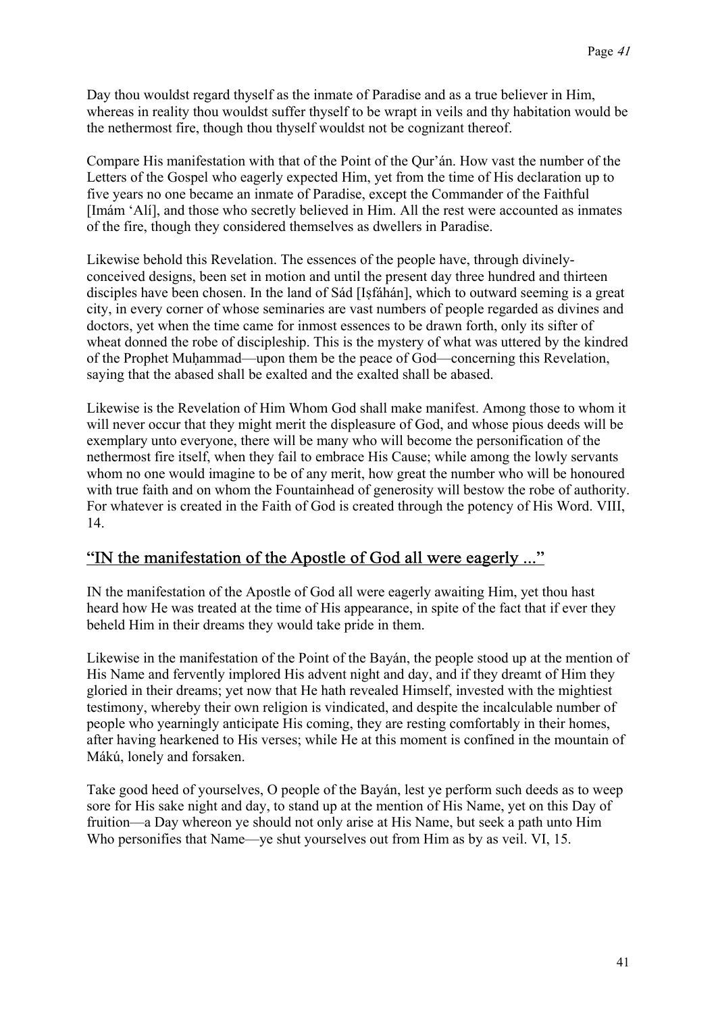Day thou wouldst regard thyself as the inmate of Paradise and as a true believer in Him, whereas in reality thou wouldst suffer thyself to be wrapt in veils and thy habitation would be the nethermost fire, though thou thyself wouldst not be cognizant thereof.

Compare His manifestation with that of the Point of the Qur'án. How vast the number of the Letters of the Gospel who eagerly expected Him, yet from the time of His declaration up to five years no one became an inmate of Paradise, except the Commander of the Faithful [Imám 'Alí], and those who secretly believed in Him. All the rest were accounted as inmates of the fire, though they considered themselves as dwellers in Paradise.

Likewise behold this Revelation. The essences of the people have, through divinelyconceived designs, been set in motion and until the present day three hundred and thirteen disciples have been chosen. In the land of Sád [Isfáhán], which to outward seeming is a great city, in every corner of whose seminaries are vast numbers of people regarded as divines and doctors, yet when the time came for inmost essences to be drawn forth, only its sifter of wheat donned the robe of discipleship. This is the mystery of what was uttered by the kindred of the Prophet Muḥammad—upon them be the peace of God—concerning this Revelation, saying that the abased shall be exalted and the exalted shall be abased.

Likewise is the Revelation of Him Whom God shall make manifest. Among those to whom it will never occur that they might merit the displeasure of God, and whose pious deeds will be exemplary unto everyone, there will be many who will become the personification of the nethermost fire itself, when they fail to embrace His Cause; while among the lowly servants whom no one would imagine to be of any merit, how great the number who will be honoured with true faith and on whom the Fountainhead of generosity will bestow the robe of authority. For whatever is created in the Faith of God is created through the potency of His Word. VIII, 14.

#### "IN the manifestation of the Apostle of God all were eagerly ..."

IN the manifestation of the Apostle of God all were eagerly awaiting Him, yet thou hast heard how He was treated at the time of His appearance, in spite of the fact that if ever they beheld Him in their dreams they would take pride in them.

Likewise in the manifestation of the Point of the Bayán, the people stood up at the mention of His Name and fervently implored His advent night and day, and if they dreamt of Him they gloried in their dreams; yet now that He hath revealed Himself, invested with the mightiest testimony, whereby their own religion is vindicated, and despite the incalculable number of people who yearningly anticipate His coming, they are resting comfortably in their homes, after having hearkened to His verses; while He at this moment is confined in the mountain of Mákú, lonely and forsaken.

Take good heed of yourselves, O people of the Bayán, lest ye perform such deeds as to weep sore for His sake night and day, to stand up at the mention of His Name, yet on this Day of fruition—a Day whereon ye should not only arise at His Name, but seek a path unto Him Who personifies that Name—ye shut yourselves out from Him as by as veil. VI, 15.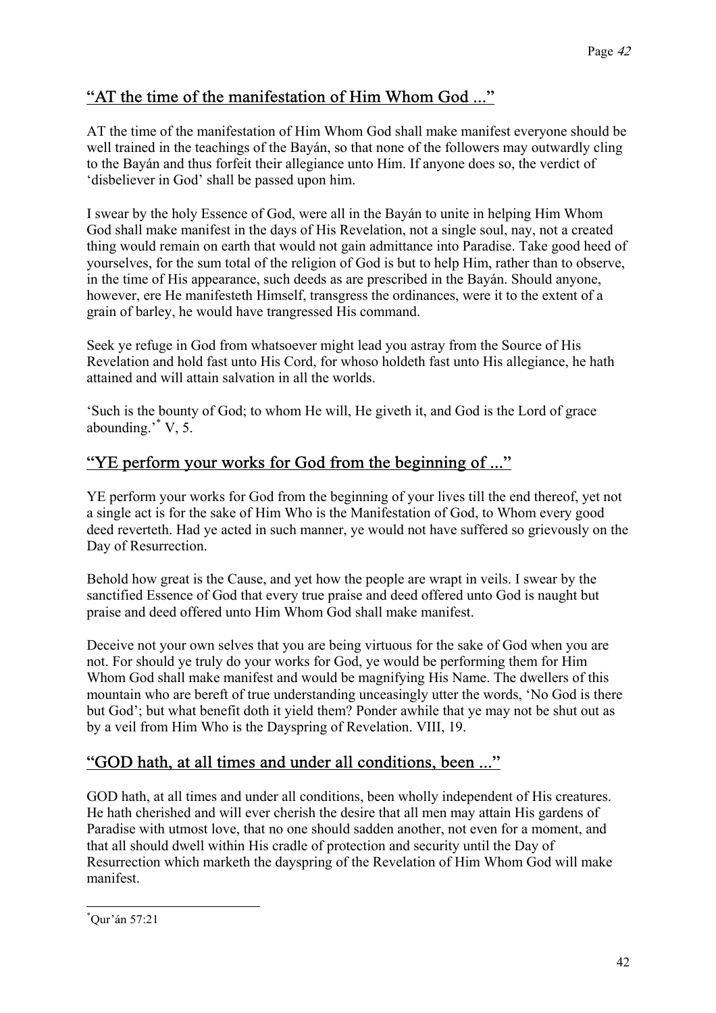## "AT the time of the manifestation of Him Whom God ..."

AT the time of the manifestation of Him Whom God shall make manifest everyone should be well trained in the teachings of the Bayán, so that none of the followers may outwardly cling to the Bayán and thus forfeit their allegiance unto Him. If anyone does so, the verdict of 'disbeliever in God' shall be passed upon him.

I swear by the holy Essence of God, were all in the Bayán to unite in helping Him Whom God shall make manifest in the days of His Revelation, not a single soul, nay, not a created thing would remain on earth that would not gain admittance into Paradise. Take good heed of yourselves, for the sum total of the religion of God is but to help Him, rather than to observe, in the time of His appearance, such deeds as are prescribed in the Bayán. Should anyone, however, ere He manifesteth Himself, transgress the ordinances, were it to the extent of a grain of barley, he would have trangressed His command.

Seek ye refuge in God from whatsoever might lead you astray from the Source of His Revelation and hold fast unto His Cord, for whoso holdeth fast unto His allegiance, he hath attained and will attain salvation in all the worlds.

'Such is the bounty of God; to whom He will, He giveth it, and God is the Lord of grace abounding.<sup> $*$ </sup> V, 5.

## "YE perform your works for God from the beginning of ..."

YE perform your works for God from the beginning of your lives till the end thereof, yet not a single act is for the sake of Him Who is the Manifestation of God, to Whom every good deed reverteth. Had ye acted in such manner, ye would not have suffered so grievously on the Day of Resurrection.

Behold how great is the Cause, and yet how the people are wrapt in veils. I swear by the sanctified Essence of God that every true praise and deed offered unto God is naught but praise and deed offered unto Him Whom God shall make manifest.

Deceive not your own selves that you are being virtuous for the sake of God when you are not. For should ye truly do your works for God, ye would be performing them for Him Whom God shall make manifest and would be magnifying His Name. The dwellers of this mountain who are bereft of true understanding unceasingly utter the words, 'No God is there but God'; but what benefit doth it yield them? Ponder awhile that ye may not be shut out as by a veil from Him Who is the Dayspring of Revelation. VIII, 19.

#### "GOD hath, at all times and under all conditions, been ..."

GOD hath, at all times and under all conditions, been wholly independent of His creatures. He hath cherished and will ever cherish the desire that all men may attain His gardens of Paradise with utmost love, that no one should sadden another, not even for a moment, and that all should dwell within His cradle of protection and security until the Day of Resurrection which marketh the dayspring of the Revelation of Him Whom God will make manifest.

 <sup>\*</sup>  $"Our'$ án 57:21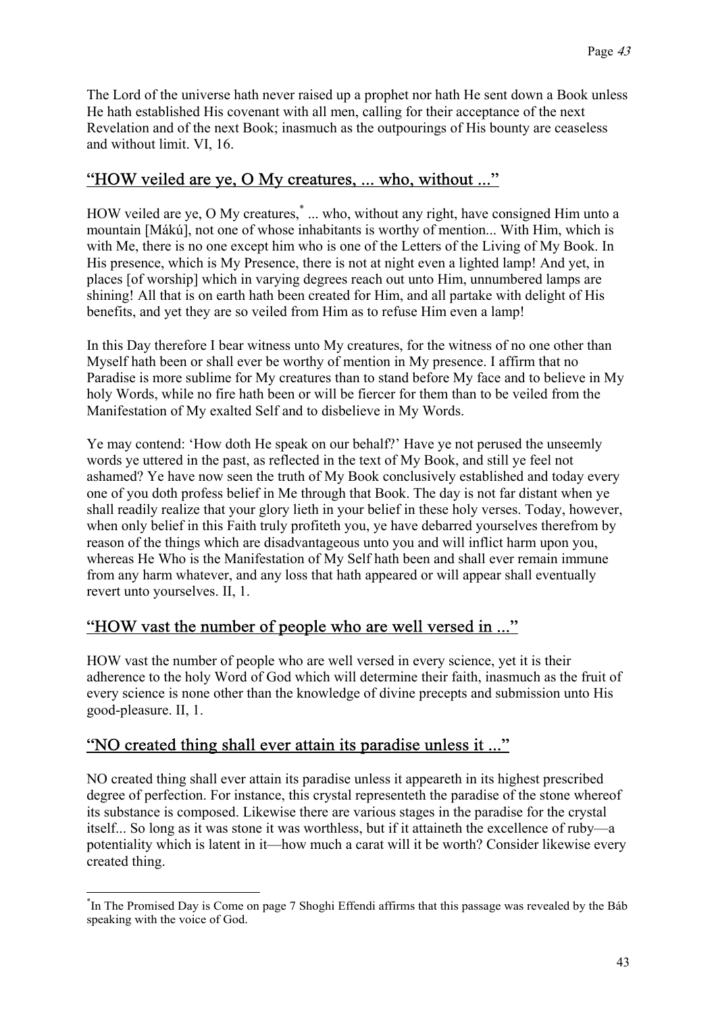The Lord of the universe hath never raised up a prophet nor hath He sent down a Book unless He hath established His covenant with all men, calling for their acceptance of the next Revelation and of the next Book; inasmuch as the outpourings of His bounty are ceaseless and without limit. VI, 16.

#### "HOW veiled are ye, O My creatures, ... who, without ..."

HOW veiled are ye, O My creatures,\* ... who, without any right, have consigned Him unto a mountain [Mákú], not one of whose inhabitants is worthy of mention... With Him, which is with Me, there is no one except him who is one of the Letters of the Living of My Book. In His presence, which is My Presence, there is not at night even a lighted lamp! And yet, in places [of worship] which in varying degrees reach out unto Him, unnumbered lamps are shining! All that is on earth hath been created for Him, and all partake with delight of His benefits, and yet they are so veiled from Him as to refuse Him even a lamp!

In this Day therefore I bear witness unto My creatures, for the witness of no one other than Myself hath been or shall ever be worthy of mention in My presence. I affirm that no Paradise is more sublime for My creatures than to stand before My face and to believe in My holy Words, while no fire hath been or will be fiercer for them than to be veiled from the Manifestation of My exalted Self and to disbelieve in My Words.

Ye may contend: 'How doth He speak on our behalf?' Have ye not perused the unseemly words ye uttered in the past, as reflected in the text of My Book, and still ye feel not ashamed? Ye have now seen the truth of My Book conclusively established and today every one of you doth profess belief in Me through that Book. The day is not far distant when ye shall readily realize that your glory lieth in your belief in these holy verses. Today, however, when only belief in this Faith truly profiteth you, ye have debarred yourselves therefrom by reason of the things which are disadvantageous unto you and will inflict harm upon you, whereas He Who is the Manifestation of My Self hath been and shall ever remain immune from any harm whatever, and any loss that hath appeared or will appear shall eventually revert unto yourselves. II, 1.

## "HOW vast the number of people who are well versed in ..."

HOW vast the number of people who are well versed in every science, yet it is their adherence to the holy Word of God which will determine their faith, inasmuch as the fruit of every science is none other than the knowledge of divine precepts and submission unto His good-pleasure. II, 1.

#### "NO created thing shall ever attain its paradise unless it ..."

NO created thing shall ever attain its paradise unless it appeareth in its highest prescribed degree of perfection. For instance, this crystal representeth the paradise of the stone whereof its substance is composed. Likewise there are various stages in the paradise for the crystal itself... So long as it was stone it was worthless, but if it attaineth the excellence of ruby—a potentiality which is latent in it—how much a carat will it be worth? Consider likewise every created thing.

 <sup>\*</sup> <sup>\*</sup>In The Promised Day is Come on page 7 Shoghi Effendi affirms that this passage was revealed by the Báb speaking with the voice of God.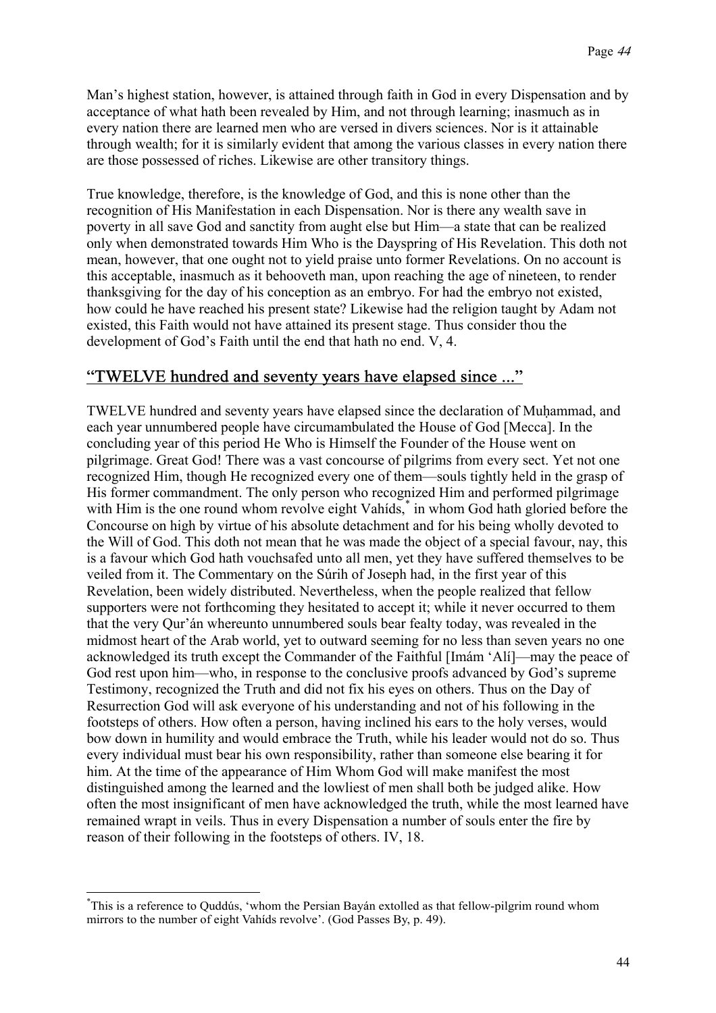Man's highest station, however, is attained through faith in God in every Dispensation and by acceptance of what hath been revealed by Him, and not through learning; inasmuch as in every nation there are learned men who are versed in divers sciences. Nor is it attainable through wealth; for it is similarly evident that among the various classes in every nation there are those possessed of riches. Likewise are other transitory things.

True knowledge, therefore, is the knowledge of God, and this is none other than the recognition of His Manifestation in each Dispensation. Nor is there any wealth save in poverty in all save God and sanctity from aught else but Him—a state that can be realized only when demonstrated towards Him Who is the Dayspring of His Revelation. This doth not mean, however, that one ought not to yield praise unto former Revelations. On no account is this acceptable, inasmuch as it behooveth man, upon reaching the age of nineteen, to render thanksgiving for the day of his conception as an embryo. For had the embryo not existed, how could he have reached his present state? Likewise had the religion taught by Adam not existed, this Faith would not have attained its present stage. Thus consider thou the development of God's Faith until the end that hath no end. V, 4.

#### "TWELVE hundred and seventy years have elapsed since ..."

TWELVE hundred and seventy years have elapsed since the declaration of Muhammad, and each year unnumbered people have circumambulated the House of God [Mecca]. In the concluding year of this period He Who is Himself the Founder of the House went on pilgrimage. Great God! There was a vast concourse of pilgrims from every sect. Yet not one recognized Him, though He recognized every one of them—souls tightly held in the grasp of His former commandment. The only person who recognized Him and performed pilgrimage with Him is the one round whom revolve eight Vahíds,<sup>\*</sup> in whom God hath gloried before the Concourse on high by virtue of his absolute detachment and for his being wholly devoted to the Will of God. This doth not mean that he was made the object of a special favour, nay, this is a favour which God hath vouchsafed unto all men, yet they have suffered themselves to be veiled from it. The Commentary on the Súrih of Joseph had, in the first year of this Revelation, been widely distributed. Nevertheless, when the people realized that fellow supporters were not forthcoming they hesitated to accept it; while it never occurred to them that the very Qur'án whereunto unnumbered souls bear fealty today, was revealed in the midmost heart of the Arab world, yet to outward seeming for no less than seven years no one acknowledged its truth except the Commander of the Faithful [Imám 'Alí]—may the peace of God rest upon him—who, in response to the conclusive proofs advanced by God's supreme Testimony, recognized the Truth and did not fix his eyes on others. Thus on the Day of Resurrection God will ask everyone of his understanding and not of his following in the footsteps of others. How often a person, having inclined his ears to the holy verses, would bow down in humility and would embrace the Truth, while his leader would not do so. Thus every individual must bear his own responsibility, rather than someone else bearing it for him. At the time of the appearance of Him Whom God will make manifest the most distinguished among the learned and the lowliest of men shall both be judged alike. How often the most insignificant of men have acknowledged the truth, while the most learned have remained wrapt in veils. Thus in every Dispensation a number of souls enter the fire by reason of their following in the footsteps of others. IV, 18.

 <sup>\*</sup> This is a reference to Quddús, 'whom the Persian Bayán extolled as that fellow-pilgrim round whom mirrors to the number of eight Vahíds revolve'. (God Passes By, p. 49).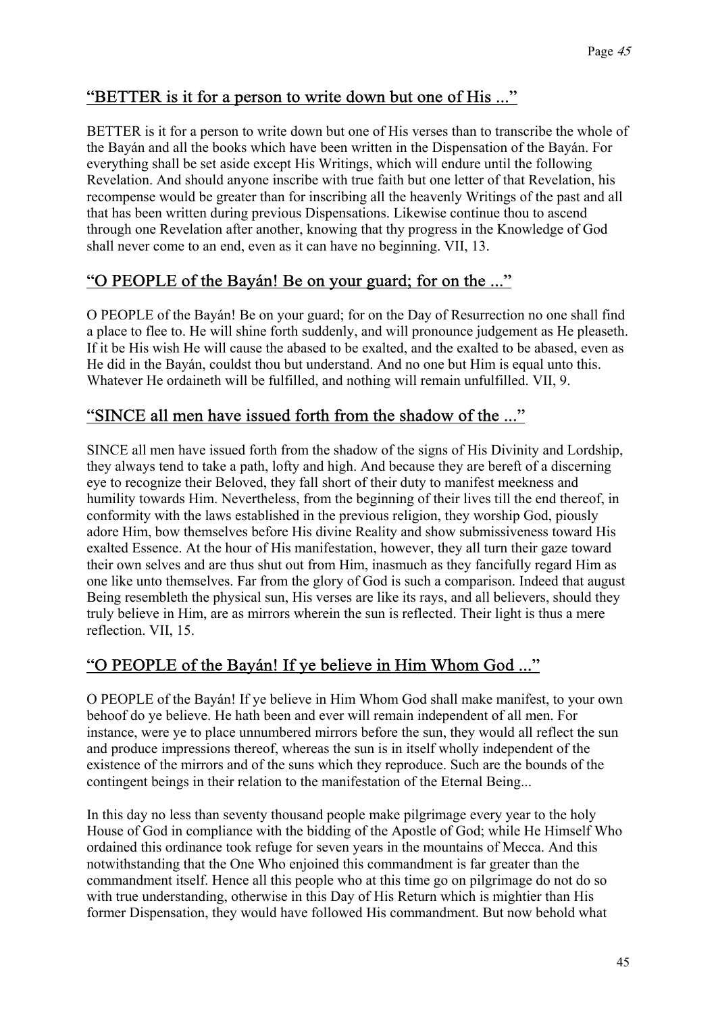## "BETTER is it for a person to write down but one of His ..."

BETTER is it for a person to write down but one of His verses than to transcribe the whole of the Bayán and all the books which have been written in the Dispensation of the Bayán. For everything shall be set aside except His Writings, which will endure until the following Revelation. And should anyone inscribe with true faith but one letter of that Revelation, his recompense would be greater than for inscribing all the heavenly Writings of the past and all that has been written during previous Dispensations. Likewise continue thou to ascend through one Revelation after another, knowing that thy progress in the Knowledge of God shall never come to an end, even as it can have no beginning. VII, 13.

#### "O PEOPLE of the Bayán! Be on your guard; for on the ..."

O PEOPLE of the Bayán! Be on your guard; for on the Day of Resurrection no one shall find a place to flee to. He will shine forth suddenly, and will pronounce judgement as He pleaseth. If it be His wish He will cause the abased to be exalted, and the exalted to be abased, even as He did in the Bayán, couldst thou but understand. And no one but Him is equal unto this. Whatever He ordaineth will be fulfilled, and nothing will remain unfulfilled. VII, 9.

#### "SINCE all men have issued forth from the shadow of the ..."

SINCE all men have issued forth from the shadow of the signs of His Divinity and Lordship, they always tend to take a path, lofty and high. And because they are bereft of a discerning eye to recognize their Beloved, they fall short of their duty to manifest meekness and humility towards Him. Nevertheless, from the beginning of their lives till the end thereof, in conformity with the laws established in the previous religion, they worship God, piously adore Him, bow themselves before His divine Reality and show submissiveness toward His exalted Essence. At the hour of His manifestation, however, they all turn their gaze toward their own selves and are thus shut out from Him, inasmuch as they fancifully regard Him as one like unto themselves. Far from the glory of God is such a comparison. Indeed that august Being resembleth the physical sun, His verses are like its rays, and all believers, should they truly believe in Him, are as mirrors wherein the sun is reflected. Their light is thus a mere reflection. VII, 15.

## "O PEOPLE of the Bayán! If ye believe in Him Whom God ..."

O PEOPLE of the Bayán! If ye believe in Him Whom God shall make manifest, to your own behoof do ye believe. He hath been and ever will remain independent of all men. For instance, were ye to place unnumbered mirrors before the sun, they would all reflect the sun and produce impressions thereof, whereas the sun is in itself wholly independent of the existence of the mirrors and of the suns which they reproduce. Such are the bounds of the contingent beings in their relation to the manifestation of the Eternal Being...

In this day no less than seventy thousand people make pilgrimage every year to the holy House of God in compliance with the bidding of the Apostle of God; while He Himself Who ordained this ordinance took refuge for seven years in the mountains of Mecca. And this notwithstanding that the One Who enjoined this commandment is far greater than the commandment itself. Hence all this people who at this time go on pilgrimage do not do so with true understanding, otherwise in this Day of His Return which is mightier than His former Dispensation, they would have followed His commandment. But now behold what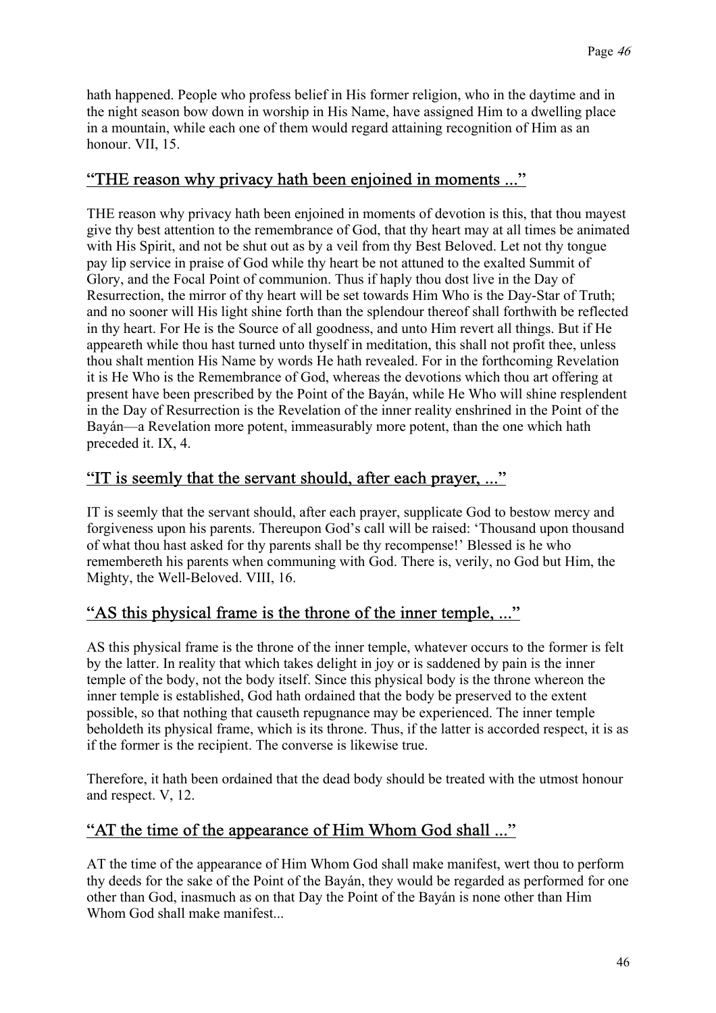hath happened. People who profess belief in His former religion, who in the daytime and in the night season bow down in worship in His Name, have assigned Him to a dwelling place in a mountain, while each one of them would regard attaining recognition of Him as an honour. VII, 15.

#### "THE reason why privacy hath been enjoined in moments ..."

THE reason why privacy hath been enjoined in moments of devotion is this, that thou mayest give thy best attention to the remembrance of God, that thy heart may at all times be animated with His Spirit, and not be shut out as by a veil from thy Best Beloved. Let not thy tongue pay lip service in praise of God while thy heart be not attuned to the exalted Summit of Glory, and the Focal Point of communion. Thus if haply thou dost live in the Day of Resurrection, the mirror of thy heart will be set towards Him Who is the Day-Star of Truth; and no sooner will His light shine forth than the splendour thereof shall forthwith be reflected in thy heart. For He is the Source of all goodness, and unto Him revert all things. But if He appeareth while thou hast turned unto thyself in meditation, this shall not profit thee, unless thou shalt mention His Name by words He hath revealed. For in the forthcoming Revelation it is He Who is the Remembrance of God, whereas the devotions which thou art offering at present have been prescribed by the Point of the Bayán, while He Who will shine resplendent in the Day of Resurrection is the Revelation of the inner reality enshrined in the Point of the Bayán—a Revelation more potent, immeasurably more potent, than the one which hath preceded it. IX, 4.

## "IT is seemly that the servant should, after each prayer, ..."

IT is seemly that the servant should, after each prayer, supplicate God to bestow mercy and forgiveness upon his parents. Thereupon God's call will be raised: 'Thousand upon thousand of what thou hast asked for thy parents shall be thy recompense!' Blessed is he who remembereth his parents when communing with God. There is, verily, no God but Him, the Mighty, the Well-Beloved. VIII, 16.

## "AS this physical frame is the throne of the inner temple, ..."

AS this physical frame is the throne of the inner temple, whatever occurs to the former is felt by the latter. In reality that which takes delight in joy or is saddened by pain is the inner temple of the body, not the body itself. Since this physical body is the throne whereon the inner temple is established, God hath ordained that the body be preserved to the extent possible, so that nothing that causeth repugnance may be experienced. The inner temple beholdeth its physical frame, which is its throne. Thus, if the latter is accorded respect, it is as if the former is the recipient. The converse is likewise true.

Therefore, it hath been ordained that the dead body should be treated with the utmost honour and respect. V, 12.

## "AT the time of the appearance of Him Whom God shall ..."

AT the time of the appearance of Him Whom God shall make manifest, wert thou to perform thy deeds for the sake of the Point of the Bayán, they would be regarded as performed for one other than God, inasmuch as on that Day the Point of the Bayán is none other than Him Whom God shall make manifest...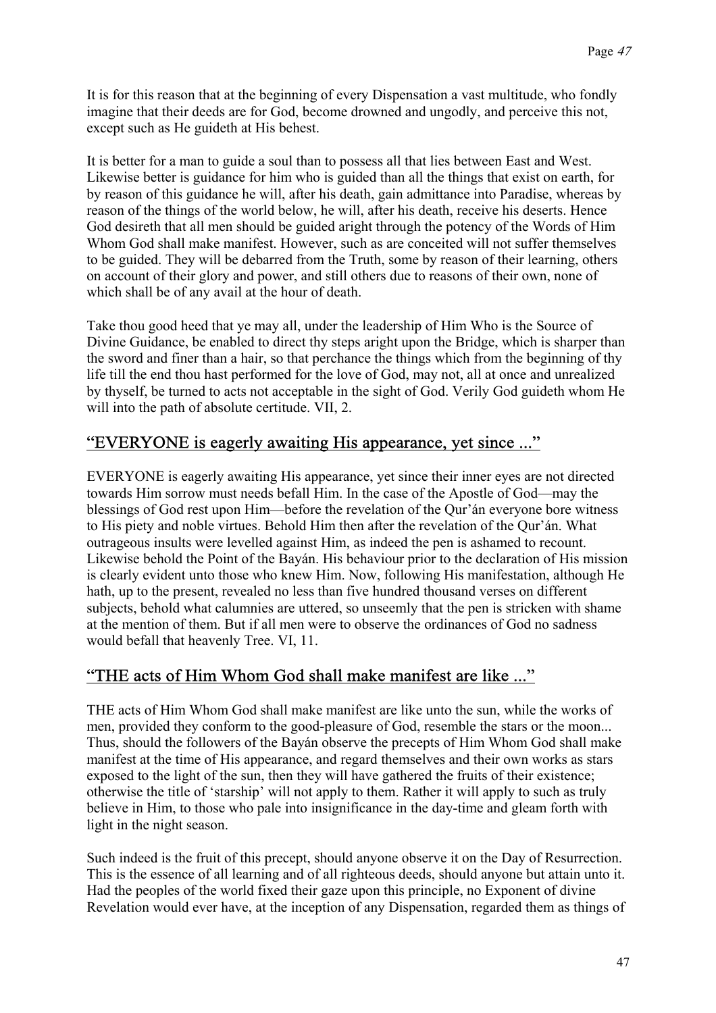It is for this reason that at the beginning of every Dispensation a vast multitude, who fondly imagine that their deeds are for God, become drowned and ungodly, and perceive this not, except such as He guideth at His behest.

It is better for a man to guide a soul than to possess all that lies between East and West. Likewise better is guidance for him who is guided than all the things that exist on earth, for by reason of this guidance he will, after his death, gain admittance into Paradise, whereas by reason of the things of the world below, he will, after his death, receive his deserts. Hence God desireth that all men should be guided aright through the potency of the Words of Him Whom God shall make manifest. However, such as are conceited will not suffer themselves to be guided. They will be debarred from the Truth, some by reason of their learning, others on account of their glory and power, and still others due to reasons of their own, none of which shall be of any avail at the hour of death.

Take thou good heed that ye may all, under the leadership of Him Who is the Source of Divine Guidance, be enabled to direct thy steps aright upon the Bridge, which is sharper than the sword and finer than a hair, so that perchance the things which from the beginning of thy life till the end thou hast performed for the love of God, may not, all at once and unrealized by thyself, be turned to acts not acceptable in the sight of God. Verily God guideth whom He will into the path of absolute certitude. VII, 2.

#### "EVERYONE is eagerly awaiting His appearance, yet since ..."

EVERYONE is eagerly awaiting His appearance, yet since their inner eyes are not directed towards Him sorrow must needs befall Him. In the case of the Apostle of God—may the blessings of God rest upon Him—before the revelation of the Qur'án everyone bore witness to His piety and noble virtues. Behold Him then after the revelation of the Qur'án. What outrageous insults were levelled against Him, as indeed the pen is ashamed to recount. Likewise behold the Point of the Bayán. His behaviour prior to the declaration of His mission is clearly evident unto those who knew Him. Now, following His manifestation, although He hath, up to the present, revealed no less than five hundred thousand verses on different subjects, behold what calumnies are uttered, so unseemly that the pen is stricken with shame at the mention of them. But if all men were to observe the ordinances of God no sadness would befall that heavenly Tree. VI, 11.

#### "THE acts of Him Whom God shall make manifest are like ..."

THE acts of Him Whom God shall make manifest are like unto the sun, while the works of men, provided they conform to the good-pleasure of God, resemble the stars or the moon... Thus, should the followers of the Bayán observe the precepts of Him Whom God shall make manifest at the time of His appearance, and regard themselves and their own works as stars exposed to the light of the sun, then they will have gathered the fruits of their existence; otherwise the title of 'starship' will not apply to them. Rather it will apply to such as truly believe in Him, to those who pale into insignificance in the day-time and gleam forth with light in the night season.

Such indeed is the fruit of this precept, should anyone observe it on the Day of Resurrection. This is the essence of all learning and of all righteous deeds, should anyone but attain unto it. Had the peoples of the world fixed their gaze upon this principle, no Exponent of divine Revelation would ever have, at the inception of any Dispensation, regarded them as things of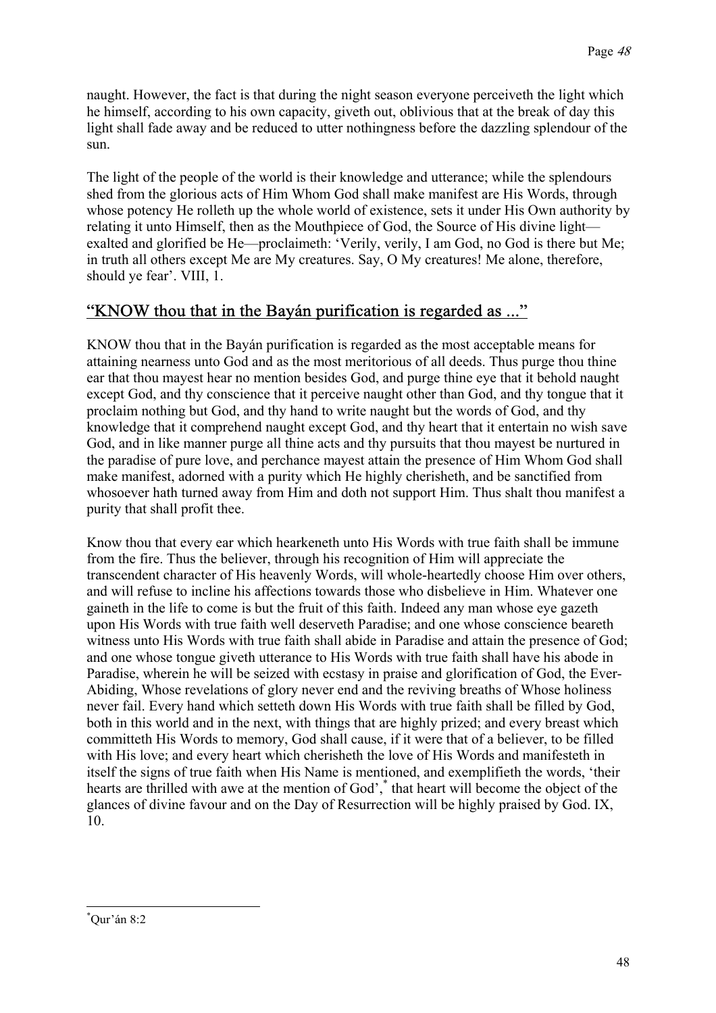naught. However, the fact is that during the night season everyone perceiveth the light which he himself, according to his own capacity, giveth out, oblivious that at the break of day this light shall fade away and be reduced to utter nothingness before the dazzling splendour of the sun.

The light of the people of the world is their knowledge and utterance; while the splendours shed from the glorious acts of Him Whom God shall make manifest are His Words, through whose potency He rolleth up the whole world of existence, sets it under His Own authority by relating it unto Himself, then as the Mouthpiece of God, the Source of His divine light exalted and glorified be He—proclaimeth: 'Verily, verily, I am God, no God is there but Me; in truth all others except Me are My creatures. Say, O My creatures! Me alone, therefore, should ye fear'. VIII, 1.

#### "KNOW thou that in the Bayán purification is regarded as ..."

KNOW thou that in the Bayán purification is regarded as the most acceptable means for attaining nearness unto God and as the most meritorious of all deeds. Thus purge thou thine ear that thou mayest hear no mention besides God, and purge thine eye that it behold naught except God, and thy conscience that it perceive naught other than God, and thy tongue that it proclaim nothing but God, and thy hand to write naught but the words of God, and thy knowledge that it comprehend naught except God, and thy heart that it entertain no wish save God, and in like manner purge all thine acts and thy pursuits that thou mayest be nurtured in the paradise of pure love, and perchance mayest attain the presence of Him Whom God shall make manifest, adorned with a purity which He highly cherisheth, and be sanctified from whosoever hath turned away from Him and doth not support Him. Thus shalt thou manifest a purity that shall profit thee.

Know thou that every ear which hearkeneth unto His Words with true faith shall be immune from the fire. Thus the believer, through his recognition of Him will appreciate the transcendent character of His heavenly Words, will whole-heartedly choose Him over others, and will refuse to incline his affections towards those who disbelieve in Him. Whatever one gaineth in the life to come is but the fruit of this faith. Indeed any man whose eye gazeth upon His Words with true faith well deserveth Paradise; and one whose conscience beareth witness unto His Words with true faith shall abide in Paradise and attain the presence of God; and one whose tongue giveth utterance to His Words with true faith shall have his abode in Paradise, wherein he will be seized with ecstasy in praise and glorification of God, the Ever-Abiding, Whose revelations of glory never end and the reviving breaths of Whose holiness never fail. Every hand which setteth down His Words with true faith shall be filled by God, both in this world and in the next, with things that are highly prized; and every breast which committeth His Words to memory, God shall cause, if it were that of a believer, to be filled with His love; and every heart which cherisheth the love of His Words and manifesteth in itself the signs of true faith when His Name is mentioned, and exemplifieth the words, 'their hearts are thrilled with awe at the mention of God',\* that heart will become the object of the glances of divine favour and on the Day of Resurrection will be highly praised by God. IX, 10.

 <sup>\*</sup>  $"Our'$ án 8:2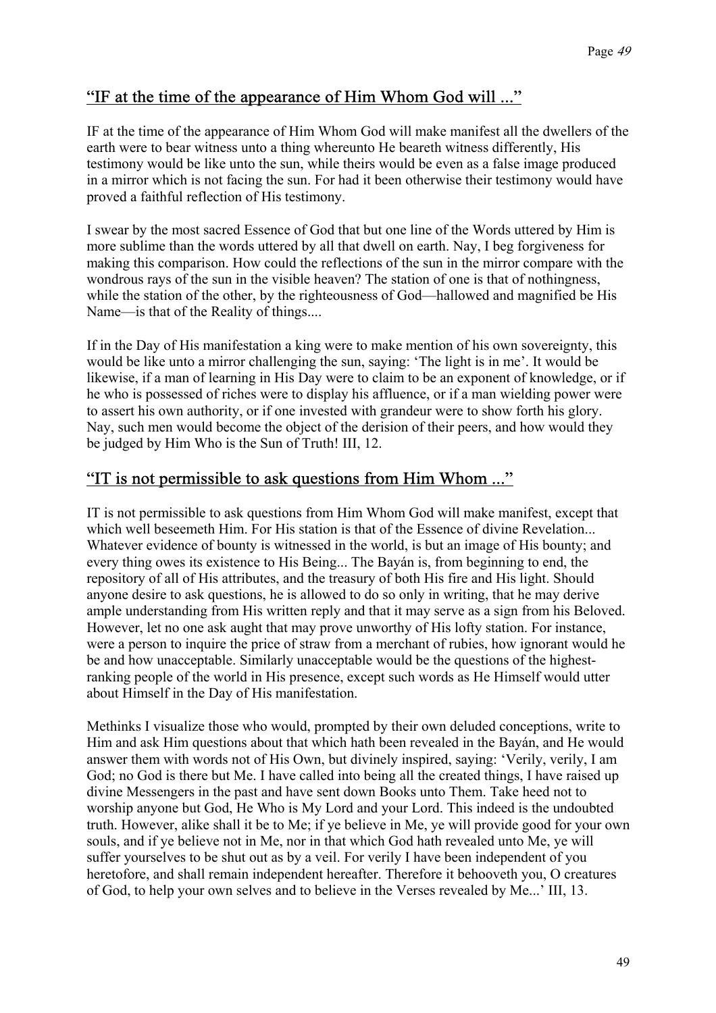## "IF at the time of the appearance of Him Whom God will ..."

IF at the time of the appearance of Him Whom God will make manifest all the dwellers of the earth were to bear witness unto a thing whereunto He beareth witness differently, His testimony would be like unto the sun, while theirs would be even as a false image produced in a mirror which is not facing the sun. For had it been otherwise their testimony would have proved a faithful reflection of His testimony.

I swear by the most sacred Essence of God that but one line of the Words uttered by Him is more sublime than the words uttered by all that dwell on earth. Nay, I beg forgiveness for making this comparison. How could the reflections of the sun in the mirror compare with the wondrous rays of the sun in the visible heaven? The station of one is that of nothingness, while the station of the other, by the righteousness of God—hallowed and magnified be His Name—is that of the Reality of things....

If in the Day of His manifestation a king were to make mention of his own sovereignty, this would be like unto a mirror challenging the sun, saying: 'The light is in me'. It would be likewise, if a man of learning in His Day were to claim to be an exponent of knowledge, or if he who is possessed of riches were to display his affluence, or if a man wielding power were to assert his own authority, or if one invested with grandeur were to show forth his glory. Nay, such men would become the object of the derision of their peers, and how would they be judged by Him Who is the Sun of Truth! III, 12.

#### "IT is not permissible to ask questions from Him Whom ..."

IT is not permissible to ask questions from Him Whom God will make manifest, except that which well beseemeth Him. For His station is that of the Essence of divine Revelation... Whatever evidence of bounty is witnessed in the world, is but an image of His bounty; and every thing owes its existence to His Being... The Bayán is, from beginning to end, the repository of all of His attributes, and the treasury of both His fire and His light. Should anyone desire to ask questions, he is allowed to do so only in writing, that he may derive ample understanding from His written reply and that it may serve as a sign from his Beloved. However, let no one ask aught that may prove unworthy of His lofty station. For instance, were a person to inquire the price of straw from a merchant of rubies, how ignorant would he be and how unacceptable. Similarly unacceptable would be the questions of the highestranking people of the world in His presence, except such words as He Himself would utter about Himself in the Day of His manifestation.

Methinks I visualize those who would, prompted by their own deluded conceptions, write to Him and ask Him questions about that which hath been revealed in the Bayán, and He would answer them with words not of His Own, but divinely inspired, saying: 'Verily, verily, I am God; no God is there but Me. I have called into being all the created things, I have raised up divine Messengers in the past and have sent down Books unto Them. Take heed not to worship anyone but God, He Who is My Lord and your Lord. This indeed is the undoubted truth. However, alike shall it be to Me; if ye believe in Me, ye will provide good for your own souls, and if ye believe not in Me, nor in that which God hath revealed unto Me, ye will suffer yourselves to be shut out as by a veil. For verily I have been independent of you heretofore, and shall remain independent hereafter. Therefore it behooveth you, O creatures of God, to help your own selves and to believe in the Verses revealed by Me...' III, 13.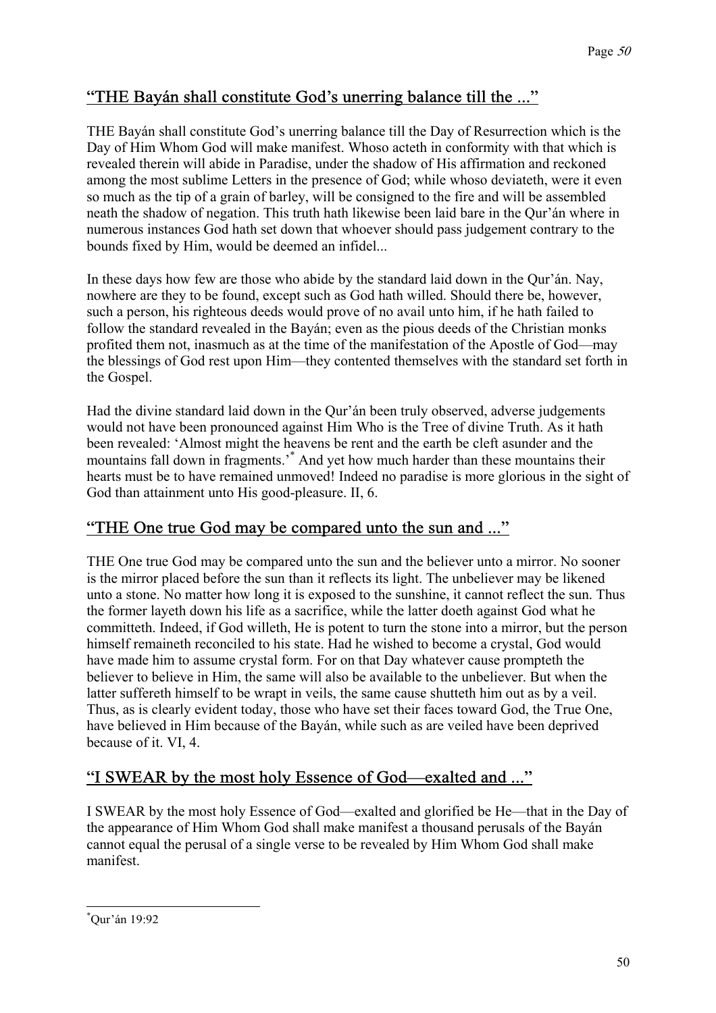## "THE Bayán shall constitute God's unerring balance till the ..."

THE Bayán shall constitute God's unerring balance till the Day of Resurrection which is the Day of Him Whom God will make manifest. Whoso acteth in conformity with that which is revealed therein will abide in Paradise, under the shadow of His affirmation and reckoned among the most sublime Letters in the presence of God; while whoso deviateth, were it even so much as the tip of a grain of barley, will be consigned to the fire and will be assembled neath the shadow of negation. This truth hath likewise been laid bare in the Qur'án where in numerous instances God hath set down that whoever should pass judgement contrary to the bounds fixed by Him, would be deemed an infidel...

In these days how few are those who abide by the standard laid down in the Qur'án. Nay, nowhere are they to be found, except such as God hath willed. Should there be, however, such a person, his righteous deeds would prove of no avail unto him, if he hath failed to follow the standard revealed in the Bayán; even as the pious deeds of the Christian monks profited them not, inasmuch as at the time of the manifestation of the Apostle of God—may the blessings of God rest upon Him—they contented themselves with the standard set forth in the Gospel.

Had the divine standard laid down in the Qur'án been truly observed, adverse judgements would not have been pronounced against Him Who is the Tree of divine Truth. As it hath been revealed: 'Almost might the heavens be rent and the earth be cleft asunder and the mountains fall down in fragments.'\* And yet how much harder than these mountains their hearts must be to have remained unmoved! Indeed no paradise is more glorious in the sight of God than attainment unto His good-pleasure. II, 6.

## "THE One true God may be compared unto the sun and ..."

THE One true God may be compared unto the sun and the believer unto a mirror. No sooner is the mirror placed before the sun than it reflects its light. The unbeliever may be likened unto a stone. No matter how long it is exposed to the sunshine, it cannot reflect the sun. Thus the former layeth down his life as a sacrifice, while the latter doeth against God what he committeth. Indeed, if God willeth, He is potent to turn the stone into a mirror, but the person himself remaineth reconciled to his state. Had he wished to become a crystal, God would have made him to assume crystal form. For on that Day whatever cause prompteth the believer to believe in Him, the same will also be available to the unbeliever. But when the latter suffereth himself to be wrapt in veils, the same cause shutteth him out as by a veil. Thus, as is clearly evident today, those who have set their faces toward God, the True One, have believed in Him because of the Bayán, while such as are veiled have been deprived because of it. VI, 4.

## "I SWEAR by the most holy Essence of God—exalted and ..."

I SWEAR by the most holy Essence of God—exalted and glorified be He—that in the Day of the appearance of Him Whom God shall make manifest a thousand perusals of the Bayán cannot equal the perusal of a single verse to be revealed by Him Whom God shall make manifest.

 <sup>\*</sup>  $"Our'$ án 19:92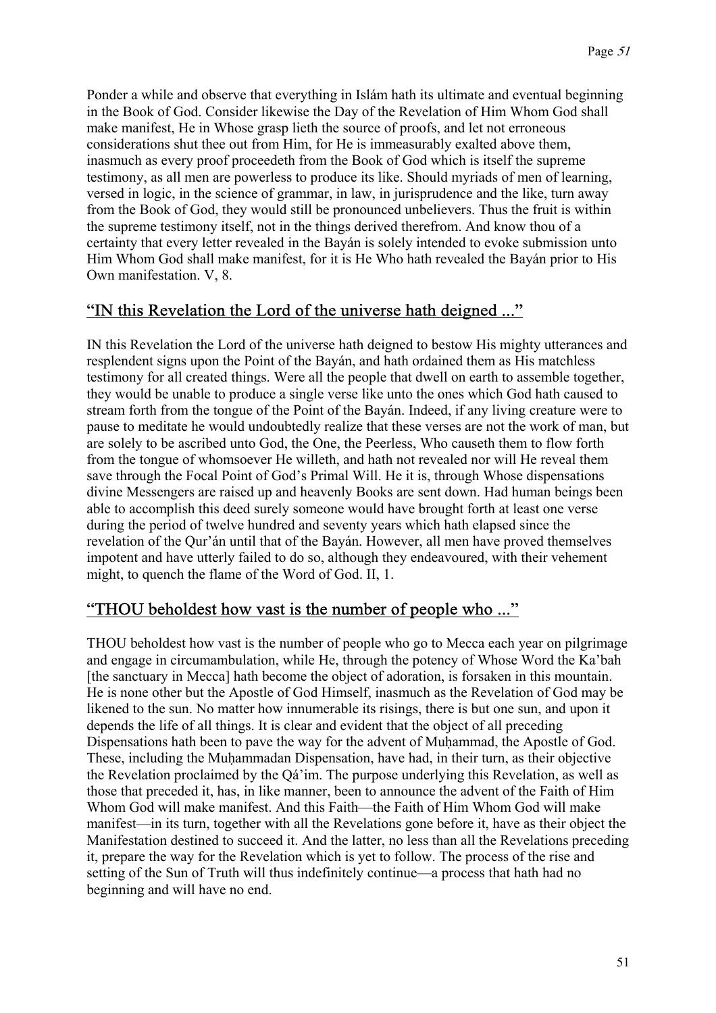Ponder a while and observe that everything in Islám hath its ultimate and eventual beginning in the Book of God. Consider likewise the Day of the Revelation of Him Whom God shall make manifest, He in Whose grasp lieth the source of proofs, and let not erroneous considerations shut thee out from Him, for He is immeasurably exalted above them, inasmuch as every proof proceedeth from the Book of God which is itself the supreme testimony, as all men are powerless to produce its like. Should myriads of men of learning, versed in logic, in the science of grammar, in law, in jurisprudence and the like, turn away from the Book of God, they would still be pronounced unbelievers. Thus the fruit is within the supreme testimony itself, not in the things derived therefrom. And know thou of a certainty that every letter revealed in the Bayán is solely intended to evoke submission unto Him Whom God shall make manifest, for it is He Who hath revealed the Bayán prior to His Own manifestation. V, 8.

#### "IN this Revelation the Lord of the universe hath deigned ..."

IN this Revelation the Lord of the universe hath deigned to bestow His mighty utterances and resplendent signs upon the Point of the Bayán, and hath ordained them as His matchless testimony for all created things. Were all the people that dwell on earth to assemble together, they would be unable to produce a single verse like unto the ones which God hath caused to stream forth from the tongue of the Point of the Bayán. Indeed, if any living creature were to pause to meditate he would undoubtedly realize that these verses are not the work of man, but are solely to be ascribed unto God, the One, the Peerless, Who causeth them to flow forth from the tongue of whomsoever He willeth, and hath not revealed nor will He reveal them save through the Focal Point of God's Primal Will. He it is, through Whose dispensations divine Messengers are raised up and heavenly Books are sent down. Had human beings been able to accomplish this deed surely someone would have brought forth at least one verse during the period of twelve hundred and seventy years which hath elapsed since the revelation of the Qur'án until that of the Bayán. However, all men have proved themselves impotent and have utterly failed to do so, although they endeavoured, with their vehement might, to quench the flame of the Word of God. II, 1.

#### "THOU beholdest how vast is the number of people who ..."

THOU beholdest how vast is the number of people who go to Mecca each year on pilgrimage and engage in circumambulation, while He, through the potency of Whose Word the Ka'bah [the sanctuary in Mecca] hath become the object of adoration, is forsaken in this mountain. He is none other but the Apostle of God Himself, inasmuch as the Revelation of God may be likened to the sun. No matter how innumerable its risings, there is but one sun, and upon it depends the life of all things. It is clear and evident that the object of all preceding Dispensations hath been to pave the way for the advent of Muhammad, the Apostle of God. These, including the Muhammadan Dispensation, have had, in their turn, as their objective the Revelation proclaimed by the Qá'im. The purpose underlying this Revelation, as well as those that preceded it, has, in like manner, been to announce the advent of the Faith of Him Whom God will make manifest. And this Faith—the Faith of Him Whom God will make manifest—in its turn, together with all the Revelations gone before it, have as their object the Manifestation destined to succeed it. And the latter, no less than all the Revelations preceding it, prepare the way for the Revelation which is yet to follow. The process of the rise and setting of the Sun of Truth will thus indefinitely continue—a process that hath had no beginning and will have no end.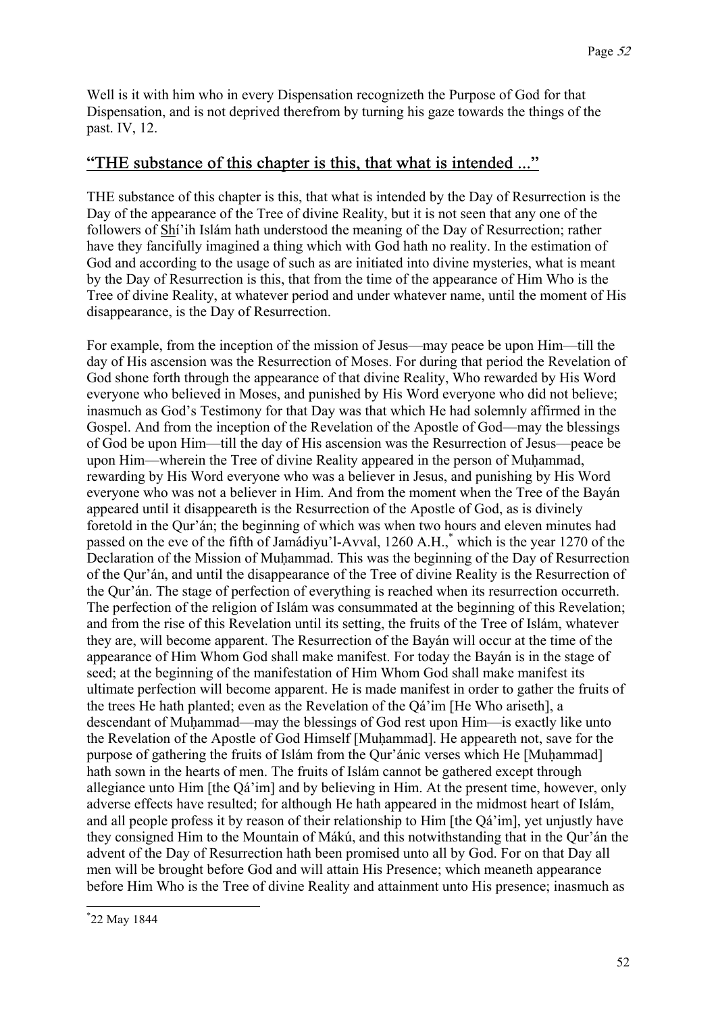Well is it with him who in every Dispensation recognizeth the Purpose of God for that Dispensation, and is not deprived therefrom by turning his gaze towards the things of the past. IV, 12.

#### "THE substance of this chapter is this, that what is intended ..."

THE substance of this chapter is this, that what is intended by the Day of Resurrection is the Day of the appearance of the Tree of divine Reality, but it is not seen that any one of the followers of Shí'ih Islám hath understood the meaning of the Day of Resurrection; rather have they fancifully imagined a thing which with God hath no reality. In the estimation of God and according to the usage of such as are initiated into divine mysteries, what is meant by the Day of Resurrection is this, that from the time of the appearance of Him Who is the Tree of divine Reality, at whatever period and under whatever name, until the moment of His disappearance, is the Day of Resurrection.

For example, from the inception of the mission of Jesus—may peace be upon Him—till the day of His ascension was the Resurrection of Moses. For during that period the Revelation of God shone forth through the appearance of that divine Reality, Who rewarded by His Word everyone who believed in Moses, and punished by His Word everyone who did not believe; inasmuch as God's Testimony for that Day was that which He had solemnly affirmed in the Gospel. And from the inception of the Revelation of the Apostle of God—may the blessings of God be upon Him—till the day of His ascension was the Resurrection of Jesus—peace be upon Him—wherein the Tree of divine Reality appeared in the person of Muḥammad, rewarding by His Word everyone who was a believer in Jesus, and punishing by His Word everyone who was not a believer in Him. And from the moment when the Tree of the Bayán appeared until it disappeareth is the Resurrection of the Apostle of God, as is divinely foretold in the Qur'án; the beginning of which was when two hours and eleven minutes had passed on the eve of the fifth of Jamádiyu'l-Avval, 1260 A.H.,<sup>\*</sup> which is the year 1270 of the Declaration of the Mission of Muḥammad. This was the beginning of the Day of Resurrection of the Qur'án, and until the disappearance of the Tree of divine Reality is the Resurrection of the Qur'án. The stage of perfection of everything is reached when its resurrection occurreth. The perfection of the religion of Islám was consummated at the beginning of this Revelation; and from the rise of this Revelation until its setting, the fruits of the Tree of Islám, whatever they are, will become apparent. The Resurrection of the Bayán will occur at the time of the appearance of Him Whom God shall make manifest. For today the Bayán is in the stage of seed; at the beginning of the manifestation of Him Whom God shall make manifest its ultimate perfection will become apparent. He is made manifest in order to gather the fruits of the trees He hath planted; even as the Revelation of the Qá'im [He Who ariseth], a descendant of Muḥammad—may the blessings of God rest upon Him—is exactly like unto the Revelation of the Apostle of God Himself [Muḥammad]. He appeareth not, save for the purpose of gathering the fruits of Islám from the Qur'ánic verses which He [Muḥammad] hath sown in the hearts of men. The fruits of Islám cannot be gathered except through allegiance unto Him [the Qá'im] and by believing in Him. At the present time, however, only adverse effects have resulted; for although He hath appeared in the midmost heart of Islám, and all people profess it by reason of their relationship to Him [the Qá'im], yet unjustly have they consigned Him to the Mountain of Mákú, and this notwithstanding that in the Qur'án the advent of the Day of Resurrection hath been promised unto all by God. For on that Day all men will be brought before God and will attain His Presence; which meaneth appearance before Him Who is the Tree of divine Reality and attainment unto His presence; inasmuch as

 <sup>\*</sup> 22 May 1844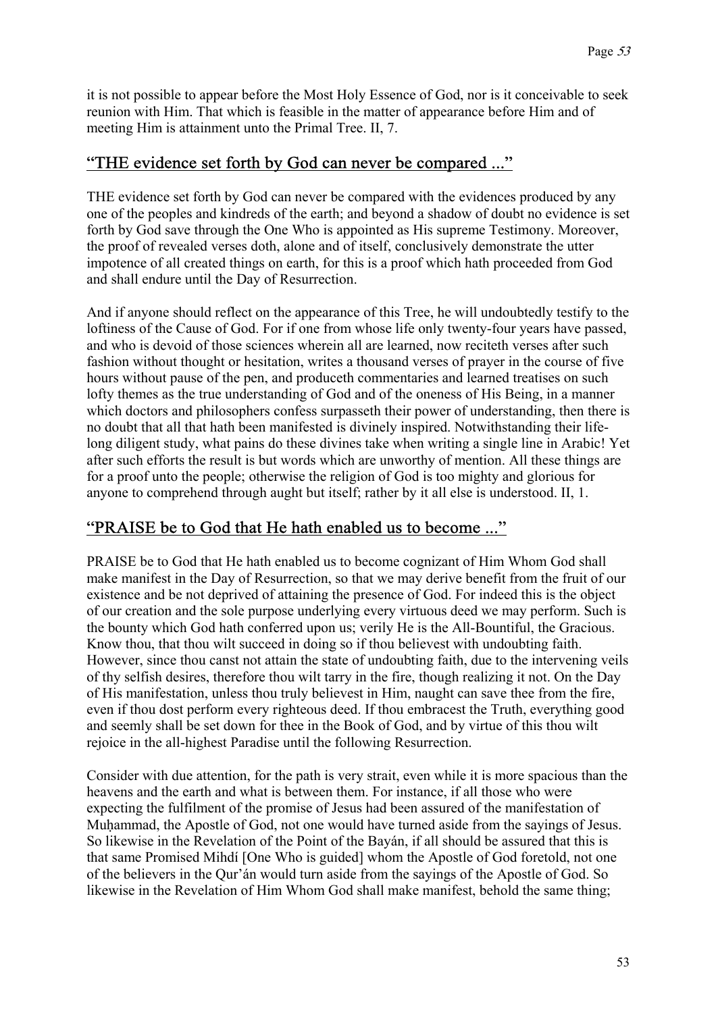it is not possible to appear before the Most Holy Essence of God, nor is it conceivable to seek reunion with Him. That which is feasible in the matter of appearance before Him and of meeting Him is attainment unto the Primal Tree. II, 7.

## "THE evidence set forth by God can never be compared ..."

THE evidence set forth by God can never be compared with the evidences produced by any one of the peoples and kindreds of the earth; and beyond a shadow of doubt no evidence is set forth by God save through the One Who is appointed as His supreme Testimony. Moreover, the proof of revealed verses doth, alone and of itself, conclusively demonstrate the utter impotence of all created things on earth, for this is a proof which hath proceeded from God and shall endure until the Day of Resurrection.

And if anyone should reflect on the appearance of this Tree, he will undoubtedly testify to the loftiness of the Cause of God. For if one from whose life only twenty-four years have passed, and who is devoid of those sciences wherein all are learned, now reciteth verses after such fashion without thought or hesitation, writes a thousand verses of prayer in the course of five hours without pause of the pen, and produceth commentaries and learned treatises on such lofty themes as the true understanding of God and of the oneness of His Being, in a manner which doctors and philosophers confess surpasseth their power of understanding, then there is no doubt that all that hath been manifested is divinely inspired. Notwithstanding their lifelong diligent study, what pains do these divines take when writing a single line in Arabic! Yet after such efforts the result is but words which are unworthy of mention. All these things are for a proof unto the people; otherwise the religion of God is too mighty and glorious for anyone to comprehend through aught but itself; rather by it all else is understood. II, 1.

#### "PRAISE be to God that He hath enabled us to become ..."

PRAISE be to God that He hath enabled us to become cognizant of Him Whom God shall make manifest in the Day of Resurrection, so that we may derive benefit from the fruit of our existence and be not deprived of attaining the presence of God. For indeed this is the object of our creation and the sole purpose underlying every virtuous deed we may perform. Such is the bounty which God hath conferred upon us; verily He is the All-Bountiful, the Gracious. Know thou, that thou wilt succeed in doing so if thou believest with undoubting faith. However, since thou canst not attain the state of undoubting faith, due to the intervening veils of thy selfish desires, therefore thou wilt tarry in the fire, though realizing it not. On the Day of His manifestation, unless thou truly believest in Him, naught can save thee from the fire, even if thou dost perform every righteous deed. If thou embracest the Truth, everything good and seemly shall be set down for thee in the Book of God, and by virtue of this thou wilt rejoice in the all-highest Paradise until the following Resurrection.

Consider with due attention, for the path is very strait, even while it is more spacious than the heavens and the earth and what is between them. For instance, if all those who were expecting the fulfilment of the promise of Jesus had been assured of the manifestation of Muhammad, the Apostle of God, not one would have turned aside from the sayings of Jesus. So likewise in the Revelation of the Point of the Bayán, if all should be assured that this is that same Promised Mihdí [One Who is guided] whom the Apostle of God foretold, not one of the believers in the Qur'án would turn aside from the sayings of the Apostle of God. So likewise in the Revelation of Him Whom God shall make manifest, behold the same thing;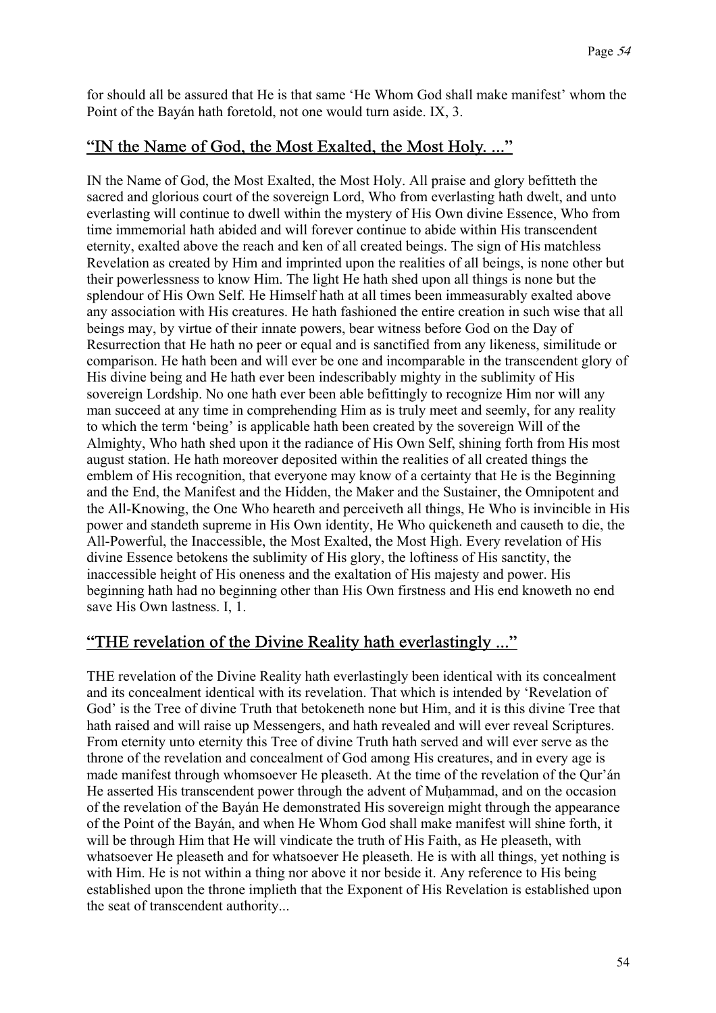for should all be assured that He is that same 'He Whom God shall make manifest' whom the Point of the Bayán hath foretold, not one would turn aside. IX, 3.

## "IN the Name of God, the Most Exalted, the Most Holy. ..."

IN the Name of God, the Most Exalted, the Most Holy. All praise and glory befitteth the sacred and glorious court of the sovereign Lord, Who from everlasting hath dwelt, and unto everlasting will continue to dwell within the mystery of His Own divine Essence, Who from time immemorial hath abided and will forever continue to abide within His transcendent eternity, exalted above the reach and ken of all created beings. The sign of His matchless Revelation as created by Him and imprinted upon the realities of all beings, is none other but their powerlessness to know Him. The light He hath shed upon all things is none but the splendour of His Own Self. He Himself hath at all times been immeasurably exalted above any association with His creatures. He hath fashioned the entire creation in such wise that all beings may, by virtue of their innate powers, bear witness before God on the Day of Resurrection that He hath no peer or equal and is sanctified from any likeness, similitude or comparison. He hath been and will ever be one and incomparable in the transcendent glory of His divine being and He hath ever been indescribably mighty in the sublimity of His sovereign Lordship. No one hath ever been able befittingly to recognize Him nor will any man succeed at any time in comprehending Him as is truly meet and seemly, for any reality to which the term 'being' is applicable hath been created by the sovereign Will of the Almighty, Who hath shed upon it the radiance of His Own Self, shining forth from His most august station. He hath moreover deposited within the realities of all created things the emblem of His recognition, that everyone may know of a certainty that He is the Beginning and the End, the Manifest and the Hidden, the Maker and the Sustainer, the Omnipotent and the All-Knowing, the One Who heareth and perceiveth all things, He Who is invincible in His power and standeth supreme in His Own identity, He Who quickeneth and causeth to die, the All-Powerful, the Inaccessible, the Most Exalted, the Most High. Every revelation of His divine Essence betokens the sublimity of His glory, the loftiness of His sanctity, the inaccessible height of His oneness and the exaltation of His majesty and power. His beginning hath had no beginning other than His Own firstness and His end knoweth no end save His Own lastness. I, 1.

#### "THE revelation of the Divine Reality hath everlastingly ..."

THE revelation of the Divine Reality hath everlastingly been identical with its concealment and its concealment identical with its revelation. That which is intended by 'Revelation of God' is the Tree of divine Truth that betokeneth none but Him, and it is this divine Tree that hath raised and will raise up Messengers, and hath revealed and will ever reveal Scriptures. From eternity unto eternity this Tree of divine Truth hath served and will ever serve as the throne of the revelation and concealment of God among His creatures, and in every age is made manifest through whomsoever He pleaseth. At the time of the revelation of the Qur'án He asserted His transcendent power through the advent of Muḥammad, and on the occasion of the revelation of the Bayán He demonstrated His sovereign might through the appearance of the Point of the Bayán, and when He Whom God shall make manifest will shine forth, it will be through Him that He will vindicate the truth of His Faith, as He pleaseth, with whatsoever He pleaseth and for whatsoever He pleaseth. He is with all things, yet nothing is with Him. He is not within a thing nor above it nor beside it. Any reference to His being established upon the throne implieth that the Exponent of His Revelation is established upon the seat of transcendent authority...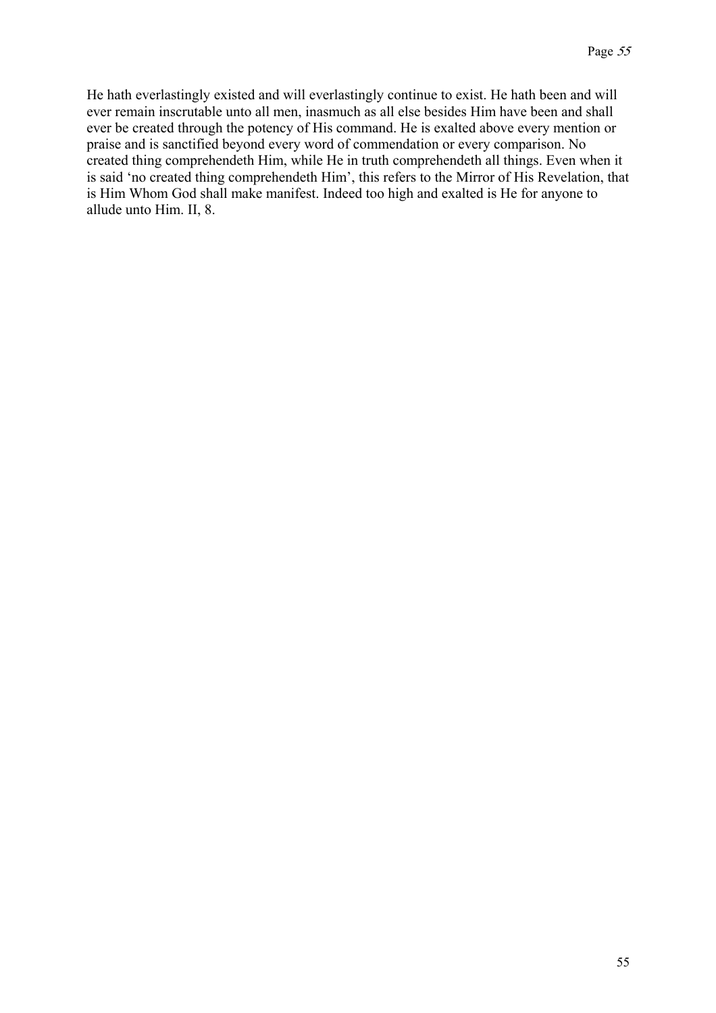He hath everlastingly existed and will everlastingly continue to exist. He hath been and will ever remain inscrutable unto all men, inasmuch as all else besides Him have been and shall ever be created through the potency of His command. He is exalted above every mention or praise and is sanctified beyond every word of commendation or every comparison. No created thing comprehendeth Him, while He in truth comprehendeth all things. Even when it is said 'no created thing comprehendeth Him', this refers to the Mirror of His Revelation, that is Him Whom God shall make manifest. Indeed too high and exalted is He for anyone to allude unto Him. II, 8.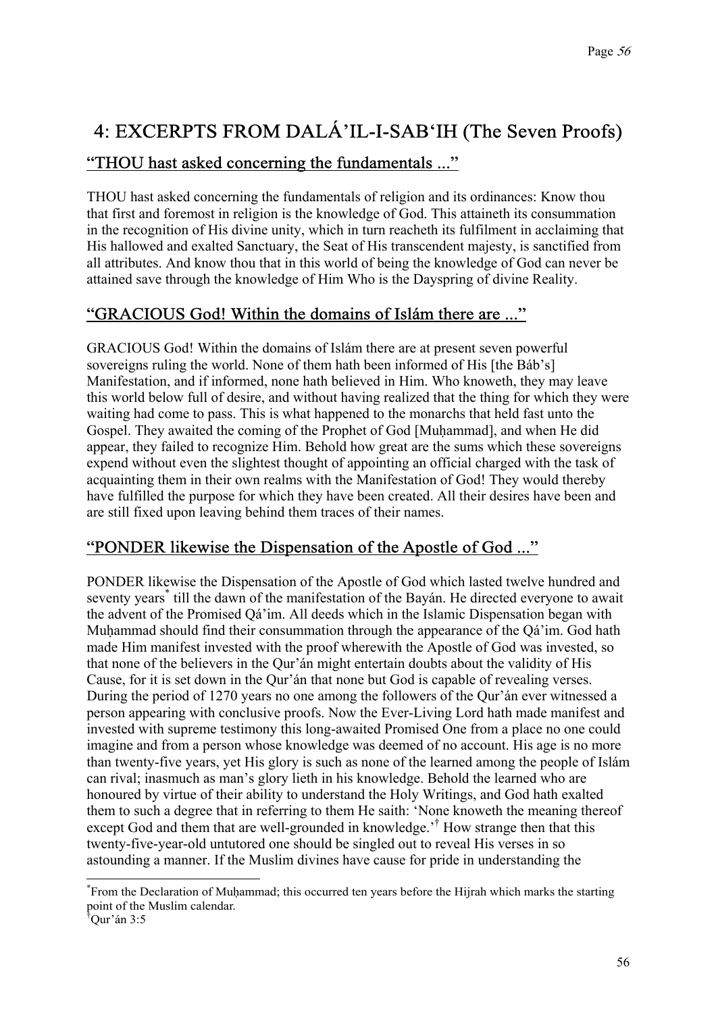# 4: EXCERPTS FROM DALÁ'IL-I-SAB'IH (The Seven Proofs)

#### "THOU hast asked concerning the fundamentals ..."

THOU hast asked concerning the fundamentals of religion and its ordinances: Know thou that first and foremost in religion is the knowledge of God. This attaineth its consummation in the recognition of His divine unity, which in turn reacheth its fulfilment in acclaiming that His hallowed and exalted Sanctuary, the Seat of His transcendent majesty, is sanctified from all attributes. And know thou that in this world of being the knowledge of God can never be attained save through the knowledge of Him Who is the Dayspring of divine Reality.

## "GRACIOUS God! Within the domains of Islám there are ..."

GRACIOUS God! Within the domains of Islám there are at present seven powerful sovereigns ruling the world. None of them hath been informed of His [the Báb's] Manifestation, and if informed, none hath believed in Him. Who knoweth, they may leave this world below full of desire, and without having realized that the thing for which they were waiting had come to pass. This is what happened to the monarchs that held fast unto the Gospel. They awaited the coming of the Prophet of God [Muḥammad], and when He did appear, they failed to recognize Him. Behold how great are the sums which these sovereigns expend without even the slightest thought of appointing an official charged with the task of acquainting them in their own realms with the Manifestation of God! They would thereby have fulfilled the purpose for which they have been created. All their desires have been and are still fixed upon leaving behind them traces of their names.

## "PONDER likewise the Dispensation of the Apostle of God ..."

PONDER likewise the Dispensation of the Apostle of God which lasted twelve hundred and seventy years<sup>\*</sup> till the dawn of the manifestation of the Bayán. He directed everyone to await the advent of the Promised Qá'im. All deeds which in the Islamic Dispensation began with Muhammad should find their consummation through the appearance of the Qá'im. God hath made Him manifest invested with the proof wherewith the Apostle of God was invested, so that none of the believers in the Qur'án might entertain doubts about the validity of His Cause, for it is set down in the Qur'án that none but God is capable of revealing verses. During the period of 1270 years no one among the followers of the Qur'án ever witnessed a person appearing with conclusive proofs. Now the Ever-Living Lord hath made manifest and invested with supreme testimony this long-awaited Promised One from a place no one could imagine and from a person whose knowledge was deemed of no account. His age is no more than twenty-five years, yet His glory is such as none of the learned among the people of Islám can rival; inasmuch as man's glory lieth in his knowledge. Behold the learned who are honoured by virtue of their ability to understand the Holy Writings, and God hath exalted them to such a degree that in referring to them He saith: 'None knoweth the meaning thereof except God and them that are well-grounded in knowledge.<sup>'†</sup> How strange then that this twenty-five-year-old untutored one should be singled out to reveal His verses in so astounding a manner. If the Muslim divines have cause for pride in understanding the

 <sup>\*</sup> From the Declaration of Muhammad; this occurred ten years before the Hijrah which marks the starting point of the Muslim calendar. †

Qur'án 3:5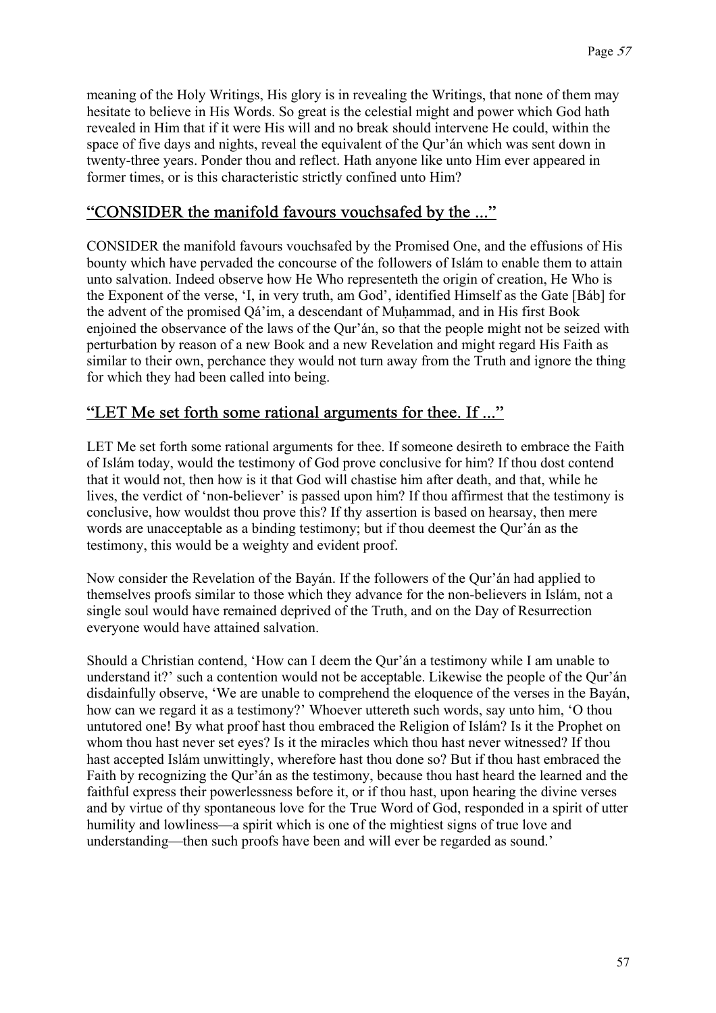meaning of the Holy Writings, His glory is in revealing the Writings, that none of them may hesitate to believe in His Words. So great is the celestial might and power which God hath revealed in Him that if it were His will and no break should intervene He could, within the space of five days and nights, reveal the equivalent of the Qur'án which was sent down in twenty-three years. Ponder thou and reflect. Hath anyone like unto Him ever appeared in former times, or is this characteristic strictly confined unto Him?

#### "CONSIDER the manifold favours vouchsafed by the ..."

CONSIDER the manifold favours vouchsafed by the Promised One, and the effusions of His bounty which have pervaded the concourse of the followers of Islám to enable them to attain unto salvation. Indeed observe how He Who representeth the origin of creation, He Who is the Exponent of the verse, 'I, in very truth, am God', identified Himself as the Gate [Báb] for the advent of the promised Qá'im, a descendant of Muhammad, and in His first Book enjoined the observance of the laws of the Qur'án, so that the people might not be seized with perturbation by reason of a new Book and a new Revelation and might regard His Faith as similar to their own, perchance they would not turn away from the Truth and ignore the thing for which they had been called into being.

#### "LET Me set forth some rational arguments for thee. If ..."

LET Me set forth some rational arguments for thee. If someone desireth to embrace the Faith of Islám today, would the testimony of God prove conclusive for him? If thou dost contend that it would not, then how is it that God will chastise him after death, and that, while he lives, the verdict of 'non-believer' is passed upon him? If thou affirmest that the testimony is conclusive, how wouldst thou prove this? If thy assertion is based on hearsay, then mere words are unacceptable as a binding testimony; but if thou deemest the Qur'án as the testimony, this would be a weighty and evident proof.

Now consider the Revelation of the Bayán. If the followers of the Qur'án had applied to themselves proofs similar to those which they advance for the non-believers in Islám, not a single soul would have remained deprived of the Truth, and on the Day of Resurrection everyone would have attained salvation.

Should a Christian contend, 'How can I deem the Qur'án a testimony while I am unable to understand it?' such a contention would not be acceptable. Likewise the people of the Qur'án disdainfully observe, 'We are unable to comprehend the eloquence of the verses in the Bayán, how can we regard it as a testimony?' Whoever uttereth such words, say unto him, 'O thou untutored one! By what proof hast thou embraced the Religion of Islám? Is it the Prophet on whom thou hast never set eyes? Is it the miracles which thou hast never witnessed? If thou hast accepted Islám unwittingly, wherefore hast thou done so? But if thou hast embraced the Faith by recognizing the Qur'án as the testimony, because thou hast heard the learned and the faithful express their powerlessness before it, or if thou hast, upon hearing the divine verses and by virtue of thy spontaneous love for the True Word of God, responded in a spirit of utter humility and lowliness—a spirit which is one of the mightiest signs of true love and understanding—then such proofs have been and will ever be regarded as sound.'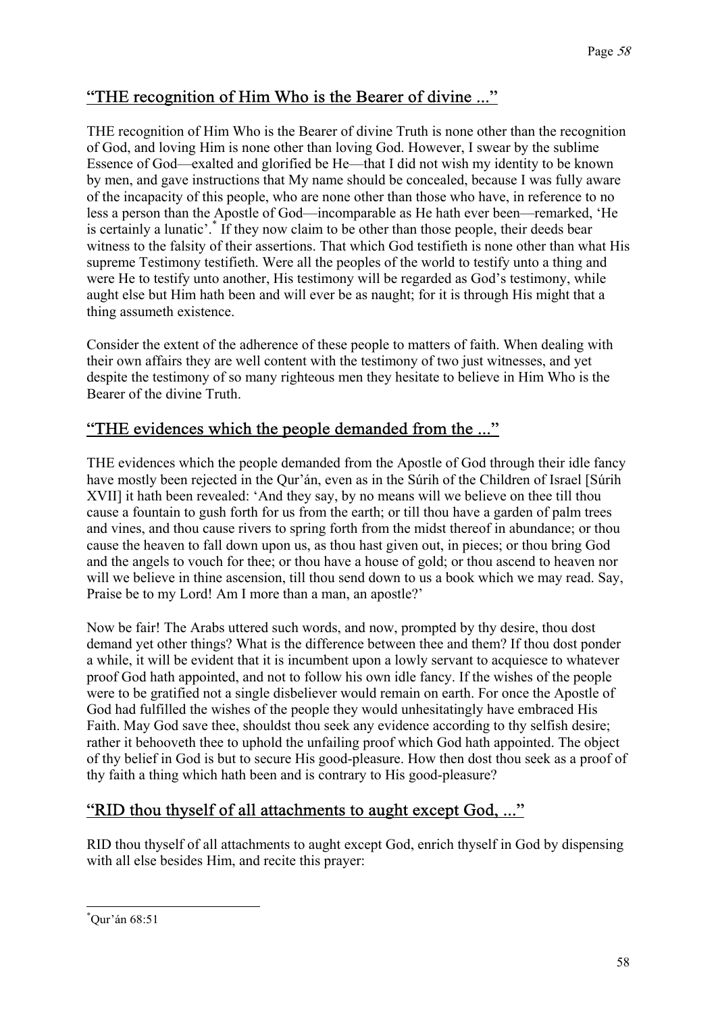## "THE recognition of Him Who is the Bearer of divine ..."

THE recognition of Him Who is the Bearer of divine Truth is none other than the recognition of God, and loving Him is none other than loving God. However, I swear by the sublime Essence of God—exalted and glorified be He—that I did not wish my identity to be known by men, and gave instructions that My name should be concealed, because I was fully aware of the incapacity of this people, who are none other than those who have, in reference to no less a person than the Apostle of God—incomparable as He hath ever been—remarked, 'He is certainly a lunatic'.<sup>\*</sup> If they now claim to be other than those people, their deeds bear witness to the falsity of their assertions. That which God testifieth is none other than what His supreme Testimony testifieth. Were all the peoples of the world to testify unto a thing and were He to testify unto another, His testimony will be regarded as God's testimony, while aught else but Him hath been and will ever be as naught; for it is through His might that a thing assumeth existence.

Consider the extent of the adherence of these people to matters of faith. When dealing with their own affairs they are well content with the testimony of two just witnesses, and yet despite the testimony of so many righteous men they hesitate to believe in Him Who is the Bearer of the divine Truth.

#### "THE evidences which the people demanded from the ..."

THE evidences which the people demanded from the Apostle of God through their idle fancy have mostly been rejected in the Qur'án, even as in the Súrih of the Children of Israel [Súrih XVII] it hath been revealed: 'And they say, by no means will we believe on thee till thou cause a fountain to gush forth for us from the earth; or till thou have a garden of palm trees and vines, and thou cause rivers to spring forth from the midst thereof in abundance; or thou cause the heaven to fall down upon us, as thou hast given out, in pieces; or thou bring God and the angels to vouch for thee; or thou have a house of gold; or thou ascend to heaven nor will we believe in thine ascension, till thou send down to us a book which we may read. Say, Praise be to my Lord! Am I more than a man, an apostle?'

Now be fair! The Arabs uttered such words, and now, prompted by thy desire, thou dost demand yet other things? What is the difference between thee and them? If thou dost ponder a while, it will be evident that it is incumbent upon a lowly servant to acquiesce to whatever proof God hath appointed, and not to follow his own idle fancy. If the wishes of the people were to be gratified not a single disbeliever would remain on earth. For once the Apostle of God had fulfilled the wishes of the people they would unhesitatingly have embraced His Faith. May God save thee, shouldst thou seek any evidence according to thy selfish desire; rather it behooveth thee to uphold the unfailing proof which God hath appointed. The object of thy belief in God is but to secure His good-pleasure. How then dost thou seek as a proof of thy faith a thing which hath been and is contrary to His good-pleasure?

#### "RID thou thyself of all attachments to aught except God, ..."

RID thou thyself of all attachments to aught except God, enrich thyself in God by dispensing with all else besides Him, and recite this prayer:

 <sup>\*</sup>  $"Our'$ án 68:51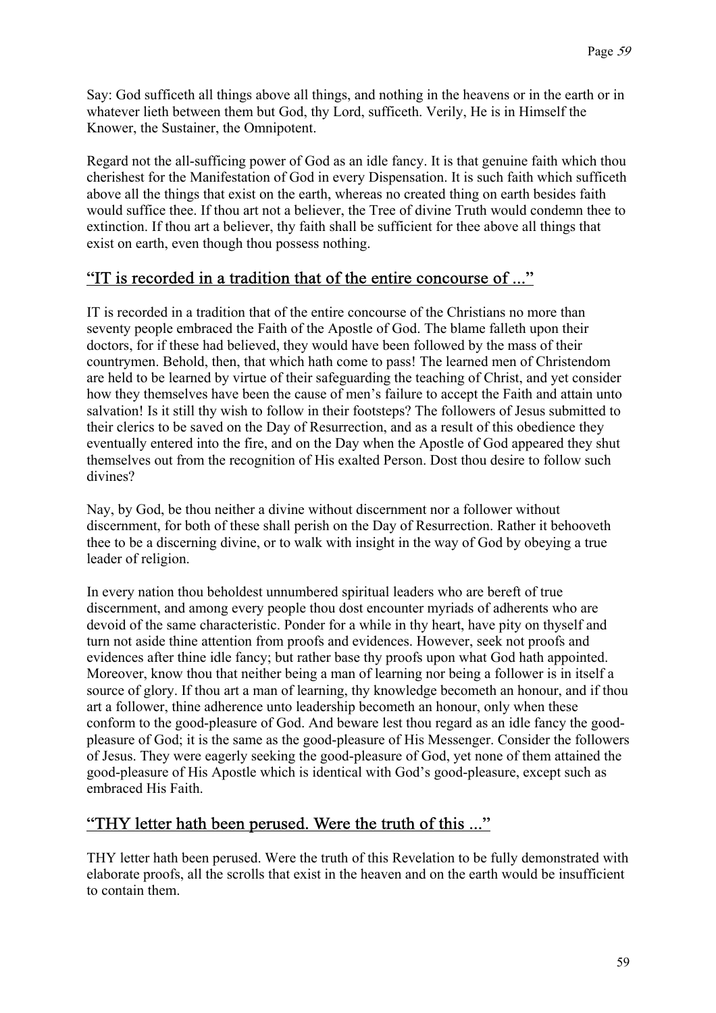Say: God sufficeth all things above all things, and nothing in the heavens or in the earth or in whatever lieth between them but God, thy Lord, sufficeth. Verily, He is in Himself the Knower, the Sustainer, the Omnipotent.

Regard not the all-sufficing power of God as an idle fancy. It is that genuine faith which thou cherishest for the Manifestation of God in every Dispensation. It is such faith which sufficeth above all the things that exist on the earth, whereas no created thing on earth besides faith would suffice thee. If thou art not a believer, the Tree of divine Truth would condemn thee to extinction. If thou art a believer, thy faith shall be sufficient for thee above all things that exist on earth, even though thou possess nothing.

#### "IT is recorded in a tradition that of the entire concourse of ..."

IT is recorded in a tradition that of the entire concourse of the Christians no more than seventy people embraced the Faith of the Apostle of God. The blame falleth upon their doctors, for if these had believed, they would have been followed by the mass of their countrymen. Behold, then, that which hath come to pass! The learned men of Christendom are held to be learned by virtue of their safeguarding the teaching of Christ, and yet consider how they themselves have been the cause of men's failure to accept the Faith and attain unto salvation! Is it still thy wish to follow in their footsteps? The followers of Jesus submitted to their clerics to be saved on the Day of Resurrection, and as a result of this obedience they eventually entered into the fire, and on the Day when the Apostle of God appeared they shut themselves out from the recognition of His exalted Person. Dost thou desire to follow such divines?

Nay, by God, be thou neither a divine without discernment nor a follower without discernment, for both of these shall perish on the Day of Resurrection. Rather it behooveth thee to be a discerning divine, or to walk with insight in the way of God by obeying a true leader of religion.

In every nation thou beholdest unnumbered spiritual leaders who are bereft of true discernment, and among every people thou dost encounter myriads of adherents who are devoid of the same characteristic. Ponder for a while in thy heart, have pity on thyself and turn not aside thine attention from proofs and evidences. However, seek not proofs and evidences after thine idle fancy; but rather base thy proofs upon what God hath appointed. Moreover, know thou that neither being a man of learning nor being a follower is in itself a source of glory. If thou art a man of learning, thy knowledge becometh an honour, and if thou art a follower, thine adherence unto leadership becometh an honour, only when these conform to the good-pleasure of God. And beware lest thou regard as an idle fancy the goodpleasure of God; it is the same as the good-pleasure of His Messenger. Consider the followers of Jesus. They were eagerly seeking the good-pleasure of God, yet none of them attained the good-pleasure of His Apostle which is identical with God's good-pleasure, except such as embraced His Faith.

#### "THY letter hath been perused. Were the truth of this ..."

THY letter hath been perused. Were the truth of this Revelation to be fully demonstrated with elaborate proofs, all the scrolls that exist in the heaven and on the earth would be insufficient to contain them.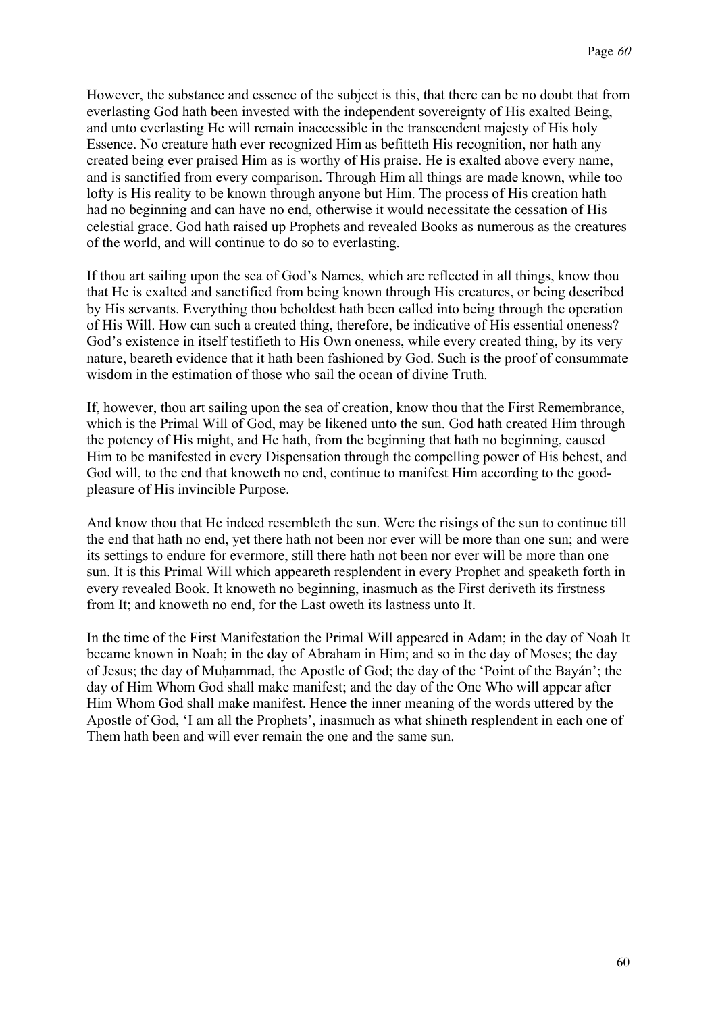However, the substance and essence of the subject is this, that there can be no doubt that from everlasting God hath been invested with the independent sovereignty of His exalted Being, and unto everlasting He will remain inaccessible in the transcendent majesty of His holy Essence. No creature hath ever recognized Him as befitteth His recognition, nor hath any created being ever praised Him as is worthy of His praise. He is exalted above every name, and is sanctified from every comparison. Through Him all things are made known, while too lofty is His reality to be known through anyone but Him. The process of His creation hath had no beginning and can have no end, otherwise it would necessitate the cessation of His celestial grace. God hath raised up Prophets and revealed Books as numerous as the creatures of the world, and will continue to do so to everlasting.

If thou art sailing upon the sea of God's Names, which are reflected in all things, know thou that He is exalted and sanctified from being known through His creatures, or being described by His servants. Everything thou beholdest hath been called into being through the operation of His Will. How can such a created thing, therefore, be indicative of His essential oneness? God's existence in itself testifieth to His Own oneness, while every created thing, by its very nature, beareth evidence that it hath been fashioned by God. Such is the proof of consummate wisdom in the estimation of those who sail the ocean of divine Truth.

If, however, thou art sailing upon the sea of creation, know thou that the First Remembrance, which is the Primal Will of God, may be likened unto the sun. God hath created Him through the potency of His might, and He hath, from the beginning that hath no beginning, caused Him to be manifested in every Dispensation through the compelling power of His behest, and God will, to the end that knoweth no end, continue to manifest Him according to the goodpleasure of His invincible Purpose.

And know thou that He indeed resembleth the sun. Were the risings of the sun to continue till the end that hath no end, yet there hath not been nor ever will be more than one sun; and were its settings to endure for evermore, still there hath not been nor ever will be more than one sun. It is this Primal Will which appeareth resplendent in every Prophet and speaketh forth in every revealed Book. It knoweth no beginning, inasmuch as the First deriveth its firstness from It; and knoweth no end, for the Last oweth its lastness unto It.

In the time of the First Manifestation the Primal Will appeared in Adam; in the day of Noah It became known in Noah; in the day of Abraham in Him; and so in the day of Moses; the day of Jesus; the day of Muḥammad, the Apostle of God; the day of the 'Point of the Bayán'; the day of Him Whom God shall make manifest; and the day of the One Who will appear after Him Whom God shall make manifest. Hence the inner meaning of the words uttered by the Apostle of God, 'I am all the Prophets', inasmuch as what shineth resplendent in each one of Them hath been and will ever remain the one and the same sun.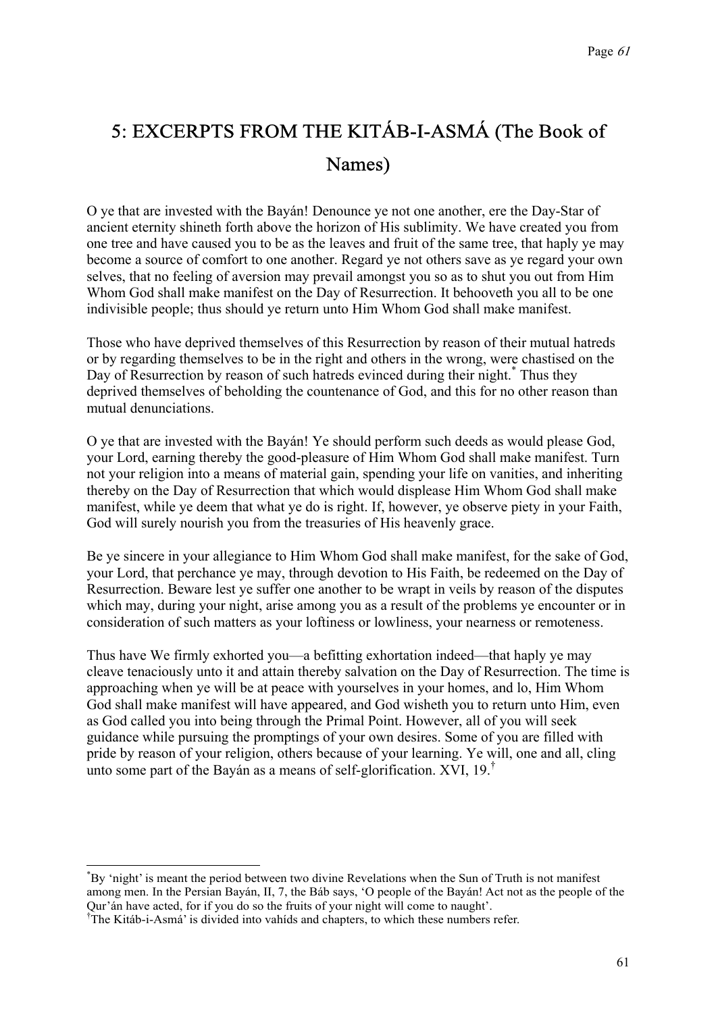# 5: EXCERPTS FROM THE KITÁB-I-ASMÁ (The Book of Names)

O ye that are invested with the Bayán! Denounce ye not one another, ere the Day-Star of ancient eternity shineth forth above the horizon of His sublimity. We have created you from one tree and have caused you to be as the leaves and fruit of the same tree, that haply ye may become a source of comfort to one another. Regard ye not others save as ye regard your own selves, that no feeling of aversion may prevail amongst you so as to shut you out from Him Whom God shall make manifest on the Day of Resurrection. It behooveth you all to be one indivisible people; thus should ye return unto Him Whom God shall make manifest.

Those who have deprived themselves of this Resurrection by reason of their mutual hatreds or by regarding themselves to be in the right and others in the wrong, were chastised on the Day of Resurrection by reason of such hatreds evinced during their night.<sup>\*</sup> Thus they deprived themselves of beholding the countenance of God, and this for no other reason than mutual denunciations.

O ye that are invested with the Bayán! Ye should perform such deeds as would please God, your Lord, earning thereby the good-pleasure of Him Whom God shall make manifest. Turn not your religion into a means of material gain, spending your life on vanities, and inheriting thereby on the Day of Resurrection that which would displease Him Whom God shall make manifest, while ye deem that what ye do is right. If, however, ye observe piety in your Faith, God will surely nourish you from the treasuries of His heavenly grace.

Be ye sincere in your allegiance to Him Whom God shall make manifest, for the sake of God, your Lord, that perchance ye may, through devotion to His Faith, be redeemed on the Day of Resurrection. Beware lest ye suffer one another to be wrapt in veils by reason of the disputes which may, during your night, arise among you as a result of the problems ye encounter or in consideration of such matters as your loftiness or lowliness, your nearness or remoteness.

Thus have We firmly exhorted you—a befitting exhortation indeed—that haply ye may cleave tenaciously unto it and attain thereby salvation on the Day of Resurrection. The time is approaching when ye will be at peace with yourselves in your homes, and lo, Him Whom God shall make manifest will have appeared, and God wisheth you to return unto Him, even as God called you into being through the Primal Point. However, all of you will seek guidance while pursuing the promptings of your own desires. Some of you are filled with pride by reason of your religion, others because of your learning. Ye will, one and all, cling unto some part of the Bayán as a means of self-glorification.  $XVI$ , 19.<sup>†</sup>

 <sup>\*</sup>  $*$ By 'night' is meant the period between two divine Revelations when the Sun of Truth is not manifest among men. In the Persian Bayán, II, 7, the Báb says, 'O people of the Bayán! Act not as the people of the Qur'án have acted, for if you do so the fruits of your night will come to naught'.

<sup>†</sup> The Kitáb-i-Asmá' is divided into vahíds and chapters, to which these numbers refer.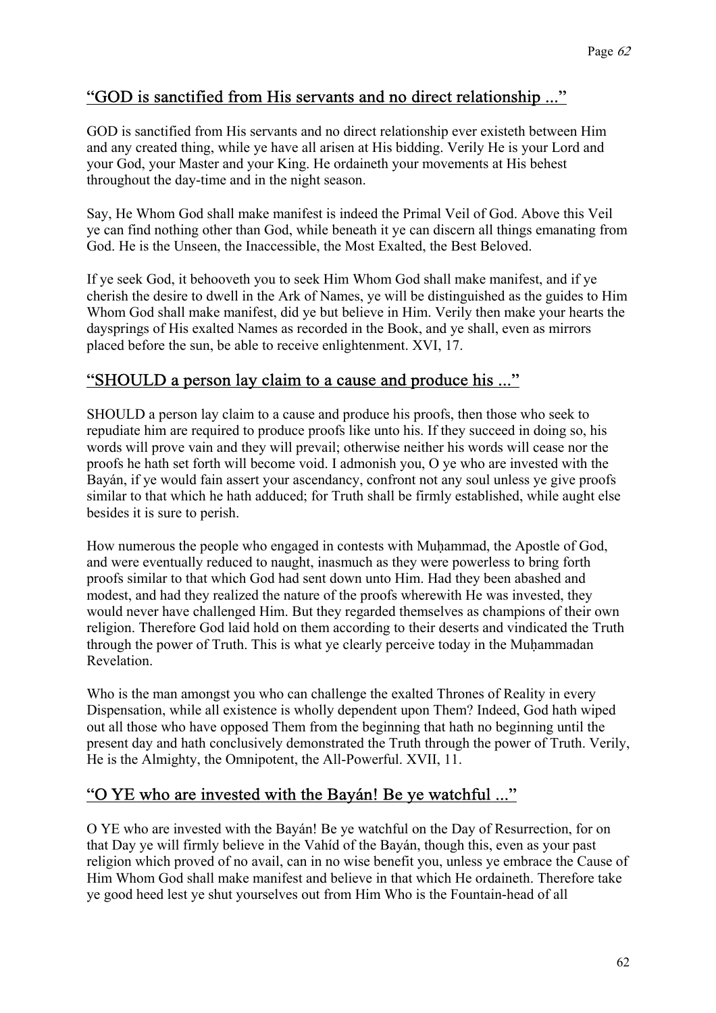## "GOD is sanctified from His servants and no direct relationship ..."

GOD is sanctified from His servants and no direct relationship ever existeth between Him and any created thing, while ye have all arisen at His bidding. Verily He is your Lord and your God, your Master and your King. He ordaineth your movements at His behest throughout the day-time and in the night season.

Say, He Whom God shall make manifest is indeed the Primal Veil of God. Above this Veil ye can find nothing other than God, while beneath it ye can discern all things emanating from God. He is the Unseen, the Inaccessible, the Most Exalted, the Best Beloved.

If ye seek God, it behooveth you to seek Him Whom God shall make manifest, and if ye cherish the desire to dwell in the Ark of Names, ye will be distinguished as the guides to Him Whom God shall make manifest, did ye but believe in Him. Verily then make your hearts the daysprings of His exalted Names as recorded in the Book, and ye shall, even as mirrors placed before the sun, be able to receive enlightenment. XVI, 17.

## "SHOULD a person lay claim to a cause and produce his ..."

SHOULD a person lay claim to a cause and produce his proofs, then those who seek to repudiate him are required to produce proofs like unto his. If they succeed in doing so, his words will prove vain and they will prevail; otherwise neither his words will cease nor the proofs he hath set forth will become void. I admonish you, O ye who are invested with the Bayán, if ye would fain assert your ascendancy, confront not any soul unless ye give proofs similar to that which he hath adduced; for Truth shall be firmly established, while aught else besides it is sure to perish.

How numerous the people who engaged in contests with Muḥammad, the Apostle of God, and were eventually reduced to naught, inasmuch as they were powerless to bring forth proofs similar to that which God had sent down unto Him. Had they been abashed and modest, and had they realized the nature of the proofs wherewith He was invested, they would never have challenged Him. But they regarded themselves as champions of their own religion. Therefore God laid hold on them according to their deserts and vindicated the Truth through the power of Truth. This is what ye clearly perceive today in the Muḥammadan Revelation.

Who is the man amongst you who can challenge the exalted Thrones of Reality in every Dispensation, while all existence is wholly dependent upon Them? Indeed, God hath wiped out all those who have opposed Them from the beginning that hath no beginning until the present day and hath conclusively demonstrated the Truth through the power of Truth. Verily, He is the Almighty, the Omnipotent, the All-Powerful. XVII, 11.

## "O YE who are invested with the Bayán! Be ye watchful ..."

O YE who are invested with the Bayán! Be ye watchful on the Day of Resurrection, for on that Day ye will firmly believe in the Vahíd of the Bayán, though this, even as your past religion which proved of no avail, can in no wise benefit you, unless ye embrace the Cause of Him Whom God shall make manifest and believe in that which He ordaineth. Therefore take ye good heed lest ye shut yourselves out from Him Who is the Fountain-head of all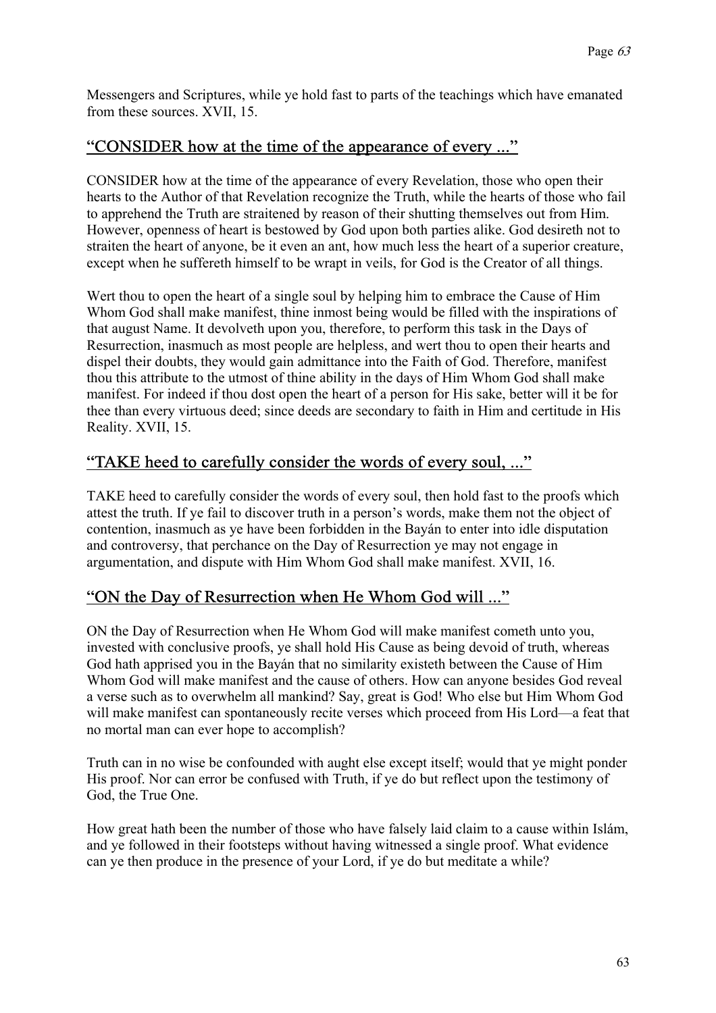Messengers and Scriptures, while ye hold fast to parts of the teachings which have emanated from these sources. XVII, 15.

#### "CONSIDER how at the time of the appearance of every ..."

CONSIDER how at the time of the appearance of every Revelation, those who open their hearts to the Author of that Revelation recognize the Truth, while the hearts of those who fail to apprehend the Truth are straitened by reason of their shutting themselves out from Him. However, openness of heart is bestowed by God upon both parties alike. God desireth not to straiten the heart of anyone, be it even an ant, how much less the heart of a superior creature, except when he suffereth himself to be wrapt in veils, for God is the Creator of all things.

Wert thou to open the heart of a single soul by helping him to embrace the Cause of Him Whom God shall make manifest, thine inmost being would be filled with the inspirations of that august Name. It devolveth upon you, therefore, to perform this task in the Days of Resurrection, inasmuch as most people are helpless, and wert thou to open their hearts and dispel their doubts, they would gain admittance into the Faith of God. Therefore, manifest thou this attribute to the utmost of thine ability in the days of Him Whom God shall make manifest. For indeed if thou dost open the heart of a person for His sake, better will it be for thee than every virtuous deed; since deeds are secondary to faith in Him and certitude in His Reality. XVII, 15.

## "TAKE heed to carefully consider the words of every soul, ..."

TAKE heed to carefully consider the words of every soul, then hold fast to the proofs which attest the truth. If ye fail to discover truth in a person's words, make them not the object of contention, inasmuch as ye have been forbidden in the Bayán to enter into idle disputation and controversy, that perchance on the Day of Resurrection ye may not engage in argumentation, and dispute with Him Whom God shall make manifest. XVII, 16.

## "ON the Day of Resurrection when He Whom God will ..."

ON the Day of Resurrection when He Whom God will make manifest cometh unto you, invested with conclusive proofs, ye shall hold His Cause as being devoid of truth, whereas God hath apprised you in the Bayán that no similarity existeth between the Cause of Him Whom God will make manifest and the cause of others. How can anyone besides God reveal a verse such as to overwhelm all mankind? Say, great is God! Who else but Him Whom God will make manifest can spontaneously recite verses which proceed from His Lord—a feat that no mortal man can ever hope to accomplish?

Truth can in no wise be confounded with aught else except itself; would that ye might ponder His proof. Nor can error be confused with Truth, if ye do but reflect upon the testimony of God, the True One.

How great hath been the number of those who have falsely laid claim to a cause within Islám, and ye followed in their footsteps without having witnessed a single proof. What evidence can ye then produce in the presence of your Lord, if ye do but meditate a while?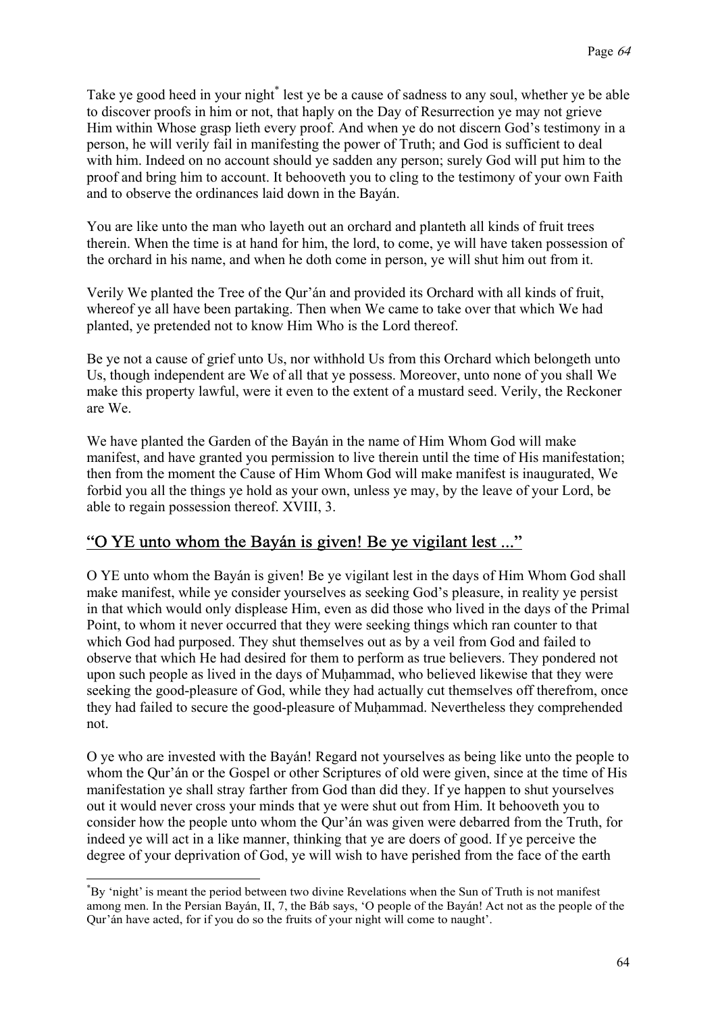Take ye good heed in your night\* lest ye be a cause of sadness to any soul, whether ye be able to discover proofs in him or not, that haply on the Day of Resurrection ye may not grieve Him within Whose grasp lieth every proof. And when ye do not discern God's testimony in a person, he will verily fail in manifesting the power of Truth; and God is sufficient to deal with him. Indeed on no account should ye sadden any person; surely God will put him to the proof and bring him to account. It behooveth you to cling to the testimony of your own Faith and to observe the ordinances laid down in the Bayán.

You are like unto the man who layeth out an orchard and planteth all kinds of fruit trees therein. When the time is at hand for him, the lord, to come, ye will have taken possession of the orchard in his name, and when he doth come in person, ye will shut him out from it.

Verily We planted the Tree of the Qur'án and provided its Orchard with all kinds of fruit, whereof ye all have been partaking. Then when We came to take over that which We had planted, ye pretended not to know Him Who is the Lord thereof.

Be ye not a cause of grief unto Us, nor withhold Us from this Orchard which belongeth unto Us, though independent are We of all that ye possess. Moreover, unto none of you shall We make this property lawful, were it even to the extent of a mustard seed. Verily, the Reckoner are We.

We have planted the Garden of the Bayán in the name of Him Whom God will make manifest, and have granted you permission to live therein until the time of His manifestation; then from the moment the Cause of Him Whom God will make manifest is inaugurated, We forbid you all the things ye hold as your own, unless ye may, by the leave of your Lord, be able to regain possession thereof. XVIII, 3.

## "O YE unto whom the Bayán is given! Be ye vigilant lest ..."

O YE unto whom the Bayán is given! Be ye vigilant lest in the days of Him Whom God shall make manifest, while ye consider yourselves as seeking God's pleasure, in reality ye persist in that which would only displease Him, even as did those who lived in the days of the Primal Point, to whom it never occurred that they were seeking things which ran counter to that which God had purposed. They shut themselves out as by a veil from God and failed to observe that which He had desired for them to perform as true believers. They pondered not upon such people as lived in the days of Muhammad, who believed likewise that they were seeking the good-pleasure of God, while they had actually cut themselves off therefrom, once they had failed to secure the good-pleasure of Muḥammad. Nevertheless they comprehended not.

O ye who are invested with the Bayán! Regard not yourselves as being like unto the people to whom the Qur'án or the Gospel or other Scriptures of old were given, since at the time of His manifestation ye shall stray farther from God than did they. If ye happen to shut yourselves out it would never cross your minds that ye were shut out from Him. It behooveth you to consider how the people unto whom the Qur'án was given were debarred from the Truth, for indeed ye will act in a like manner, thinking that ye are doers of good. If ye perceive the degree of your deprivation of God, ye will wish to have perished from the face of the earth

 <sup>\*</sup>  $\overline{B}$  'night' is meant the period between two divine Revelations when the Sun of Truth is not manifest among men. In the Persian Bayán, II, 7, the Báb says, 'O people of the Bayán! Act not as the people of the Qur'án have acted, for if you do so the fruits of your night will come to naught'.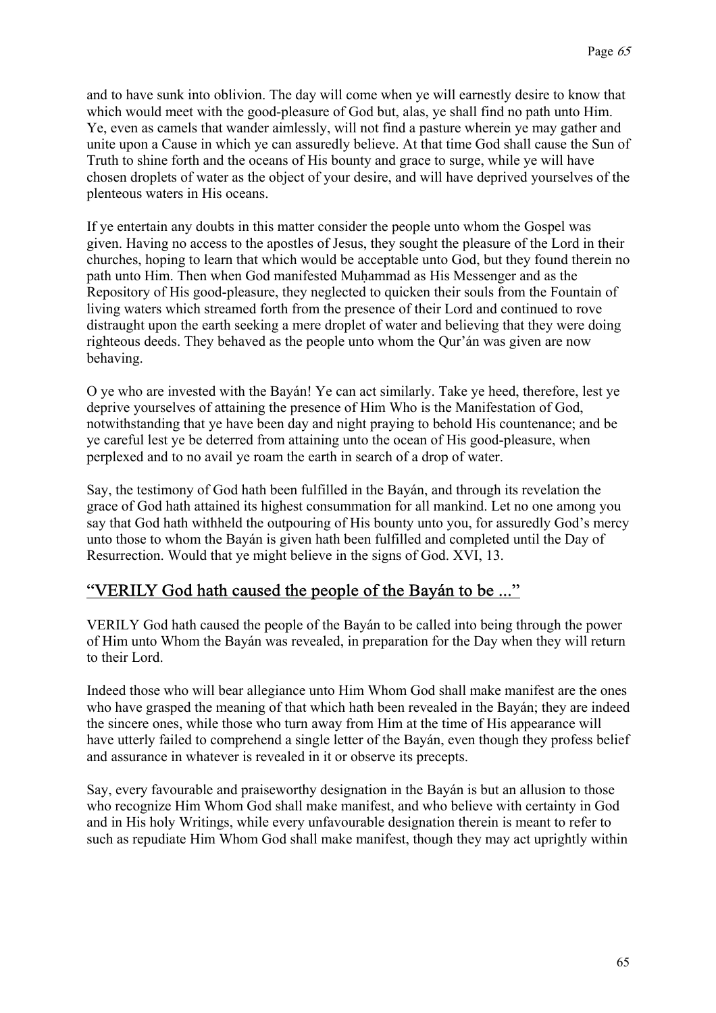and to have sunk into oblivion. The day will come when ye will earnestly desire to know that which would meet with the good-pleasure of God but, alas, ye shall find no path unto Him. Ye, even as camels that wander aimlessly, will not find a pasture wherein ye may gather and unite upon a Cause in which ye can assuredly believe. At that time God shall cause the Sun of Truth to shine forth and the oceans of His bounty and grace to surge, while ye will have chosen droplets of water as the object of your desire, and will have deprived yourselves of the plenteous waters in His oceans.

If ye entertain any doubts in this matter consider the people unto whom the Gospel was given. Having no access to the apostles of Jesus, they sought the pleasure of the Lord in their churches, hoping to learn that which would be acceptable unto God, but they found therein no path unto Him. Then when God manifested Muhammad as His Messenger and as the Repository of His good-pleasure, they neglected to quicken their souls from the Fountain of living waters which streamed forth from the presence of their Lord and continued to rove distraught upon the earth seeking a mere droplet of water and believing that they were doing righteous deeds. They behaved as the people unto whom the Qur'án was given are now behaving.

O ye who are invested with the Bayán! Ye can act similarly. Take ye heed, therefore, lest ye deprive yourselves of attaining the presence of Him Who is the Manifestation of God, notwithstanding that ye have been day and night praying to behold His countenance; and be ye careful lest ye be deterred from attaining unto the ocean of His good-pleasure, when perplexed and to no avail ye roam the earth in search of a drop of water.

Say, the testimony of God hath been fulfilled in the Bayán, and through its revelation the grace of God hath attained its highest consummation for all mankind. Let no one among you say that God hath withheld the outpouring of His bounty unto you, for assuredly God's mercy unto those to whom the Bayán is given hath been fulfilled and completed until the Day of Resurrection. Would that ye might believe in the signs of God. XVI, 13.

#### "VERILY God hath caused the people of the Bayán to be ..."

VERILY God hath caused the people of the Bayán to be called into being through the power of Him unto Whom the Bayán was revealed, in preparation for the Day when they will return to their Lord.

Indeed those who will bear allegiance unto Him Whom God shall make manifest are the ones who have grasped the meaning of that which hath been revealed in the Bayán; they are indeed the sincere ones, while those who turn away from Him at the time of His appearance will have utterly failed to comprehend a single letter of the Bayán, even though they profess belief and assurance in whatever is revealed in it or observe its precepts.

Say, every favourable and praiseworthy designation in the Bayán is but an allusion to those who recognize Him Whom God shall make manifest, and who believe with certainty in God and in His holy Writings, while every unfavourable designation therein is meant to refer to such as repudiate Him Whom God shall make manifest, though they may act uprightly within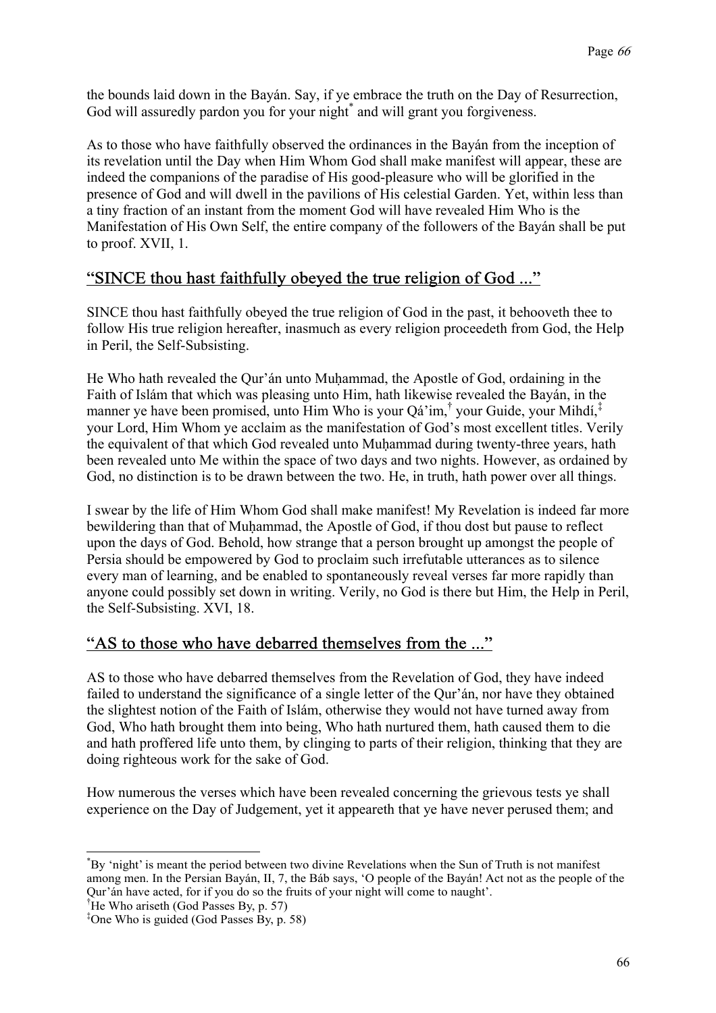the bounds laid down in the Bayán. Say, if ye embrace the truth on the Day of Resurrection, God will assuredly pardon you for your night<sup>\*</sup> and will grant you forgiveness.

As to those who have faithfully observed the ordinances in the Bayán from the inception of its revelation until the Day when Him Whom God shall make manifest will appear, these are indeed the companions of the paradise of His good-pleasure who will be glorified in the presence of God and will dwell in the pavilions of His celestial Garden. Yet, within less than a tiny fraction of an instant from the moment God will have revealed Him Who is the Manifestation of His Own Self, the entire company of the followers of the Bayán shall be put to proof. XVII, 1.

#### "SINCE thou hast faithfully obeyed the true religion of God ..."

SINCE thou hast faithfully obeyed the true religion of God in the past, it behooveth thee to follow His true religion hereafter, inasmuch as every religion proceedeth from God, the Help in Peril, the Self-Subsisting.

He Who hath revealed the Qur'án unto Muḥammad, the Apostle of God, ordaining in the Faith of Islám that which was pleasing unto Him, hath likewise revealed the Bayán, in the manner ye have been promised, unto Him Who is your Qá'im,<sup>†</sup> your Guide, your Mihdí,<sup>‡</sup> your Lord, Him Whom ye acclaim as the manifestation of God's most excellent titles. Verily the equivalent of that which God revealed unto Muhammad during twenty-three years, hath been revealed unto Me within the space of two days and two nights. However, as ordained by God, no distinction is to be drawn between the two. He, in truth, hath power over all things.

I swear by the life of Him Whom God shall make manifest! My Revelation is indeed far more bewildering than that of Muḥammad, the Apostle of God, if thou dost but pause to reflect upon the days of God. Behold, how strange that a person brought up amongst the people of Persia should be empowered by God to proclaim such irrefutable utterances as to silence every man of learning, and be enabled to spontaneously reveal verses far more rapidly than anyone could possibly set down in writing. Verily, no God is there but Him, the Help in Peril, the Self-Subsisting. XVI, 18.

#### "AS to those who have debarred themselves from the ..."

AS to those who have debarred themselves from the Revelation of God, they have indeed failed to understand the significance of a single letter of the Qur'án, nor have they obtained the slightest notion of the Faith of Islám, otherwise they would not have turned away from God, Who hath brought them into being, Who hath nurtured them, hath caused them to die and hath proffered life unto them, by clinging to parts of their religion, thinking that they are doing righteous work for the sake of God.

How numerous the verses which have been revealed concerning the grievous tests ye shall experience on the Day of Judgement, yet it appeareth that ye have never perused them; and

† He Who ariseth (God Passes By, p. 57)

 <sup>\*</sup>  $*$ By 'night' is meant the period between two divine Revelations when the Sun of Truth is not manifest among men. In the Persian Bayán, II, 7, the Báb says, 'O people of the Bayán! Act not as the people of the Qur'án have acted, for if you do so the fruits of your night will come to naught'.

<sup>‡</sup> One Who is guided (God Passes By, p. 58)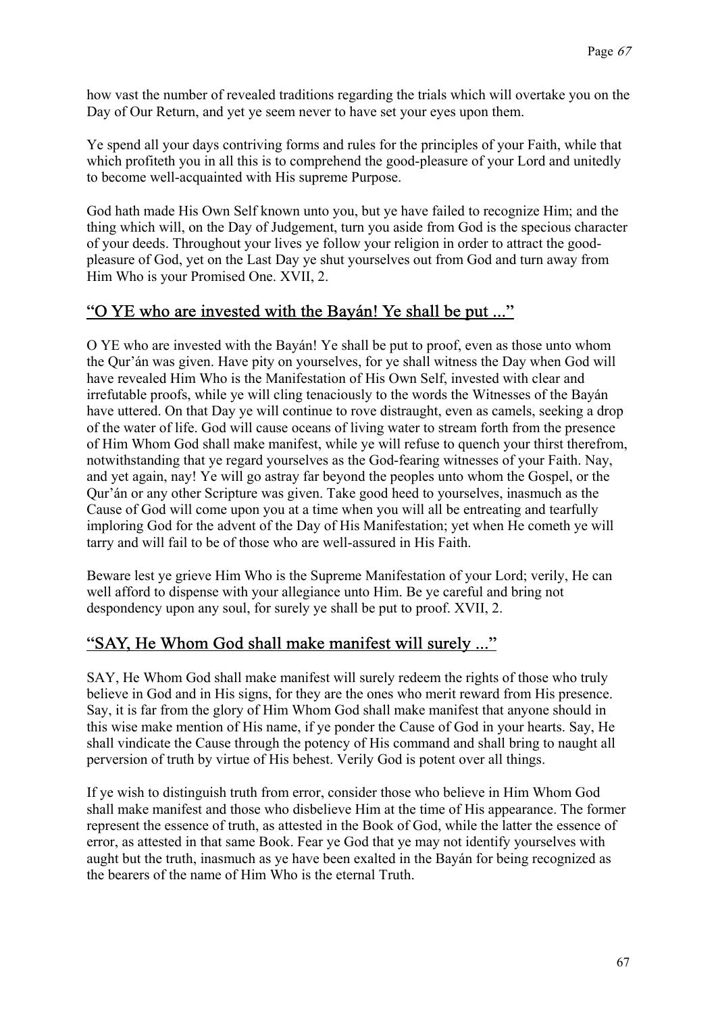how vast the number of revealed traditions regarding the trials which will overtake you on the Day of Our Return, and yet ye seem never to have set your eyes upon them.

Ye spend all your days contriving forms and rules for the principles of your Faith, while that which profiteth you in all this is to comprehend the good-pleasure of your Lord and unitedly to become well-acquainted with His supreme Purpose.

God hath made His Own Self known unto you, but ye have failed to recognize Him; and the thing which will, on the Day of Judgement, turn you aside from God is the specious character of your deeds. Throughout your lives ye follow your religion in order to attract the goodpleasure of God, yet on the Last Day ye shut yourselves out from God and turn away from Him Who is your Promised One. XVII, 2.

#### "O YE who are invested with the Bayán! Ye shall be put ..."

O YE who are invested with the Bayán! Ye shall be put to proof, even as those unto whom the Qur'án was given. Have pity on yourselves, for ye shall witness the Day when God will have revealed Him Who is the Manifestation of His Own Self, invested with clear and irrefutable proofs, while ye will cling tenaciously to the words the Witnesses of the Bayán have uttered. On that Day ye will continue to rove distraught, even as camels, seeking a drop of the water of life. God will cause oceans of living water to stream forth from the presence of Him Whom God shall make manifest, while ye will refuse to quench your thirst therefrom, notwithstanding that ye regard yourselves as the God-fearing witnesses of your Faith. Nay, and yet again, nay! Ye will go astray far beyond the peoples unto whom the Gospel, or the Qur'án or any other Scripture was given. Take good heed to yourselves, inasmuch as the Cause of God will come upon you at a time when you will all be entreating and tearfully imploring God for the advent of the Day of His Manifestation; yet when He cometh ye will tarry and will fail to be of those who are well-assured in His Faith.

Beware lest ye grieve Him Who is the Supreme Manifestation of your Lord; verily, He can well afford to dispense with your allegiance unto Him. Be ye careful and bring not despondency upon any soul, for surely ye shall be put to proof. XVII, 2.

#### "SAY, He Whom God shall make manifest will surely ..."

SAY, He Whom God shall make manifest will surely redeem the rights of those who truly believe in God and in His signs, for they are the ones who merit reward from His presence. Say, it is far from the glory of Him Whom God shall make manifest that anyone should in this wise make mention of His name, if ye ponder the Cause of God in your hearts. Say, He shall vindicate the Cause through the potency of His command and shall bring to naught all perversion of truth by virtue of His behest. Verily God is potent over all things.

If ye wish to distinguish truth from error, consider those who believe in Him Whom God shall make manifest and those who disbelieve Him at the time of His appearance. The former represent the essence of truth, as attested in the Book of God, while the latter the essence of error, as attested in that same Book. Fear ye God that ye may not identify yourselves with aught but the truth, inasmuch as ye have been exalted in the Bayán for being recognized as the bearers of the name of Him Who is the eternal Truth.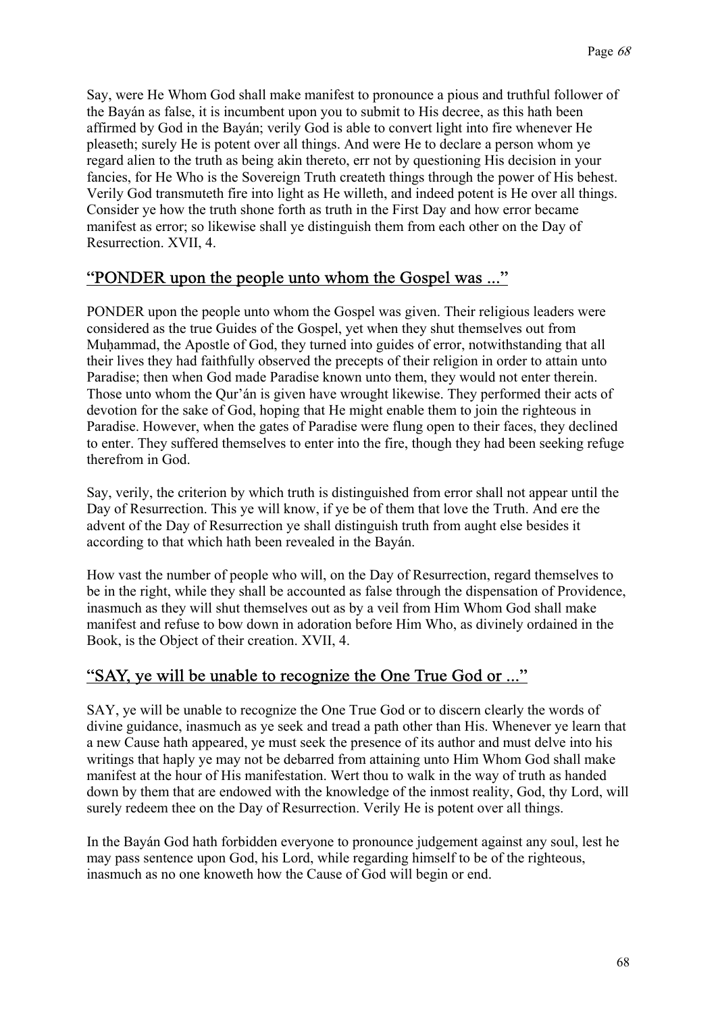Say, were He Whom God shall make manifest to pronounce a pious and truthful follower of the Bayán as false, it is incumbent upon you to submit to His decree, as this hath been affirmed by God in the Bayán; verily God is able to convert light into fire whenever He pleaseth; surely He is potent over all things. And were He to declare a person whom ye regard alien to the truth as being akin thereto, err not by questioning His decision in your fancies, for He Who is the Sovereign Truth createth things through the power of His behest. Verily God transmuteth fire into light as He willeth, and indeed potent is He over all things. Consider ye how the truth shone forth as truth in the First Day and how error became manifest as error; so likewise shall ye distinguish them from each other on the Day of Resurrection. XVII, 4.

#### "PONDER upon the people unto whom the Gospel was ..."

PONDER upon the people unto whom the Gospel was given. Their religious leaders were considered as the true Guides of the Gospel, yet when they shut themselves out from Muhammad, the Apostle of God, they turned into guides of error, notwithstanding that all their lives they had faithfully observed the precepts of their religion in order to attain unto Paradise; then when God made Paradise known unto them, they would not enter therein. Those unto whom the Qur'án is given have wrought likewise. They performed their acts of devotion for the sake of God, hoping that He might enable them to join the righteous in Paradise. However, when the gates of Paradise were flung open to their faces, they declined to enter. They suffered themselves to enter into the fire, though they had been seeking refuge therefrom in God.

Say, verily, the criterion by which truth is distinguished from error shall not appear until the Day of Resurrection. This ye will know, if ye be of them that love the Truth. And ere the advent of the Day of Resurrection ye shall distinguish truth from aught else besides it according to that which hath been revealed in the Bayán.

How vast the number of people who will, on the Day of Resurrection, regard themselves to be in the right, while they shall be accounted as false through the dispensation of Providence, inasmuch as they will shut themselves out as by a veil from Him Whom God shall make manifest and refuse to bow down in adoration before Him Who, as divinely ordained in the Book, is the Object of their creation. XVII, 4.

## "SAY, ye will be unable to recognize the One True God or ..."

SAY, ye will be unable to recognize the One True God or to discern clearly the words of divine guidance, inasmuch as ye seek and tread a path other than His. Whenever ye learn that a new Cause hath appeared, ye must seek the presence of its author and must delve into his writings that haply ye may not be debarred from attaining unto Him Whom God shall make manifest at the hour of His manifestation. Wert thou to walk in the way of truth as handed down by them that are endowed with the knowledge of the inmost reality, God, thy Lord, will surely redeem thee on the Day of Resurrection. Verily He is potent over all things.

In the Bayán God hath forbidden everyone to pronounce judgement against any soul, lest he may pass sentence upon God, his Lord, while regarding himself to be of the righteous, inasmuch as no one knoweth how the Cause of God will begin or end.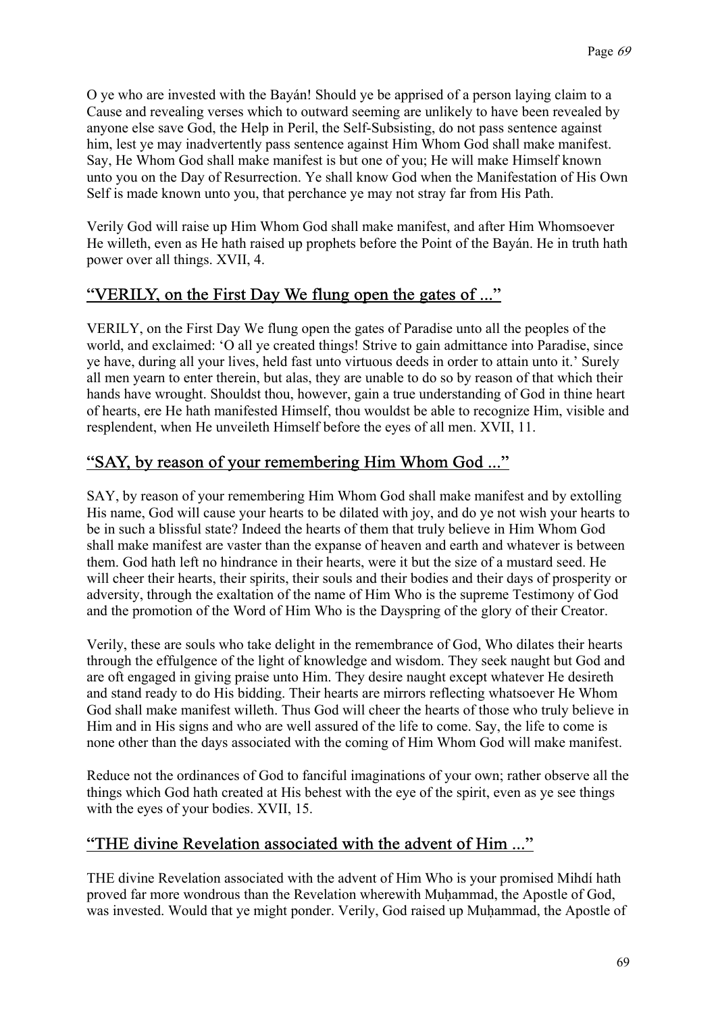O ye who are invested with the Bayán! Should ye be apprised of a person laying claim to a Cause and revealing verses which to outward seeming are unlikely to have been revealed by anyone else save God, the Help in Peril, the Self-Subsisting, do not pass sentence against him, lest ye may inadvertently pass sentence against Him Whom God shall make manifest. Say, He Whom God shall make manifest is but one of you; He will make Himself known unto you on the Day of Resurrection. Ye shall know God when the Manifestation of His Own Self is made known unto you, that perchance ye may not stray far from His Path.

Verily God will raise up Him Whom God shall make manifest, and after Him Whomsoever He willeth, even as He hath raised up prophets before the Point of the Bayán. He in truth hath power over all things. XVII, 4.

## "VERILY, on the First Day We flung open the gates of ..."

VERILY, on the First Day We flung open the gates of Paradise unto all the peoples of the world, and exclaimed: 'O all ye created things! Strive to gain admittance into Paradise, since ye have, during all your lives, held fast unto virtuous deeds in order to attain unto it.' Surely all men yearn to enter therein, but alas, they are unable to do so by reason of that which their hands have wrought. Shouldst thou, however, gain a true understanding of God in thine heart of hearts, ere He hath manifested Himself, thou wouldst be able to recognize Him, visible and resplendent, when He unveileth Himself before the eyes of all men. XVII, 11.

## "SAY, by reason of your remembering Him Whom God ..."

SAY, by reason of your remembering Him Whom God shall make manifest and by extolling His name, God will cause your hearts to be dilated with joy, and do ye not wish your hearts to be in such a blissful state? Indeed the hearts of them that truly believe in Him Whom God shall make manifest are vaster than the expanse of heaven and earth and whatever is between them. God hath left no hindrance in their hearts, were it but the size of a mustard seed. He will cheer their hearts, their spirits, their souls and their bodies and their days of prosperity or adversity, through the exaltation of the name of Him Who is the supreme Testimony of God and the promotion of the Word of Him Who is the Dayspring of the glory of their Creator.

Verily, these are souls who take delight in the remembrance of God, Who dilates their hearts through the effulgence of the light of knowledge and wisdom. They seek naught but God and are oft engaged in giving praise unto Him. They desire naught except whatever He desireth and stand ready to do His bidding. Their hearts are mirrors reflecting whatsoever He Whom God shall make manifest willeth. Thus God will cheer the hearts of those who truly believe in Him and in His signs and who are well assured of the life to come. Say, the life to come is none other than the days associated with the coming of Him Whom God will make manifest.

Reduce not the ordinances of God to fanciful imaginations of your own; rather observe all the things which God hath created at His behest with the eye of the spirit, even as ye see things with the eyes of your bodies. XVII, 15.

## "THE divine Revelation associated with the advent of Him ..."

THE divine Revelation associated with the advent of Him Who is your promised Mihdí hath proved far more wondrous than the Revelation wherewith Muḥammad, the Apostle of God, was invested. Would that ye might ponder. Verily, God raised up Muḥammad, the Apostle of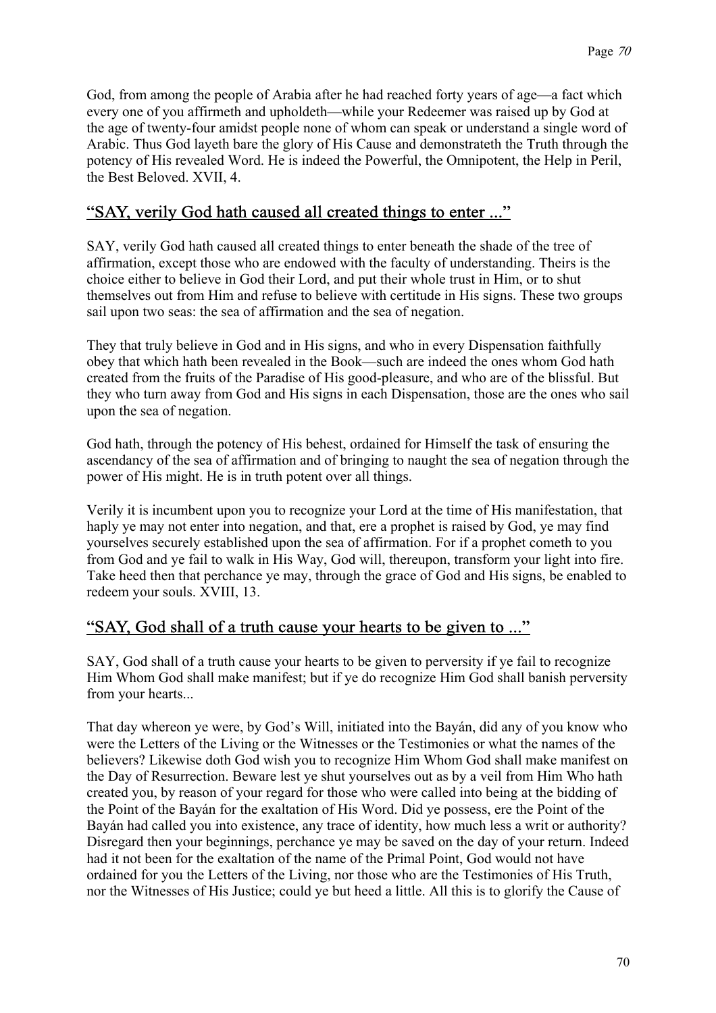God, from among the people of Arabia after he had reached forty years of age—a fact which every one of you affirmeth and upholdeth—while your Redeemer was raised up by God at the age of twenty-four amidst people none of whom can speak or understand a single word of Arabic. Thus God layeth bare the glory of His Cause and demonstrateth the Truth through the potency of His revealed Word. He is indeed the Powerful, the Omnipotent, the Help in Peril, the Best Beloved. XVII, 4.

#### "SAY, verily God hath caused all created things to enter ..."

SAY, verily God hath caused all created things to enter beneath the shade of the tree of affirmation, except those who are endowed with the faculty of understanding. Theirs is the choice either to believe in God their Lord, and put their whole trust in Him, or to shut themselves out from Him and refuse to believe with certitude in His signs. These two groups sail upon two seas: the sea of affirmation and the sea of negation.

They that truly believe in God and in His signs, and who in every Dispensation faithfully obey that which hath been revealed in the Book—such are indeed the ones whom God hath created from the fruits of the Paradise of His good-pleasure, and who are of the blissful. But they who turn away from God and His signs in each Dispensation, those are the ones who sail upon the sea of negation.

God hath, through the potency of His behest, ordained for Himself the task of ensuring the ascendancy of the sea of affirmation and of bringing to naught the sea of negation through the power of His might. He is in truth potent over all things.

Verily it is incumbent upon you to recognize your Lord at the time of His manifestation, that haply ye may not enter into negation, and that, ere a prophet is raised by God, ye may find yourselves securely established upon the sea of affirmation. For if a prophet cometh to you from God and ye fail to walk in His Way, God will, thereupon, transform your light into fire. Take heed then that perchance ye may, through the grace of God and His signs, be enabled to redeem your souls. XVIII, 13.

## "SAY, God shall of a truth cause your hearts to be given to ..."

SAY, God shall of a truth cause your hearts to be given to perversity if ye fail to recognize Him Whom God shall make manifest; but if ye do recognize Him God shall banish perversity from your hearts...

That day whereon ye were, by God's Will, initiated into the Bayán, did any of you know who were the Letters of the Living or the Witnesses or the Testimonies or what the names of the believers? Likewise doth God wish you to recognize Him Whom God shall make manifest on the Day of Resurrection. Beware lest ye shut yourselves out as by a veil from Him Who hath created you, by reason of your regard for those who were called into being at the bidding of the Point of the Bayán for the exaltation of His Word. Did ye possess, ere the Point of the Bayán had called you into existence, any trace of identity, how much less a writ or authority? Disregard then your beginnings, perchance ye may be saved on the day of your return. Indeed had it not been for the exaltation of the name of the Primal Point, God would not have ordained for you the Letters of the Living, nor those who are the Testimonies of His Truth, nor the Witnesses of His Justice; could ye but heed a little. All this is to glorify the Cause of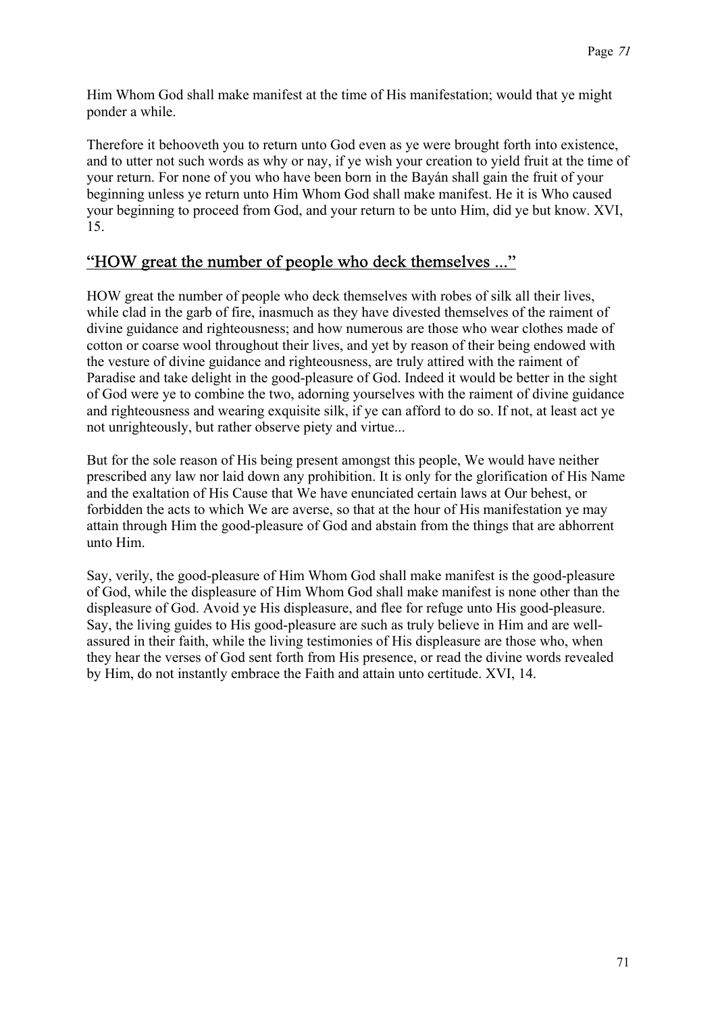Him Whom God shall make manifest at the time of His manifestation; would that ye might ponder a while.

Therefore it behooveth you to return unto God even as ye were brought forth into existence, and to utter not such words as why or nay, if ye wish your creation to yield fruit at the time of your return. For none of you who have been born in the Bayán shall gain the fruit of your beginning unless ye return unto Him Whom God shall make manifest. He it is Who caused your beginning to proceed from God, and your return to be unto Him, did ye but know. XVI, 15.

#### "HOW great the number of people who deck themselves ..."

HOW great the number of people who deck themselves with robes of silk all their lives, while clad in the garb of fire, inasmuch as they have divested themselves of the raiment of divine guidance and righteousness; and how numerous are those who wear clothes made of cotton or coarse wool throughout their lives, and yet by reason of their being endowed with the vesture of divine guidance and righteousness, are truly attired with the raiment of Paradise and take delight in the good-pleasure of God. Indeed it would be better in the sight of God were ye to combine the two, adorning yourselves with the raiment of divine guidance and righteousness and wearing exquisite silk, if ye can afford to do so. If not, at least act ye not unrighteously, but rather observe piety and virtue...

But for the sole reason of His being present amongst this people, We would have neither prescribed any law nor laid down any prohibition. It is only for the glorification of His Name and the exaltation of His Cause that We have enunciated certain laws at Our behest, or forbidden the acts to which We are averse, so that at the hour of His manifestation ye may attain through Him the good-pleasure of God and abstain from the things that are abhorrent unto Him.

Say, verily, the good-pleasure of Him Whom God shall make manifest is the good-pleasure of God, while the displeasure of Him Whom God shall make manifest is none other than the displeasure of God. Avoid ye His displeasure, and flee for refuge unto His good-pleasure. Say, the living guides to His good-pleasure are such as truly believe in Him and are wellassured in their faith, while the living testimonies of His displeasure are those who, when they hear the verses of God sent forth from His presence, or read the divine words revealed by Him, do not instantly embrace the Faith and attain unto certitude. XVI, 14.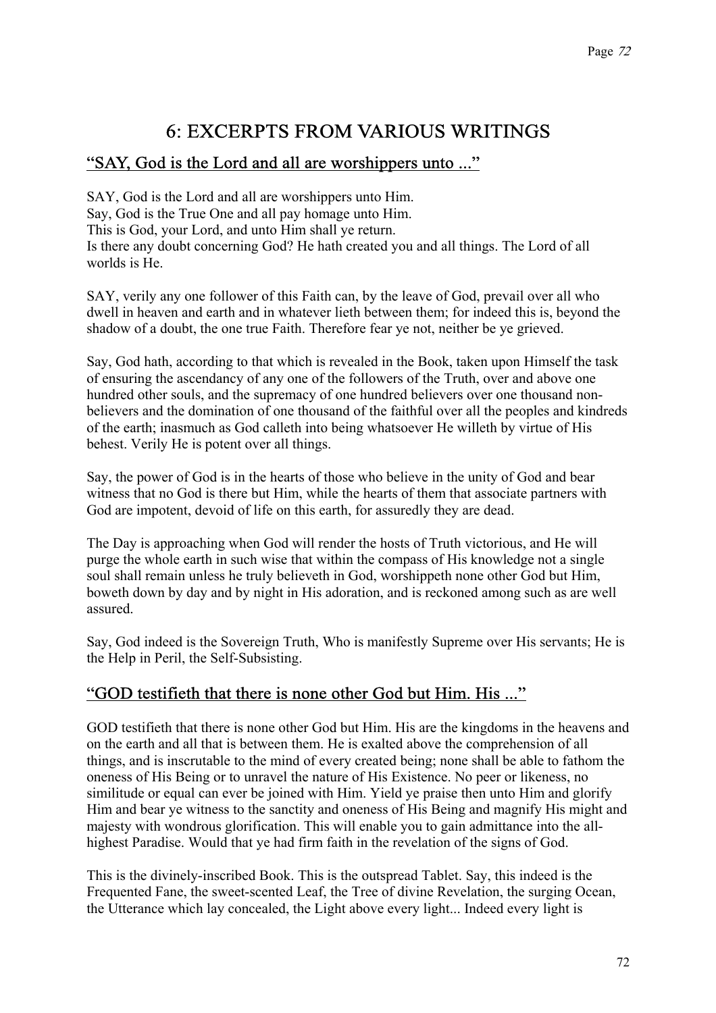## 6: EXCERPTS FROM VARIOUS WRITINGS

## "SAY, God is the Lord and all are worshippers unto ..."

SAY, God is the Lord and all are worshippers unto Him. Say, God is the True One and all pay homage unto Him. This is God, your Lord, and unto Him shall ye return. Is there any doubt concerning God? He hath created you and all things. The Lord of all worlds is He.

SAY, verily any one follower of this Faith can, by the leave of God, prevail over all who dwell in heaven and earth and in whatever lieth between them; for indeed this is, beyond the shadow of a doubt, the one true Faith. Therefore fear ye not, neither be ye grieved.

Say, God hath, according to that which is revealed in the Book, taken upon Himself the task of ensuring the ascendancy of any one of the followers of the Truth, over and above one hundred other souls, and the supremacy of one hundred believers over one thousand nonbelievers and the domination of one thousand of the faithful over all the peoples and kindreds of the earth; inasmuch as God calleth into being whatsoever He willeth by virtue of His behest. Verily He is potent over all things.

Say, the power of God is in the hearts of those who believe in the unity of God and bear witness that no God is there but Him, while the hearts of them that associate partners with God are impotent, devoid of life on this earth, for assuredly they are dead.

The Day is approaching when God will render the hosts of Truth victorious, and He will purge the whole earth in such wise that within the compass of His knowledge not a single soul shall remain unless he truly believeth in God, worshippeth none other God but Him, boweth down by day and by night in His adoration, and is reckoned among such as are well assured.

Say, God indeed is the Sovereign Truth, Who is manifestly Supreme over His servants; He is the Help in Peril, the Self-Subsisting.

#### "GOD testifieth that there is none other God but Him. His ..."

GOD testifieth that there is none other God but Him. His are the kingdoms in the heavens and on the earth and all that is between them. He is exalted above the comprehension of all things, and is inscrutable to the mind of every created being; none shall be able to fathom the oneness of His Being or to unravel the nature of His Existence. No peer or likeness, no similitude or equal can ever be joined with Him. Yield ye praise then unto Him and glorify Him and bear ye witness to the sanctity and oneness of His Being and magnify His might and majesty with wondrous glorification. This will enable you to gain admittance into the allhighest Paradise. Would that ye had firm faith in the revelation of the signs of God.

This is the divinely-inscribed Book. This is the outspread Tablet. Say, this indeed is the Frequented Fane, the sweet-scented Leaf, the Tree of divine Revelation, the surging Ocean, the Utterance which lay concealed, the Light above every light... Indeed every light is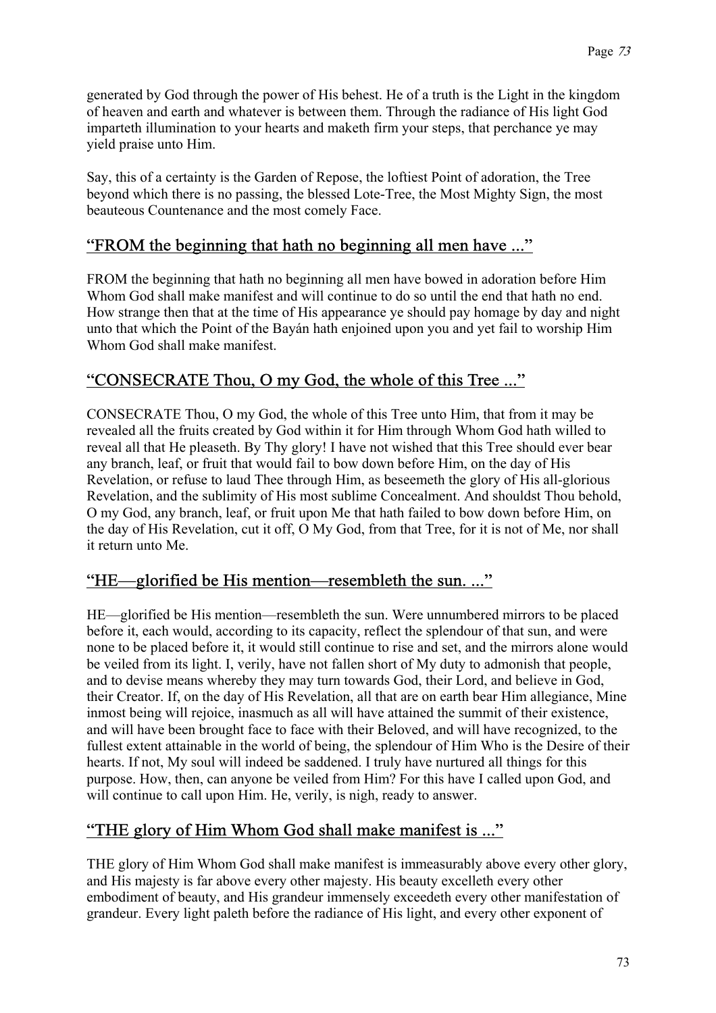generated by God through the power of His behest. He of a truth is the Light in the kingdom of heaven and earth and whatever is between them. Through the radiance of His light God imparteth illumination to your hearts and maketh firm your steps, that perchance ye may yield praise unto Him.

Say, this of a certainty is the Garden of Repose, the loftiest Point of adoration, the Tree beyond which there is no passing, the blessed Lote-Tree, the Most Mighty Sign, the most beauteous Countenance and the most comely Face.

## "FROM the beginning that hath no beginning all men have ..."

FROM the beginning that hath no beginning all men have bowed in adoration before Him Whom God shall make manifest and will continue to do so until the end that hath no end. How strange then that at the time of His appearance ye should pay homage by day and night unto that which the Point of the Bayán hath enjoined upon you and yet fail to worship Him Whom God shall make manifest.

# "CONSECRATE Thou, O my God, the whole of this Tree ..."

CONSECRATE Thou, O my God, the whole of this Tree unto Him, that from it may be revealed all the fruits created by God within it for Him through Whom God hath willed to reveal all that He pleaseth. By Thy glory! I have not wished that this Tree should ever bear any branch, leaf, or fruit that would fail to bow down before Him, on the day of His Revelation, or refuse to laud Thee through Him, as beseemeth the glory of His all-glorious Revelation, and the sublimity of His most sublime Concealment. And shouldst Thou behold, O my God, any branch, leaf, or fruit upon Me that hath failed to bow down before Him, on the day of His Revelation, cut it off, O My God, from that Tree, for it is not of Me, nor shall it return unto Me.

## "HE—glorified be His mention—resembleth the sun. ..."

HE—glorified be His mention—resembleth the sun. Were unnumbered mirrors to be placed before it, each would, according to its capacity, reflect the splendour of that sun, and were none to be placed before it, it would still continue to rise and set, and the mirrors alone would be veiled from its light. I, verily, have not fallen short of My duty to admonish that people, and to devise means whereby they may turn towards God, their Lord, and believe in God, their Creator. If, on the day of His Revelation, all that are on earth bear Him allegiance, Mine inmost being will rejoice, inasmuch as all will have attained the summit of their existence, and will have been brought face to face with their Beloved, and will have recognized, to the fullest extent attainable in the world of being, the splendour of Him Who is the Desire of their hearts. If not, My soul will indeed be saddened. I truly have nurtured all things for this purpose. How, then, can anyone be veiled from Him? For this have I called upon God, and will continue to call upon Him. He, verily, is nigh, ready to answer.

# "THE glory of Him Whom God shall make manifest is ..."

THE glory of Him Whom God shall make manifest is immeasurably above every other glory, and His majesty is far above every other majesty. His beauty excelleth every other embodiment of beauty, and His grandeur immensely exceedeth every other manifestation of grandeur. Every light paleth before the radiance of His light, and every other exponent of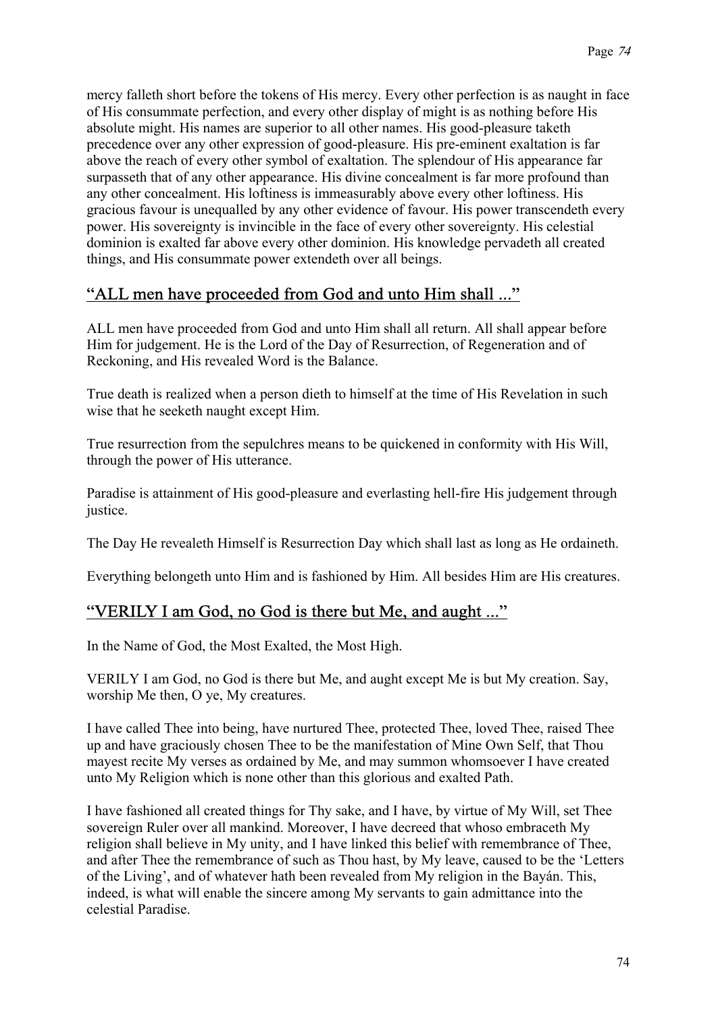mercy falleth short before the tokens of His mercy. Every other perfection is as naught in face of His consummate perfection, and every other display of might is as nothing before His absolute might. His names are superior to all other names. His good-pleasure taketh precedence over any other expression of good-pleasure. His pre-eminent exaltation is far above the reach of every other symbol of exaltation. The splendour of His appearance far surpasseth that of any other appearance. His divine concealment is far more profound than any other concealment. His loftiness is immeasurably above every other loftiness. His gracious favour is unequalled by any other evidence of favour. His power transcendeth every power. His sovereignty is invincible in the face of every other sovereignty. His celestial dominion is exalted far above every other dominion. His knowledge pervadeth all created things, and His consummate power extendeth over all beings.

# "ALL men have proceeded from God and unto Him shall ..."

ALL men have proceeded from God and unto Him shall all return. All shall appear before Him for judgement. He is the Lord of the Day of Resurrection, of Regeneration and of Reckoning, and His revealed Word is the Balance.

True death is realized when a person dieth to himself at the time of His Revelation in such wise that he seeketh naught except Him.

True resurrection from the sepulchres means to be quickened in conformity with His Will, through the power of His utterance.

Paradise is attainment of His good-pleasure and everlasting hell-fire His judgement through justice.

The Day He revealeth Himself is Resurrection Day which shall last as long as He ordaineth.

Everything belongeth unto Him and is fashioned by Him. All besides Him are His creatures.

# "VERILY I am God, no God is there but Me, and aught ..."

In the Name of God, the Most Exalted, the Most High.

VERILY I am God, no God is there but Me, and aught except Me is but My creation. Say, worship Me then, O ye, My creatures.

I have called Thee into being, have nurtured Thee, protected Thee, loved Thee, raised Thee up and have graciously chosen Thee to be the manifestation of Mine Own Self, that Thou mayest recite My verses as ordained by Me, and may summon whomsoever I have created unto My Religion which is none other than this glorious and exalted Path.

I have fashioned all created things for Thy sake, and I have, by virtue of My Will, set Thee sovereign Ruler over all mankind. Moreover, I have decreed that whoso embraceth My religion shall believe in My unity, and I have linked this belief with remembrance of Thee, and after Thee the remembrance of such as Thou hast, by My leave, caused to be the 'Letters of the Living', and of whatever hath been revealed from My religion in the Bayán. This, indeed, is what will enable the sincere among My servants to gain admittance into the celestial Paradise.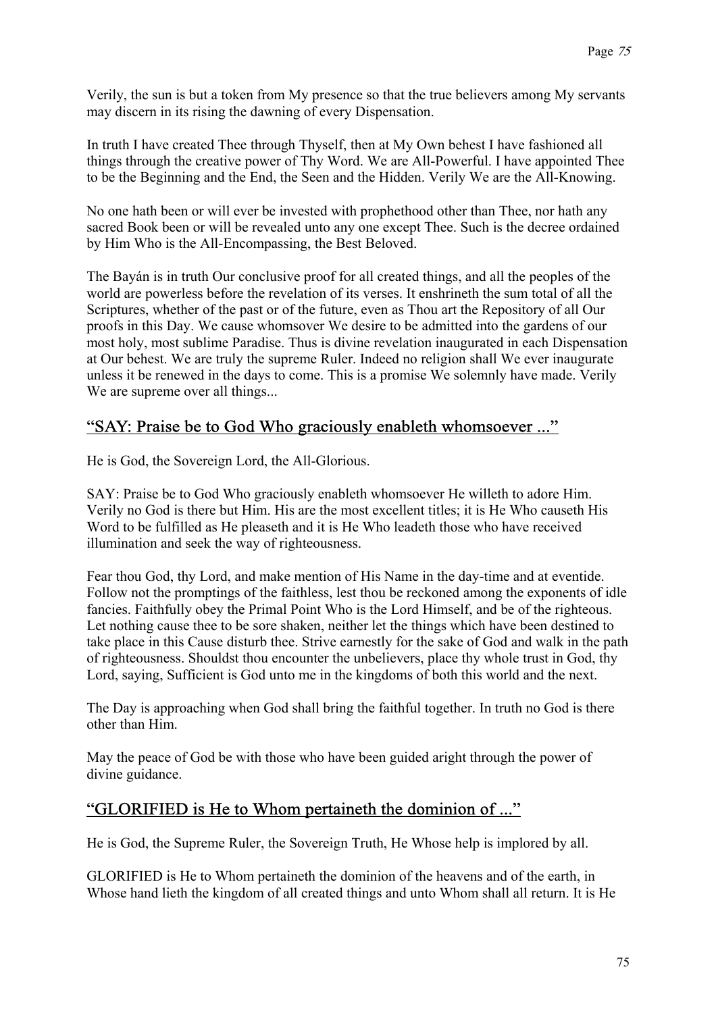Verily, the sun is but a token from My presence so that the true believers among My servants may discern in its rising the dawning of every Dispensation.

In truth I have created Thee through Thyself, then at My Own behest I have fashioned all things through the creative power of Thy Word. We are All-Powerful. I have appointed Thee to be the Beginning and the End, the Seen and the Hidden. Verily We are the All-Knowing.

No one hath been or will ever be invested with prophethood other than Thee, nor hath any sacred Book been or will be revealed unto any one except Thee. Such is the decree ordained by Him Who is the All-Encompassing, the Best Beloved.

The Bayán is in truth Our conclusive proof for all created things, and all the peoples of the world are powerless before the revelation of its verses. It enshrineth the sum total of all the Scriptures, whether of the past or of the future, even as Thou art the Repository of all Our proofs in this Day. We cause whomsover We desire to be admitted into the gardens of our most holy, most sublime Paradise. Thus is divine revelation inaugurated in each Dispensation at Our behest. We are truly the supreme Ruler. Indeed no religion shall We ever inaugurate unless it be renewed in the days to come. This is a promise We solemnly have made. Verily We are supreme over all things...

## "SAY: Praise be to God Who graciously enableth whomsoever ..."

He is God, the Sovereign Lord, the All-Glorious.

SAY: Praise be to God Who graciously enableth whomsoever He willeth to adore Him. Verily no God is there but Him. His are the most excellent titles; it is He Who causeth His Word to be fulfilled as He pleaseth and it is He Who leadeth those who have received illumination and seek the way of righteousness.

Fear thou God, thy Lord, and make mention of His Name in the day-time and at eventide. Follow not the promptings of the faithless, lest thou be reckoned among the exponents of idle fancies. Faithfully obey the Primal Point Who is the Lord Himself, and be of the righteous. Let nothing cause thee to be sore shaken, neither let the things which have been destined to take place in this Cause disturb thee. Strive earnestly for the sake of God and walk in the path of righteousness. Shouldst thou encounter the unbelievers, place thy whole trust in God, thy Lord, saying, Sufficient is God unto me in the kingdoms of both this world and the next.

The Day is approaching when God shall bring the faithful together. In truth no God is there other than Him.

May the peace of God be with those who have been guided aright through the power of divine guidance.

## "GLORIFIED is He to Whom pertaineth the dominion of ..."

He is God, the Supreme Ruler, the Sovereign Truth, He Whose help is implored by all.

GLORIFIED is He to Whom pertaineth the dominion of the heavens and of the earth, in Whose hand lieth the kingdom of all created things and unto Whom shall all return. It is He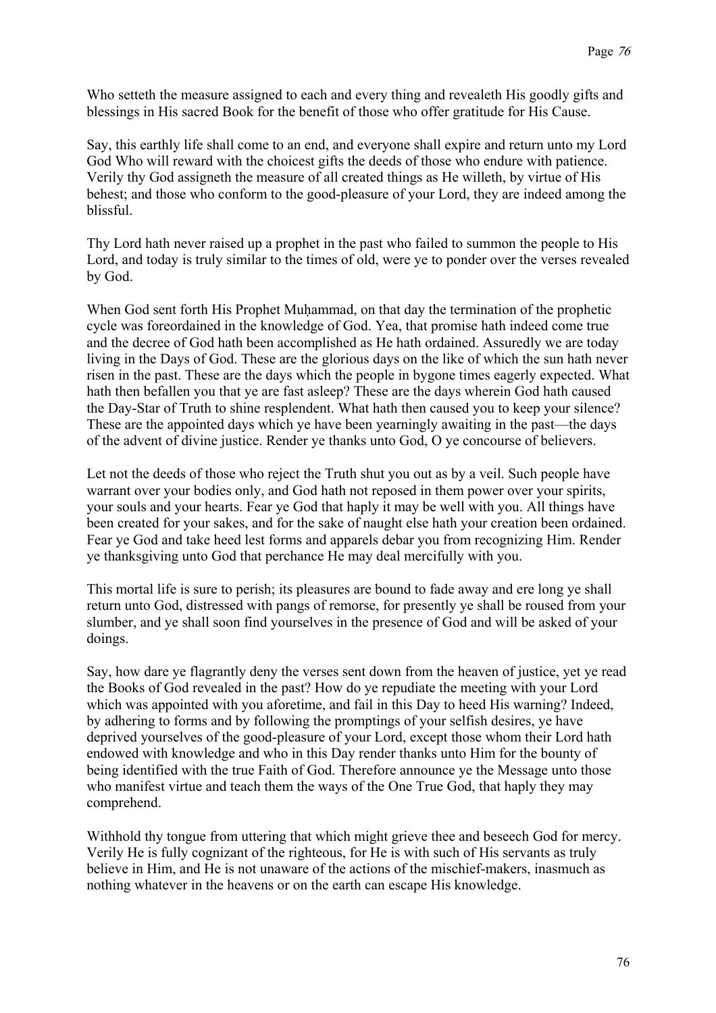Who setteth the measure assigned to each and every thing and revealeth His goodly gifts and blessings in His sacred Book for the benefit of those who offer gratitude for His Cause.

Say, this earthly life shall come to an end, and everyone shall expire and return unto my Lord God Who will reward with the choicest gifts the deeds of those who endure with patience. Verily thy God assigneth the measure of all created things as He willeth, by virtue of His behest; and those who conform to the good-pleasure of your Lord, they are indeed among the blissful.

Thy Lord hath never raised up a prophet in the past who failed to summon the people to His Lord, and today is truly similar to the times of old, were ye to ponder over the verses revealed by God.

When God sent forth His Prophet Muhammad, on that day the termination of the prophetic cycle was foreordained in the knowledge of God. Yea, that promise hath indeed come true and the decree of God hath been accomplished as He hath ordained. Assuredly we are today living in the Days of God. These are the glorious days on the like of which the sun hath never risen in the past. These are the days which the people in bygone times eagerly expected. What hath then befallen you that ye are fast asleep? These are the days wherein God hath caused the Day-Star of Truth to shine resplendent. What hath then caused you to keep your silence? These are the appointed days which ye have been yearningly awaiting in the past—the days of the advent of divine justice. Render ye thanks unto God, O ye concourse of believers.

Let not the deeds of those who reject the Truth shut you out as by a veil. Such people have warrant over your bodies only, and God hath not reposed in them power over your spirits, your souls and your hearts. Fear ye God that haply it may be well with you. All things have been created for your sakes, and for the sake of naught else hath your creation been ordained. Fear ye God and take heed lest forms and apparels debar you from recognizing Him. Render ye thanksgiving unto God that perchance He may deal mercifully with you.

This mortal life is sure to perish; its pleasures are bound to fade away and ere long ye shall return unto God, distressed with pangs of remorse, for presently ye shall be roused from your slumber, and ye shall soon find yourselves in the presence of God and will be asked of your doings.

Say, how dare ye flagrantly deny the verses sent down from the heaven of justice, yet ye read the Books of God revealed in the past? How do ye repudiate the meeting with your Lord which was appointed with you aforetime, and fail in this Day to heed His warning? Indeed, by adhering to forms and by following the promptings of your selfish desires, ye have deprived yourselves of the good-pleasure of your Lord, except those whom their Lord hath endowed with knowledge and who in this Day render thanks unto Him for the bounty of being identified with the true Faith of God. Therefore announce ye the Message unto those who manifest virtue and teach them the ways of the One True God, that haply they may comprehend.

Withhold thy tongue from uttering that which might grieve thee and beseech God for mercy. Verily He is fully cognizant of the righteous, for He is with such of His servants as truly believe in Him, and He is not unaware of the actions of the mischief-makers, inasmuch as nothing whatever in the heavens or on the earth can escape His knowledge.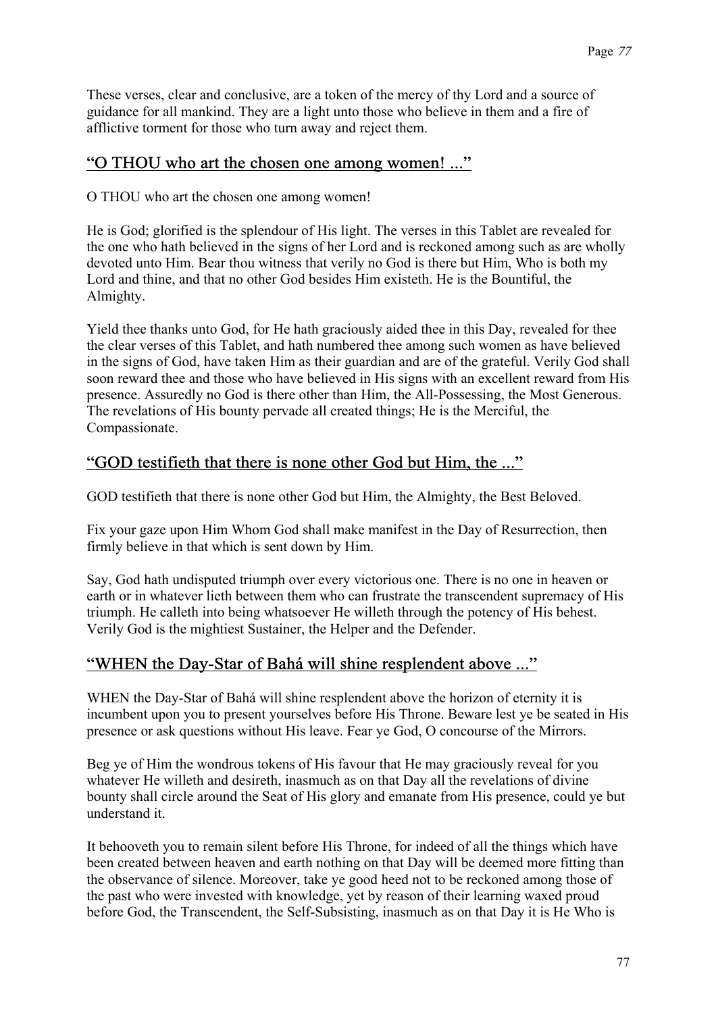These verses, clear and conclusive, are a token of the mercy of thy Lord and a source of guidance for all mankind. They are a light unto those who believe in them and a fire of afflictive torment for those who turn away and reject them.

## "O THOU who art the chosen one among women! ..."

O THOU who art the chosen one among women!

He is God; glorified is the splendour of His light. The verses in this Tablet are revealed for the one who hath believed in the signs of her Lord and is reckoned among such as are wholly devoted unto Him. Bear thou witness that verily no God is there but Him, Who is both my Lord and thine, and that no other God besides Him existeth. He is the Bountiful, the Almighty.

Yield thee thanks unto God, for He hath graciously aided thee in this Day, revealed for thee the clear verses of this Tablet, and hath numbered thee among such women as have believed in the signs of God, have taken Him as their guardian and are of the grateful. Verily God shall soon reward thee and those who have believed in His signs with an excellent reward from His presence. Assuredly no God is there other than Him, the All-Possessing, the Most Generous. The revelations of His bounty pervade all created things; He is the Merciful, the Compassionate.

### "GOD testifieth that there is none other God but Him, the ..."

GOD testifieth that there is none other God but Him, the Almighty, the Best Beloved.

Fix your gaze upon Him Whom God shall make manifest in the Day of Resurrection, then firmly believe in that which is sent down by Him.

Say, God hath undisputed triumph over every victorious one. There is no one in heaven or earth or in whatever lieth between them who can frustrate the transcendent supremacy of His triumph. He calleth into being whatsoever He willeth through the potency of His behest. Verily God is the mightiest Sustainer, the Helper and the Defender.

#### "WHEN the Day-Star of Bahá will shine resplendent above ..."

WHEN the Day-Star of Bahá will shine resplendent above the horizon of eternity it is incumbent upon you to present yourselves before His Throne. Beware lest ye be seated in His presence or ask questions without His leave. Fear ye God, O concourse of the Mirrors.

Beg ye of Him the wondrous tokens of His favour that He may graciously reveal for you whatever He willeth and desireth, inasmuch as on that Day all the revelations of divine bounty shall circle around the Seat of His glory and emanate from His presence, could ye but understand it.

It behooveth you to remain silent before His Throne, for indeed of all the things which have been created between heaven and earth nothing on that Day will be deemed more fitting than the observance of silence. Moreover, take ye good heed not to be reckoned among those of the past who were invested with knowledge, yet by reason of their learning waxed proud before God, the Transcendent, the Self-Subsisting, inasmuch as on that Day it is He Who is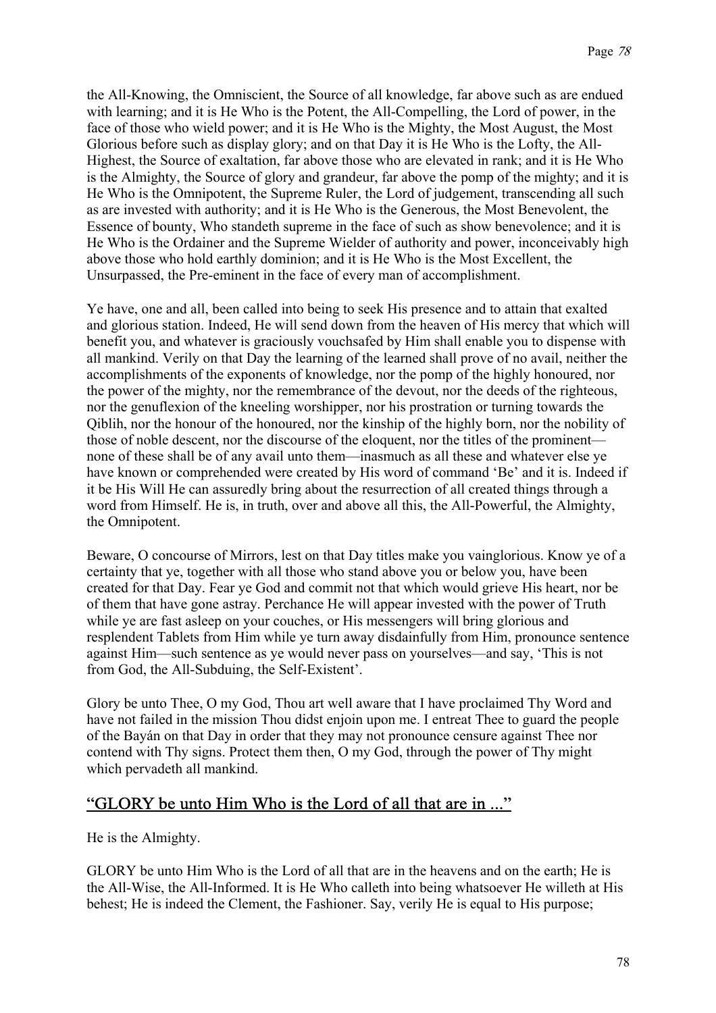the All-Knowing, the Omniscient, the Source of all knowledge, far above such as are endued with learning; and it is He Who is the Potent, the All-Compelling, the Lord of power, in the face of those who wield power; and it is He Who is the Mighty, the Most August, the Most Glorious before such as display glory; and on that Day it is He Who is the Lofty, the All-Highest, the Source of exaltation, far above those who are elevated in rank; and it is He Who is the Almighty, the Source of glory and grandeur, far above the pomp of the mighty; and it is He Who is the Omnipotent, the Supreme Ruler, the Lord of judgement, transcending all such as are invested with authority; and it is He Who is the Generous, the Most Benevolent, the Essence of bounty, Who standeth supreme in the face of such as show benevolence; and it is He Who is the Ordainer and the Supreme Wielder of authority and power, inconceivably high above those who hold earthly dominion; and it is He Who is the Most Excellent, the Unsurpassed, the Pre-eminent in the face of every man of accomplishment.

Ye have, one and all, been called into being to seek His presence and to attain that exalted and glorious station. Indeed, He will send down from the heaven of His mercy that which will benefit you, and whatever is graciously vouchsafed by Him shall enable you to dispense with all mankind. Verily on that Day the learning of the learned shall prove of no avail, neither the accomplishments of the exponents of knowledge, nor the pomp of the highly honoured, nor the power of the mighty, nor the remembrance of the devout, nor the deeds of the righteous, nor the genuflexion of the kneeling worshipper, nor his prostration or turning towards the Qiblih, nor the honour of the honoured, nor the kinship of the highly born, nor the nobility of those of noble descent, nor the discourse of the eloquent, nor the titles of the prominent none of these shall be of any avail unto them—inasmuch as all these and whatever else ye have known or comprehended were created by His word of command 'Be' and it is. Indeed if it be His Will He can assuredly bring about the resurrection of all created things through a word from Himself. He is, in truth, over and above all this, the All-Powerful, the Almighty, the Omnipotent.

Beware, O concourse of Mirrors, lest on that Day titles make you vainglorious. Know ye of a certainty that ye, together with all those who stand above you or below you, have been created for that Day. Fear ye God and commit not that which would grieve His heart, nor be of them that have gone astray. Perchance He will appear invested with the power of Truth while ye are fast asleep on your couches, or His messengers will bring glorious and resplendent Tablets from Him while ye turn away disdainfully from Him, pronounce sentence against Him—such sentence as ye would never pass on yourselves—and say, 'This is not from God, the All-Subduing, the Self-Existent'.

Glory be unto Thee, O my God, Thou art well aware that I have proclaimed Thy Word and have not failed in the mission Thou didst enjoin upon me. I entreat Thee to guard the people of the Bayán on that Day in order that they may not pronounce censure against Thee nor contend with Thy signs. Protect them then, O my God, through the power of Thy might which pervadeth all mankind.

## "GLORY be unto Him Who is the Lord of all that are in ..."

He is the Almighty.

GLORY be unto Him Who is the Lord of all that are in the heavens and on the earth; He is the All-Wise, the All-Informed. It is He Who calleth into being whatsoever He willeth at His behest; He is indeed the Clement, the Fashioner. Say, verily He is equal to His purpose;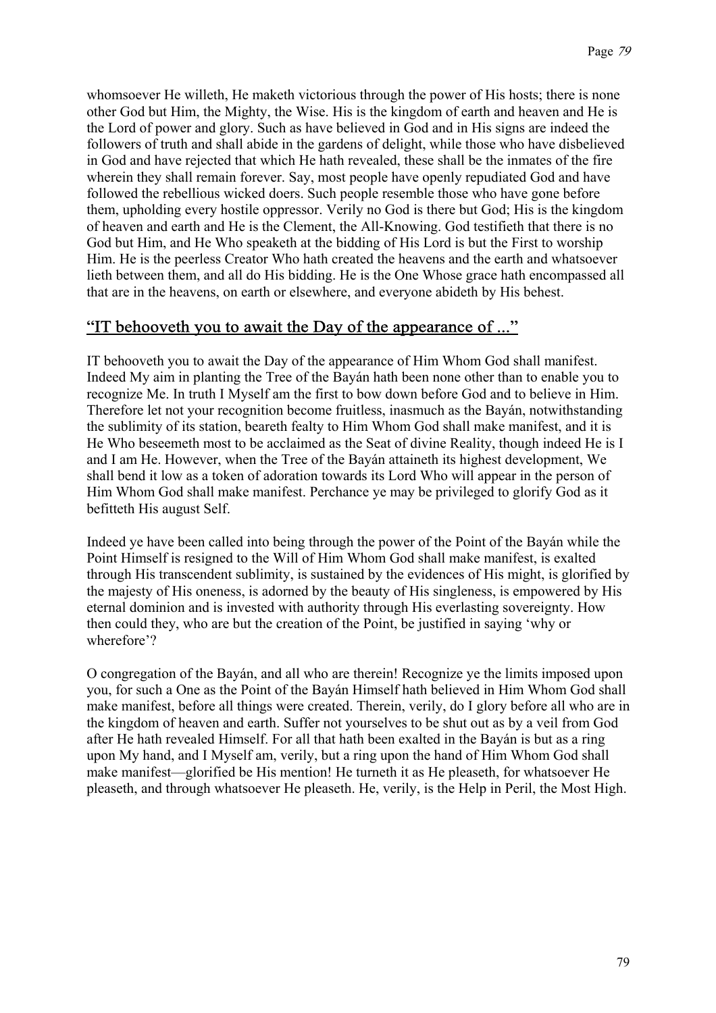whomsoever He willeth, He maketh victorious through the power of His hosts; there is none other God but Him, the Mighty, the Wise. His is the kingdom of earth and heaven and He is the Lord of power and glory. Such as have believed in God and in His signs are indeed the followers of truth and shall abide in the gardens of delight, while those who have disbelieved in God and have rejected that which He hath revealed, these shall be the inmates of the fire wherein they shall remain forever. Say, most people have openly repudiated God and have followed the rebellious wicked doers. Such people resemble those who have gone before them, upholding every hostile oppressor. Verily no God is there but God; His is the kingdom of heaven and earth and He is the Clement, the All-Knowing. God testifieth that there is no God but Him, and He Who speaketh at the bidding of His Lord is but the First to worship Him. He is the peerless Creator Who hath created the heavens and the earth and whatsoever lieth between them, and all do His bidding. He is the One Whose grace hath encompassed all that are in the heavens, on earth or elsewhere, and everyone abideth by His behest.

### "IT behooveth you to await the Day of the appearance of ..."

IT behooveth you to await the Day of the appearance of Him Whom God shall manifest. Indeed My aim in planting the Tree of the Bayán hath been none other than to enable you to recognize Me. In truth I Myself am the first to bow down before God and to believe in Him. Therefore let not your recognition become fruitless, inasmuch as the Bayán, notwithstanding the sublimity of its station, beareth fealty to Him Whom God shall make manifest, and it is He Who beseemeth most to be acclaimed as the Seat of divine Reality, though indeed He is I and I am He. However, when the Tree of the Bayán attaineth its highest development, We shall bend it low as a token of adoration towards its Lord Who will appear in the person of Him Whom God shall make manifest. Perchance ye may be privileged to glorify God as it befitteth His august Self.

Indeed ye have been called into being through the power of the Point of the Bayán while the Point Himself is resigned to the Will of Him Whom God shall make manifest, is exalted through His transcendent sublimity, is sustained by the evidences of His might, is glorified by the majesty of His oneness, is adorned by the beauty of His singleness, is empowered by His eternal dominion and is invested with authority through His everlasting sovereignty. How then could they, who are but the creation of the Point, be justified in saying 'why or wherefore'?

O congregation of the Bayán, and all who are therein! Recognize ye the limits imposed upon you, for such a One as the Point of the Bayán Himself hath believed in Him Whom God shall make manifest, before all things were created. Therein, verily, do I glory before all who are in the kingdom of heaven and earth. Suffer not yourselves to be shut out as by a veil from God after He hath revealed Himself. For all that hath been exalted in the Bayán is but as a ring upon My hand, and I Myself am, verily, but a ring upon the hand of Him Whom God shall make manifest—glorified be His mention! He turneth it as He pleaseth, for whatsoever He pleaseth, and through whatsoever He pleaseth. He, verily, is the Help in Peril, the Most High.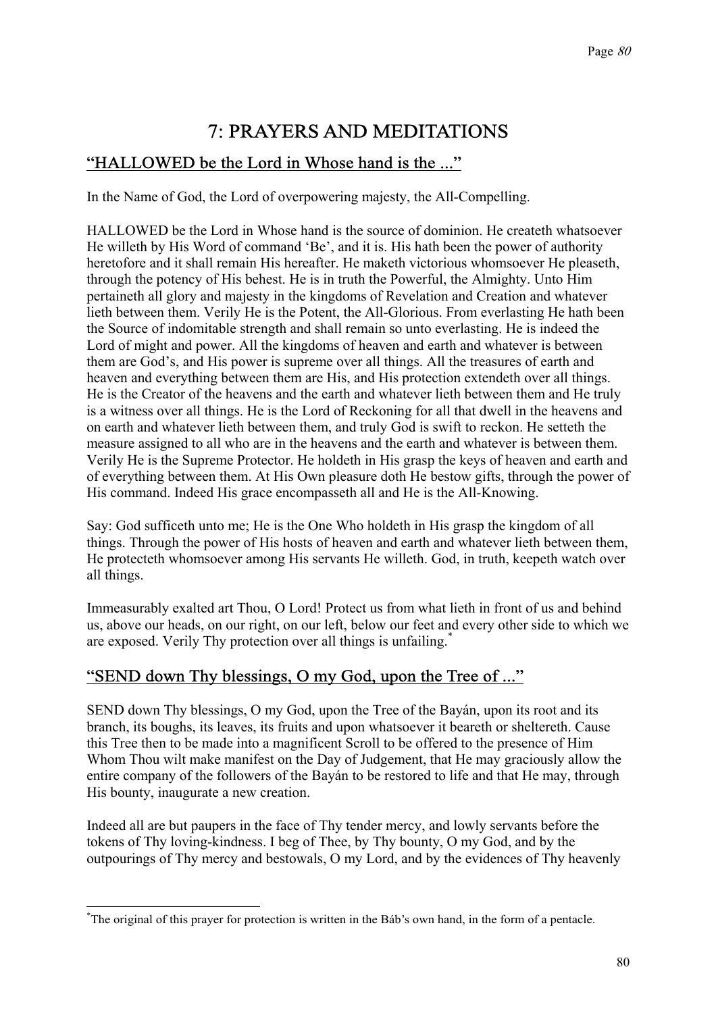# 7: PRAYERS AND MEDITATIONS

# "HALLOWED be the Lord in Whose hand is the ..."

In the Name of God, the Lord of overpowering majesty, the All-Compelling.

HALLOWED be the Lord in Whose hand is the source of dominion. He createth whatsoever He willeth by His Word of command 'Be', and it is. His hath been the power of authority heretofore and it shall remain His hereafter. He maketh victorious whomsoever He pleaseth, through the potency of His behest. He is in truth the Powerful, the Almighty. Unto Him pertaineth all glory and majesty in the kingdoms of Revelation and Creation and whatever lieth between them. Verily He is the Potent, the All-Glorious. From everlasting He hath been the Source of indomitable strength and shall remain so unto everlasting. He is indeed the Lord of might and power. All the kingdoms of heaven and earth and whatever is between them are God's, and His power is supreme over all things. All the treasures of earth and heaven and everything between them are His, and His protection extendeth over all things. He is the Creator of the heavens and the earth and whatever lieth between them and He truly is a witness over all things. He is the Lord of Reckoning for all that dwell in the heavens and on earth and whatever lieth between them, and truly God is swift to reckon. He setteth the measure assigned to all who are in the heavens and the earth and whatever is between them. Verily He is the Supreme Protector. He holdeth in His grasp the keys of heaven and earth and of everything between them. At His Own pleasure doth He bestow gifts, through the power of His command. Indeed His grace encompasseth all and He is the All-Knowing.

Say: God sufficeth unto me; He is the One Who holdeth in His grasp the kingdom of all things. Through the power of His hosts of heaven and earth and whatever lieth between them, He protecteth whomsoever among His servants He willeth. God, in truth, keepeth watch over all things.

Immeasurably exalted art Thou, O Lord! Protect us from what lieth in front of us and behind us, above our heads, on our right, on our left, below our feet and every other side to which we are exposed. Verily Thy protection over all things is unfailing.<sup>\*</sup>

## "SEND down Thy blessings, O my God, upon the Tree of ..."

SEND down Thy blessings, O my God, upon the Tree of the Bayán, upon its root and its branch, its boughs, its leaves, its fruits and upon whatsoever it beareth or sheltereth. Cause this Tree then to be made into a magnificent Scroll to be offered to the presence of Him Whom Thou wilt make manifest on the Day of Judgement, that He may graciously allow the entire company of the followers of the Bayán to be restored to life and that He may, through His bounty, inaugurate a new creation.

Indeed all are but paupers in the face of Thy tender mercy, and lowly servants before the tokens of Thy loving-kindness. I beg of Thee, by Thy bounty, O my God, and by the outpourings of Thy mercy and bestowals, O my Lord, and by the evidences of Thy heavenly

 <sup>\*</sup> <sup>\*</sup>The original of this prayer for protection is written in the Báb's own hand, in the form of a pentacle.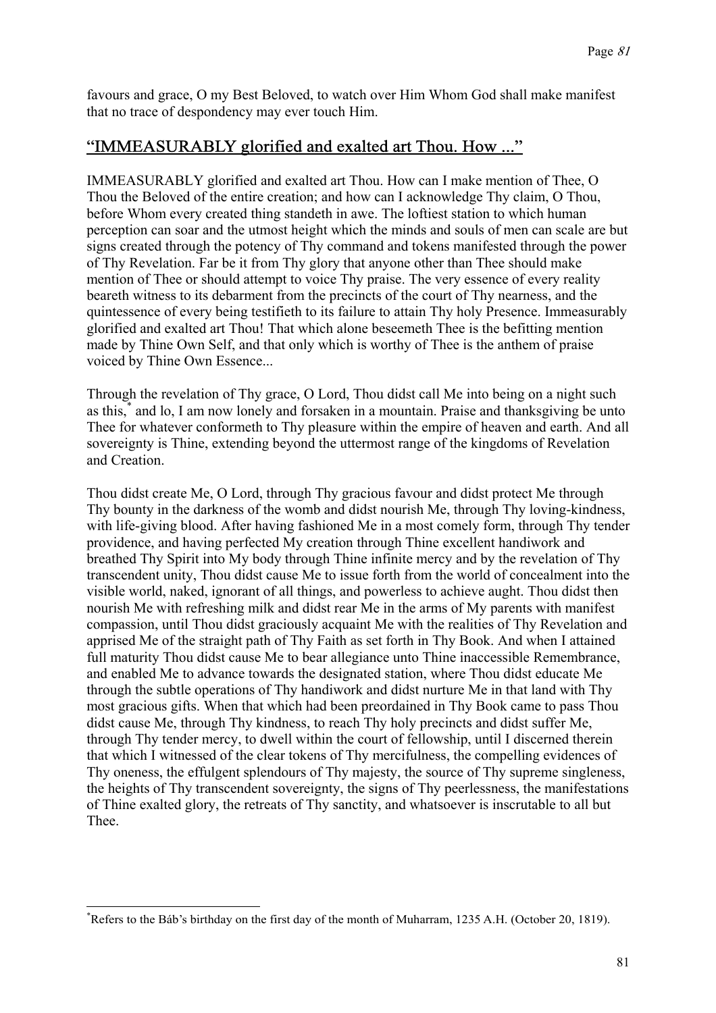favours and grace, O my Best Beloved, to watch over Him Whom God shall make manifest that no trace of despondency may ever touch Him.

## "IMMEASURABLY glorified and exalted art Thou. How ..."

IMMEASURABLY glorified and exalted art Thou. How can I make mention of Thee, O Thou the Beloved of the entire creation; and how can I acknowledge Thy claim, O Thou, before Whom every created thing standeth in awe. The loftiest station to which human perception can soar and the utmost height which the minds and souls of men can scale are but signs created through the potency of Thy command and tokens manifested through the power of Thy Revelation. Far be it from Thy glory that anyone other than Thee should make mention of Thee or should attempt to voice Thy praise. The very essence of every reality beareth witness to its debarment from the precincts of the court of Thy nearness, and the quintessence of every being testifieth to its failure to attain Thy holy Presence. Immeasurably glorified and exalted art Thou! That which alone beseemeth Thee is the befitting mention made by Thine Own Self, and that only which is worthy of Thee is the anthem of praise voiced by Thine Own Essence...

Through the revelation of Thy grace, O Lord, Thou didst call Me into being on a night such as this,<sup>\*</sup> and lo, I am now lonely and forsaken in a mountain. Praise and thanksgiving be unto Thee for whatever conformeth to Thy pleasure within the empire of heaven and earth. And all sovereignty is Thine, extending beyond the uttermost range of the kingdoms of Revelation and Creation.

Thou didst create Me, O Lord, through Thy gracious favour and didst protect Me through Thy bounty in the darkness of the womb and didst nourish Me, through Thy loving-kindness, with life-giving blood. After having fashioned Me in a most comely form, through Thy tender providence, and having perfected My creation through Thine excellent handiwork and breathed Thy Spirit into My body through Thine infinite mercy and by the revelation of Thy transcendent unity, Thou didst cause Me to issue forth from the world of concealment into the visible world, naked, ignorant of all things, and powerless to achieve aught. Thou didst then nourish Me with refreshing milk and didst rear Me in the arms of My parents with manifest compassion, until Thou didst graciously acquaint Me with the realities of Thy Revelation and apprised Me of the straight path of Thy Faith as set forth in Thy Book. And when I attained full maturity Thou didst cause Me to bear allegiance unto Thine inaccessible Remembrance, and enabled Me to advance towards the designated station, where Thou didst educate Me through the subtle operations of Thy handiwork and didst nurture Me in that land with Thy most gracious gifts. When that which had been preordained in Thy Book came to pass Thou didst cause Me, through Thy kindness, to reach Thy holy precincts and didst suffer Me, through Thy tender mercy, to dwell within the court of fellowship, until I discerned therein that which I witnessed of the clear tokens of Thy mercifulness, the compelling evidences of Thy oneness, the effulgent splendours of Thy majesty, the source of Thy supreme singleness, the heights of Thy transcendent sovereignty, the signs of Thy peerlessness, the manifestations of Thine exalted glory, the retreats of Thy sanctity, and whatsoever is inscrutable to all but **Thee.** 

 <sup>\*</sup> <sup>\*</sup>Refers to the Báb's birthday on the first day of the month of Muharram, 1235 A.H. (October 20, 1819).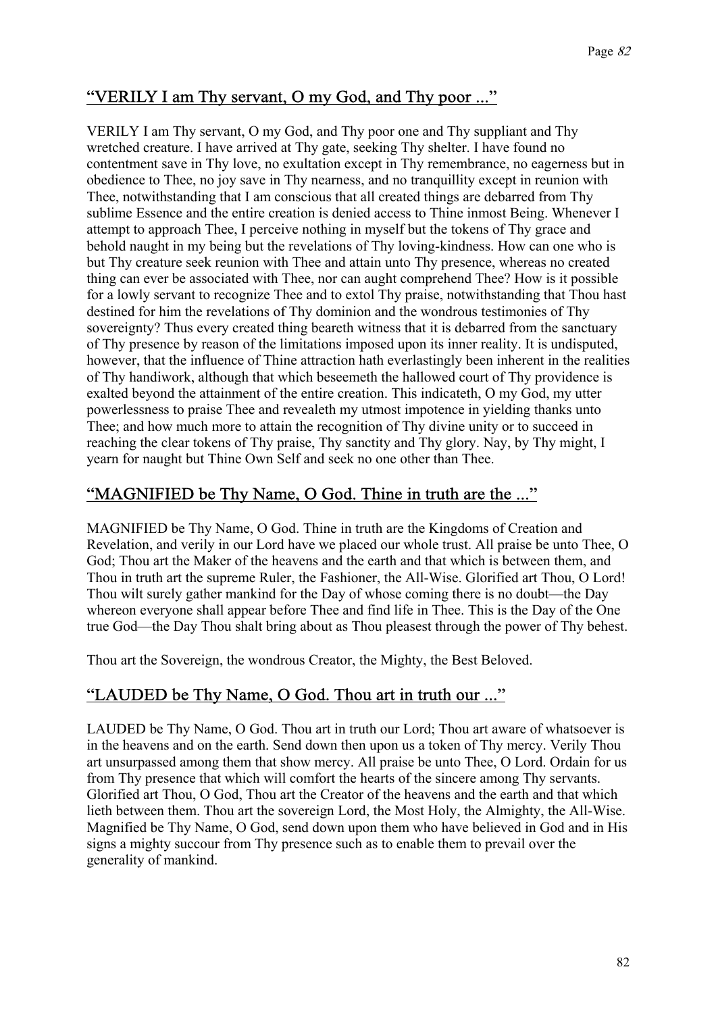# "VERILY I am Thy servant, O my God, and Thy poor ..."

VERILY I am Thy servant, O my God, and Thy poor one and Thy suppliant and Thy wretched creature. I have arrived at Thy gate, seeking Thy shelter. I have found no contentment save in Thy love, no exultation except in Thy remembrance, no eagerness but in obedience to Thee, no joy save in Thy nearness, and no tranquillity except in reunion with Thee, notwithstanding that I am conscious that all created things are debarred from Thy sublime Essence and the entire creation is denied access to Thine inmost Being. Whenever I attempt to approach Thee, I perceive nothing in myself but the tokens of Thy grace and behold naught in my being but the revelations of Thy loving-kindness. How can one who is but Thy creature seek reunion with Thee and attain unto Thy presence, whereas no created thing can ever be associated with Thee, nor can aught comprehend Thee? How is it possible for a lowly servant to recognize Thee and to extol Thy praise, notwithstanding that Thou hast destined for him the revelations of Thy dominion and the wondrous testimonies of Thy sovereignty? Thus every created thing beareth witness that it is debarred from the sanctuary of Thy presence by reason of the limitations imposed upon its inner reality. It is undisputed, however, that the influence of Thine attraction hath everlastingly been inherent in the realities of Thy handiwork, although that which beseemeth the hallowed court of Thy providence is exalted beyond the attainment of the entire creation. This indicateth, O my God, my utter powerlessness to praise Thee and revealeth my utmost impotence in yielding thanks unto Thee; and how much more to attain the recognition of Thy divine unity or to succeed in reaching the clear tokens of Thy praise, Thy sanctity and Thy glory. Nay, by Thy might, I yearn for naught but Thine Own Self and seek no one other than Thee.

## "MAGNIFIED be Thy Name, O God. Thine in truth are the ..."

MAGNIFIED be Thy Name, O God. Thine in truth are the Kingdoms of Creation and Revelation, and verily in our Lord have we placed our whole trust. All praise be unto Thee, O God; Thou art the Maker of the heavens and the earth and that which is between them, and Thou in truth art the supreme Ruler, the Fashioner, the All-Wise. Glorified art Thou, O Lord! Thou wilt surely gather mankind for the Day of whose coming there is no doubt—the Day whereon everyone shall appear before Thee and find life in Thee. This is the Day of the One true God—the Day Thou shalt bring about as Thou pleasest through the power of Thy behest.

Thou art the Sovereign, the wondrous Creator, the Mighty, the Best Beloved.

## "LAUDED be Thy Name, O God. Thou art in truth our ..."

LAUDED be Thy Name, O God. Thou art in truth our Lord; Thou art aware of whatsoever is in the heavens and on the earth. Send down then upon us a token of Thy mercy. Verily Thou art unsurpassed among them that show mercy. All praise be unto Thee, O Lord. Ordain for us from Thy presence that which will comfort the hearts of the sincere among Thy servants. Glorified art Thou, O God, Thou art the Creator of the heavens and the earth and that which lieth between them. Thou art the sovereign Lord, the Most Holy, the Almighty, the All-Wise. Magnified be Thy Name, O God, send down upon them who have believed in God and in His signs a mighty succour from Thy presence such as to enable them to prevail over the generality of mankind.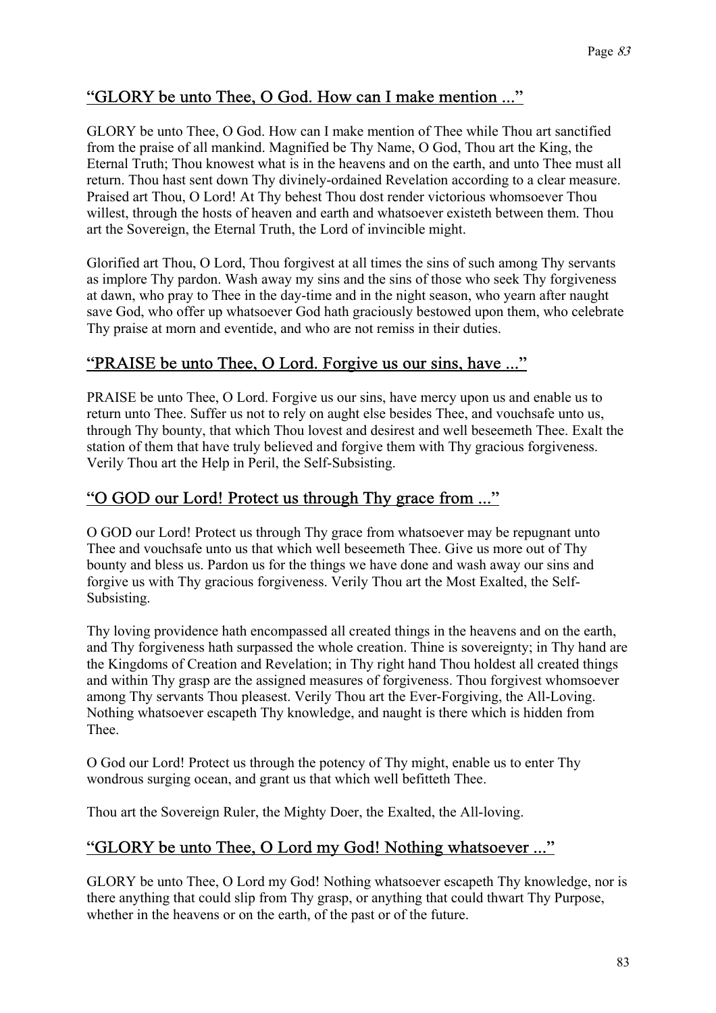## "GLORY be unto Thee, O God. How can I make mention ..."

GLORY be unto Thee, O God. How can I make mention of Thee while Thou art sanctified from the praise of all mankind. Magnified be Thy Name, O God, Thou art the King, the Eternal Truth; Thou knowest what is in the heavens and on the earth, and unto Thee must all return. Thou hast sent down Thy divinely-ordained Revelation according to a clear measure. Praised art Thou, O Lord! At Thy behest Thou dost render victorious whomsoever Thou willest, through the hosts of heaven and earth and whatsoever existeth between them. Thou art the Sovereign, the Eternal Truth, the Lord of invincible might.

Glorified art Thou, O Lord, Thou forgivest at all times the sins of such among Thy servants as implore Thy pardon. Wash away my sins and the sins of those who seek Thy forgiveness at dawn, who pray to Thee in the day-time and in the night season, who yearn after naught save God, who offer up whatsoever God hath graciously bestowed upon them, who celebrate Thy praise at morn and eventide, and who are not remiss in their duties.

## "PRAISE be unto Thee, O Lord. Forgive us our sins, have ..."

PRAISE be unto Thee, O Lord. Forgive us our sins, have mercy upon us and enable us to return unto Thee. Suffer us not to rely on aught else besides Thee, and vouchsafe unto us, through Thy bounty, that which Thou lovest and desirest and well beseemeth Thee. Exalt the station of them that have truly believed and forgive them with Thy gracious forgiveness. Verily Thou art the Help in Peril, the Self-Subsisting.

## "O GOD our Lord! Protect us through Thy grace from ..."

O GOD our Lord! Protect us through Thy grace from whatsoever may be repugnant unto Thee and vouchsafe unto us that which well beseemeth Thee. Give us more out of Thy bounty and bless us. Pardon us for the things we have done and wash away our sins and forgive us with Thy gracious forgiveness. Verily Thou art the Most Exalted, the Self-Subsisting.

Thy loving providence hath encompassed all created things in the heavens and on the earth, and Thy forgiveness hath surpassed the whole creation. Thine is sovereignty; in Thy hand are the Kingdoms of Creation and Revelation; in Thy right hand Thou holdest all created things and within Thy grasp are the assigned measures of forgiveness. Thou forgivest whomsoever among Thy servants Thou pleasest. Verily Thou art the Ever-Forgiving, the All-Loving. Nothing whatsoever escapeth Thy knowledge, and naught is there which is hidden from Thee.

O God our Lord! Protect us through the potency of Thy might, enable us to enter Thy wondrous surging ocean, and grant us that which well befitteth Thee.

Thou art the Sovereign Ruler, the Mighty Doer, the Exalted, the All-loving.

## "GLORY be unto Thee, O Lord my God! Nothing whatsoever ..."

GLORY be unto Thee, O Lord my God! Nothing whatsoever escapeth Thy knowledge, nor is there anything that could slip from Thy grasp, or anything that could thwart Thy Purpose, whether in the heavens or on the earth, of the past or of the future.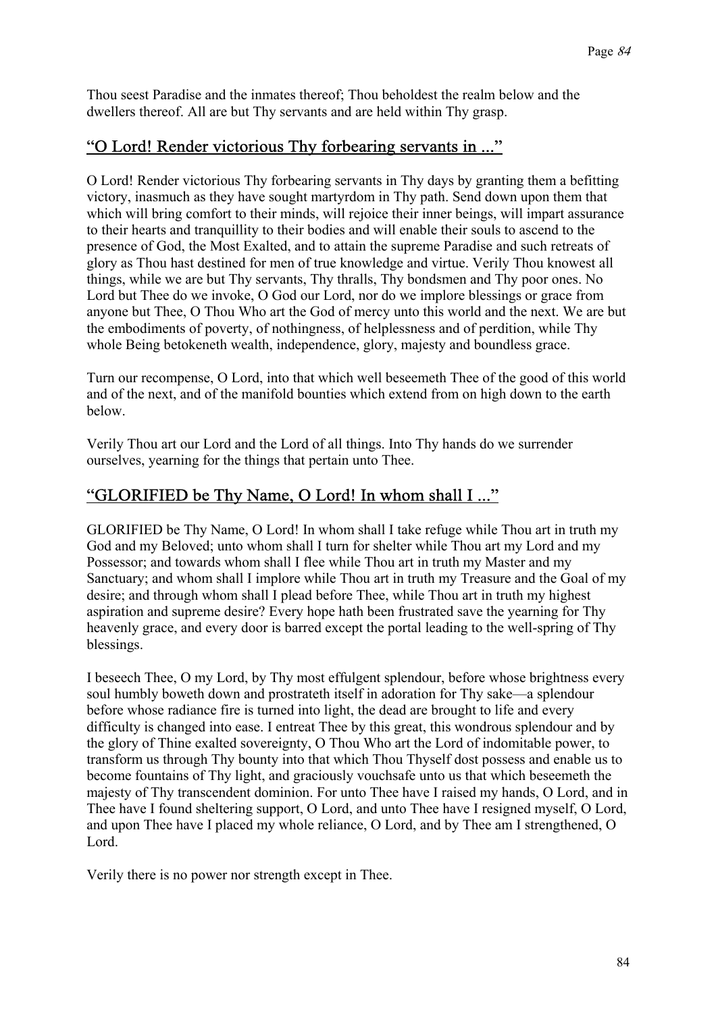Thou seest Paradise and the inmates thereof; Thou beholdest the realm below and the dwellers thereof. All are but Thy servants and are held within Thy grasp.

## "O Lord! Render victorious Thy forbearing servants in ..."

O Lord! Render victorious Thy forbearing servants in Thy days by granting them a befitting victory, inasmuch as they have sought martyrdom in Thy path. Send down upon them that which will bring comfort to their minds, will rejoice their inner beings, will impart assurance to their hearts and tranquillity to their bodies and will enable their souls to ascend to the presence of God, the Most Exalted, and to attain the supreme Paradise and such retreats of glory as Thou hast destined for men of true knowledge and virtue. Verily Thou knowest all things, while we are but Thy servants, Thy thralls, Thy bondsmen and Thy poor ones. No Lord but Thee do we invoke, O God our Lord, nor do we implore blessings or grace from anyone but Thee, O Thou Who art the God of mercy unto this world and the next. We are but the embodiments of poverty, of nothingness, of helplessness and of perdition, while Thy whole Being betokeneth wealth, independence, glory, majesty and boundless grace.

Turn our recompense, O Lord, into that which well beseemeth Thee of the good of this world and of the next, and of the manifold bounties which extend from on high down to the earth below.

Verily Thou art our Lord and the Lord of all things. Into Thy hands do we surrender ourselves, yearning for the things that pertain unto Thee.

## "GLORIFIED be Thy Name, O Lord! In whom shall I ..."

GLORIFIED be Thy Name, O Lord! In whom shall I take refuge while Thou art in truth my God and my Beloved; unto whom shall I turn for shelter while Thou art my Lord and my Possessor; and towards whom shall I flee while Thou art in truth my Master and my Sanctuary; and whom shall I implore while Thou art in truth my Treasure and the Goal of my desire; and through whom shall I plead before Thee, while Thou art in truth my highest aspiration and supreme desire? Every hope hath been frustrated save the yearning for Thy heavenly grace, and every door is barred except the portal leading to the well-spring of Thy blessings.

I beseech Thee, O my Lord, by Thy most effulgent splendour, before whose brightness every soul humbly boweth down and prostrateth itself in adoration for Thy sake—a splendour before whose radiance fire is turned into light, the dead are brought to life and every difficulty is changed into ease. I entreat Thee by this great, this wondrous splendour and by the glory of Thine exalted sovereignty, O Thou Who art the Lord of indomitable power, to transform us through Thy bounty into that which Thou Thyself dost possess and enable us to become fountains of Thy light, and graciously vouchsafe unto us that which beseemeth the majesty of Thy transcendent dominion. For unto Thee have I raised my hands, O Lord, and in Thee have I found sheltering support, O Lord, and unto Thee have I resigned myself, O Lord, and upon Thee have I placed my whole reliance, O Lord, and by Thee am I strengthened, O Lord.

Verily there is no power nor strength except in Thee.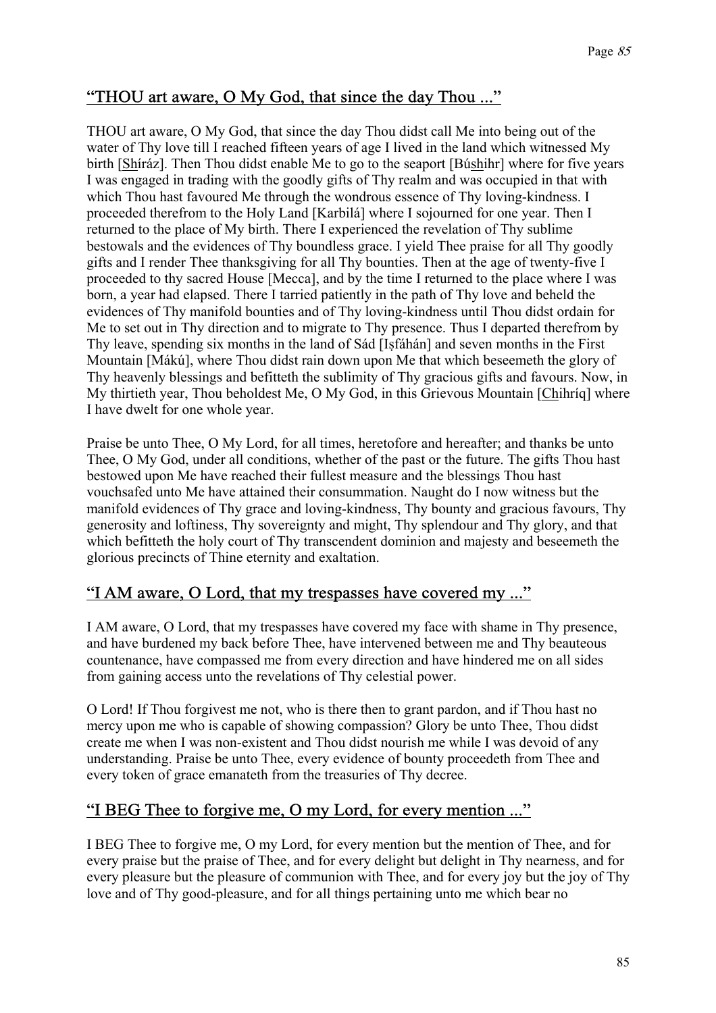## "THOU art aware, O My God, that since the day Thou ..."

THOU art aware, O My God, that since the day Thou didst call Me into being out of the water of Thy love till I reached fifteen years of age I lived in the land which witnessed My birth [Shíráz]. Then Thou didst enable Me to go to the seaport [Búshihr] where for five years I was engaged in trading with the goodly gifts of Thy realm and was occupied in that with which Thou hast favoured Me through the wondrous essence of Thy loving-kindness. I proceeded therefrom to the Holy Land [Karbilá] where I sojourned for one year. Then I returned to the place of My birth. There I experienced the revelation of Thy sublime bestowals and the evidences of Thy boundless grace. I yield Thee praise for all Thy goodly gifts and I render Thee thanksgiving for all Thy bounties. Then at the age of twenty-five I proceeded to thy sacred House [Mecca], and by the time I returned to the place where I was born, a year had elapsed. There I tarried patiently in the path of Thy love and beheld the evidences of Thy manifold bounties and of Thy loving-kindness until Thou didst ordain for Me to set out in Thy direction and to migrate to Thy presence. Thus I departed therefrom by Thy leave, spending six months in the land of Sád [Iṣfáhán] and seven months in the First Mountain [Mákú], where Thou didst rain down upon Me that which beseemeth the glory of Thy heavenly blessings and befitteth the sublimity of Thy gracious gifts and favours. Now, in My thirtieth year, Thou beholdest Me, O My God, in this Grievous Mountain [Chihríq] where I have dwelt for one whole year.

Praise be unto Thee, O My Lord, for all times, heretofore and hereafter; and thanks be unto Thee, O My God, under all conditions, whether of the past or the future. The gifts Thou hast bestowed upon Me have reached their fullest measure and the blessings Thou hast vouchsafed unto Me have attained their consummation. Naught do I now witness but the manifold evidences of Thy grace and loving-kindness, Thy bounty and gracious favours, Thy generosity and loftiness, Thy sovereignty and might, Thy splendour and Thy glory, and that which befitteth the holy court of Thy transcendent dominion and majesty and beseemeth the glorious precincts of Thine eternity and exaltation.

## "I AM aware, O Lord, that my trespasses have covered my ..."

I AM aware, O Lord, that my trespasses have covered my face with shame in Thy presence, and have burdened my back before Thee, have intervened between me and Thy beauteous countenance, have compassed me from every direction and have hindered me on all sides from gaining access unto the revelations of Thy celestial power.

O Lord! If Thou forgivest me not, who is there then to grant pardon, and if Thou hast no mercy upon me who is capable of showing compassion? Glory be unto Thee, Thou didst create me when I was non-existent and Thou didst nourish me while I was devoid of any understanding. Praise be unto Thee, every evidence of bounty proceedeth from Thee and every token of grace emanateth from the treasuries of Thy decree.

## "I BEG Thee to forgive me, O my Lord, for every mention ..."

I BEG Thee to forgive me, O my Lord, for every mention but the mention of Thee, and for every praise but the praise of Thee, and for every delight but delight in Thy nearness, and for every pleasure but the pleasure of communion with Thee, and for every joy but the joy of Thy love and of Thy good-pleasure, and for all things pertaining unto me which bear no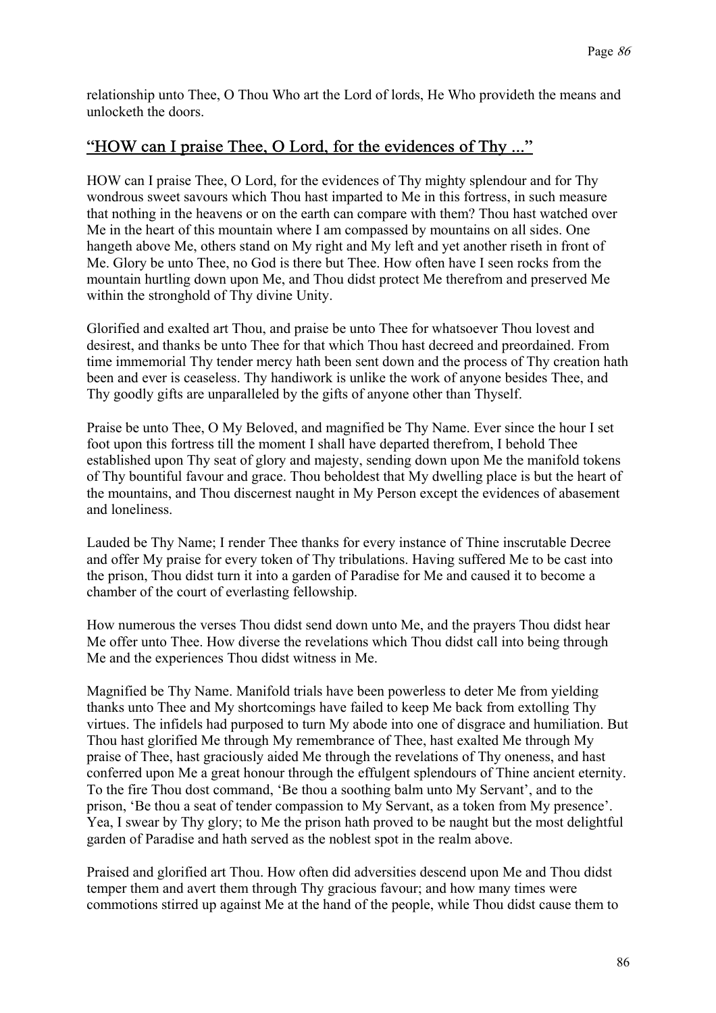relationship unto Thee, O Thou Who art the Lord of lords, He Who provideth the means and unlocketh the doors.

## "HOW can I praise Thee, O Lord, for the evidences of Thy ..."

HOW can I praise Thee, O Lord, for the evidences of Thy mighty splendour and for Thy wondrous sweet savours which Thou hast imparted to Me in this fortress, in such measure that nothing in the heavens or on the earth can compare with them? Thou hast watched over Me in the heart of this mountain where I am compassed by mountains on all sides. One hangeth above Me, others stand on My right and My left and yet another riseth in front of Me. Glory be unto Thee, no God is there but Thee. How often have I seen rocks from the mountain hurtling down upon Me, and Thou didst protect Me therefrom and preserved Me within the stronghold of Thy divine Unity.

Glorified and exalted art Thou, and praise be unto Thee for whatsoever Thou lovest and desirest, and thanks be unto Thee for that which Thou hast decreed and preordained. From time immemorial Thy tender mercy hath been sent down and the process of Thy creation hath been and ever is ceaseless. Thy handiwork is unlike the work of anyone besides Thee, and Thy goodly gifts are unparalleled by the gifts of anyone other than Thyself.

Praise be unto Thee, O My Beloved, and magnified be Thy Name. Ever since the hour I set foot upon this fortress till the moment I shall have departed therefrom, I behold Thee established upon Thy seat of glory and majesty, sending down upon Me the manifold tokens of Thy bountiful favour and grace. Thou beholdest that My dwelling place is but the heart of the mountains, and Thou discernest naught in My Person except the evidences of abasement and loneliness.

Lauded be Thy Name; I render Thee thanks for every instance of Thine inscrutable Decree and offer My praise for every token of Thy tribulations. Having suffered Me to be cast into the prison, Thou didst turn it into a garden of Paradise for Me and caused it to become a chamber of the court of everlasting fellowship.

How numerous the verses Thou didst send down unto Me, and the prayers Thou didst hear Me offer unto Thee. How diverse the revelations which Thou didst call into being through Me and the experiences Thou didst witness in Me.

Magnified be Thy Name. Manifold trials have been powerless to deter Me from yielding thanks unto Thee and My shortcomings have failed to keep Me back from extolling Thy virtues. The infidels had purposed to turn My abode into one of disgrace and humiliation. But Thou hast glorified Me through My remembrance of Thee, hast exalted Me through My praise of Thee, hast graciously aided Me through the revelations of Thy oneness, and hast conferred upon Me a great honour through the effulgent splendours of Thine ancient eternity. To the fire Thou dost command, 'Be thou a soothing balm unto My Servant', and to the prison, 'Be thou a seat of tender compassion to My Servant, as a token from My presence'. Yea, I swear by Thy glory; to Me the prison hath proved to be naught but the most delightful garden of Paradise and hath served as the noblest spot in the realm above.

Praised and glorified art Thou. How often did adversities descend upon Me and Thou didst temper them and avert them through Thy gracious favour; and how many times were commotions stirred up against Me at the hand of the people, while Thou didst cause them to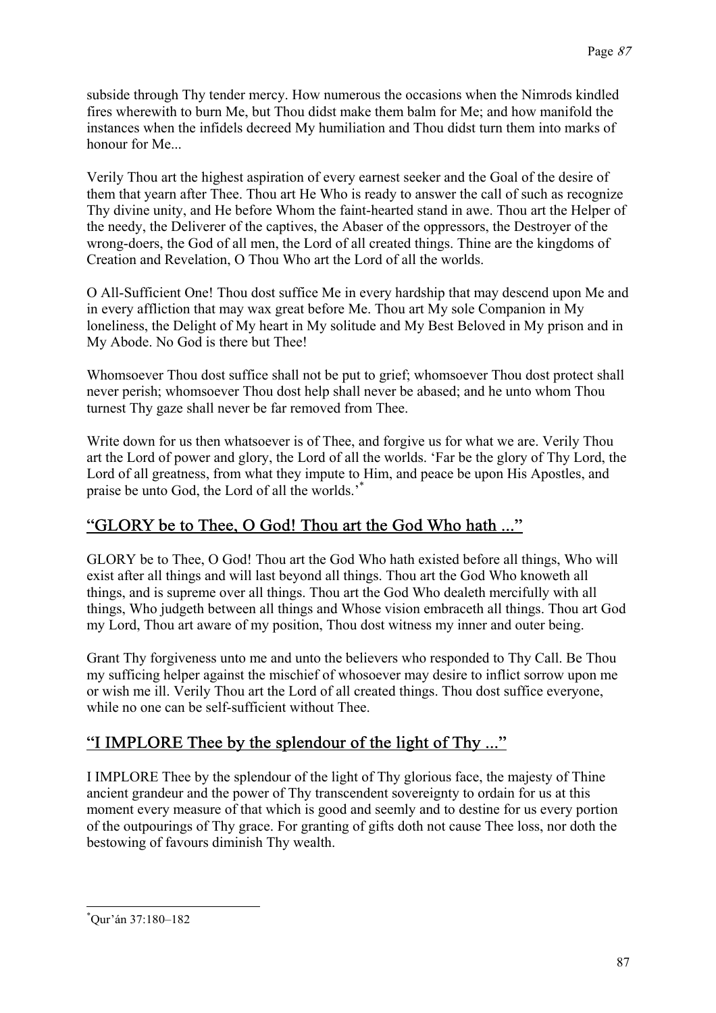subside through Thy tender mercy. How numerous the occasions when the Nimrods kindled fires wherewith to burn Me, but Thou didst make them balm for Me; and how manifold the instances when the infidels decreed My humiliation and Thou didst turn them into marks of honour for Me...

Verily Thou art the highest aspiration of every earnest seeker and the Goal of the desire of them that yearn after Thee. Thou art He Who is ready to answer the call of such as recognize Thy divine unity, and He before Whom the faint-hearted stand in awe. Thou art the Helper of the needy, the Deliverer of the captives, the Abaser of the oppressors, the Destroyer of the wrong-doers, the God of all men, the Lord of all created things. Thine are the kingdoms of Creation and Revelation, O Thou Who art the Lord of all the worlds.

O All-Sufficient One! Thou dost suffice Me in every hardship that may descend upon Me and in every affliction that may wax great before Me. Thou art My sole Companion in My loneliness, the Delight of My heart in My solitude and My Best Beloved in My prison and in My Abode. No God is there but Thee!

Whomsoever Thou dost suffice shall not be put to grief; whomsoever Thou dost protect shall never perish; whomsoever Thou dost help shall never be abased; and he unto whom Thou turnest Thy gaze shall never be far removed from Thee.

Write down for us then whatsoever is of Thee, and forgive us for what we are. Verily Thou art the Lord of power and glory, the Lord of all the worlds. 'Far be the glory of Thy Lord, the Lord of all greatness, from what they impute to Him, and peace be upon His Apostles, and praise be unto God, the Lord of all the worlds.'\*

# "GLORY be to Thee, O God! Thou art the God Who hath ..."

GLORY be to Thee, O God! Thou art the God Who hath existed before all things, Who will exist after all things and will last beyond all things. Thou art the God Who knoweth all things, and is supreme over all things. Thou art the God Who dealeth mercifully with all things, Who judgeth between all things and Whose vision embraceth all things. Thou art God my Lord, Thou art aware of my position, Thou dost witness my inner and outer being.

Grant Thy forgiveness unto me and unto the believers who responded to Thy Call. Be Thou my sufficing helper against the mischief of whosoever may desire to inflict sorrow upon me or wish me ill. Verily Thou art the Lord of all created things. Thou dost suffice everyone, while no one can be self-sufficient without Thee.

# "I IMPLORE Thee by the splendour of the light of Thy ..."

I IMPLORE Thee by the splendour of the light of Thy glorious face, the majesty of Thine ancient grandeur and the power of Thy transcendent sovereignty to ordain for us at this moment every measure of that which is good and seemly and to destine for us every portion of the outpourings of Thy grace. For granting of gifts doth not cause Thee loss, nor doth the bestowing of favours diminish Thy wealth.

 <sup>\*</sup>  $*$ Our'án 37:180–182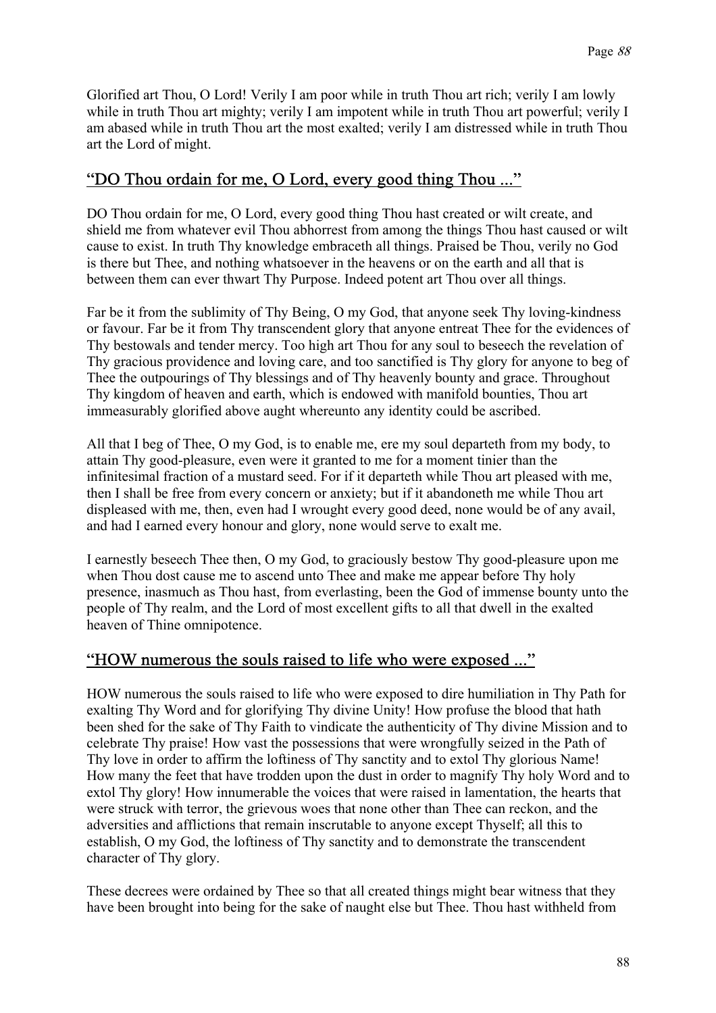Glorified art Thou, O Lord! Verily I am poor while in truth Thou art rich; verily I am lowly while in truth Thou art mighty; verily I am impotent while in truth Thou art powerful; verily I am abased while in truth Thou art the most exalted; verily I am distressed while in truth Thou art the Lord of might.

## "DO Thou ordain for me, O Lord, every good thing Thou ..."

DO Thou ordain for me, O Lord, every good thing Thou hast created or wilt create, and shield me from whatever evil Thou abhorrest from among the things Thou hast caused or wilt cause to exist. In truth Thy knowledge embraceth all things. Praised be Thou, verily no God is there but Thee, and nothing whatsoever in the heavens or on the earth and all that is between them can ever thwart Thy Purpose. Indeed potent art Thou over all things.

Far be it from the sublimity of Thy Being, O my God, that anyone seek Thy loving-kindness or favour. Far be it from Thy transcendent glory that anyone entreat Thee for the evidences of Thy bestowals and tender mercy. Too high art Thou for any soul to beseech the revelation of Thy gracious providence and loving care, and too sanctified is Thy glory for anyone to beg of Thee the outpourings of Thy blessings and of Thy heavenly bounty and grace. Throughout Thy kingdom of heaven and earth, which is endowed with manifold bounties, Thou art immeasurably glorified above aught whereunto any identity could be ascribed.

All that I beg of Thee, O my God, is to enable me, ere my soul departeth from my body, to attain Thy good-pleasure, even were it granted to me for a moment tinier than the infinitesimal fraction of a mustard seed. For if it departeth while Thou art pleased with me, then I shall be free from every concern or anxiety; but if it abandoneth me while Thou art displeased with me, then, even had I wrought every good deed, none would be of any avail, and had I earned every honour and glory, none would serve to exalt me.

I earnestly beseech Thee then, O my God, to graciously bestow Thy good-pleasure upon me when Thou dost cause me to ascend unto Thee and make me appear before Thy holy presence, inasmuch as Thou hast, from everlasting, been the God of immense bounty unto the people of Thy realm, and the Lord of most excellent gifts to all that dwell in the exalted heaven of Thine omnipotence.

## "HOW numerous the souls raised to life who were exposed ..."

HOW numerous the souls raised to life who were exposed to dire humiliation in Thy Path for exalting Thy Word and for glorifying Thy divine Unity! How profuse the blood that hath been shed for the sake of Thy Faith to vindicate the authenticity of Thy divine Mission and to celebrate Thy praise! How vast the possessions that were wrongfully seized in the Path of Thy love in order to affirm the loftiness of Thy sanctity and to extol Thy glorious Name! How many the feet that have trodden upon the dust in order to magnify Thy holy Word and to extol Thy glory! How innumerable the voices that were raised in lamentation, the hearts that were struck with terror, the grievous woes that none other than Thee can reckon, and the adversities and afflictions that remain inscrutable to anyone except Thyself; all this to establish, O my God, the loftiness of Thy sanctity and to demonstrate the transcendent character of Thy glory.

These decrees were ordained by Thee so that all created things might bear witness that they have been brought into being for the sake of naught else but Thee. Thou hast withheld from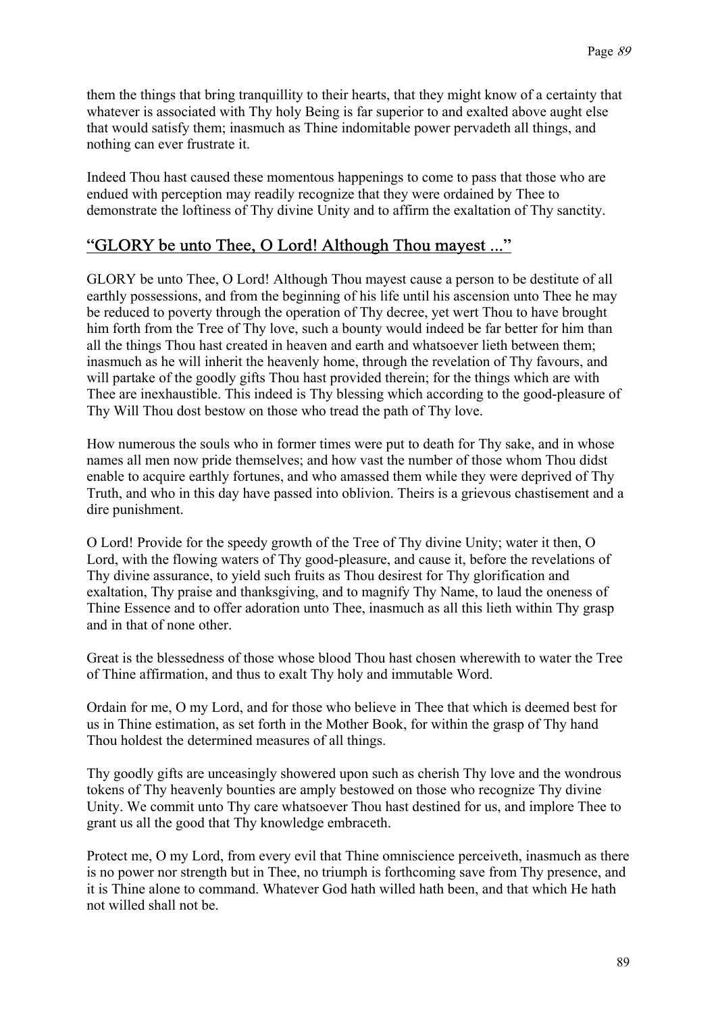them the things that bring tranquillity to their hearts, that they might know of a certainty that whatever is associated with Thy holy Being is far superior to and exalted above aught else that would satisfy them; inasmuch as Thine indomitable power pervadeth all things, and nothing can ever frustrate it.

Indeed Thou hast caused these momentous happenings to come to pass that those who are endued with perception may readily recognize that they were ordained by Thee to demonstrate the loftiness of Thy divine Unity and to affirm the exaltation of Thy sanctity.

# "GLORY be unto Thee, O Lord! Although Thou mayest ..."

GLORY be unto Thee, O Lord! Although Thou mayest cause a person to be destitute of all earthly possessions, and from the beginning of his life until his ascension unto Thee he may be reduced to poverty through the operation of Thy decree, yet wert Thou to have brought him forth from the Tree of Thy love, such a bounty would indeed be far better for him than all the things Thou hast created in heaven and earth and whatsoever lieth between them; inasmuch as he will inherit the heavenly home, through the revelation of Thy favours, and will partake of the goodly gifts Thou hast provided therein; for the things which are with Thee are inexhaustible. This indeed is Thy blessing which according to the good-pleasure of Thy Will Thou dost bestow on those who tread the path of Thy love.

How numerous the souls who in former times were put to death for Thy sake, and in whose names all men now pride themselves; and how vast the number of those whom Thou didst enable to acquire earthly fortunes, and who amassed them while they were deprived of Thy Truth, and who in this day have passed into oblivion. Theirs is a grievous chastisement and a dire punishment.

O Lord! Provide for the speedy growth of the Tree of Thy divine Unity; water it then, O Lord, with the flowing waters of Thy good-pleasure, and cause it, before the revelations of Thy divine assurance, to yield such fruits as Thou desirest for Thy glorification and exaltation, Thy praise and thanksgiving, and to magnify Thy Name, to laud the oneness of Thine Essence and to offer adoration unto Thee, inasmuch as all this lieth within Thy grasp and in that of none other.

Great is the blessedness of those whose blood Thou hast chosen wherewith to water the Tree of Thine affirmation, and thus to exalt Thy holy and immutable Word.

Ordain for me, O my Lord, and for those who believe in Thee that which is deemed best for us in Thine estimation, as set forth in the Mother Book, for within the grasp of Thy hand Thou holdest the determined measures of all things.

Thy goodly gifts are unceasingly showered upon such as cherish Thy love and the wondrous tokens of Thy heavenly bounties are amply bestowed on those who recognize Thy divine Unity. We commit unto Thy care whatsoever Thou hast destined for us, and implore Thee to grant us all the good that Thy knowledge embraceth.

Protect me, O my Lord, from every evil that Thine omniscience perceiveth, inasmuch as there is no power nor strength but in Thee, no triumph is forthcoming save from Thy presence, and it is Thine alone to command. Whatever God hath willed hath been, and that which He hath not willed shall not be.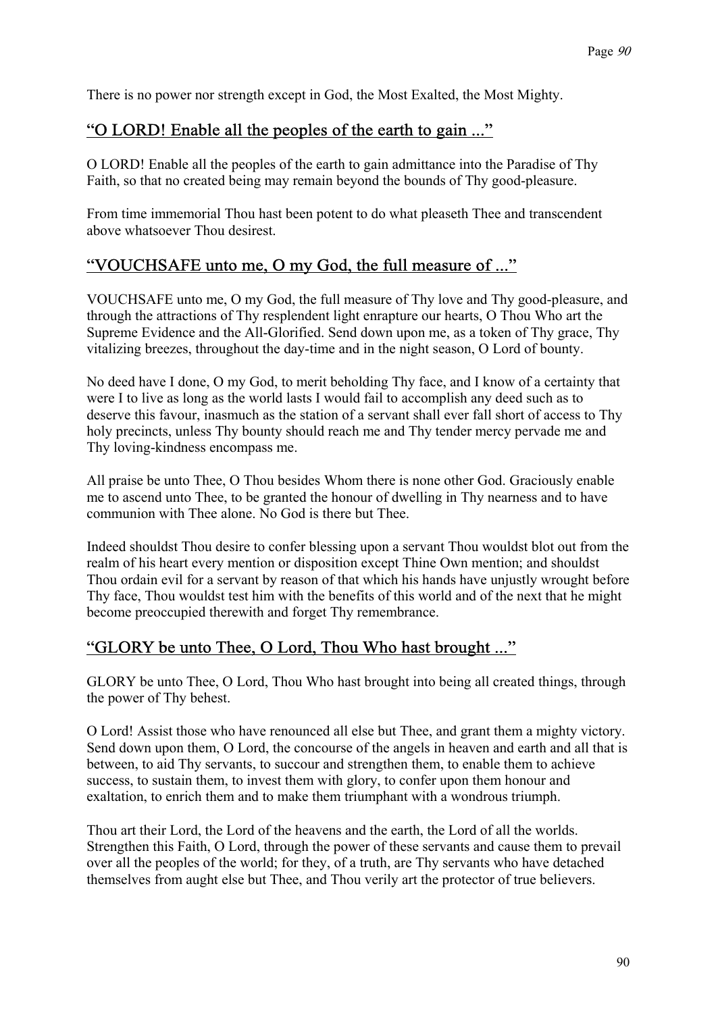There is no power nor strength except in God, the Most Exalted, the Most Mighty.

## "O LORD! Enable all the peoples of the earth to gain ..."

O LORD! Enable all the peoples of the earth to gain admittance into the Paradise of Thy Faith, so that no created being may remain beyond the bounds of Thy good-pleasure.

From time immemorial Thou hast been potent to do what pleaseth Thee and transcendent above whatsoever Thou desirest.

## "VOUCHSAFE unto me, O my God, the full measure of ..."

VOUCHSAFE unto me, O my God, the full measure of Thy love and Thy good-pleasure, and through the attractions of Thy resplendent light enrapture our hearts, O Thou Who art the Supreme Evidence and the All-Glorified. Send down upon me, as a token of Thy grace, Thy vitalizing breezes, throughout the day-time and in the night season, O Lord of bounty.

No deed have I done, O my God, to merit beholding Thy face, and I know of a certainty that were I to live as long as the world lasts I would fail to accomplish any deed such as to deserve this favour, inasmuch as the station of a servant shall ever fall short of access to Thy holy precincts, unless Thy bounty should reach me and Thy tender mercy pervade me and Thy loving-kindness encompass me.

All praise be unto Thee, O Thou besides Whom there is none other God. Graciously enable me to ascend unto Thee, to be granted the honour of dwelling in Thy nearness and to have communion with Thee alone. No God is there but Thee.

Indeed shouldst Thou desire to confer blessing upon a servant Thou wouldst blot out from the realm of his heart every mention or disposition except Thine Own mention; and shouldst Thou ordain evil for a servant by reason of that which his hands have unjustly wrought before Thy face, Thou wouldst test him with the benefits of this world and of the next that he might become preoccupied therewith and forget Thy remembrance.

## "GLORY be unto Thee, O Lord, Thou Who hast brought ..."

GLORY be unto Thee, O Lord, Thou Who hast brought into being all created things, through the power of Thy behest.

O Lord! Assist those who have renounced all else but Thee, and grant them a mighty victory. Send down upon them, O Lord, the concourse of the angels in heaven and earth and all that is between, to aid Thy servants, to succour and strengthen them, to enable them to achieve success, to sustain them, to invest them with glory, to confer upon them honour and exaltation, to enrich them and to make them triumphant with a wondrous triumph.

Thou art their Lord, the Lord of the heavens and the earth, the Lord of all the worlds. Strengthen this Faith, O Lord, through the power of these servants and cause them to prevail over all the peoples of the world; for they, of a truth, are Thy servants who have detached themselves from aught else but Thee, and Thou verily art the protector of true believers.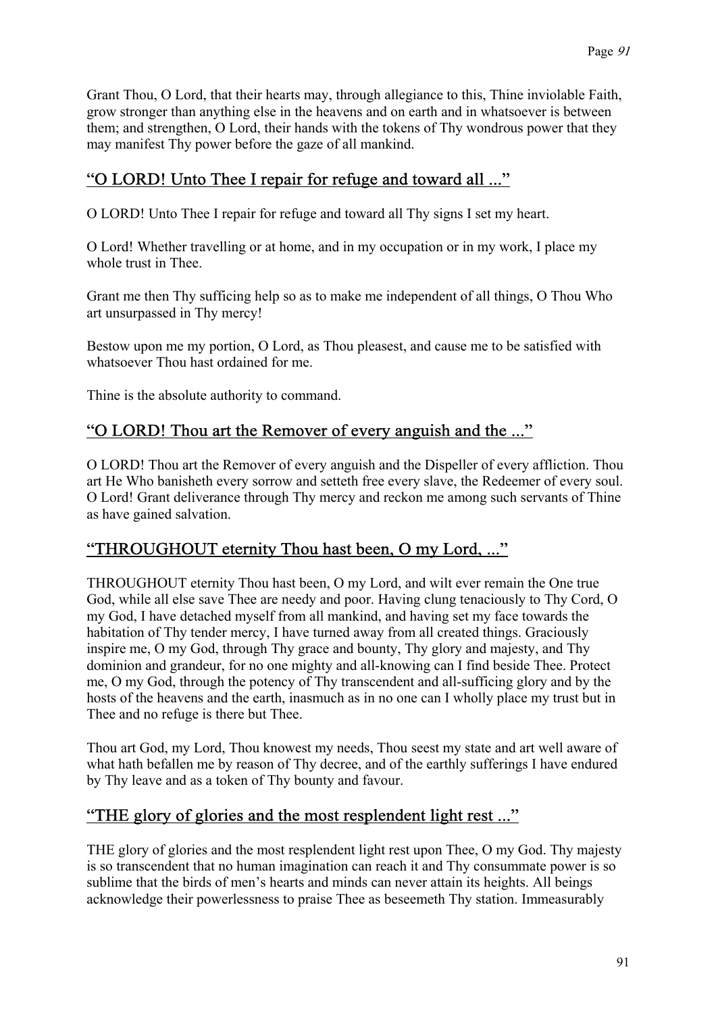Grant Thou, O Lord, that their hearts may, through allegiance to this, Thine inviolable Faith, grow stronger than anything else in the heavens and on earth and in whatsoever is between them; and strengthen, O Lord, their hands with the tokens of Thy wondrous power that they may manifest Thy power before the gaze of all mankind.

## "O LORD! Unto Thee I repair for refuge and toward all ..."

O LORD! Unto Thee I repair for refuge and toward all Thy signs I set my heart.

O Lord! Whether travelling or at home, and in my occupation or in my work, I place my whole trust in Thee.

Grant me then Thy sufficing help so as to make me independent of all things, O Thou Who art unsurpassed in Thy mercy!

Bestow upon me my portion, O Lord, as Thou pleasest, and cause me to be satisfied with whatsoever Thou hast ordained for me.

Thine is the absolute authority to command.

## "O LORD! Thou art the Remover of every anguish and the ..."

O LORD! Thou art the Remover of every anguish and the Dispeller of every affliction. Thou art He Who banisheth every sorrow and setteth free every slave, the Redeemer of every soul. O Lord! Grant deliverance through Thy mercy and reckon me among such servants of Thine as have gained salvation.

## "THROUGHOUT eternity Thou hast been, O my Lord, ..."

THROUGHOUT eternity Thou hast been, O my Lord, and wilt ever remain the One true God, while all else save Thee are needy and poor. Having clung tenaciously to Thy Cord, O my God, I have detached myself from all mankind, and having set my face towards the habitation of Thy tender mercy, I have turned away from all created things. Graciously inspire me, O my God, through Thy grace and bounty, Thy glory and majesty, and Thy dominion and grandeur, for no one mighty and all-knowing can I find beside Thee. Protect me, O my God, through the potency of Thy transcendent and all-sufficing glory and by the hosts of the heavens and the earth, inasmuch as in no one can I wholly place my trust but in Thee and no refuge is there but Thee.

Thou art God, my Lord, Thou knowest my needs, Thou seest my state and art well aware of what hath befallen me by reason of Thy decree, and of the earthly sufferings I have endured by Thy leave and as a token of Thy bounty and favour.

## "THE glory of glories and the most resplendent light rest ..."

THE glory of glories and the most resplendent light rest upon Thee, O my God. Thy majesty is so transcendent that no human imagination can reach it and Thy consummate power is so sublime that the birds of men's hearts and minds can never attain its heights. All beings acknowledge their powerlessness to praise Thee as beseemeth Thy station. Immeasurably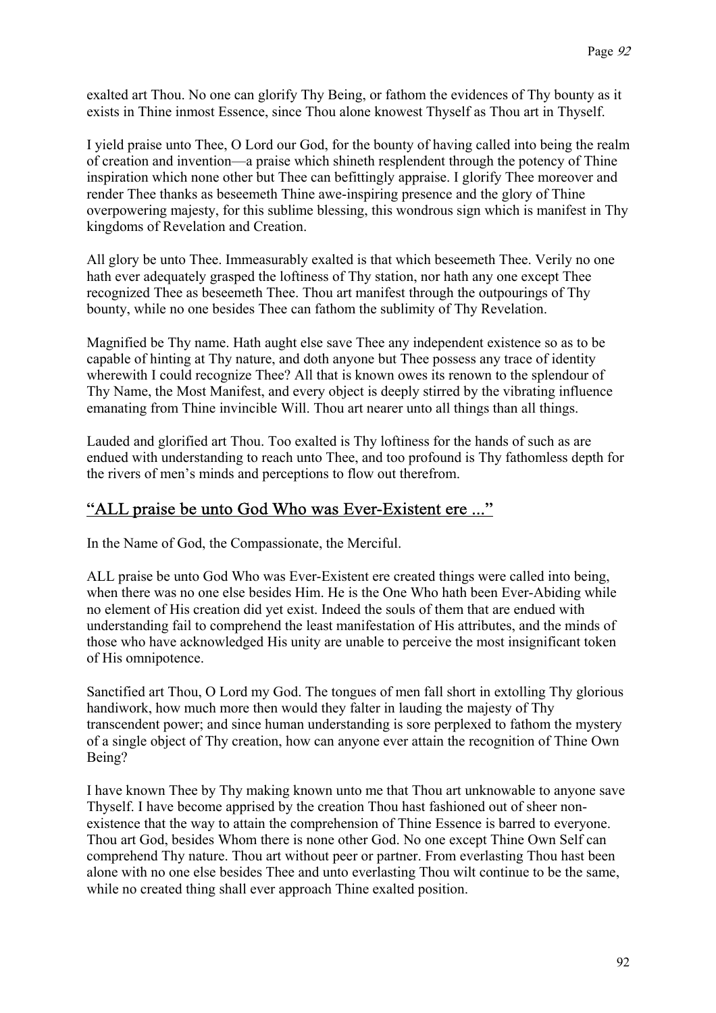exalted art Thou. No one can glorify Thy Being, or fathom the evidences of Thy bounty as it exists in Thine inmost Essence, since Thou alone knowest Thyself as Thou art in Thyself.

I yield praise unto Thee, O Lord our God, for the bounty of having called into being the realm of creation and invention—a praise which shineth resplendent through the potency of Thine inspiration which none other but Thee can befittingly appraise. I glorify Thee moreover and render Thee thanks as beseemeth Thine awe-inspiring presence and the glory of Thine overpowering majesty, for this sublime blessing, this wondrous sign which is manifest in Thy kingdoms of Revelation and Creation.

All glory be unto Thee. Immeasurably exalted is that which beseemeth Thee. Verily no one hath ever adequately grasped the loftiness of Thy station, nor hath any one except Thee recognized Thee as beseemeth Thee. Thou art manifest through the outpourings of Thy bounty, while no one besides Thee can fathom the sublimity of Thy Revelation.

Magnified be Thy name. Hath aught else save Thee any independent existence so as to be capable of hinting at Thy nature, and doth anyone but Thee possess any trace of identity wherewith I could recognize Thee? All that is known owes its renown to the splendour of Thy Name, the Most Manifest, and every object is deeply stirred by the vibrating influence emanating from Thine invincible Will. Thou art nearer unto all things than all things.

Lauded and glorified art Thou. Too exalted is Thy loftiness for the hands of such as are endued with understanding to reach unto Thee, and too profound is Thy fathomless depth for the rivers of men's minds and perceptions to flow out therefrom.

#### "ALL praise be unto God Who was Ever-Existent ere ..."

In the Name of God, the Compassionate, the Merciful.

ALL praise be unto God Who was Ever-Existent ere created things were called into being, when there was no one else besides Him. He is the One Who hath been Ever-Abiding while no element of His creation did yet exist. Indeed the souls of them that are endued with understanding fail to comprehend the least manifestation of His attributes, and the minds of those who have acknowledged His unity are unable to perceive the most insignificant token of His omnipotence.

Sanctified art Thou, O Lord my God. The tongues of men fall short in extolling Thy glorious handiwork, how much more then would they falter in lauding the majesty of Thy transcendent power; and since human understanding is sore perplexed to fathom the mystery of a single object of Thy creation, how can anyone ever attain the recognition of Thine Own Being?

I have known Thee by Thy making known unto me that Thou art unknowable to anyone save Thyself. I have become apprised by the creation Thou hast fashioned out of sheer nonexistence that the way to attain the comprehension of Thine Essence is barred to everyone. Thou art God, besides Whom there is none other God. No one except Thine Own Self can comprehend Thy nature. Thou art without peer or partner. From everlasting Thou hast been alone with no one else besides Thee and unto everlasting Thou wilt continue to be the same, while no created thing shall ever approach Thine exalted position.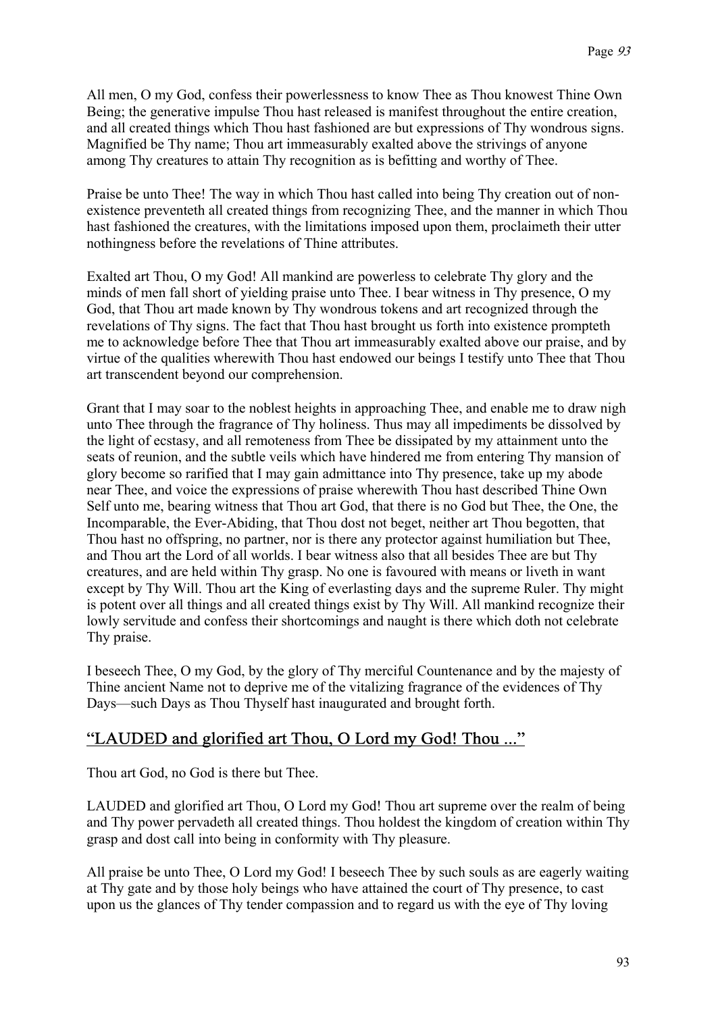All men, O my God, confess their powerlessness to know Thee as Thou knowest Thine Own Being; the generative impulse Thou hast released is manifest throughout the entire creation, and all created things which Thou hast fashioned are but expressions of Thy wondrous signs. Magnified be Thy name; Thou art immeasurably exalted above the strivings of anyone among Thy creatures to attain Thy recognition as is befitting and worthy of Thee.

Praise be unto Thee! The way in which Thou hast called into being Thy creation out of nonexistence preventeth all created things from recognizing Thee, and the manner in which Thou hast fashioned the creatures, with the limitations imposed upon them, proclaimeth their utter nothingness before the revelations of Thine attributes.

Exalted art Thou, O my God! All mankind are powerless to celebrate Thy glory and the minds of men fall short of yielding praise unto Thee. I bear witness in Thy presence, O my God, that Thou art made known by Thy wondrous tokens and art recognized through the revelations of Thy signs. The fact that Thou hast brought us forth into existence prompteth me to acknowledge before Thee that Thou art immeasurably exalted above our praise, and by virtue of the qualities wherewith Thou hast endowed our beings I testify unto Thee that Thou art transcendent beyond our comprehension.

Grant that I may soar to the noblest heights in approaching Thee, and enable me to draw nigh unto Thee through the fragrance of Thy holiness. Thus may all impediments be dissolved by the light of ecstasy, and all remoteness from Thee be dissipated by my attainment unto the seats of reunion, and the subtle veils which have hindered me from entering Thy mansion of glory become so rarified that I may gain admittance into Thy presence, take up my abode near Thee, and voice the expressions of praise wherewith Thou hast described Thine Own Self unto me, bearing witness that Thou art God, that there is no God but Thee, the One, the Incomparable, the Ever-Abiding, that Thou dost not beget, neither art Thou begotten, that Thou hast no offspring, no partner, nor is there any protector against humiliation but Thee, and Thou art the Lord of all worlds. I bear witness also that all besides Thee are but Thy creatures, and are held within Thy grasp. No one is favoured with means or liveth in want except by Thy Will. Thou art the King of everlasting days and the supreme Ruler. Thy might is potent over all things and all created things exist by Thy Will. All mankind recognize their lowly servitude and confess their shortcomings and naught is there which doth not celebrate Thy praise.

I beseech Thee, O my God, by the glory of Thy merciful Countenance and by the majesty of Thine ancient Name not to deprive me of the vitalizing fragrance of the evidences of Thy Days—such Days as Thou Thyself hast inaugurated and brought forth.

# "LAUDED and glorified art Thou, O Lord my God! Thou ..."

Thou art God, no God is there but Thee.

LAUDED and glorified art Thou, O Lord my God! Thou art supreme over the realm of being and Thy power pervadeth all created things. Thou holdest the kingdom of creation within Thy grasp and dost call into being in conformity with Thy pleasure.

All praise be unto Thee, O Lord my God! I beseech Thee by such souls as are eagerly waiting at Thy gate and by those holy beings who have attained the court of Thy presence, to cast upon us the glances of Thy tender compassion and to regard us with the eye of Thy loving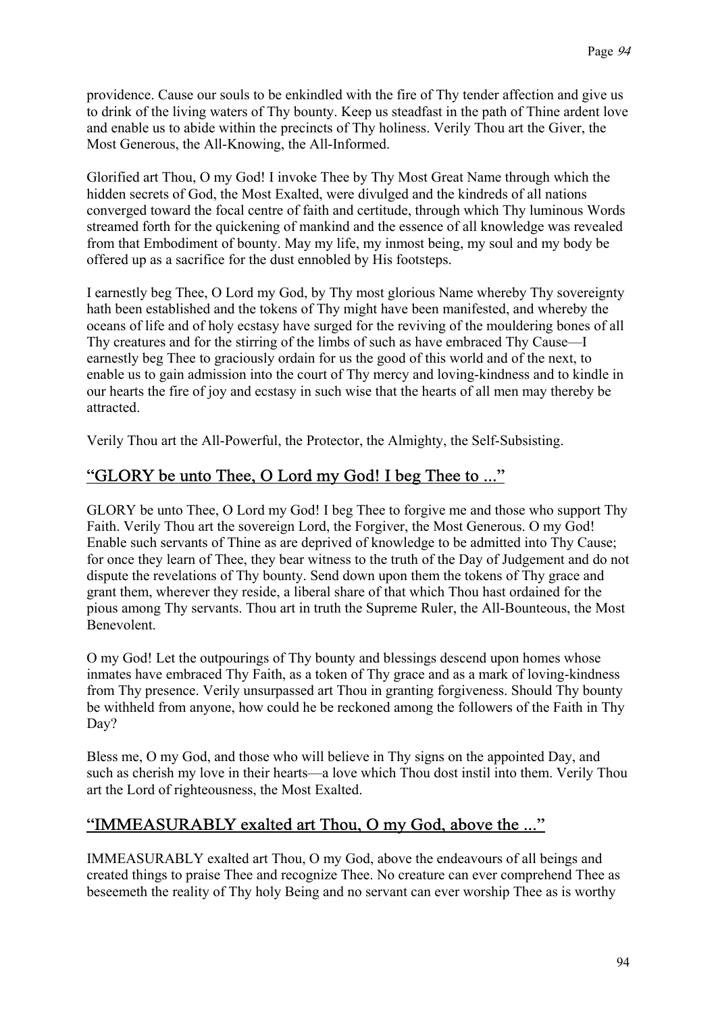providence. Cause our souls to be enkindled with the fire of Thy tender affection and give us to drink of the living waters of Thy bounty. Keep us steadfast in the path of Thine ardent love and enable us to abide within the precincts of Thy holiness. Verily Thou art the Giver, the Most Generous, the All-Knowing, the All-Informed.

Glorified art Thou, O my God! I invoke Thee by Thy Most Great Name through which the hidden secrets of God, the Most Exalted, were divulged and the kindreds of all nations converged toward the focal centre of faith and certitude, through which Thy luminous Words streamed forth for the quickening of mankind and the essence of all knowledge was revealed from that Embodiment of bounty. May my life, my inmost being, my soul and my body be offered up as a sacrifice for the dust ennobled by His footsteps.

I earnestly beg Thee, O Lord my God, by Thy most glorious Name whereby Thy sovereignty hath been established and the tokens of Thy might have been manifested, and whereby the oceans of life and of holy ecstasy have surged for the reviving of the mouldering bones of all Thy creatures and for the stirring of the limbs of such as have embraced Thy Cause—I earnestly beg Thee to graciously ordain for us the good of this world and of the next, to enable us to gain admission into the court of Thy mercy and loving-kindness and to kindle in our hearts the fire of joy and ecstasy in such wise that the hearts of all men may thereby be attracted.

Verily Thou art the All-Powerful, the Protector, the Almighty, the Self-Subsisting.

## "GLORY be unto Thee, O Lord my God! I beg Thee to ..."

GLORY be unto Thee, O Lord my God! I beg Thee to forgive me and those who support Thy Faith. Verily Thou art the sovereign Lord, the Forgiver, the Most Generous. O my God! Enable such servants of Thine as are deprived of knowledge to be admitted into Thy Cause; for once they learn of Thee, they bear witness to the truth of the Day of Judgement and do not dispute the revelations of Thy bounty. Send down upon them the tokens of Thy grace and grant them, wherever they reside, a liberal share of that which Thou hast ordained for the pious among Thy servants. Thou art in truth the Supreme Ruler, the All-Bounteous, the Most Benevolent.

O my God! Let the outpourings of Thy bounty and blessings descend upon homes whose inmates have embraced Thy Faith, as a token of Thy grace and as a mark of loving-kindness from Thy presence. Verily unsurpassed art Thou in granting forgiveness. Should Thy bounty be withheld from anyone, how could he be reckoned among the followers of the Faith in Thy Day?

Bless me, O my God, and those who will believe in Thy signs on the appointed Day, and such as cherish my love in their hearts—a love which Thou dost instil into them. Verily Thou art the Lord of righteousness, the Most Exalted.

## "IMMEASURABLY exalted art Thou, O my God, above the ..."

IMMEASURABLY exalted art Thou, O my God, above the endeavours of all beings and created things to praise Thee and recognize Thee. No creature can ever comprehend Thee as beseemeth the reality of Thy holy Being and no servant can ever worship Thee as is worthy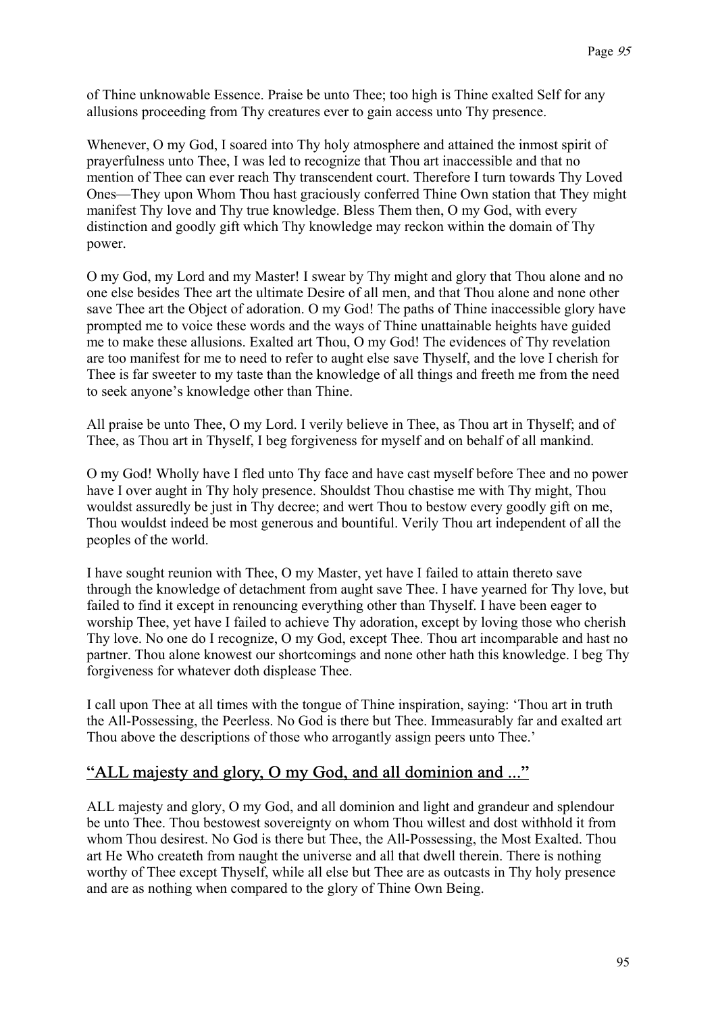of Thine unknowable Essence. Praise be unto Thee; too high is Thine exalted Self for any allusions proceeding from Thy creatures ever to gain access unto Thy presence.

Whenever, O my God, I soared into Thy holy atmosphere and attained the inmost spirit of prayerfulness unto Thee, I was led to recognize that Thou art inaccessible and that no mention of Thee can ever reach Thy transcendent court. Therefore I turn towards Thy Loved Ones—They upon Whom Thou hast graciously conferred Thine Own station that They might manifest Thy love and Thy true knowledge. Bless Them then, O my God, with every distinction and goodly gift which Thy knowledge may reckon within the domain of Thy power.

O my God, my Lord and my Master! I swear by Thy might and glory that Thou alone and no one else besides Thee art the ultimate Desire of all men, and that Thou alone and none other save Thee art the Object of adoration. O my God! The paths of Thine inaccessible glory have prompted me to voice these words and the ways of Thine unattainable heights have guided me to make these allusions. Exalted art Thou, O my God! The evidences of Thy revelation are too manifest for me to need to refer to aught else save Thyself, and the love I cherish for Thee is far sweeter to my taste than the knowledge of all things and freeth me from the need to seek anyone's knowledge other than Thine.

All praise be unto Thee, O my Lord. I verily believe in Thee, as Thou art in Thyself; and of Thee, as Thou art in Thyself, I beg forgiveness for myself and on behalf of all mankind.

O my God! Wholly have I fled unto Thy face and have cast myself before Thee and no power have I over aught in Thy holy presence. Shouldst Thou chastise me with Thy might, Thou wouldst assuredly be just in Thy decree; and wert Thou to bestow every goodly gift on me, Thou wouldst indeed be most generous and bountiful. Verily Thou art independent of all the peoples of the world.

I have sought reunion with Thee, O my Master, yet have I failed to attain thereto save through the knowledge of detachment from aught save Thee. I have yearned for Thy love, but failed to find it except in renouncing everything other than Thyself. I have been eager to worship Thee, yet have I failed to achieve Thy adoration, except by loving those who cherish Thy love. No one do I recognize, O my God, except Thee. Thou art incomparable and hast no partner. Thou alone knowest our shortcomings and none other hath this knowledge. I beg Thy forgiveness for whatever doth displease Thee.

I call upon Thee at all times with the tongue of Thine inspiration, saying: 'Thou art in truth the All-Possessing, the Peerless. No God is there but Thee. Immeasurably far and exalted art Thou above the descriptions of those who arrogantly assign peers unto Thee.'

## "ALL majesty and glory, O my God, and all dominion and ..."

ALL majesty and glory, O my God, and all dominion and light and grandeur and splendour be unto Thee. Thou bestowest sovereignty on whom Thou willest and dost withhold it from whom Thou desirest. No God is there but Thee, the All-Possessing, the Most Exalted. Thou art He Who createth from naught the universe and all that dwell therein. There is nothing worthy of Thee except Thyself, while all else but Thee are as outcasts in Thy holy presence and are as nothing when compared to the glory of Thine Own Being.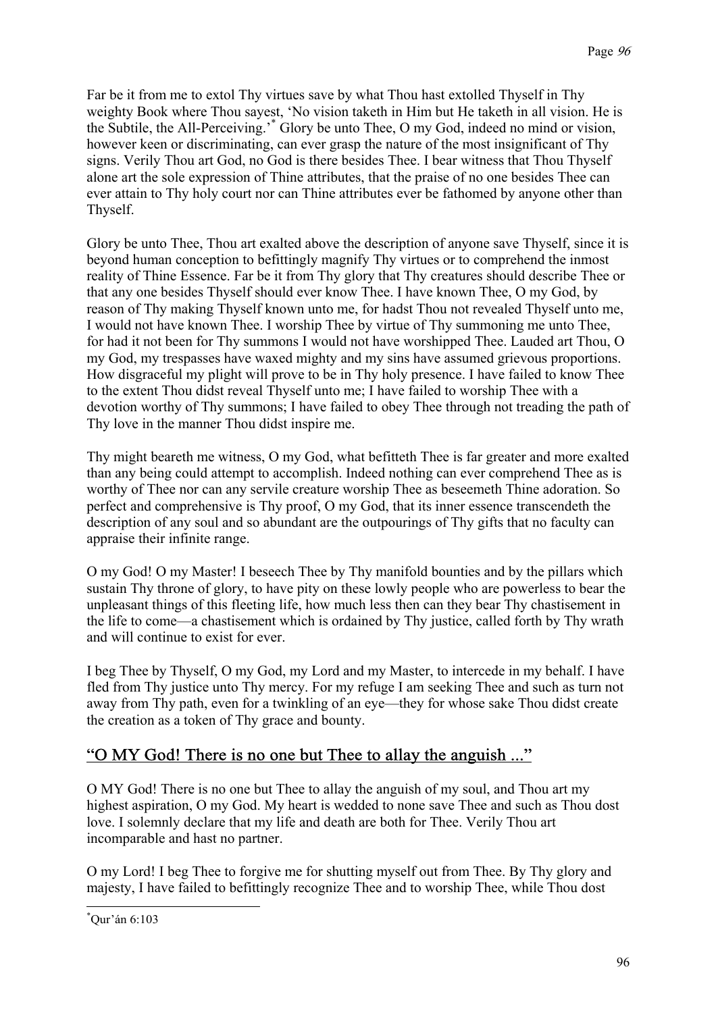Far be it from me to extol Thy virtues save by what Thou hast extolled Thyself in Thy weighty Book where Thou sayest, 'No vision taketh in Him but He taketh in all vision. He is the Subtile, the All-Perceiving.'\* Glory be unto Thee, O my God, indeed no mind or vision, however keen or discriminating, can ever grasp the nature of the most insignificant of Thy signs. Verily Thou art God, no God is there besides Thee. I bear witness that Thou Thyself alone art the sole expression of Thine attributes, that the praise of no one besides Thee can ever attain to Thy holy court nor can Thine attributes ever be fathomed by anyone other than Thyself.

Glory be unto Thee, Thou art exalted above the description of anyone save Thyself, since it is beyond human conception to befittingly magnify Thy virtues or to comprehend the inmost reality of Thine Essence. Far be it from Thy glory that Thy creatures should describe Thee or that any one besides Thyself should ever know Thee. I have known Thee, O my God, by reason of Thy making Thyself known unto me, for hadst Thou not revealed Thyself unto me, I would not have known Thee. I worship Thee by virtue of Thy summoning me unto Thee, for had it not been for Thy summons I would not have worshipped Thee. Lauded art Thou, O my God, my trespasses have waxed mighty and my sins have assumed grievous proportions. How disgraceful my plight will prove to be in Thy holy presence. I have failed to know Thee to the extent Thou didst reveal Thyself unto me; I have failed to worship Thee with a devotion worthy of Thy summons; I have failed to obey Thee through not treading the path of Thy love in the manner Thou didst inspire me.

Thy might beareth me witness, O my God, what befitteth Thee is far greater and more exalted than any being could attempt to accomplish. Indeed nothing can ever comprehend Thee as is worthy of Thee nor can any servile creature worship Thee as beseemeth Thine adoration. So perfect and comprehensive is Thy proof, O my God, that its inner essence transcendeth the description of any soul and so abundant are the outpourings of Thy gifts that no faculty can appraise their infinite range.

O my God! O my Master! I beseech Thee by Thy manifold bounties and by the pillars which sustain Thy throne of glory, to have pity on these lowly people who are powerless to bear the unpleasant things of this fleeting life, how much less then can they bear Thy chastisement in the life to come—a chastisement which is ordained by Thy justice, called forth by Thy wrath and will continue to exist for ever.

I beg Thee by Thyself, O my God, my Lord and my Master, to intercede in my behalf. I have fled from Thy justice unto Thy mercy. For my refuge I am seeking Thee and such as turn not away from Thy path, even for a twinkling of an eye—they for whose sake Thou didst create the creation as a token of Thy grace and bounty.

# "O MY God! There is no one but Thee to allay the anguish ..."

O MY God! There is no one but Thee to allay the anguish of my soul, and Thou art my highest aspiration, O my God. My heart is wedded to none save Thee and such as Thou dost love. I solemnly declare that my life and death are both for Thee. Verily Thou art incomparable and hast no partner.

O my Lord! I beg Thee to forgive me for shutting myself out from Thee. By Thy glory and majesty, I have failed to befittingly recognize Thee and to worship Thee, while Thou dost

 <sup>\*</sup>  $"Our'$ án 6:103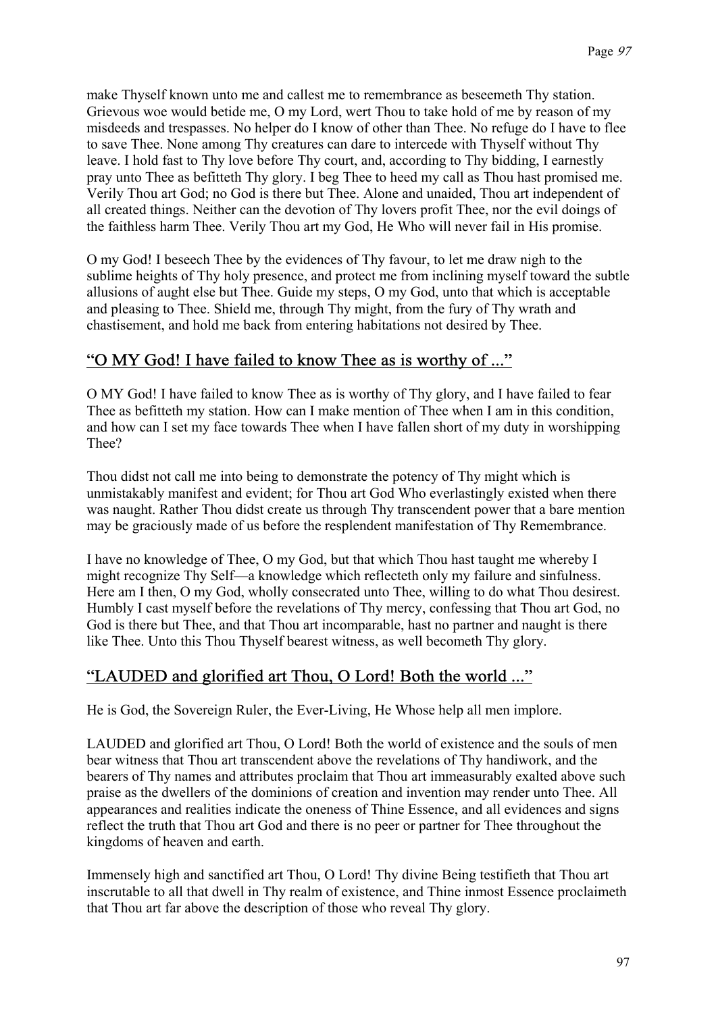make Thyself known unto me and callest me to remembrance as beseemeth Thy station. Grievous woe would betide me, O my Lord, wert Thou to take hold of me by reason of my misdeeds and trespasses. No helper do I know of other than Thee. No refuge do I have to flee to save Thee. None among Thy creatures can dare to intercede with Thyself without Thy leave. I hold fast to Thy love before Thy court, and, according to Thy bidding, I earnestly pray unto Thee as befitteth Thy glory. I beg Thee to heed my call as Thou hast promised me. Verily Thou art God; no God is there but Thee. Alone and unaided, Thou art independent of all created things. Neither can the devotion of Thy lovers profit Thee, nor the evil doings of the faithless harm Thee. Verily Thou art my God, He Who will never fail in His promise.

O my God! I beseech Thee by the evidences of Thy favour, to let me draw nigh to the sublime heights of Thy holy presence, and protect me from inclining myself toward the subtle allusions of aught else but Thee. Guide my steps, O my God, unto that which is acceptable and pleasing to Thee. Shield me, through Thy might, from the fury of Thy wrath and chastisement, and hold me back from entering habitations not desired by Thee.

## "O MY God! I have failed to know Thee as is worthy of ..."

O MY God! I have failed to know Thee as is worthy of Thy glory, and I have failed to fear Thee as befitteth my station. How can I make mention of Thee when I am in this condition, and how can I set my face towards Thee when I have fallen short of my duty in worshipping Thee?

Thou didst not call me into being to demonstrate the potency of Thy might which is unmistakably manifest and evident; for Thou art God Who everlastingly existed when there was naught. Rather Thou didst create us through Thy transcendent power that a bare mention may be graciously made of us before the resplendent manifestation of Thy Remembrance.

I have no knowledge of Thee, O my God, but that which Thou hast taught me whereby I might recognize Thy Self—a knowledge which reflecteth only my failure and sinfulness. Here am I then, O my God, wholly consecrated unto Thee, willing to do what Thou desirest. Humbly I cast myself before the revelations of Thy mercy, confessing that Thou art God, no God is there but Thee, and that Thou art incomparable, hast no partner and naught is there like Thee. Unto this Thou Thyself bearest witness, as well becometh Thy glory.

## "LAUDED and glorified art Thou, O Lord! Both the world ..."

He is God, the Sovereign Ruler, the Ever-Living, He Whose help all men implore.

LAUDED and glorified art Thou, O Lord! Both the world of existence and the souls of men bear witness that Thou art transcendent above the revelations of Thy handiwork, and the bearers of Thy names and attributes proclaim that Thou art immeasurably exalted above such praise as the dwellers of the dominions of creation and invention may render unto Thee. All appearances and realities indicate the oneness of Thine Essence, and all evidences and signs reflect the truth that Thou art God and there is no peer or partner for Thee throughout the kingdoms of heaven and earth.

Immensely high and sanctified art Thou, O Lord! Thy divine Being testifieth that Thou art inscrutable to all that dwell in Thy realm of existence, and Thine inmost Essence proclaimeth that Thou art far above the description of those who reveal Thy glory.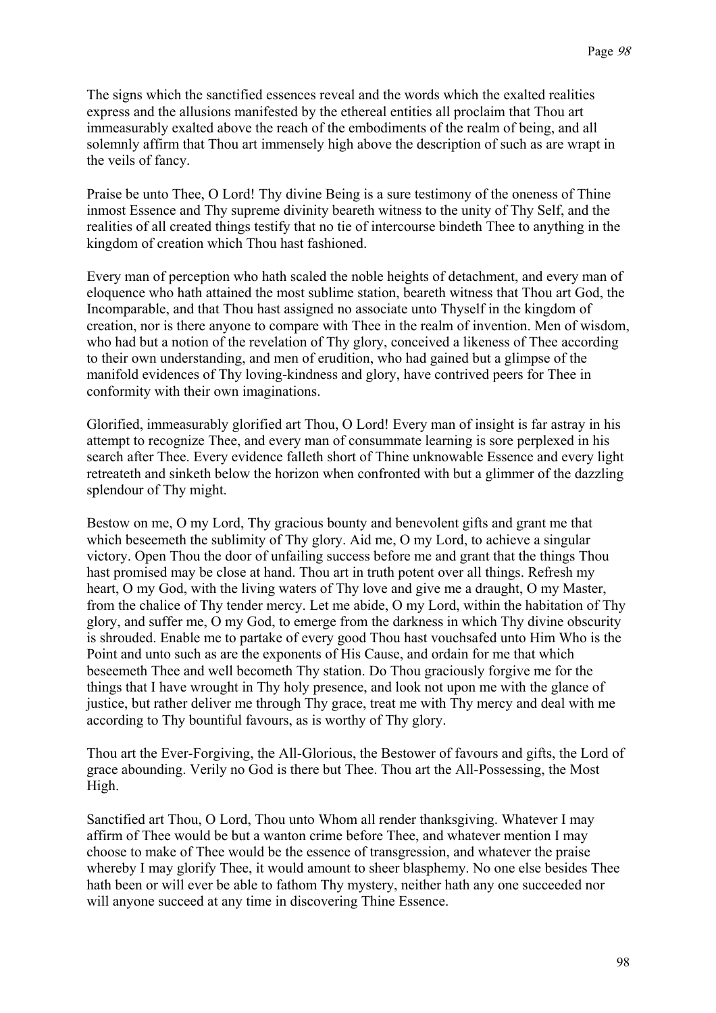The signs which the sanctified essences reveal and the words which the exalted realities express and the allusions manifested by the ethereal entities all proclaim that Thou art immeasurably exalted above the reach of the embodiments of the realm of being, and all solemnly affirm that Thou art immensely high above the description of such as are wrapt in the veils of fancy.

Praise be unto Thee, O Lord! Thy divine Being is a sure testimony of the oneness of Thine inmost Essence and Thy supreme divinity beareth witness to the unity of Thy Self, and the realities of all created things testify that no tie of intercourse bindeth Thee to anything in the kingdom of creation which Thou hast fashioned.

Every man of perception who hath scaled the noble heights of detachment, and every man of eloquence who hath attained the most sublime station, beareth witness that Thou art God, the Incomparable, and that Thou hast assigned no associate unto Thyself in the kingdom of creation, nor is there anyone to compare with Thee in the realm of invention. Men of wisdom, who had but a notion of the revelation of Thy glory, conceived a likeness of Thee according to their own understanding, and men of erudition, who had gained but a glimpse of the manifold evidences of Thy loving-kindness and glory, have contrived peers for Thee in conformity with their own imaginations.

Glorified, immeasurably glorified art Thou, O Lord! Every man of insight is far astray in his attempt to recognize Thee, and every man of consummate learning is sore perplexed in his search after Thee. Every evidence falleth short of Thine unknowable Essence and every light retreateth and sinketh below the horizon when confronted with but a glimmer of the dazzling splendour of Thy might.

Bestow on me, O my Lord, Thy gracious bounty and benevolent gifts and grant me that which beseemeth the sublimity of Thy glory. Aid me, O my Lord, to achieve a singular victory. Open Thou the door of unfailing success before me and grant that the things Thou hast promised may be close at hand. Thou art in truth potent over all things. Refresh my heart, O my God, with the living waters of Thy love and give me a draught, O my Master, from the chalice of Thy tender mercy. Let me abide, O my Lord, within the habitation of Thy glory, and suffer me, O my God, to emerge from the darkness in which Thy divine obscurity is shrouded. Enable me to partake of every good Thou hast vouchsafed unto Him Who is the Point and unto such as are the exponents of His Cause, and ordain for me that which beseemeth Thee and well becometh Thy station. Do Thou graciously forgive me for the things that I have wrought in Thy holy presence, and look not upon me with the glance of justice, but rather deliver me through Thy grace, treat me with Thy mercy and deal with me according to Thy bountiful favours, as is worthy of Thy glory.

Thou art the Ever-Forgiving, the All-Glorious, the Bestower of favours and gifts, the Lord of grace abounding. Verily no God is there but Thee. Thou art the All-Possessing, the Most High.

Sanctified art Thou, O Lord, Thou unto Whom all render thanksgiving. Whatever I may affirm of Thee would be but a wanton crime before Thee, and whatever mention I may choose to make of Thee would be the essence of transgression, and whatever the praise whereby I may glorify Thee, it would amount to sheer blasphemy. No one else besides Thee hath been or will ever be able to fathom Thy mystery, neither hath any one succeeded nor will anyone succeed at any time in discovering Thine Essence.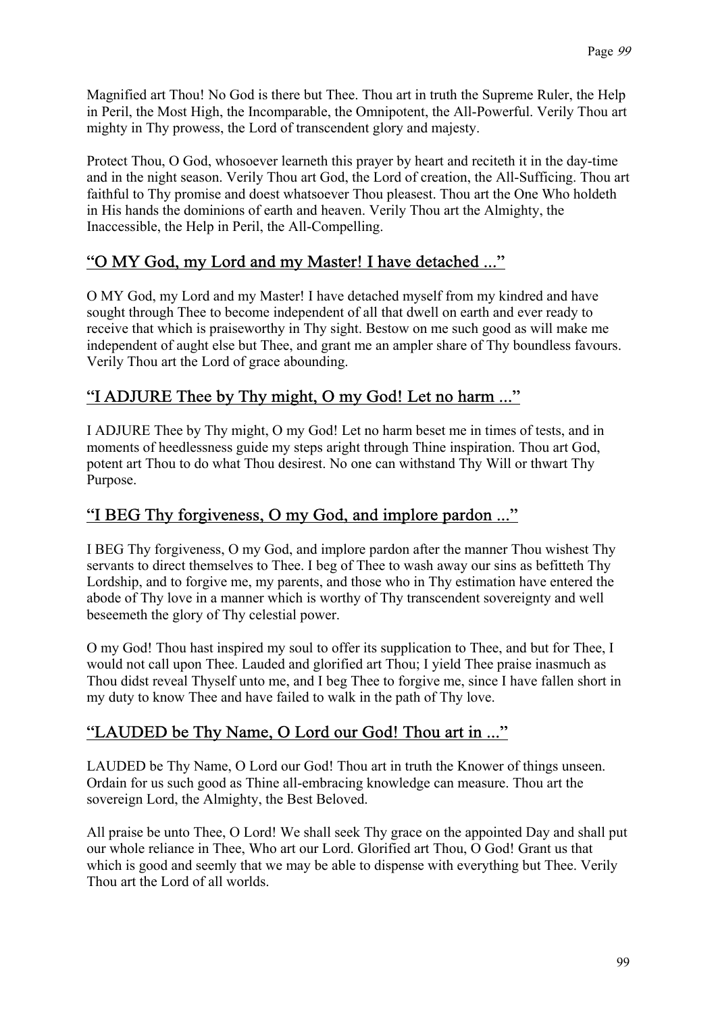Magnified art Thou! No God is there but Thee. Thou art in truth the Supreme Ruler, the Help in Peril, the Most High, the Incomparable, the Omnipotent, the All-Powerful. Verily Thou art mighty in Thy prowess, the Lord of transcendent glory and majesty.

Protect Thou, O God, whosoever learneth this prayer by heart and reciteth it in the day-time and in the night season. Verily Thou art God, the Lord of creation, the All-Sufficing. Thou art faithful to Thy promise and doest whatsoever Thou pleasest. Thou art the One Who holdeth in His hands the dominions of earth and heaven. Verily Thou art the Almighty, the Inaccessible, the Help in Peril, the All-Compelling.

# "O MY God, my Lord and my Master! I have detached ..."

O MY God, my Lord and my Master! I have detached myself from my kindred and have sought through Thee to become independent of all that dwell on earth and ever ready to receive that which is praiseworthy in Thy sight. Bestow on me such good as will make me independent of aught else but Thee, and grant me an ampler share of Thy boundless favours. Verily Thou art the Lord of grace abounding.

# "I ADJURE Thee by Thy might, O my God! Let no harm ..."

I ADJURE Thee by Thy might, O my God! Let no harm beset me in times of tests, and in moments of heedlessness guide my steps aright through Thine inspiration. Thou art God, potent art Thou to do what Thou desirest. No one can withstand Thy Will or thwart Thy Purpose.

# "I BEG Thy forgiveness, O my God, and implore pardon ..."

I BEG Thy forgiveness, O my God, and implore pardon after the manner Thou wishest Thy servants to direct themselves to Thee. I beg of Thee to wash away our sins as befitteth Thy Lordship, and to forgive me, my parents, and those who in Thy estimation have entered the abode of Thy love in a manner which is worthy of Thy transcendent sovereignty and well beseemeth the glory of Thy celestial power.

O my God! Thou hast inspired my soul to offer its supplication to Thee, and but for Thee, I would not call upon Thee. Lauded and glorified art Thou; I yield Thee praise inasmuch as Thou didst reveal Thyself unto me, and I beg Thee to forgive me, since I have fallen short in my duty to know Thee and have failed to walk in the path of Thy love.

# "LAUDED be Thy Name, O Lord our God! Thou art in ..."

LAUDED be Thy Name, O Lord our God! Thou art in truth the Knower of things unseen. Ordain for us such good as Thine all-embracing knowledge can measure. Thou art the sovereign Lord, the Almighty, the Best Beloved.

All praise be unto Thee, O Lord! We shall seek Thy grace on the appointed Day and shall put our whole reliance in Thee, Who art our Lord. Glorified art Thou, O God! Grant us that which is good and seemly that we may be able to dispense with everything but Thee. Verily Thou art the Lord of all worlds.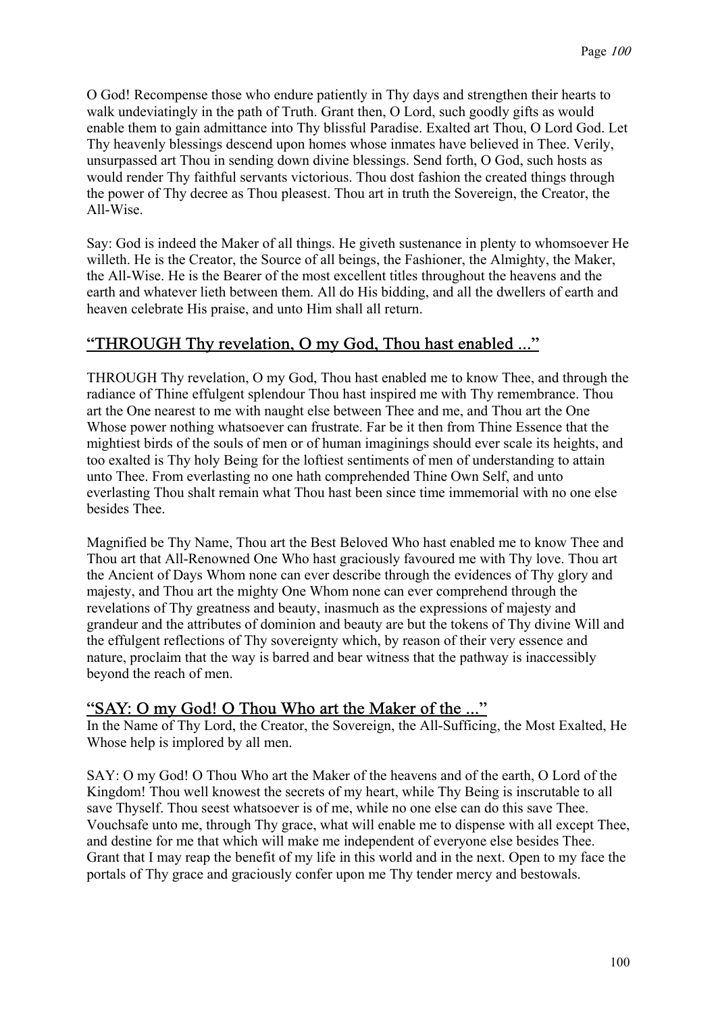O God! Recompense those who endure patiently in Thy days and strengthen their hearts to walk undeviatingly in the path of Truth. Grant then, O Lord, such goodly gifts as would enable them to gain admittance into Thy blissful Paradise. Exalted art Thou, O Lord God. Let Thy heavenly blessings descend upon homes whose inmates have believed in Thee. Verily, unsurpassed art Thou in sending down divine blessings. Send forth, O God, such hosts as would render Thy faithful servants victorious. Thou dost fashion the created things through the power of Thy decree as Thou pleasest. Thou art in truth the Sovereign, the Creator, the All-Wise.

Say: God is indeed the Maker of all things. He giveth sustenance in plenty to whomsoever He willeth. He is the Creator, the Source of all beings, the Fashioner, the Almighty, the Maker, the All-Wise. He is the Bearer of the most excellent titles throughout the heavens and the earth and whatever lieth between them. All do His bidding, and all the dwellers of earth and heaven celebrate His praise, and unto Him shall all return.

## "THROUGH Thy revelation, O my God, Thou hast enabled ..."

THROUGH Thy revelation, O my God, Thou hast enabled me to know Thee, and through the radiance of Thine effulgent splendour Thou hast inspired me with Thy remembrance. Thou art the One nearest to me with naught else between Thee and me, and Thou art the One Whose power nothing whatsoever can frustrate. Far be it then from Thine Essence that the mightiest birds of the souls of men or of human imaginings should ever scale its heights, and too exalted is Thy holy Being for the loftiest sentiments of men of understanding to attain unto Thee. From everlasting no one hath comprehended Thine Own Self, and unto everlasting Thou shalt remain what Thou hast been since time immemorial with no one else besides Thee.

Magnified be Thy Name, Thou art the Best Beloved Who hast enabled me to know Thee and Thou art that All-Renowned One Who hast graciously favoured me with Thy love. Thou art the Ancient of Days Whom none can ever describe through the evidences of Thy glory and majesty, and Thou art the mighty One Whom none can ever comprehend through the revelations of Thy greatness and beauty, inasmuch as the expressions of majesty and grandeur and the attributes of dominion and beauty are but the tokens of Thy divine Will and the effulgent reflections of Thy sovereignty which, by reason of their very essence and nature, proclaim that the way is barred and bear witness that the pathway is inaccessibly beyond the reach of men.

## "SAY: O my God! O Thou Who art the Maker of the ..."

In the Name of Thy Lord, the Creator, the Sovereign, the All-Sufficing, the Most Exalted, He Whose help is implored by all men.

SAY: O my God! O Thou Who art the Maker of the heavens and of the earth, O Lord of the Kingdom! Thou well knowest the secrets of my heart, while Thy Being is inscrutable to all save Thyself. Thou seest whatsoever is of me, while no one else can do this save Thee. Vouchsafe unto me, through Thy grace, what will enable me to dispense with all except Thee, and destine for me that which will make me independent of everyone else besides Thee. Grant that I may reap the benefit of my life in this world and in the next. Open to my face the portals of Thy grace and graciously confer upon me Thy tender mercy and bestowals.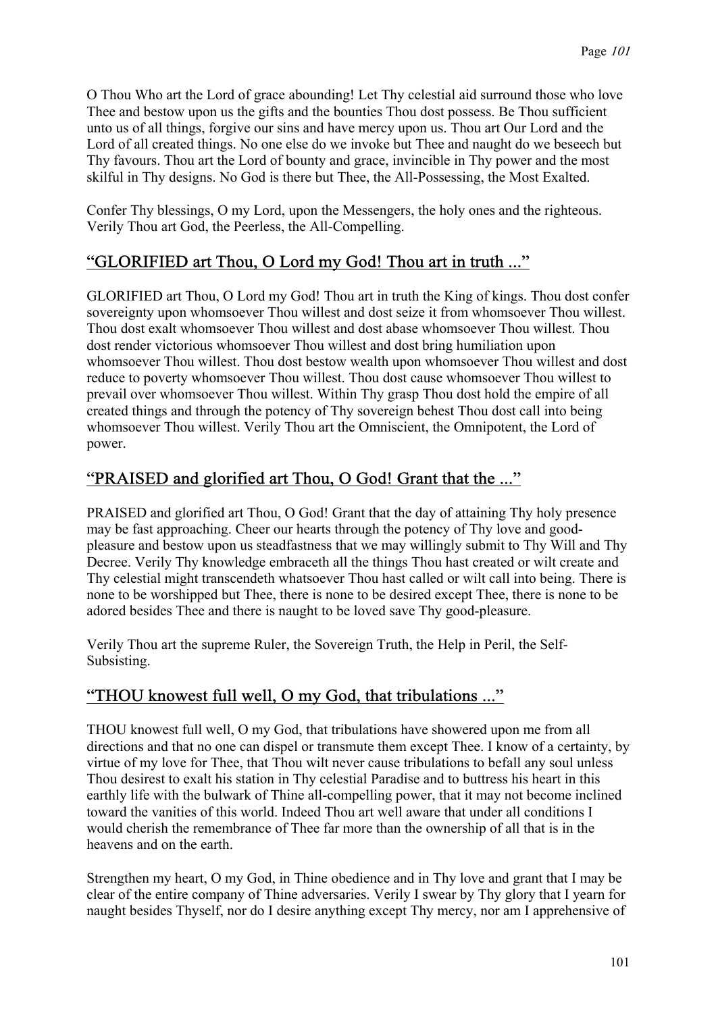O Thou Who art the Lord of grace abounding! Let Thy celestial aid surround those who love Thee and bestow upon us the gifts and the bounties Thou dost possess. Be Thou sufficient unto us of all things, forgive our sins and have mercy upon us. Thou art Our Lord and the Lord of all created things. No one else do we invoke but Thee and naught do we beseech but Thy favours. Thou art the Lord of bounty and grace, invincible in Thy power and the most skilful in Thy designs. No God is there but Thee, the All-Possessing, the Most Exalted.

Confer Thy blessings, O my Lord, upon the Messengers, the holy ones and the righteous. Verily Thou art God, the Peerless, the All-Compelling.

# "GLORIFIED art Thou, O Lord my God! Thou art in truth ..."

GLORIFIED art Thou, O Lord my God! Thou art in truth the King of kings. Thou dost confer sovereignty upon whomsoever Thou willest and dost seize it from whomsoever Thou willest. Thou dost exalt whomsoever Thou willest and dost abase whomsoever Thou willest. Thou dost render victorious whomsoever Thou willest and dost bring humiliation upon whomsoever Thou willest. Thou dost bestow wealth upon whomsoever Thou willest and dost reduce to poverty whomsoever Thou willest. Thou dost cause whomsoever Thou willest to prevail over whomsoever Thou willest. Within Thy grasp Thou dost hold the empire of all created things and through the potency of Thy sovereign behest Thou dost call into being whomsoever Thou willest. Verily Thou art the Omniscient, the Omnipotent, the Lord of power.

# "PRAISED and glorified art Thou, O God! Grant that the ..."

PRAISED and glorified art Thou, O God! Grant that the day of attaining Thy holy presence may be fast approaching. Cheer our hearts through the potency of Thy love and goodpleasure and bestow upon us steadfastness that we may willingly submit to Thy Will and Thy Decree. Verily Thy knowledge embraceth all the things Thou hast created or wilt create and Thy celestial might transcendeth whatsoever Thou hast called or wilt call into being. There is none to be worshipped but Thee, there is none to be desired except Thee, there is none to be adored besides Thee and there is naught to be loved save Thy good-pleasure.

Verily Thou art the supreme Ruler, the Sovereign Truth, the Help in Peril, the Self-Subsisting.

# "THOU knowest full well, O my God, that tribulations ..."

THOU knowest full well, O my God, that tribulations have showered upon me from all directions and that no one can dispel or transmute them except Thee. I know of a certainty, by virtue of my love for Thee, that Thou wilt never cause tribulations to befall any soul unless Thou desirest to exalt his station in Thy celestial Paradise and to buttress his heart in this earthly life with the bulwark of Thine all-compelling power, that it may not become inclined toward the vanities of this world. Indeed Thou art well aware that under all conditions I would cherish the remembrance of Thee far more than the ownership of all that is in the heavens and on the earth.

Strengthen my heart, O my God, in Thine obedience and in Thy love and grant that I may be clear of the entire company of Thine adversaries. Verily I swear by Thy glory that I yearn for naught besides Thyself, nor do I desire anything except Thy mercy, nor am I apprehensive of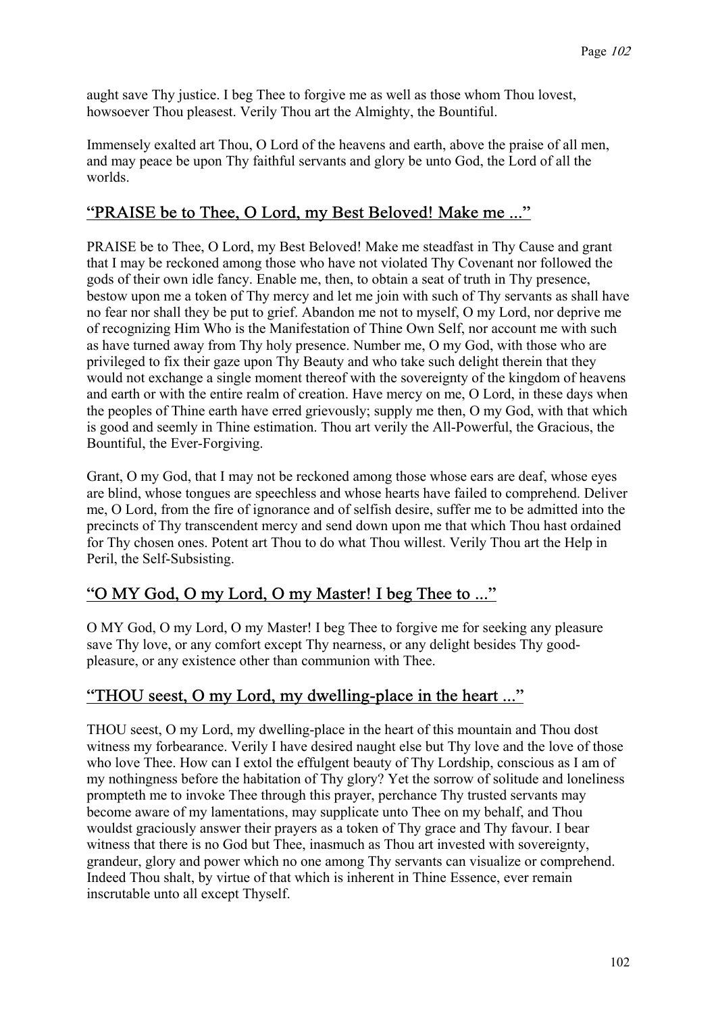aught save Thy justice. I beg Thee to forgive me as well as those whom Thou lovest, howsoever Thou pleasest. Verily Thou art the Almighty, the Bountiful.

Immensely exalted art Thou, O Lord of the heavens and earth, above the praise of all men, and may peace be upon Thy faithful servants and glory be unto God, the Lord of all the worlds.

## "PRAISE be to Thee, O Lord, my Best Beloved! Make me ..."

PRAISE be to Thee, O Lord, my Best Beloved! Make me steadfast in Thy Cause and grant that I may be reckoned among those who have not violated Thy Covenant nor followed the gods of their own idle fancy. Enable me, then, to obtain a seat of truth in Thy presence, bestow upon me a token of Thy mercy and let me join with such of Thy servants as shall have no fear nor shall they be put to grief. Abandon me not to myself, O my Lord, nor deprive me of recognizing Him Who is the Manifestation of Thine Own Self, nor account me with such as have turned away from Thy holy presence. Number me, O my God, with those who are privileged to fix their gaze upon Thy Beauty and who take such delight therein that they would not exchange a single moment thereof with the sovereignty of the kingdom of heavens and earth or with the entire realm of creation. Have mercy on me, O Lord, in these days when the peoples of Thine earth have erred grievously; supply me then, O my God, with that which is good and seemly in Thine estimation. Thou art verily the All-Powerful, the Gracious, the Bountiful, the Ever-Forgiving.

Grant, O my God, that I may not be reckoned among those whose ears are deaf, whose eyes are blind, whose tongues are speechless and whose hearts have failed to comprehend. Deliver me, O Lord, from the fire of ignorance and of selfish desire, suffer me to be admitted into the precincts of Thy transcendent mercy and send down upon me that which Thou hast ordained for Thy chosen ones. Potent art Thou to do what Thou willest. Verily Thou art the Help in Peril, the Self-Subsisting.

# "O MY God, O my Lord, O my Master! I beg Thee to ..."

O MY God, O my Lord, O my Master! I beg Thee to forgive me for seeking any pleasure save Thy love, or any comfort except Thy nearness, or any delight besides Thy goodpleasure, or any existence other than communion with Thee.

# "THOU seest, O my Lord, my dwelling-place in the heart ..."

THOU seest, O my Lord, my dwelling-place in the heart of this mountain and Thou dost witness my forbearance. Verily I have desired naught else but Thy love and the love of those who love Thee. How can I extol the effulgent beauty of Thy Lordship, conscious as I am of my nothingness before the habitation of Thy glory? Yet the sorrow of solitude and loneliness prompteth me to invoke Thee through this prayer, perchance Thy trusted servants may become aware of my lamentations, may supplicate unto Thee on my behalf, and Thou wouldst graciously answer their prayers as a token of Thy grace and Thy favour. I bear witness that there is no God but Thee, inasmuch as Thou art invested with sovereignty, grandeur, glory and power which no one among Thy servants can visualize or comprehend. Indeed Thou shalt, by virtue of that which is inherent in Thine Essence, ever remain inscrutable unto all except Thyself.